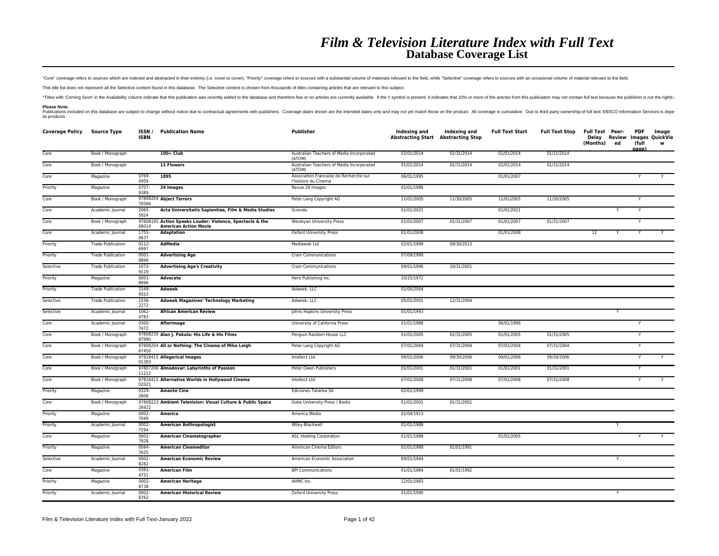"Core" coverage refers to sources which are indexed and abstracted in their entirety (i.e. cover to cover); "Priority" coverage refers to sources with a substantial volume of materials relevant to the field. while "Selecti

This title list does not represent all the Selective content found in this database. The Selective content is chosen from thousands of titles containing articles that are relevant to this subject.

\*Titles with 'Coming Soon' in the Availability column indicate that this publication was recently added to the database and therefore few or no articles are currently available. If the ‡ symbol is present, it indicates tha **Please Note:**

Publications included on this database are subject to change without notice due to contractual agreements with publishers. Coverage dates shown are the intended dates only and may not yet match those on the product. All co

| <b>Coverage Policy</b> | <b>Source Type</b>       | ISSN /<br><b>ISBN</b> | <b>Publication Name</b>                                                                  | <b>Publisher</b>                                               | Indexing and<br><b>Abstracting Start Abstracting Stop</b> | Indexing and | <b>Full Text Start</b> | <b>Full Text Stop</b> | <b>Full Text Peer-</b><br>Delay<br>(Months) | Review<br>ed | <b>PDF</b><br>(full<br>nage) | Image<br><b>Images QuickVie</b><br>w |
|------------------------|--------------------------|-----------------------|------------------------------------------------------------------------------------------|----------------------------------------------------------------|-----------------------------------------------------------|--------------|------------------------|-----------------------|---------------------------------------------|--------------|------------------------------|--------------------------------------|
| Core                   | Book / Monograph         |                       | $100 + Club$                                                                             | Australian Teachers of Media Incorporated<br>(ATOM)            | 01/01/2014                                                | 01/31/2014   | 01/01/2014             | 01/31/2014            |                                             |              |                              |                                      |
| Core                   | Book / Monograph         |                       | 11 Flowers                                                                               | Australian Teachers of Media Incorporated<br>(ATOM)            | 01/01/2014                                                | 01/31/2014   | 01/01/2014             | 01/31/2014            |                                             |              |                              |                                      |
| Core                   | Magazine                 | 0769-<br>0959         | 1895                                                                                     | Association Francaise de Recherche sur<br>l'histoire du Cinema | 06/01/1995                                                |              | 01/01/2007             |                       |                                             |              | Y                            | Y                                    |
| Priority               | Magazine                 | $0707 -$<br>9389      | 24 Images                                                                                | Revue 24 Images                                                | 01/01/1988                                                |              |                        |                       |                                             |              |                              |                                      |
| Core                   | Book / Monograph         | 70566                 | 97808204 Abject Terrors                                                                  | Peter Lang Copyright AG                                        | 11/01/2005                                                | 11/30/2005   | 11/01/2005             | 11/30/2005            |                                             |              |                              |                                      |
| Core                   | Academic Journal         | $2065 -$<br>5924      | Acta Universitatis Sapientiae, Film & Media Studies                                      | Sciendo                                                        | 01/01/2021                                                |              | 01/01/2021             |                       |                                             |              | Y                            |                                      |
| Core                   | Book / Monograph         | 68014                 | 97808195 Action Speaks Louder: Violence, Spectacle & the<br><b>American Action Movie</b> | <b>Wesleyan University Press</b>                               | 01/01/2007                                                | 01/31/2007   | 01/01/2007             | 01/31/2007            |                                             |              | Y                            |                                      |
| Core                   | Academic Journal         | 1755-<br>0637         | <b>Adaptation</b>                                                                        | Oxford University Press                                        | 01/01/2008                                                |              | 01/01/2008             |                       | 12                                          |              |                              |                                      |
| Priority               | <b>Trade Publication</b> | $0112 -$<br>6997      | AdMedia                                                                                  | Mediaweb Ltd                                                   | 02/01/1999                                                | 09/30/2013   |                        |                       |                                             |              |                              |                                      |
| Priority               | <b>Trade Publication</b> | 0001<br>8899          | <b>Advertising Age</b>                                                                   | <b>Crain Communications</b>                                    | 07/09/1990                                                |              |                        |                       |                                             |              |                              |                                      |
| Selective              | <b>Trade Publication</b> | $1072 -$<br>9119      | <b>Advertising Age's Creativity</b>                                                      | <b>Crain Communications</b>                                    | 09/01/1996                                                | 10/31/2001   |                        |                       |                                             |              |                              |                                      |
| Priority               | Magazine                 | $0001 -$<br>8996      | Advocate                                                                                 | Here Publishing Inc.                                           | 10/25/1972                                                |              |                        |                       |                                             |              |                              |                                      |
| Priority               | <b>Trade Publication</b> | 1549-<br>9553         | <b>Adweek</b>                                                                            | Adweek, LLC                                                    | 01/05/2004                                                |              |                        |                       |                                             |              |                              |                                      |
| Selective              | <b>Trade Publication</b> | 1536-<br>2272         | <b>Adweek Magazines' Technology Marketing</b>                                            | Adweek, LLC                                                    | 05/01/2001                                                | 12/31/2004   |                        |                       |                                             |              |                              |                                      |
| Selective              | Academic Journal         | $1062 -$<br>4783      | <b>African American Review</b>                                                           | Johns Hopkins University Press                                 | 01/01/1993                                                |              |                        |                       |                                             | $\mathsf{Y}$ |                              |                                      |
| Core                   | Academic Journal         | 0300<br>7472          | Afterimage                                                                               | University of California Press                                 | 01/01/1988                                                |              | 06/01/1996             |                       |                                             |              | Y                            |                                      |
| Core                   | Book / Monograph         | 87990                 | 97808230 Alan J. Pakula: His Life & His Films                                            | Penguin Random House LLC                                       | 01/01/2005                                                | 01/31/2005   | 01/01/2005             | 01/31/2005            |                                             |              | Y                            |                                      |
| Core                   | Book / Monograph         | 67450                 | 97808204 All or Nothing: The Cinema of Mike Leigh                                        | Peter Lang Copyright AG                                        | 07/01/2004                                                | 07/31/2004   | 07/01/2004             | 07/31/2004            |                                             |              | Y                            |                                      |
| Core                   | Book / Monograph         | 01383                 | 97818415 Allegorical Images                                                              | Intellect Ltd.                                                 | 09/01/2006                                                | 09/30/2006   | 09/01/2006             | 09/30/2006            |                                             |              | Y                            | Y                                    |
| Core                   | Book / Monograph         | 11212                 | 97807206 Almodovar: Labyrinths of Passion                                                | Peter Owen Publishers                                          | 01/01/2001                                                | 01/31/2001   | 01/01/2001             | 01/31/2001            |                                             |              | Y                            |                                      |
| Core                   | Book / Monograph         | 02021                 | 97818415 Alternative Worlds in Hollywood Cinema                                          | Intellect Ltd.                                                 | 07/01/2008                                                | 07/31/2008   | 07/01/2008             | 07/31/2008            |                                             |              | Y                            |                                      |
| Priority               | Magazine                 | 0329-<br>2606         | <b>Amante Cine</b>                                                                       | Ediciones Tatanka SA                                           | 02/01/1999                                                |              |                        |                       |                                             |              |                              |                                      |
| Core                   | Book / Monograph         | 26922                 | 97808223 Ambient Television: Visual Culture & Public Space                               | Duke University Press / Books                                  | 01/01/2001                                                | 01/31/2001   |                        |                       |                                             |              |                              |                                      |
| Priority               | Magazine                 | $0002 -$<br>7049      | America                                                                                  | America Media                                                  | 01/04/1913                                                |              |                        |                       |                                             |              |                              |                                      |
| Priority               | Academic Journal         | $0002 -$<br>7294      | <b>American Anthropologist</b>                                                           | Wiley-Blackwell                                                | 01/01/1988                                                |              |                        |                       |                                             | Y            |                              |                                      |
| Core                   | Magazine                 | $0002 -$<br>7928      | American Cinematographer                                                                 | <b>ASC Holding Corporation</b>                                 | 01/01/1988                                                |              | 01/01/2005             |                       |                                             |              | Y                            | Y                                    |
| Priority               | Magazine                 | 0044-<br>7625         | <b>American Cinemeditor</b>                                                              | American Cinema Editors                                        | 01/01/1988                                                | 01/01/1991   |                        |                       |                                             |              |                              |                                      |
| Selective              | Academic Journal         | $0002 -$<br>8282      | <b>American Economic Review</b>                                                          | American Economic Association                                  | 09/01/1944                                                |              |                        |                       |                                             | Y            |                              |                                      |
| Core                   | Magazine                 | $0361 -$<br>4751      | <b>American Film</b>                                                                     | <b>BPI Communications</b>                                      | 01/01/1984                                                | 01/01/1992   |                        |                       |                                             |              |                              |                                      |
| Priority               | Magazine                 | $0002 -$<br>8738      | <b>American Heritage</b>                                                                 | AHMC Inc.                                                      | 12/01/1983                                                |              |                        |                       |                                             |              |                              |                                      |
| Priority               | Academic Journal         | $0002 -$<br>8762      | <b>American Historical Review</b>                                                        | Oxford University Press                                        | 01/01/1990                                                |              |                        |                       |                                             | Y            |                              |                                      |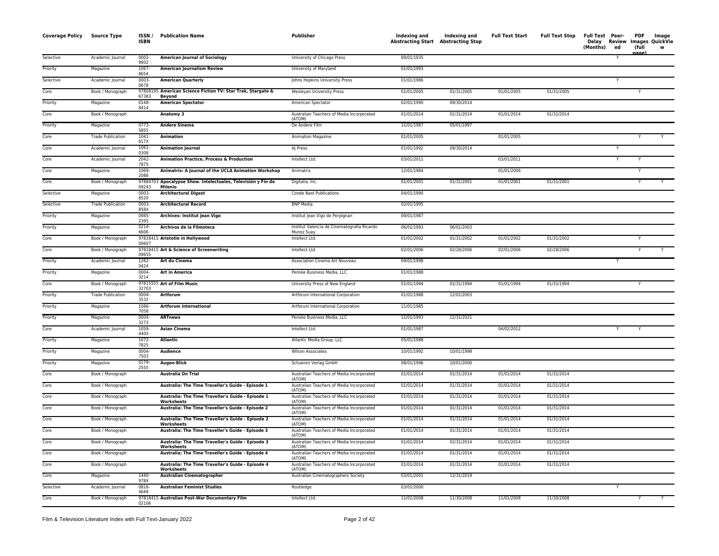| <b>Coverage Policy</b> | Source Type              | ISSN/<br><b>ISBN</b> | <b>Publication Name</b>                                                      | <b>Publisher</b>                                          | Indexing and Indexing and<br>Abstracting Start Abstracting Stop |            | <b>Full Text Start</b> | <b>Full Text Stop</b> | Full Text Peer-<br>Delay<br>(Months)<br>ed | <b>PDF</b><br>(full | Image<br>Review Images QuickVie<br>w |
|------------------------|--------------------------|----------------------|------------------------------------------------------------------------------|-----------------------------------------------------------|-----------------------------------------------------------------|------------|------------------------|-----------------------|--------------------------------------------|---------------------|--------------------------------------|
| Selective              | Academic Journal         | 0002-<br>9602        | <b>American Journal of Sociology</b>                                         | University of Chicago Press                               | 09/01/1935                                                      |            |                        |                       | Y                                          |                     |                                      |
| Priority               | Magazine                 | 1067-<br>8654        | <b>American Journalism Review</b>                                            | University of Maryland                                    | 01/01/1993                                                      |            |                        |                       |                                            |                     |                                      |
| Selective              | Academic Journal         | 0003<br>0678         | <b>American Quarterly</b>                                                    | Johns Hopkins University Press                            | 01/01/1986                                                      |            |                        |                       | Y                                          |                     |                                      |
| Core                   | Book / Monograph         | 67383                | 97808195 American Science Fiction TV: Star Trek, Stargate &<br><b>Bevond</b> | Wesleyan University Press                                 | 01/01/2005                                                      | 01/31/2005 | 01/01/2005             | 01/31/2005            |                                            |                     |                                      |
| Priority               | Magazine                 | 0148-<br>8414        | <b>American Spectator</b>                                                    | American Spectator                                        | 02/01/1990                                                      | 09/30/2014 |                        |                       |                                            |                     |                                      |
| Core                   | Book / Monograph         |                      | Anatomy 3                                                                    | Australian Teachers of Media Incorporated<br>(ATOM)       | 01/01/2014                                                      | 01/31/2014 | 01/01/2014             | 01/31/2014            |                                            |                     |                                      |
| Priority               | Magazine                 | 0773<br>5855         | <b>Andere Sinema</b>                                                         | De Andere Film                                            | 11/01/1987                                                      | 05/01/1997 |                        |                       |                                            |                     |                                      |
| Core                   | <b>Trade Publication</b> | 1041<br>617X         | Animation                                                                    | Animation Magazine                                        | 01/01/2005                                                      |            | 01/01/2005             |                       |                                            |                     | Y                                    |
| Core                   | Academic Journal         | 1061-<br>0308        | <b>Animation Journal</b>                                                     | AJ Press                                                  | 01/01/1992                                                      | 09/30/2014 |                        |                       |                                            |                     |                                      |
| Core                   | Academic Journal         | 2042<br>7875         | <b>Animation Practice, Process &amp; Production</b>                          | Intellect Ltd.                                            | 03/01/2011                                                      |            | 03/01/2011             |                       |                                            |                     |                                      |
| Core                   | Magazine                 | 1069-<br>2088        | Animatrix: A Journal of the UCLA Animation Workshop                          | Animatrix                                                 | 12/01/1984                                                      |            | 01/01/2006             |                       |                                            |                     |                                      |
| Core                   | Book / Monograph         | 09243                | 97884703 Apocalypse Show. Intelectuales, Televisión y Fin de<br>Milenio      | Digitalia, Inc.                                           | 01/01/2001                                                      | 01/31/2001 | 01/01/2001             | 01/31/2001            |                                            | Y                   |                                      |
| Selective              | Magazine                 | 0003<br>8520         | <b>Architectural Digest</b>                                                  | <b>Conde Nast Publications</b>                            | 04/01/1990                                                      |            |                        |                       |                                            |                     |                                      |
| Selective              | <b>Trade Publication</b> | 0003<br>858X         | <b>Architectural Record</b>                                                  | <b>BNP Media</b>                                          | 02/01/1995                                                      |            |                        |                       |                                            |                     |                                      |
| Priority               | Magazine                 | 0985-<br>2395        | Archives: Institut Jean Vigo                                                 | Institut Jean Vigo de Perpignan                           | 09/01/1987                                                      |            |                        |                       |                                            |                     |                                      |
| Priority               | Magazine                 | 0214<br>6606         | Archivos de la Filmoteca                                                     | Institut Valencia de Cinematografia Ricardo<br>Munoz Suav | 06/01/1993                                                      | 06/01/2003 |                        |                       |                                            |                     |                                      |
| Core                   | Book / Monograph         | 00607                | 97818415 Aristotle in Hollywood                                              | Intellect Ltd.                                            | 01/01/2002                                                      | 01/31/2002 | 01/01/2002             | 01/31/2002            |                                            | $\checkmark$        |                                      |
| Core                   | Book / Monograph         | 09655                | 97818415 Art & Science of Screenwriting                                      | Intellect Ltd.                                            | 02/01/2006                                                      | 02/28/2006 | 02/01/2006             | 02/28/2006            |                                            |                     |                                      |
| Priority               | Academic Journal         | 1262-<br>0424        | Art du Cinema                                                                | Association Cinema Art Nouveau                            | 09/01/1998                                                      |            |                        |                       |                                            |                     |                                      |
| Priority               | Magazine                 | 0004<br>3214         | <b>Art in America</b>                                                        | Penske Business Media, LLC                                | 01/01/1988                                                      |            |                        |                       |                                            |                     |                                      |
| Core                   | Book / Monograph         | 32703                | 97815555 Art of Film Music                                                   | University Press of New England                           | 01/01/1994                                                      | 01/31/1994 | 01/01/1994             | 01/31/1994            |                                            |                     |                                      |
| Priority               | <b>Trade Publication</b> | 0004-<br>3532        | Artforum                                                                     | Artforum International Corporation                        | 01/01/1988                                                      | 12/01/2003 |                        |                       |                                            |                     |                                      |
| Priority               | Magazine                 | 1086<br>7058         | <b>Artforum International</b>                                                | Artforum International Corporation                        | 11/01/1985                                                      |            |                        |                       |                                            |                     |                                      |
| Priority               | Magazine                 | 0004-<br>3273        | <b>ARTnews</b>                                                               | Penske Business Media, LLC                                | 11/01/1993                                                      | 12/31/2021 |                        |                       |                                            |                     |                                      |
| Core                   | Academic Journal         | 1059<br>440X         | <b>Asian Cinema</b>                                                          | Intellect Ltd.                                            | 01/01/1987                                                      |            | 04/02/2012             |                       |                                            |                     |                                      |
| Priority               | Magazine                 | 1072<br>7825         | <b>Atlantic</b>                                                              | Atlantic Media Group, LLC                                 | 05/01/1988                                                      |            |                        |                       |                                            |                     |                                      |
| Priority               | Magazine                 | 0004<br>7503         | Audience                                                                     | <b>Wilson Associates</b>                                  | 10/01/1992                                                      | 10/01/1998 |                        |                       |                                            |                     |                                      |
| Priority               | Magazine                 | 0179<br>2555         | Augen-Blick                                                                  | Schueren Verlag GmbH                                      | 08/01/1996                                                      | 10/01/2000 |                        |                       |                                            |                     |                                      |
| Core                   | Book / Monograph         |                      | <b>Australia On Trial</b>                                                    | Australian Teachers of Media Incorporated<br>(ATOM)       | 01/01/2014                                                      | 01/31/2014 | 01/01/2014             | 01/31/2014            |                                            |                     |                                      |
| Core                   | Book / Monograph         |                      | Australia: The Time Traveller's Guide - Episode 1                            | Australian Teachers of Media Incorporated<br>(ATOM)       | 01/01/2014                                                      | 01/31/2014 | 01/01/2014             | 01/31/2014            |                                            |                     |                                      |
| Core                   | Book / Monograph         |                      | Australia: The Time Traveller's Guide - Episode 1<br>Worksheets              | Australian Teachers of Media Incorporated<br>(ATOM)       | 01/01/2014                                                      | 01/31/2014 | 01/01/2014             | 01/31/2014            |                                            |                     |                                      |
| Core                   | Book / Monograph         |                      | Australia: The Time Traveller's Guide - Episode 2                            | Australian Teachers of Media Incorporated<br>(ATOM)       | 01/01/2014                                                      | 01/31/2014 | 01/01/2014             | 01/31/2014            |                                            |                     |                                      |
| Core                   | Book / Monograph         |                      | Australia: The Time Traveller's Guide - Episode 2<br><b>Worksheets</b>       | Australian Teachers of Media Incorporated<br>(ATOM)       | 01/01/2014                                                      | 01/31/2014 | 01/01/2014             | 01/31/2014            |                                            |                     |                                      |
| Core                   | Book / Monograph         |                      | Australia: The Time Traveller's Guide - Episode 3                            | Australian Teachers of Media Incorporated<br>(ATOM)       | 01/01/2014                                                      | 01/31/2014 | 01/01/2014             | 01/31/2014            |                                            |                     |                                      |
| Core                   | Book / Monograph         |                      | Australia: The Time Traveller's Guide - Episode 3<br>Worksheets              | Australian Teachers of Media Incorporated<br>(ATOM)       | 01/01/2014                                                      | 01/31/2014 | 01/01/2014             | 01/31/2014            |                                            |                     |                                      |
| Core                   | Book / Monograph         |                      | Australia: The Time Traveller's Guide - Episode 4                            | Australian Teachers of Media Incorporated<br>(ATOM)       | 01/01/2014                                                      | 01/31/2014 | 01/01/2014             | 01/31/2014            |                                            |                     |                                      |
| Core                   | Book / Monograph         |                      | Australia: The Time Traveller's Guide - Episode 4<br>Worksheets              | Australian Teachers of Media Incorporated<br>(ATOM)       | 01/01/2014                                                      | 01/31/2014 | 01/01/2014             | 01/31/2014            |                                            |                     |                                      |
| Core                   | Magazine                 | 1440-<br>978X        | Australian Cinematographer                                                   | Australian Cinematographers Society                       | 03/01/2001                                                      | 12/31/2019 |                        |                       |                                            |                     |                                      |
| Selective              | Academic Journal         | 0816<br>4649         | <b>Australian Feminist Studies</b>                                           | Routledge                                                 | 03/01/2000                                                      |            |                        |                       |                                            |                     |                                      |
| Core                   | Book / Monograph         | 02106                | 97818415 Australian Post-War Documentary Film                                | Intellect Ltd.                                            | 11/01/2008                                                      | 11/30/2008 | 11/01/2008             | 11/30/2008            |                                            |                     | Y                                    |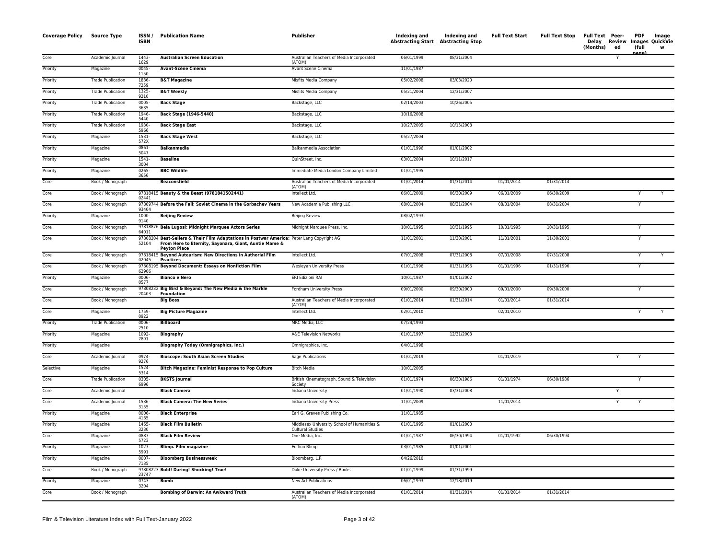| <b>Coverage Policy</b> | <b>Source Type</b>       | ISSN/<br>ISBN    | <b>Publication Name</b>                                                                                                                                                    | <b>Publisher</b>                                                | Indexing and<br><b>Abstracting Start Abstracting Stop</b> | Indexing and | <b>Full Text Start</b> | <b>Full Text Stop</b> | Full Text Peer-<br>Delay Review<br>(Months) | ed | <b>PDF</b><br>(full<br>nage) | Image<br>Images QuickVie |
|------------------------|--------------------------|------------------|----------------------------------------------------------------------------------------------------------------------------------------------------------------------------|-----------------------------------------------------------------|-----------------------------------------------------------|--------------|------------------------|-----------------------|---------------------------------------------|----|------------------------------|--------------------------|
| Core                   | Academic Journal         | 1443-<br>1629    | <b>Australian Screen Education</b>                                                                                                                                         | Australian Teachers of Media Incorporated<br>(ATOM)             | 06/01/1999                                                | 08/31/2004   |                        |                       |                                             |    |                              |                          |
| Priority               | Magazine                 | $0045 -$<br>1150 | Avant-Scène Cinéma                                                                                                                                                         | Avant Scene Cinema                                              | 11/01/1987                                                |              |                        |                       |                                             |    |                              |                          |
| Priority               | <b>Trade Publication</b> | 1836-<br>7259    | <b>B&amp;T Magazine</b>                                                                                                                                                    | Misfits Media Company                                           | 05/02/2008                                                | 03/03/2020   |                        |                       |                                             |    |                              |                          |
| Priority               | <b>Trade Publication</b> | 1325-<br>9210    | <b>B&amp;T Weekly</b>                                                                                                                                                      | Misfits Media Company                                           | 05/21/2004                                                | 12/31/2007   |                        |                       |                                             |    |                              |                          |
| Priority               | <b>Trade Publication</b> | $0005 -$<br>3635 | <b>Back Stage</b>                                                                                                                                                          | Backstage, LLC                                                  | 02/14/2003                                                | 10/26/2005   |                        |                       |                                             |    |                              |                          |
| Priority               | <b>Trade Publication</b> | 1946-<br>5440    | <b>Back Stage (1946-5440)</b>                                                                                                                                              | Backstage, LLC                                                  | 10/16/2008                                                |              |                        |                       |                                             |    |                              |                          |
| Priority               | <b>Trade Publication</b> | 1930-<br>5966    | <b>Back Stage East</b>                                                                                                                                                     | Backstage, LLC                                                  | 10/27/2005                                                | 10/15/2008   |                        |                       |                                             |    |                              |                          |
| Priority               | Magazine                 | $1531 -$<br>572X | <b>Back Stage West</b>                                                                                                                                                     | Backstage, LLC                                                  | 05/27/2004                                                |              |                        |                       |                                             |    |                              |                          |
| Priority               | Magazine                 | 0861-<br>5047    | <b>Balkanmedia</b>                                                                                                                                                         | Balkanmedia Association                                         | 01/01/1996                                                | 01/01/2002   |                        |                       |                                             |    |                              |                          |
| Priority               | Magazine                 | $1541 -$<br>3004 | <b>Baseline</b>                                                                                                                                                            | QuinStreet, Inc.                                                | 03/01/2004                                                | 10/11/2017   |                        |                       |                                             |    |                              |                          |
| Priority               | Magazine                 | 0265-<br>3656    | <b>BBC Wildlife</b>                                                                                                                                                        | Immediate Media London Company Limited                          | 01/01/1995                                                |              |                        |                       |                                             |    |                              |                          |
| Core                   | Book / Monograph         |                  | <b>Beaconsfield</b>                                                                                                                                                        | Australian Teachers of Media Incorporated<br>(ATOM)             | 01/01/2014                                                | 01/31/2014   | 01/01/2014             | 01/31/2014            |                                             |    |                              |                          |
| Core                   | Book / Monograph         | 02441            | 97818415 Beauty & the Beast (9781841502441)                                                                                                                                | Intellect Ltd.                                                  | 06/01/2009                                                | 06/30/2009   | 06/01/2009             | 06/30/2009            |                                             |    |                              |                          |
| Core                   | Book / Monograph         | 93404            | 97809744 Before the Fall: Soviet Cinema in the Gorbachev Years                                                                                                             | New Academia Publishing LLC                                     | 08/01/2004                                                | 08/31/2004   | 08/01/2004             | 08/31/2004            |                                             |    | Y                            |                          |
| Priority               | Magazine                 | 1000-<br>9140    | <b>Beijing Review</b>                                                                                                                                                      | <b>Beijing Review</b>                                           | 08/02/1993                                                |              |                        |                       |                                             |    |                              |                          |
| Core                   | Book / Monograph         | 64011            | 97818876 Bela Lugosi: Midnight Marquee Actors Series                                                                                                                       | Midnight Marquee Press, Inc.                                    | 10/01/1995                                                | 10/31/1995   | 10/01/1995             | 10/31/1995            |                                             |    | Y                            |                          |
| Core                   | Book / Monograph         | 52104            | 97808204 Best-Sellers & Their Film Adaptations in Postwar America: Peter Lang Copyright AG<br>From Here to Eternity, Sayonara, Giant, Auntie Mame &<br><b>Peyton Place</b> |                                                                 | 11/01/2001                                                | 11/30/2001   | 11/01/2001             | 11/30/2001            |                                             |    | Y                            |                          |
| Core                   | Book / Monograph         | 02045            | 97818415 Beyond Auteurism: New Directions in Authorial Film<br><b>Practices</b>                                                                                            | Intellect Ltd.                                                  | 07/01/2008                                                | 07/31/2008   | 07/01/2008             | 07/31/2008            |                                             |    | Y                            |                          |
| Core                   | Book / Monograph         | 62906            | 97808195 Beyond Document: Essays on Nonfiction Film                                                                                                                        | Wesleyan University Press                                       | 01/01/1996                                                | 01/31/1996   | 01/01/1996             | 01/31/1996            |                                             |    | Ÿ                            |                          |
| Priority               | Magazine                 | $0006 -$<br>0577 | <b>Bianco e Nero</b>                                                                                                                                                       | ERI Edizioni RAI                                                | 10/01/1987                                                | 01/01/2002   |                        |                       |                                             |    |                              |                          |
| Core                   | Book / Monograph         | 20403            | 97808232 Big Bird & Beyond: The New Media & the Markle<br><b>Foundation</b>                                                                                                | Fordham University Press                                        | 09/01/2000                                                | 09/30/2000   | 09/01/2000             | 09/30/2000            |                                             |    | Υ                            |                          |
| Core                   | Book / Monograph         |                  | <b>Big Boss</b>                                                                                                                                                            | Australian Teachers of Media Incorporated<br>(ATOM)             | 01/01/2014                                                | 01/31/2014   | 01/01/2014             | 01/31/2014            |                                             |    |                              |                          |
| Core                   | Magazine                 | 1759-<br>0922    | <b>Big Picture Magazine</b>                                                                                                                                                | Intellect Ltd.                                                  | 02/01/2010                                                |              | 02/01/2010             |                       |                                             |    | Y                            | $\overline{\mathsf{v}}$  |
| Priority               | <b>Trade Publication</b> | 0006-<br>2510    | <b>Billboard</b>                                                                                                                                                           | <b>MRC Media, LLC</b>                                           | 07/24/1993                                                |              |                        |                       |                                             |    |                              |                          |
| Priority               | Magazine                 | 1092-<br>7891    | <b>Biography</b>                                                                                                                                                           | A&E Television Networks                                         | 01/01/1997                                                | 12/31/2003   |                        |                       |                                             |    |                              |                          |
| Priority               | Magazine                 |                  | <b>Biography Today (Omnigraphics, Inc.)</b>                                                                                                                                | Omnigraphics, Inc.                                              | 04/01/1998                                                |              |                        |                       |                                             |    |                              |                          |
| Core                   | Academic Journal         | 0974-<br>9276    | <b>Bioscope: South Asian Screen Studies</b>                                                                                                                                | Sage Publications                                               | 01/01/2019                                                |              | 01/01/2019             |                       |                                             |    |                              |                          |
| Selective              | Magazine                 | 1524-<br>5314    | <b>Bitch Magazine: Feminist Response to Pop Culture</b>                                                                                                                    | <b>Bitch Media</b>                                              | 10/01/2005                                                |              |                        |                       |                                             |    |                              |                          |
| Core                   | <b>Trade Publication</b> | 0305-<br>6996    | <b>BKSTS Journal</b>                                                                                                                                                       | British Kinematograph, Sound & Television<br>Society            | 01/01/1974                                                | 06/30/1986   | 01/01/1974             | 06/30/1986            |                                             |    |                              |                          |
| Core                   | Academic Journal         |                  | <b>Black Camera</b>                                                                                                                                                        | Indiana University                                              | 01/01/1990                                                | 03/31/2008   |                        |                       |                                             | Υ  |                              |                          |
| Core                   | Academic Journal         | 1536-<br>3155    | <b>Black Camera: The New Series</b>                                                                                                                                        | Indiana University Press                                        | 11/01/2009                                                |              | 11/01/2014             |                       |                                             | Υ  |                              |                          |
| Priority               | Magazine                 | 0006-<br>4165    | <b>Black Enterprise</b>                                                                                                                                                    | Earl G. Graves Publishing Co.                                   | 11/01/1985                                                |              |                        |                       |                                             |    |                              |                          |
| Priority               | Magazine                 | 1465-<br>3230    | <b>Black Film Bulletin</b>                                                                                                                                                 | Middlesex University School of Humanities &<br>Cultural Studies | 01/01/1995                                                | 01/01/2000   |                        |                       |                                             |    |                              |                          |
| Core                   | Magazine                 | 0887-<br>5723    | <b>Black Film Review</b>                                                                                                                                                   | One Media, Inc.                                                 | 01/01/1987                                                | 06/30/1994   | 01/01/1992             | 06/30/1994            |                                             |    |                              |                          |
| Priority               | Magazine                 | $1027 -$<br>5991 | <b>Blimp. Film magazine</b>                                                                                                                                                | <b>Edition Blimp</b>                                            | 03/01/1985                                                | 01/01/2001   |                        |                       |                                             |    |                              |                          |
| Priority               | Magazine                 | $0007 -$<br>7135 | <b>Bloomberg Businessweek</b>                                                                                                                                              | Bloomberg, L.P.                                                 | 04/26/2010                                                |              |                        |                       |                                             |    |                              |                          |
| Core                   | Book / Monograph         | 23747            | 97808223 Bold! Daring! Shocking! True!                                                                                                                                     | Duke University Press / Books                                   | 01/01/1999                                                | 01/31/1999   |                        |                       |                                             |    |                              |                          |
| Priority               | Magazine                 | 0743-<br>3204    | <b>Bomb</b>                                                                                                                                                                | New Art Publications                                            | 06/01/1993                                                | 12/18/2019   |                        |                       |                                             |    |                              |                          |
| Core                   | Book / Monograph         |                  | Bombing of Darwin: An Awkward Truth                                                                                                                                        | Australian Teachers of Media Incorporated<br>(ATOM)             | 01/01/2014                                                | 01/31/2014   | 01/01/2014             | 01/31/2014            |                                             |    |                              |                          |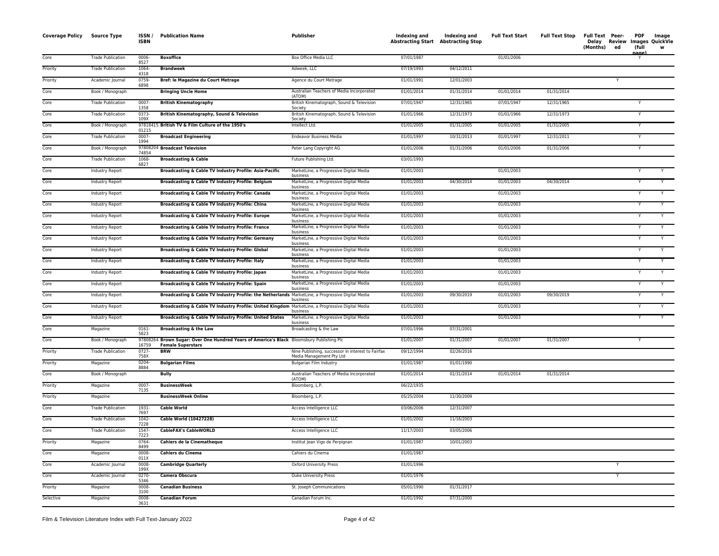| <b>Coverage Policy</b> | <b>Source Type</b>       | ISSN/<br>ISBN   | <b>Publication Name</b>                                                                                         | Publisher                                                                     | Indexing and<br><b>Abstracting Start Abstracting Stop</b> | Indexing and | <b>Full Text Start</b> | <b>Full Text Stop</b> | <b>Full Text Peer-</b><br>(Months)<br>ed | <b>PDF</b><br>(full<br>nage | Image<br>Delay Review Images QuickVie<br>w |
|------------------------|--------------------------|-----------------|-----------------------------------------------------------------------------------------------------------------|-------------------------------------------------------------------------------|-----------------------------------------------------------|--------------|------------------------|-----------------------|------------------------------------------|-----------------------------|--------------------------------------------|
| Core                   | <b>Trade Publication</b> | 0006-<br>8527   | <b>Boxoffice</b>                                                                                                | Box Office Media LLC                                                          | 07/01/1987                                                |              | 01/01/2006             |                       |                                          |                             |                                            |
| Priority               | <b>Trade Publication</b> | 1064<br>4318    | <b>Brandweek</b>                                                                                                | Adweek, LLC                                                                   | 07/19/1993                                                | 04/12/2011   |                        |                       |                                          |                             |                                            |
| Priority               | Academic Journal         | 0759-<br>6898   | Bref: le Magazine du Court Metrage                                                                              | Agence du Court Metrage                                                       | 01/01/1991                                                | 12/01/2003   |                        |                       | Υ                                        |                             |                                            |
| Core                   | Book / Monograph         |                 | <b>Bringing Uncle Home</b>                                                                                      | Australian Teachers of Media Incorporated<br>(ATOM)                           | 01/01/2014                                                | 01/31/2014   | 01/01/2014             | 01/31/2014            |                                          |                             |                                            |
| Core                   | <b>Trade Publication</b> | 0007<br>1358    | <b>British Kinematography</b>                                                                                   | British Kinematograph, Sound & Television                                     | 07/01/1947                                                | 12/31/1965   | 07/01/1947             | 12/31/1965            |                                          | Y                           |                                            |
| Core                   | <b>Trade Publication</b> | 0373-<br>109X   | British Kinematography, Sound & Television                                                                      | Society<br>British Kinematograph, Sound & Television<br>Society               | 01/01/1966                                                | 12/31/1973   | 01/01/1966             | 12/31/1973            |                                          | Y                           |                                            |
| Core                   | Book / Monograph         |                 | 97818415 British TV & Film Culture of the 1950's                                                                | Intellect Ltd.                                                                | 01/01/2005                                                | 01/31/2005   | 01/01/2005             | 01/31/2005            |                                          | Y                           |                                            |
| Core                   | <b>Trade Publication</b> | 01215<br>0007-  | <b>Broadcast Engineering</b>                                                                                    | Endeavor Business Media                                                       | 01/01/1997                                                | 10/31/2013   | 01/01/1997             | 12/31/2011            |                                          | Y                           |                                            |
| Core                   | Book / Monograph         | 1994<br>978082  | 04 Broadcast Television                                                                                         | Peter Lang Copyright AG                                                       | 01/01/2006                                                | 01/31/2006   | 01/01/2006             | 01/31/2006            |                                          |                             |                                            |
| Core                   | <b>Trade Publication</b> | 74854<br>1068   | <b>Broadcasting &amp; Cable</b>                                                                                 | Future Publishing Ltd.                                                        | 03/01/1993                                                |              |                        |                       |                                          |                             |                                            |
| Core                   | Industry Report          | 6827            | Broadcasting & Cable TV Industry Profile: Asia-Pacific                                                          | MarketLine, a Progressive Digital Media                                       | 01/01/2003                                                |              | 01/01/2003             |                       |                                          | Y                           | Y                                          |
| Core                   | Industry Report          |                 | Broadcasting & Cable TV Industry Profile: Belgium                                                               | business<br>MarketLine, a Progressive Digital Media                           | 01/01/2003                                                | 04/30/2014   | 01/01/2003             | 04/30/2014            |                                          | Y                           |                                            |
| Core                   | Industry Report          |                 | Broadcasting & Cable TV Industry Profile: Canada                                                                | business<br>MarketLine, a Progressive Digital Media                           | 01/01/2003                                                |              | 01/01/2003             |                       |                                          | Y                           |                                            |
| Core                   | Industry Report          |                 | <b>Broadcasting &amp; Cable TV Industry Profile: China</b>                                                      | business<br>MarketLine, a Progressive Digital Media                           | 01/01/2003                                                |              | 01/01/2003             |                       |                                          | Y                           | Y                                          |
| Core                   | Industry Report          |                 | Broadcasting & Cable TV Industry Profile: Europe                                                                | business<br>MarketLine, a Progressive Digital Media                           | 01/01/2003                                                |              | 01/01/2003             |                       |                                          | Y                           |                                            |
| Core                   | Industry Report          |                 | Broadcasting & Cable TV Industry Profile: France                                                                | business<br>MarketLine, a Progressive Digital Media                           | 01/01/2003                                                |              | 01/01/2003             |                       |                                          |                             |                                            |
| Core                   | Industry Report          |                 | Broadcasting & Cable TV Industry Profile: Germany                                                               | business<br>MarketLine, a Progressive Digital Media                           | 01/01/2003                                                |              | 01/01/2003             |                       |                                          | Y                           | Y                                          |
| Core                   | Industry Report          |                 | Broadcasting & Cable TV Industry Profile: Global                                                                | business<br>MarketLine, a Progressive Digital Media                           | 01/01/2003                                                |              | 01/01/2003             |                       |                                          | Y                           | Y                                          |
| Core                   | Industry Report          |                 | Broadcasting & Cable TV Industry Profile: Italy                                                                 | business<br>MarketLine, a Progressive Digital Media                           | 01/01/2003                                                |              | 01/01/2003             |                       |                                          | Y                           | Y                                          |
| Core                   | Industry Report          |                 | Broadcasting & Cable TV Industry Profile: Japan                                                                 | business<br>MarketLine, a Progressive Digital Media                           | 01/01/2003                                                |              | 01/01/2003             |                       |                                          | Y                           | Y                                          |
| Core                   | Industry Report          |                 | Broadcasting & Cable TV Industry Profile: Spain                                                                 | business<br>MarketLine, a Progressive Digital Media                           | 01/01/2003                                                |              | 01/01/2003             |                       |                                          | Y                           |                                            |
| Core                   | Industry Report          |                 | Broadcasting & Cable TV Industry Profile: the Netherlands MarketLine, a Progressive Digital Media               | business                                                                      | 01/01/2003                                                | 09/30/2019   | 01/01/2003             | 09/30/2019            |                                          | Y                           |                                            |
| Core                   | Industry Report          |                 | Broadcasting & Cable TV Industry Profile: United Kingdom MarketLine, a Progressive Digital Media                | business<br>business                                                          | 01/01/2003                                                |              | 01/01/2003             |                       |                                          | Y                           | Y                                          |
| Core                   | Industry Report          |                 | Broadcasting & Cable TV Industry Profile: United States                                                         | MarketLine, a Progressive Digital Media<br>business                           | 01/01/2003                                                |              | 01/01/2003             |                       |                                          | Υ                           | Y                                          |
| Core                   | Magazine                 | 0161-<br>5823   | <b>Broadcasting &amp; the Law</b>                                                                               | Broadcasting & the Law                                                        | 07/01/1996                                                | 07/31/2001   |                        |                       |                                          |                             |                                            |
| Core                   | Book / Monograph         | 978082<br>16759 | 64 Brown Sugar: Over One Hundred Years of America's Black Bloomsbury Publishing Plc<br><b>Female Superstars</b> |                                                                               | 01/01/2007                                                | 01/31/2007   | 01/01/2007             | 01/31/2007            |                                          | Y                           |                                            |
| Priority               | <b>Trade Publication</b> | 0727<br>758X    | <b>BRW</b>                                                                                                      | Nine Publishing, successor in interest to Fairfax<br>Media Management Pty Ltd | 09/12/1994                                                | 02/26/2016   |                        |                       |                                          |                             |                                            |
| Priority               | Magazine                 | 0204<br>8884    | <b>Bulgarian Films</b>                                                                                          | <b>Bulgarian Film Industry</b>                                                | 01/01/1987                                                | 01/01/1990   |                        |                       |                                          |                             |                                            |
| Core                   | Book / Monograph         |                 | <b>Bully</b>                                                                                                    | Australian Teachers of Media Incorporated<br>(ATOM)                           | 01/01/2014                                                | 01/31/2014   | 01/01/2014             | 01/31/2014            |                                          |                             |                                            |
| Priority               | Magazine                 | 0007<br>7135    | <b>BusinessWeek</b>                                                                                             | Bloomberg, L.P.                                                               | 06/22/1935                                                |              |                        |                       |                                          |                             |                                            |
| Priority               | Magazine                 |                 | <b>BusinessWeek Online</b>                                                                                      | Bloomberg, L.P.                                                               | 05/25/2004                                                | 11/30/2009   |                        |                       |                                          |                             |                                            |
| Core                   | <b>Trade Publication</b> | 1931-<br>7697   | <b>Cable World</b>                                                                                              | Access Intelligence LLC                                                       | 03/06/2006                                                | 12/31/2007   |                        |                       |                                          |                             |                                            |
| Core                   | <b>Trade Publication</b> | 1042-<br>7228   | Cable World (10427228)                                                                                          | Access Intelligence LLC                                                       | 01/01/2002                                                | 11/16/2003   |                        |                       |                                          |                             |                                            |
| Core                   | <b>Trade Publication</b> | 1547<br>7223    | <b>CableFAX's CableWORLD</b>                                                                                    | Access Intelligence LLC                                                       | 11/17/2003                                                | 03/05/2006   |                        |                       |                                          |                             |                                            |
| Priority               | Magazine                 | 0764-<br>8499   | <b>Cahiers de la Cinematheque</b>                                                                               | Institut Jean Vigo de Perpignan                                               | 01/01/1987                                                | 10/01/2003   |                        |                       |                                          |                             |                                            |
| Core                   | Magazine                 | 0008-<br>011X   | Cahiers du Cinema                                                                                               | Cahiers du Cinema                                                             | 01/01/1987                                                |              |                        |                       |                                          |                             |                                            |
| Core                   | Academic Journal         | 0008<br>199X    | <b>Cambridge Quarterly</b>                                                                                      | <b>Oxford University Press</b>                                                | 01/01/1996                                                |              |                        |                       | Y                                        |                             |                                            |
| Core                   | Academic Journal         | 0270<br>5346    | Camera Obscura                                                                                                  | Duke University Press                                                         | 01/01/1976                                                |              |                        |                       | Y                                        |                             |                                            |
| Priority               | Magazine                 | 0008-<br>3100   | <b>Canadian Business</b>                                                                                        | St. Joseph Communications                                                     | 05/01/1990                                                | 01/31/2017   |                        |                       |                                          |                             |                                            |
| Selective              | Magazine                 | 0008<br>3631    | <b>Canadian Forum</b>                                                                                           | Canadian Forum Inc.                                                           | 01/01/1992                                                | 07/31/2000   |                        |                       |                                          |                             |                                            |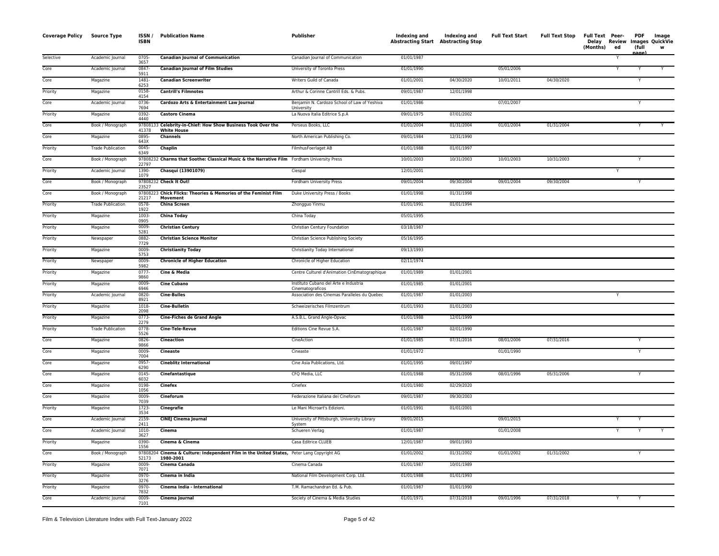| <b>Coverage Policy</b> | Source Type              | ISSN/<br><b>ISBN</b> | <b>Publication Name</b>                                                                          | Publisher                                                  | Indexing and<br><b>Abstracting Start Abstracting Stop</b> | Indexing and | <b>Full Text Start</b> | <b>Full Text Stop</b> | Full Text Peer-<br>Delay Review Images QuickVie<br>(Months)<br>ed | <b>PDF</b><br>(full<br>nage) | Image<br>w |
|------------------------|--------------------------|----------------------|--------------------------------------------------------------------------------------------------|------------------------------------------------------------|-----------------------------------------------------------|--------------|------------------------|-----------------------|-------------------------------------------------------------------|------------------------------|------------|
| Selective              | Academic Journal         | 0705-<br>3657        | <b>Canadian Journal of Communication</b>                                                         | Canadian Journal of Communication                          | 01/01/1987                                                |              |                        |                       | Y                                                                 |                              |            |
| Core                   | Academic Journal         | 0847-<br>5911        | <b>Canadian Journal of Film Studies</b>                                                          | University of Toronto Press                                | 01/01/1990                                                |              | 05/01/2006             |                       |                                                                   |                              |            |
| Core                   | Magazine                 | 1481-<br>6253        | <b>Canadian Screenwriter</b>                                                                     | Writers Guild of Canada                                    | 01/01/2001                                                | 04/30/2020   | 10/01/2011             | 04/30/2020            |                                                                   | Y                            |            |
| Priority               | Magazine                 | 0158-<br>4154        | <b>Cantrill's Filmnotes</b>                                                                      | Arthur & Corinne Cantrill Eds. & Pubs.                     | 09/01/1987                                                | 12/01/1998   |                        |                       |                                                                   |                              |            |
| Core                   | Academic Journal         | 0736-<br>7694        | Cardozo Arts & Entertainment Law Journal                                                         | Benjamin N. Cardozo School of Law of Yeshiva<br>University | 01/01/1986                                                |              | 07/01/2007             |                       |                                                                   | Y                            |            |
| Priority               | Magazine                 | $0392 -$<br>4440     | <b>Castoro Cinema</b>                                                                            | La Nuova Italia Editrice S.p.A                             | 09/01/1975                                                | 07/01/2002   |                        |                       |                                                                   |                              |            |
| Core                   | Book / Monograph         | 41378                | 97808133 Celebrity-in-Chief: How Show Business Took Over the<br><b>White House</b>               | Perseus Books, LLC                                         | 01/01/2004                                                | 01/31/2004   | 01/01/2004             | 01/31/2004            |                                                                   |                              | Y          |
| Core                   | Magazine                 | 0895-<br>643X        | <b>Channels</b>                                                                                  | North American Publishing Co.                              | 09/01/1984                                                | 12/31/1990   |                        |                       |                                                                   |                              |            |
| Priority               | <b>Trade Publication</b> | 0045-<br>6349        | Chaplin                                                                                          | FilmhusFoerlaget AB                                        | 01/01/1988                                                | 01/01/1997   |                        |                       |                                                                   |                              |            |
| Core                   | Book / Monograph         | 22797                | 97808232 Charms that Soothe: Classical Music & the Narrative Film Fordham University Press       |                                                            | 10/01/2003                                                | 10/31/2003   | 10/01/2003             | 10/31/2003            |                                                                   | Y                            |            |
| Priority               | Academic Journal         | 1390-<br>1079        | Chasqui (13901079)                                                                               | Ciespal                                                    | 12/01/2001                                                |              |                        |                       |                                                                   |                              |            |
| Core                   | Book / Monograph         | 23527                | 97808232 Check It Out!                                                                           | Fordham University Press                                   | 09/01/2004                                                | 09/30/2004   | 09/01/2004             | 09/30/2004            |                                                                   | Υ                            |            |
| Core                   | Book / Monograph         | 21217                | 97808223 Chick Flicks: Theories & Memories of the Feminist Film<br>Movement                      | Duke University Press / Books                              | 01/01/1998                                                | 01/31/1998   |                        |                       |                                                                   |                              |            |
| Priority               | <b>Trade Publication</b> | 0578-<br>1922        | <b>China Screen</b>                                                                              | Zhongguo Yinmu                                             | 01/01/1991                                                | 01/01/1994   |                        |                       |                                                                   |                              |            |
| Priority               | Magazine                 | 1003-<br>0905        | <b>China Today</b>                                                                               | China Today                                                | 05/01/1995                                                |              |                        |                       |                                                                   |                              |            |
| Priority               | Magazine                 | 0009<br>5281         | <b>Christian Century</b>                                                                         | Christian Century Foundation                               | 03/18/1987                                                |              |                        |                       |                                                                   |                              |            |
| Priority               | Newspaper                | 0882-<br>7729        | <b>Christian Science Monitor</b>                                                                 | Christian Science Publishing Society                       | 05/16/1995                                                |              |                        |                       |                                                                   |                              |            |
| Priority               | Magazine                 | 0009<br>5753         | <b>Christianity Today</b>                                                                        | Christianity Today International                           | 09/13/1993                                                |              |                        |                       |                                                                   |                              |            |
| Priority               | Newspaper                | 0009-<br>5982        | <b>Chronicle of Higher Education</b>                                                             | Chronicle of Higher Education                              | 02/11/1974                                                |              |                        |                       |                                                                   |                              |            |
| Priority               | Magazine                 | $0777-$<br>9860      | Cine & Media                                                                                     | Centre Culturel d'Animation CinEmatographique              | 01/01/1989                                                | 01/01/2001   |                        |                       |                                                                   |                              |            |
| Priority               | Magazine                 | 0009<br>6946         | <b>Cine Cubano</b>                                                                               | Instituto Cubano del Arte e Industria<br>Cinematograficos  | 01/01/1985                                                | 01/01/2001   |                        |                       |                                                                   |                              |            |
| Priority               | Academic Journal         | 0820-<br>8921        | <b>Cine-Bulles</b>                                                                               | Association des Cinemas Paralleles du Quebec               | 01/01/1987                                                | 01/01/2003   |                        |                       | Y                                                                 |                              |            |
| Priority               | Magazine                 | 1018-<br>2098        | <b>Cine-Bulletin</b>                                                                             | Schweizerisches Filmzentrum                                | 01/01/1993                                                | 01/01/2003   |                        |                       |                                                                   |                              |            |
| Priority               | Magazine                 | 0773-<br>2279        | <b>Cine-Fiches de Grand Angle</b>                                                                | A.S.B.L. Grand Angle-Opvac                                 | 01/01/1988                                                | 12/01/1999   |                        |                       |                                                                   |                              |            |
| Priority               | <b>Trade Publication</b> | $0778-$<br>5526      | Cine-Tele-Revue                                                                                  | Editions Cine Revue S.A.                                   | 01/01/1987                                                | 02/01/1990   |                        |                       |                                                                   |                              |            |
| Core                   | Magazine                 | 0826-<br>9866        | Cineaction                                                                                       | CineAction                                                 | 01/01/1985                                                | 07/31/2016   | 08/01/2006             | 07/31/2016            |                                                                   | Y                            |            |
| Core                   | Magazine                 | 0009-<br>7004        | <b>Cineaste</b>                                                                                  | Cineaste                                                   | 01/01/1972                                                |              | 01/01/1990             |                       |                                                                   |                              |            |
| Core                   | Magazine                 | 0957-<br>6290        | <b>Cineblitz International</b>                                                                   | Cine Asia Publications, Ltd.                               | 01/01/1995                                                | 09/01/1997   |                        |                       |                                                                   |                              |            |
| Core                   | Magazine                 | 0145-<br>6032        | Cinefantastique                                                                                  | CFQ Media, LLC                                             | 01/01/1988                                                | 05/31/2006   | 08/01/1996             | 05/31/2006            |                                                                   | Y                            |            |
| Core                   | Magazine                 | 0198-<br>1056        | Cinefex                                                                                          | Cinefex                                                    | 01/01/1980                                                | 02/29/2020   |                        |                       |                                                                   |                              |            |
| Core                   | Magazine                 | 0009-<br>7039        | Cineforum                                                                                        | Federazione Italiana dei Cineforum                         | 09/01/1987                                                | 09/30/2003   |                        |                       |                                                                   |                              |            |
| Priority               | Magazine                 | 1723-<br>3534        | Cinegrafie                                                                                       | Le Mani Microart's Edizioni.                               | 01/01/1991                                                | 01/01/2001   |                        |                       |                                                                   |                              |            |
| Core                   | Academic Journal         | 2159-<br>2411        | <b>CINEJ Cinema Journal</b>                                                                      | University of Pittsburgh, University Library<br>System     | 09/01/2015                                                |              | 09/01/2015             |                       | Y                                                                 |                              |            |
| Core                   | Academic Journal         | 1010-<br>3627        | Cinema                                                                                           | Schueren Verlag                                            | 01/01/1987                                                |              | 01/01/2008             |                       |                                                                   |                              |            |
| Priority               | Magazine                 | 0390-<br>1556        | Cinema & Cinema                                                                                  | Casa Editrice CLUEB                                        | 12/01/1987                                                | 09/01/1993   |                        |                       |                                                                   |                              |            |
| Core                   | Book / Monograph         | 978082<br>52173      | 04 Cinema & Culture: Independent Film in the United States, Peter Lang Copyright AG<br>1980-2001 |                                                            | 01/01/2002                                                | 01/31/2002   | 01/01/2002             | 01/31/2002            |                                                                   |                              |            |
| Priority               | Magazine                 | 0009-<br>7071        | Cinema Canada                                                                                    | Cinema Canada                                              | 01/01/1987                                                | 10/01/1989   |                        |                       |                                                                   |                              |            |
| Priority               | Magazine                 | 0970-<br>3276        | Cinema in India                                                                                  | National Film Development Corp. Ltd.                       | 01/01/1988                                                | 01/01/1993   |                        |                       |                                                                   |                              |            |
| Priority               | Magazine                 | 0970-<br>7832        | Cinema India - International                                                                     | T.M. Ramachandran Ed. & Pub.                               | 01/01/1987                                                | 01/01/1990   |                        |                       |                                                                   |                              |            |
| Core                   | Academic Journal         | 0009-<br>7101        | Cinema Journal                                                                                   | Society of Cinema & Media Studies                          | 01/01/1971                                                | 07/31/2018   | 09/01/1996             | 07/31/2018            |                                                                   |                              |            |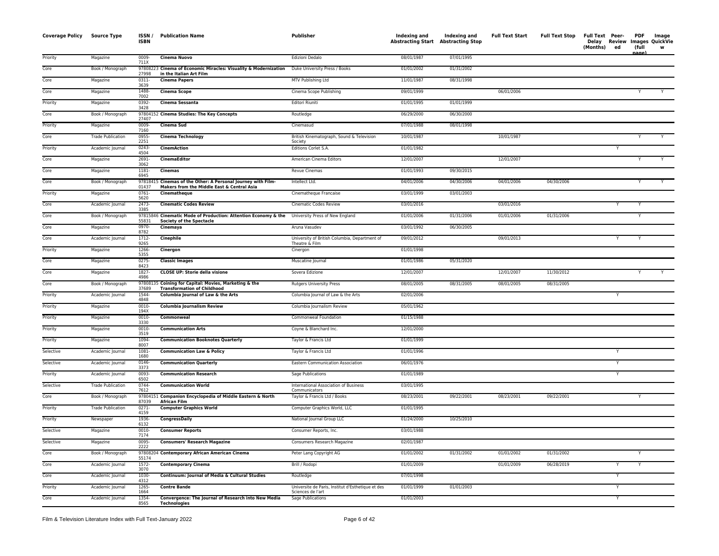| <b>Coverage Policy</b> | Source Type              | ISSN/<br><b>ISBN</b> | <b>Publication Name</b>                                                                                                           | Publisher                                                              | Indexing and<br>Abstracting Start Abstracting Stop | Indexing and | <b>Full Text Start</b> | <b>Full Text Stop</b> | Full Text Peer-<br>(Months) | ed | PDF<br>(full<br>nage) | Image<br>Delay Review Images QuickVie<br>w |
|------------------------|--------------------------|----------------------|-----------------------------------------------------------------------------------------------------------------------------------|------------------------------------------------------------------------|----------------------------------------------------|--------------|------------------------|-----------------------|-----------------------------|----|-----------------------|--------------------------------------------|
| Priority               | Magazine                 | 0009-<br>711X        | Cinema Nuovo                                                                                                                      | Edizioni Dedalo                                                        | 08/01/1987                                         | 07/01/1995   |                        |                       |                             |    |                       |                                            |
| Core                   | Book / Monograph         | 27998                | 97808223 Cinema of Economic Miracles: Visuality & Modernization<br>in the Italian Art Film                                        | Duke University Press / Books                                          | 01/01/2002                                         | 01/31/2002   |                        |                       |                             |    |                       |                                            |
| Core                   | Magazine                 | 0311-<br>3639        | <b>Cinema Papers</b>                                                                                                              | MTV Publishing Ltd                                                     | 11/01/1987                                         | 08/31/1998   |                        |                       |                             |    |                       |                                            |
| Core                   | Magazine                 | 1488-<br>7002        | <b>Cinema Scope</b>                                                                                                               | Cinema Scope Publishing                                                | 09/01/1999                                         |              | 06/01/2006             |                       |                             |    |                       | Y                                          |
| Priority               | Magazine                 | 0392-<br>3428        | Cinema Sessanta                                                                                                                   | Editori Riuniti                                                        | 01/01/1995                                         | 01/01/1999   |                        |                       |                             |    |                       |                                            |
| Core                   | Book / Monograph         | 27407                | 97804152 Cinema Studies: The Key Concepts                                                                                         | Routledge                                                              | 06/29/2000                                         | 06/30/2000   |                        |                       |                             |    |                       |                                            |
| Priority               | Magazine                 | 0009-<br>7160        | <b>Cinema Sud</b>                                                                                                                 | Cinemasud                                                              | 07/01/1988                                         | 08/01/1998   |                        |                       |                             |    |                       |                                            |
| Core                   | <b>Trade Publication</b> | 0955<br>2251         | <b>Cinema Technology</b>                                                                                                          | British Kinematograph, Sound & Television<br>Society                   | 10/01/1987                                         |              | 10/01/1987             |                       |                             |    |                       |                                            |
| Priority               | Academic Journal         | $0243 -$<br>4504     | <b>CinemAction</b>                                                                                                                | Editions Corlet S.A.                                                   | 01/01/1982                                         |              |                        |                       |                             | Y  |                       |                                            |
| Core                   | Magazine                 | 2691-<br>3062        | CinemaEditor                                                                                                                      | American Cinema Editors                                                | 12/01/2007                                         |              | 12/01/2007             |                       |                             |    |                       |                                            |
| Core                   | Magazine                 | 1181-<br>6945        | <b>Cinemas</b>                                                                                                                    | Revue Cinemas                                                          | 01/01/1993                                         | 09/30/2015   |                        |                       |                             |    |                       |                                            |
| Core                   | Book / Monograph         | 978184<br>01437      | Cinemas of the Other: A Personal Journey with Film-<br>Makers from the Middle East & Central Asia                                 | Intellect Ltd.                                                         | 04/01/2006                                         | 04/30/2006   | 04/01/2006             | 04/30/2006            |                             |    | Y                     | Y                                          |
| Priority               | Magazine                 | 0761-<br>5620        | Cinematheque                                                                                                                      | Cinematheque Francaise                                                 | 03/01/1999                                         | 03/01/2003   |                        |                       |                             |    |                       |                                            |
| Core                   | Academic Journal         | 2473-<br>3385        | <b>Cinematic Codes Review</b>                                                                                                     | <b>Cinematic Codes Review</b>                                          | 03/01/2016                                         |              | 03/01/2016             |                       |                             |    | Y                     |                                            |
| Core                   | Book / Monograph         | 55831                | 97815846 Cinematic Mode of Production: Attention Economy & the University Press of New England<br><b>Society of the Spectacle</b> |                                                                        | 01/01/2006                                         | 01/31/2006   | 01/01/2006             | 01/31/2006            |                             |    | Y                     |                                            |
| Core                   | Magazine                 | 0970-<br>8782        | Cinemaya                                                                                                                          | Aruna Vasudev                                                          | 03/01/1992                                         | 06/30/2005   |                        |                       |                             |    |                       |                                            |
| Core                   | Academic Journal         | 1712-<br>9265        | Cinephile                                                                                                                         | University of British Columbia, Department of<br>Theatre & Film        | 09/01/2012                                         |              | 09/01/2013             |                       |                             |    |                       |                                            |
| Priority               | Magazine                 | 1266<br>5355         | Cinergon                                                                                                                          | Cinergon                                                               | 01/01/1998                                         |              |                        |                       |                             |    |                       |                                            |
| Core                   | Magazine                 | 0275-<br>8423        | <b>Classic Images</b>                                                                                                             | Muscatine Journal                                                      | 01/01/1986                                         | 05/31/2020   |                        |                       |                             |    |                       |                                            |
| Core                   | Magazine                 | 1827-<br>4986        | <b>CLOSE UP: Storie della visione</b>                                                                                             | Sovera Edizione                                                        | 12/01/2007                                         |              | 12/01/2007             | 11/30/2012            |                             |    |                       |                                            |
| Core                   | Book / Monograph         | 978081<br>37689      | Coining for Capital: Movies, Marketing & the<br><b>Transformation of Childhood</b>                                                | <b>Rutgers University Press</b>                                        | 08/01/2005                                         | 08/31/2005   | 08/01/2005             | 08/31/2005            |                             |    |                       |                                            |
| Priority               | Academic Journal         | 1544-<br>4848        | Columbia Journal of Law & the Arts                                                                                                | Columbia Journal of Law & the Arts                                     | 02/01/2006                                         |              |                        |                       |                             | Y  |                       |                                            |
| Priority               | Magazine                 | 0010-<br>194X        | <b>Columbia Journalism Review</b>                                                                                                 | Columbia Journalism Review                                             | 05/01/1962                                         |              |                        |                       |                             |    |                       |                                            |
| Priority               | Magazine                 | 0010-<br>3330        | Commonweal                                                                                                                        | Commonweal Foundation                                                  | 01/15/1988                                         |              |                        |                       |                             |    |                       |                                            |
| Priority               | Magazine                 | 0010<br>3519         | <b>Communication Arts</b>                                                                                                         | Coyne & Blanchard Inc.                                                 | 12/01/2000                                         |              |                        |                       |                             |    |                       |                                            |
| Priority               | Magazine                 | 1094-<br>8007        | <b>Communication Booknotes Quarterly</b>                                                                                          | Taylor & Francis Ltd                                                   | 01/01/1999                                         |              |                        |                       |                             |    |                       |                                            |
| Selective              | Academic Journal         | 1081<br>1680         | <b>Communication Law &amp; Policy</b>                                                                                             | Taylor & Francis Ltd                                                   | 01/01/1996                                         |              |                        |                       |                             |    |                       |                                            |
| Selective              | Academic Journal         | 0146-<br>3373        | <b>Communication Quarterly</b>                                                                                                    | Eastern Communication Association                                      | 06/01/1976                                         |              |                        |                       |                             | Y  |                       |                                            |
| Priority               | Academic Journal         | 0093-<br>6502        | <b>Communication Research</b>                                                                                                     | Sage Publications                                                      | 01/01/1989                                         |              |                        |                       |                             | Y  |                       |                                            |
| Selective              | <b>Trade Publication</b> | 0744<br>7612         | <b>Communication World</b>                                                                                                        | International Association of Business<br>Communicators                 | 03/01/1995                                         |              |                        |                       |                             |    |                       |                                            |
| Core                   | Book / Monograph         | 87039                | 97804151 Companion Encyclopedia of Middle Eastern & North<br><b>African Film</b>                                                  | Taylor & Francis Ltd / Books                                           | 08/23/2001                                         | 09/22/2001   | 08/23/2001             | 09/22/2001            |                             |    | Y                     |                                            |
| Priority               | <b>Trade Publication</b> | 0271<br>4159         | <b>Computer Graphics World</b>                                                                                                    | Computer Graphics World, LLC                                           | 01/01/1995                                         |              |                        |                       |                             |    |                       |                                            |
| Priority               | Newspaper                | 1936-<br>6132        | CongressDaily                                                                                                                     | National Journal Group LLC                                             | 01/24/2000                                         | 10/25/2010   |                        |                       |                             |    |                       |                                            |
| Selective              | Magazine                 | 0010-<br>7174        | <b>Consumer Reports</b>                                                                                                           | Consumer Reports, Inc.                                                 | 03/01/1988                                         |              |                        |                       |                             |    |                       |                                            |
| Selective              | Magazine                 | 0095-<br>2222        | <b>Consumers' Research Magazine</b>                                                                                               | Consumers Research Magazine                                            | 02/01/1987                                         |              |                        |                       |                             |    |                       |                                            |
| Core                   | Book / Monograph         | 55174                | 97808204 Contemporary African American Cinema                                                                                     | Peter Lang Copyright AG                                                | 01/01/2002                                         | 01/31/2002   | 01/01/2002             | 01/31/2002            |                             |    | Υ                     |                                            |
| Core                   | Academic Journal         | 1572-<br>3070        | <b>Contemporary Cinema</b>                                                                                                        | Brill / Rodopi                                                         | 01/01/2009                                         |              | 01/01/2009             | 06/28/2019            |                             | Υ  | Y                     |                                            |
| Core                   | Academic Journal         | 1030-<br>4312        | Continuum: Journal of Media & Cultural Studies                                                                                    | Routledge                                                              | 07/01/1998                                         |              |                        |                       |                             | Y  |                       |                                            |
| Priority               | Academic Journal         | 1265-<br>1664        | <b>Contre Bande</b>                                                                                                               | Universite de Paris, Institut d'Esthetique et des<br>Sciences de l'art | 01/01/1999                                         | 01/01/2003   |                        |                       |                             | Y  |                       |                                            |
| Core                   | Academic Journal         | 1354<br>8565         | Convergence: The Journal of Research into New Media<br><b>Technologies</b>                                                        | Sage Publications                                                      | 01/01/2003                                         |              |                        |                       |                             | Y  |                       |                                            |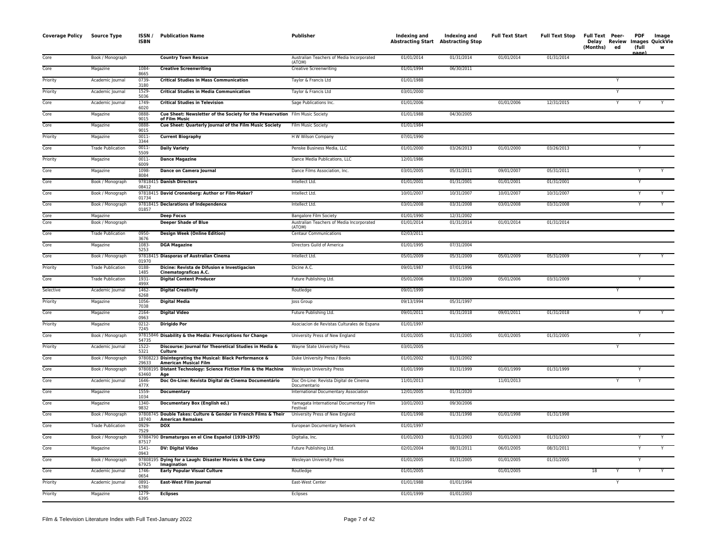| Core<br>01/01/2014<br>01/31/2014<br>01/01/2014<br>01/31/2014<br>Book / Monograph<br><b>Country Town Rescue</b><br>Australian Teachers of Media Incorporated<br>(ATOM)<br>Core<br>Magazine<br>1084-<br><b>Creative Screenwriting</b><br><b>Creative Screenwriting</b><br>01/01/1994<br>06/30/2011<br>8665<br>Priority<br>Academic Journal<br>0739-<br><b>Critical Studies in Mass Communication</b><br>Taylor & Francis Ltd<br>01/01/1988<br>3180<br>Priority<br><b>Critical Studies in Media Communication</b><br>03/01/2000<br>Academic Journal<br>1529-<br>Taylor & Francis Ltd<br>5036<br>Core<br>1749-<br><b>Critical Studies in Television</b><br>01/01/2006<br>01/01/2006<br>12/31/2015<br>Academic Journal<br>Sage Publications Inc.<br>Y<br>Y<br>6020<br>0888-<br>Cue Sheet: Newsletter of the Society for the Preservation Film Music Society<br>01/01/1988<br>04/30/2005<br>Core<br>Magazine<br>9015<br>of Film Music<br>0888-<br>Cue Sheet: Quarterly Journal of the Film Music Society<br>01/01/1984<br>Core<br>Magazine<br>Film Music Society<br>9015<br>Priority<br>07/01/1990<br>Magazine<br>0011-<br><b>Current Biography</b><br>H W Wilson Company<br>3344<br>Core<br><b>Trade Publication</b><br>0011-<br><b>Daily Variety</b><br>Penske Business Media, LLC<br>01/01/2000<br>03/26/2013<br>01/01/2000<br>03/26/2013<br>Υ<br>5509<br>$0011 -$<br>12/01/1986<br>Priority<br>Magazine<br><b>Dance Magazine</b><br>Dance Media Publications, LLC<br>6009<br>Core<br>Magazine<br>1098-<br>Dance on Camera Journal<br>Dance Films Association, Inc.<br>03/01/2005<br>05/31/2011<br>09/01/2007<br>05/31/2011<br>8084<br>Core<br>01/01/2001<br>01/31/2001<br>01/01/2001<br>01/31/2001<br>Book / Monograph<br>97818415 Danish Directors<br>Intellect Ltd.<br>08412<br>10/01/2007<br>97818415 David Cronenberg: Author or Film-Maker?<br>Intellect Ltd.<br>10/31/2007<br>10/01/2007<br>10/31/2007<br>Core<br>Book / Monograph<br>01734<br>03/01/2008<br>03/31/2008<br>Core<br>Book / Monograph<br>97818415 Declarations of Independence<br>Intellect Ltd.<br>03/01/2008<br>03/31/2008<br>Y<br>Y<br>01857<br>Core<br><b>Deep Focus</b><br><b>Bangalore Film Society</b><br>01/01/1990<br>12/31/2002<br>Magazine<br>Core<br><b>Deeper Shade of Blue</b><br>01/31/2014<br>01/01/2014<br>01/31/2014<br>Book / Monograph<br>Australian Teachers of Media Incorporated<br>01/01/2014<br>(ATOM)<br>Core<br><b>Trade Publication</b><br>0950-<br><b>Design Week (Online Edition)</b><br><b>Centaur Communications</b><br>02/03/2011<br>3676<br>Core<br>Magazine<br>1083-<br><b>DGA Magazine</b><br>Directors Guild of America<br>01/01/1995<br>07/31/2004<br>5253<br>Core<br>97818415 Diasporas of Australian Cinema<br>Intellect Ltd.<br>05/01/2009<br>05/31/2009<br>05/01/2009<br>Book / Monograph<br>05/31/2009<br>01970<br>Dicine: Revista de Difusion e Investigacion<br>0188-<br>09/01/1987<br>07/01/1996<br>Priority<br><b>Trade Publication</b><br>Dicine A.C.<br>1485<br>Cinematograficas A.C.<br>Core<br><b>Trade Publication</b><br>1931-<br><b>Digital Content Producer</b><br>Future Publishing Ltd.<br>05/01/2006<br>03/31/2009<br>05/01/2006<br>03/31/2009<br>499X<br>Selective<br>Academic Journal<br>1462-<br><b>Digital Creativity</b><br>Routledge<br>09/01/1999<br>6268<br>Priority<br><b>Digital Media</b><br>09/13/1994<br>05/31/1997<br>Magazine<br>1056-<br>Joss Group<br>7038<br>Core<br><b>Digital Video</b><br>09/01/2011<br>01/31/2018<br>09/01/2011<br>Magazine<br>2164-<br>Future Publishing Ltd.<br>01/31/2018<br>0963<br>01/01/1997<br>Priority<br>0212-<br><b>Dirigido Por</b><br>Asociacion de Revistas Culturales de Espana<br>Magazine<br>7245<br>01/01/2005<br>Core<br>97815846 Disability & the Media: Prescriptions for Change<br>01/01/2005<br>01/31/2005<br>01/31/2005<br>Book / Monograph<br>University Press of New England<br>54735<br>Discourse: Journal for Theoretical Studies in Media &<br>Priority<br>Academic Journal<br>1522-<br>Wayne State University Press<br>03/01/2005<br>Y<br>5321<br>Culture<br>Core<br>Book / Monograph<br>97808223<br>Disintegrating the Musical: Black Performance &<br>Duke University Press / Books<br>01/01/2002<br>01/31/2002<br><b>American Musical Film</b><br>29633<br>Core<br>Book / Monograph<br>978081<br>Distant Technology: Science Fiction Film & the Machine<br><b>Wesleyan University Press</b><br>01/01/1999<br>01/31/1999<br>01/01/1999<br>01/31/1999<br>Y<br>63460<br>Age<br>Core<br>1646-<br>11/01/2013<br>Academic Journal<br>Doc On-Line: Revista Digital de Cinema Documentário<br>Doc On-Line: Revista Digital de Cinema<br>11/01/2013<br>Υ<br>Y<br>477X<br>Documentario<br>Core<br>1559-<br>International Documentary Association<br>12/01/2005<br>01/31/2020<br>Magazine<br><b>Documentary</b><br>1034<br>1340-<br>Core<br>Documentary Box (English ed.)<br>10/01/2003<br>09/30/2006<br>Magazine<br>Yamagata International Documentary Film<br>9832<br>Festival<br>97808745 Double Takes: Culture & Gender in French Films & Their<br>01/01/1998<br>01/31/1998<br>01/01/1998<br>Core<br>University Press of New England<br>01/31/1998<br>Book / Monograph<br>18740<br><b>American Remakes</b><br><b>DOX</b><br>01/01/1997<br>Core<br><b>Trade Publication</b><br>0929-<br>European Documentary Network<br>7529<br>Core<br>Book / Monograph<br>97884790 Dramaturgos en el Cine Español (1939-1975)<br>01/01/2003<br>01/31/2003<br>01/01/2003<br>01/31/2003<br>Digitalia, Inc.<br>87517<br>$1541 -$<br>08/31/2011<br>08/31/2011<br>Core<br>Magazine<br><b>DV: Digital Video</b><br>Future Publishing Ltd.<br>02/01/2004<br>06/01/2005<br>$\overline{Y}$<br>0943<br>Core<br>97808195 Dying for a Laugh: Disaster Movies & the Camp<br>01/01/2005<br>01/31/2005<br>01/01/2005<br>01/31/2005<br>Book / Monograph<br>Wesleyan University Press<br>Y<br>67925<br>Imagination<br>Core<br>1746-<br><b>Early Popular Visual Culture</b><br>01/01/2005<br>01/01/2005<br>18<br>Y<br>Academic Journal<br>Routledge<br>Y<br>0654<br>0891-<br><b>East-West Film Journal</b><br>East-West Center<br>01/01/1988<br>01/01/1994<br>Priority<br>Academic Journal<br>Υ<br>6780<br>1279-<br><b>Eclipses</b><br>01/01/1999<br>01/01/2003<br>Priority<br>Magazine<br>Eclipses<br>6395 | <b>Coverage Policy Source Type</b> | ISSN /<br><b>ISBN</b> | <b>Publication Name</b> | <b>Publisher</b> | Indexing and<br><b>Abstracting Start Abstracting Stop</b> | Indexing and | <b>Full Text Start</b> | <b>Full Text Stop</b> | Full Text Peer-<br>Delay Review<br>(Months) | ed | <b>PDF</b><br>(full<br>لعمدد | Image<br>Images QuickVie<br>w |
|-----------------------------------------------------------------------------------------------------------------------------------------------------------------------------------------------------------------------------------------------------------------------------------------------------------------------------------------------------------------------------------------------------------------------------------------------------------------------------------------------------------------------------------------------------------------------------------------------------------------------------------------------------------------------------------------------------------------------------------------------------------------------------------------------------------------------------------------------------------------------------------------------------------------------------------------------------------------------------------------------------------------------------------------------------------------------------------------------------------------------------------------------------------------------------------------------------------------------------------------------------------------------------------------------------------------------------------------------------------------------------------------------------------------------------------------------------------------------------------------------------------------------------------------------------------------------------------------------------------------------------------------------------------------------------------------------------------------------------------------------------------------------------------------------------------------------------------------------------------------------------------------------------------------------------------------------------------------------------------------------------------------------------------------------------------------------------------------------------------------------------------------------------------------------------------------------------------------------------------------------------------------------------------------------------------------------------------------------------------------------------------------------------------------------------------------------------------------------------------------------------------------------------------------------------------------------------------------------------------------------------------------------------------------------------------------------------------------------------------------------------------------------------------------------------------------------------------------------------------------------------------------------------------------------------------------------------------------------------------------------------------------------------------------------------------------------------------------------------------------------------------------------------------------------------------------------------------------------------------------------------------------------------------------------------------------------------------------------------------------------------------------------------------------------------------------------------------------------------------------------------------------------------------------------------------------------------------------------------------------------------------------------------------------------------------------------------------------------------------------------------------------------------------------------------------------------------------------------------------------------------------------------------------------------------------------------------------------------------------------------------------------------------------------------------------------------------------------------------------------------------------------------------------------------------------------------------------------------------------------------------------------------------------------------------------------------------------------------------------------------------------------------------------------------------------------------------------------------------------------------------------------------------------------------------------------------------------------------------------------------------------------------------------------------------------------------------------------------------------------------------------------------------------------------------------------------------------------------------------------------------------------------------------------------------------------------------------------------------------------------------------------------------------------------------------------------------------------------------------------------------------------------------------------------------------------------------------------------------------------------------------------------------------------------------------------------------------------------------------------------------------------------------------------------------------------------------------------------------------------------------------------------------------------------------------------------------------------------------------------------------------------------------------------------------------------------------------------------------------------------------------------------------------------------------------------------------------------------------------------------------------------------------------------------------------------------------------------------------------------------------------------------------------------------------------------------------------------------------------------------------------------------------------------------------------------------------------------------------------------------------------------------|------------------------------------|-----------------------|-------------------------|------------------|-----------------------------------------------------------|--------------|------------------------|-----------------------|---------------------------------------------|----|------------------------------|-------------------------------|
|                                                                                                                                                                                                                                                                                                                                                                                                                                                                                                                                                                                                                                                                                                                                                                                                                                                                                                                                                                                                                                                                                                                                                                                                                                                                                                                                                                                                                                                                                                                                                                                                                                                                                                                                                                                                                                                                                                                                                                                                                                                                                                                                                                                                                                                                                                                                                                                                                                                                                                                                                                                                                                                                                                                                                                                                                                                                                                                                                                                                                                                                                                                                                                                                                                                                                                                                                                                                                                                                                                                                                                                                                                                                                                                                                                                                                                                                                                                                                                                                                                                                                                                                                                                                                                                                                                                                                                                                                                                                                                                                                                                                                                                                                                                                                                                                                                                                                                                                                                                                                                                                                                                                                                                                                                                                                                                                                                                                                                                                                                                                                                                                                                                                                                                                                                                                                                                                                                                                                                                                                                                                                                                                                                                                                                                                       |                                    |                       |                         |                  |                                                           |              |                        |                       |                                             |    |                              |                               |
|                                                                                                                                                                                                                                                                                                                                                                                                                                                                                                                                                                                                                                                                                                                                                                                                                                                                                                                                                                                                                                                                                                                                                                                                                                                                                                                                                                                                                                                                                                                                                                                                                                                                                                                                                                                                                                                                                                                                                                                                                                                                                                                                                                                                                                                                                                                                                                                                                                                                                                                                                                                                                                                                                                                                                                                                                                                                                                                                                                                                                                                                                                                                                                                                                                                                                                                                                                                                                                                                                                                                                                                                                                                                                                                                                                                                                                                                                                                                                                                                                                                                                                                                                                                                                                                                                                                                                                                                                                                                                                                                                                                                                                                                                                                                                                                                                                                                                                                                                                                                                                                                                                                                                                                                                                                                                                                                                                                                                                                                                                                                                                                                                                                                                                                                                                                                                                                                                                                                                                                                                                                                                                                                                                                                                                                                       |                                    |                       |                         |                  |                                                           |              |                        |                       |                                             |    |                              |                               |
|                                                                                                                                                                                                                                                                                                                                                                                                                                                                                                                                                                                                                                                                                                                                                                                                                                                                                                                                                                                                                                                                                                                                                                                                                                                                                                                                                                                                                                                                                                                                                                                                                                                                                                                                                                                                                                                                                                                                                                                                                                                                                                                                                                                                                                                                                                                                                                                                                                                                                                                                                                                                                                                                                                                                                                                                                                                                                                                                                                                                                                                                                                                                                                                                                                                                                                                                                                                                                                                                                                                                                                                                                                                                                                                                                                                                                                                                                                                                                                                                                                                                                                                                                                                                                                                                                                                                                                                                                                                                                                                                                                                                                                                                                                                                                                                                                                                                                                                                                                                                                                                                                                                                                                                                                                                                                                                                                                                                                                                                                                                                                                                                                                                                                                                                                                                                                                                                                                                                                                                                                                                                                                                                                                                                                                                                       |                                    |                       |                         |                  |                                                           |              |                        |                       |                                             |    |                              |                               |
|                                                                                                                                                                                                                                                                                                                                                                                                                                                                                                                                                                                                                                                                                                                                                                                                                                                                                                                                                                                                                                                                                                                                                                                                                                                                                                                                                                                                                                                                                                                                                                                                                                                                                                                                                                                                                                                                                                                                                                                                                                                                                                                                                                                                                                                                                                                                                                                                                                                                                                                                                                                                                                                                                                                                                                                                                                                                                                                                                                                                                                                                                                                                                                                                                                                                                                                                                                                                                                                                                                                                                                                                                                                                                                                                                                                                                                                                                                                                                                                                                                                                                                                                                                                                                                                                                                                                                                                                                                                                                                                                                                                                                                                                                                                                                                                                                                                                                                                                                                                                                                                                                                                                                                                                                                                                                                                                                                                                                                                                                                                                                                                                                                                                                                                                                                                                                                                                                                                                                                                                                                                                                                                                                                                                                                                                       |                                    |                       |                         |                  |                                                           |              |                        |                       |                                             |    |                              |                               |
|                                                                                                                                                                                                                                                                                                                                                                                                                                                                                                                                                                                                                                                                                                                                                                                                                                                                                                                                                                                                                                                                                                                                                                                                                                                                                                                                                                                                                                                                                                                                                                                                                                                                                                                                                                                                                                                                                                                                                                                                                                                                                                                                                                                                                                                                                                                                                                                                                                                                                                                                                                                                                                                                                                                                                                                                                                                                                                                                                                                                                                                                                                                                                                                                                                                                                                                                                                                                                                                                                                                                                                                                                                                                                                                                                                                                                                                                                                                                                                                                                                                                                                                                                                                                                                                                                                                                                                                                                                                                                                                                                                                                                                                                                                                                                                                                                                                                                                                                                                                                                                                                                                                                                                                                                                                                                                                                                                                                                                                                                                                                                                                                                                                                                                                                                                                                                                                                                                                                                                                                                                                                                                                                                                                                                                                                       |                                    |                       |                         |                  |                                                           |              |                        |                       |                                             |    |                              |                               |
|                                                                                                                                                                                                                                                                                                                                                                                                                                                                                                                                                                                                                                                                                                                                                                                                                                                                                                                                                                                                                                                                                                                                                                                                                                                                                                                                                                                                                                                                                                                                                                                                                                                                                                                                                                                                                                                                                                                                                                                                                                                                                                                                                                                                                                                                                                                                                                                                                                                                                                                                                                                                                                                                                                                                                                                                                                                                                                                                                                                                                                                                                                                                                                                                                                                                                                                                                                                                                                                                                                                                                                                                                                                                                                                                                                                                                                                                                                                                                                                                                                                                                                                                                                                                                                                                                                                                                                                                                                                                                                                                                                                                                                                                                                                                                                                                                                                                                                                                                                                                                                                                                                                                                                                                                                                                                                                                                                                                                                                                                                                                                                                                                                                                                                                                                                                                                                                                                                                                                                                                                                                                                                                                                                                                                                                                       |                                    |                       |                         |                  |                                                           |              |                        |                       |                                             |    |                              |                               |
|                                                                                                                                                                                                                                                                                                                                                                                                                                                                                                                                                                                                                                                                                                                                                                                                                                                                                                                                                                                                                                                                                                                                                                                                                                                                                                                                                                                                                                                                                                                                                                                                                                                                                                                                                                                                                                                                                                                                                                                                                                                                                                                                                                                                                                                                                                                                                                                                                                                                                                                                                                                                                                                                                                                                                                                                                                                                                                                                                                                                                                                                                                                                                                                                                                                                                                                                                                                                                                                                                                                                                                                                                                                                                                                                                                                                                                                                                                                                                                                                                                                                                                                                                                                                                                                                                                                                                                                                                                                                                                                                                                                                                                                                                                                                                                                                                                                                                                                                                                                                                                                                                                                                                                                                                                                                                                                                                                                                                                                                                                                                                                                                                                                                                                                                                                                                                                                                                                                                                                                                                                                                                                                                                                                                                                                                       |                                    |                       |                         |                  |                                                           |              |                        |                       |                                             |    |                              |                               |
|                                                                                                                                                                                                                                                                                                                                                                                                                                                                                                                                                                                                                                                                                                                                                                                                                                                                                                                                                                                                                                                                                                                                                                                                                                                                                                                                                                                                                                                                                                                                                                                                                                                                                                                                                                                                                                                                                                                                                                                                                                                                                                                                                                                                                                                                                                                                                                                                                                                                                                                                                                                                                                                                                                                                                                                                                                                                                                                                                                                                                                                                                                                                                                                                                                                                                                                                                                                                                                                                                                                                                                                                                                                                                                                                                                                                                                                                                                                                                                                                                                                                                                                                                                                                                                                                                                                                                                                                                                                                                                                                                                                                                                                                                                                                                                                                                                                                                                                                                                                                                                                                                                                                                                                                                                                                                                                                                                                                                                                                                                                                                                                                                                                                                                                                                                                                                                                                                                                                                                                                                                                                                                                                                                                                                                                                       |                                    |                       |                         |                  |                                                           |              |                        |                       |                                             |    |                              |                               |
|                                                                                                                                                                                                                                                                                                                                                                                                                                                                                                                                                                                                                                                                                                                                                                                                                                                                                                                                                                                                                                                                                                                                                                                                                                                                                                                                                                                                                                                                                                                                                                                                                                                                                                                                                                                                                                                                                                                                                                                                                                                                                                                                                                                                                                                                                                                                                                                                                                                                                                                                                                                                                                                                                                                                                                                                                                                                                                                                                                                                                                                                                                                                                                                                                                                                                                                                                                                                                                                                                                                                                                                                                                                                                                                                                                                                                                                                                                                                                                                                                                                                                                                                                                                                                                                                                                                                                                                                                                                                                                                                                                                                                                                                                                                                                                                                                                                                                                                                                                                                                                                                                                                                                                                                                                                                                                                                                                                                                                                                                                                                                                                                                                                                                                                                                                                                                                                                                                                                                                                                                                                                                                                                                                                                                                                                       |                                    |                       |                         |                  |                                                           |              |                        |                       |                                             |    |                              |                               |
|                                                                                                                                                                                                                                                                                                                                                                                                                                                                                                                                                                                                                                                                                                                                                                                                                                                                                                                                                                                                                                                                                                                                                                                                                                                                                                                                                                                                                                                                                                                                                                                                                                                                                                                                                                                                                                                                                                                                                                                                                                                                                                                                                                                                                                                                                                                                                                                                                                                                                                                                                                                                                                                                                                                                                                                                                                                                                                                                                                                                                                                                                                                                                                                                                                                                                                                                                                                                                                                                                                                                                                                                                                                                                                                                                                                                                                                                                                                                                                                                                                                                                                                                                                                                                                                                                                                                                                                                                                                                                                                                                                                                                                                                                                                                                                                                                                                                                                                                                                                                                                                                                                                                                                                                                                                                                                                                                                                                                                                                                                                                                                                                                                                                                                                                                                                                                                                                                                                                                                                                                                                                                                                                                                                                                                                                       |                                    |                       |                         |                  |                                                           |              |                        |                       |                                             |    |                              |                               |
|                                                                                                                                                                                                                                                                                                                                                                                                                                                                                                                                                                                                                                                                                                                                                                                                                                                                                                                                                                                                                                                                                                                                                                                                                                                                                                                                                                                                                                                                                                                                                                                                                                                                                                                                                                                                                                                                                                                                                                                                                                                                                                                                                                                                                                                                                                                                                                                                                                                                                                                                                                                                                                                                                                                                                                                                                                                                                                                                                                                                                                                                                                                                                                                                                                                                                                                                                                                                                                                                                                                                                                                                                                                                                                                                                                                                                                                                                                                                                                                                                                                                                                                                                                                                                                                                                                                                                                                                                                                                                                                                                                                                                                                                                                                                                                                                                                                                                                                                                                                                                                                                                                                                                                                                                                                                                                                                                                                                                                                                                                                                                                                                                                                                                                                                                                                                                                                                                                                                                                                                                                                                                                                                                                                                                                                                       |                                    |                       |                         |                  |                                                           |              |                        |                       |                                             |    |                              |                               |
|                                                                                                                                                                                                                                                                                                                                                                                                                                                                                                                                                                                                                                                                                                                                                                                                                                                                                                                                                                                                                                                                                                                                                                                                                                                                                                                                                                                                                                                                                                                                                                                                                                                                                                                                                                                                                                                                                                                                                                                                                                                                                                                                                                                                                                                                                                                                                                                                                                                                                                                                                                                                                                                                                                                                                                                                                                                                                                                                                                                                                                                                                                                                                                                                                                                                                                                                                                                                                                                                                                                                                                                                                                                                                                                                                                                                                                                                                                                                                                                                                                                                                                                                                                                                                                                                                                                                                                                                                                                                                                                                                                                                                                                                                                                                                                                                                                                                                                                                                                                                                                                                                                                                                                                                                                                                                                                                                                                                                                                                                                                                                                                                                                                                                                                                                                                                                                                                                                                                                                                                                                                                                                                                                                                                                                                                       |                                    |                       |                         |                  |                                                           |              |                        |                       |                                             |    |                              |                               |
|                                                                                                                                                                                                                                                                                                                                                                                                                                                                                                                                                                                                                                                                                                                                                                                                                                                                                                                                                                                                                                                                                                                                                                                                                                                                                                                                                                                                                                                                                                                                                                                                                                                                                                                                                                                                                                                                                                                                                                                                                                                                                                                                                                                                                                                                                                                                                                                                                                                                                                                                                                                                                                                                                                                                                                                                                                                                                                                                                                                                                                                                                                                                                                                                                                                                                                                                                                                                                                                                                                                                                                                                                                                                                                                                                                                                                                                                                                                                                                                                                                                                                                                                                                                                                                                                                                                                                                                                                                                                                                                                                                                                                                                                                                                                                                                                                                                                                                                                                                                                                                                                                                                                                                                                                                                                                                                                                                                                                                                                                                                                                                                                                                                                                                                                                                                                                                                                                                                                                                                                                                                                                                                                                                                                                                                                       |                                    |                       |                         |                  |                                                           |              |                        |                       |                                             |    |                              |                               |
|                                                                                                                                                                                                                                                                                                                                                                                                                                                                                                                                                                                                                                                                                                                                                                                                                                                                                                                                                                                                                                                                                                                                                                                                                                                                                                                                                                                                                                                                                                                                                                                                                                                                                                                                                                                                                                                                                                                                                                                                                                                                                                                                                                                                                                                                                                                                                                                                                                                                                                                                                                                                                                                                                                                                                                                                                                                                                                                                                                                                                                                                                                                                                                                                                                                                                                                                                                                                                                                                                                                                                                                                                                                                                                                                                                                                                                                                                                                                                                                                                                                                                                                                                                                                                                                                                                                                                                                                                                                                                                                                                                                                                                                                                                                                                                                                                                                                                                                                                                                                                                                                                                                                                                                                                                                                                                                                                                                                                                                                                                                                                                                                                                                                                                                                                                                                                                                                                                                                                                                                                                                                                                                                                                                                                                                                       |                                    |                       |                         |                  |                                                           |              |                        |                       |                                             |    |                              |                               |
|                                                                                                                                                                                                                                                                                                                                                                                                                                                                                                                                                                                                                                                                                                                                                                                                                                                                                                                                                                                                                                                                                                                                                                                                                                                                                                                                                                                                                                                                                                                                                                                                                                                                                                                                                                                                                                                                                                                                                                                                                                                                                                                                                                                                                                                                                                                                                                                                                                                                                                                                                                                                                                                                                                                                                                                                                                                                                                                                                                                                                                                                                                                                                                                                                                                                                                                                                                                                                                                                                                                                                                                                                                                                                                                                                                                                                                                                                                                                                                                                                                                                                                                                                                                                                                                                                                                                                                                                                                                                                                                                                                                                                                                                                                                                                                                                                                                                                                                                                                                                                                                                                                                                                                                                                                                                                                                                                                                                                                                                                                                                                                                                                                                                                                                                                                                                                                                                                                                                                                                                                                                                                                                                                                                                                                                                       |                                    |                       |                         |                  |                                                           |              |                        |                       |                                             |    |                              |                               |
|                                                                                                                                                                                                                                                                                                                                                                                                                                                                                                                                                                                                                                                                                                                                                                                                                                                                                                                                                                                                                                                                                                                                                                                                                                                                                                                                                                                                                                                                                                                                                                                                                                                                                                                                                                                                                                                                                                                                                                                                                                                                                                                                                                                                                                                                                                                                                                                                                                                                                                                                                                                                                                                                                                                                                                                                                                                                                                                                                                                                                                                                                                                                                                                                                                                                                                                                                                                                                                                                                                                                                                                                                                                                                                                                                                                                                                                                                                                                                                                                                                                                                                                                                                                                                                                                                                                                                                                                                                                                                                                                                                                                                                                                                                                                                                                                                                                                                                                                                                                                                                                                                                                                                                                                                                                                                                                                                                                                                                                                                                                                                                                                                                                                                                                                                                                                                                                                                                                                                                                                                                                                                                                                                                                                                                                                       |                                    |                       |                         |                  |                                                           |              |                        |                       |                                             |    |                              |                               |
|                                                                                                                                                                                                                                                                                                                                                                                                                                                                                                                                                                                                                                                                                                                                                                                                                                                                                                                                                                                                                                                                                                                                                                                                                                                                                                                                                                                                                                                                                                                                                                                                                                                                                                                                                                                                                                                                                                                                                                                                                                                                                                                                                                                                                                                                                                                                                                                                                                                                                                                                                                                                                                                                                                                                                                                                                                                                                                                                                                                                                                                                                                                                                                                                                                                                                                                                                                                                                                                                                                                                                                                                                                                                                                                                                                                                                                                                                                                                                                                                                                                                                                                                                                                                                                                                                                                                                                                                                                                                                                                                                                                                                                                                                                                                                                                                                                                                                                                                                                                                                                                                                                                                                                                                                                                                                                                                                                                                                                                                                                                                                                                                                                                                                                                                                                                                                                                                                                                                                                                                                                                                                                                                                                                                                                                                       |                                    |                       |                         |                  |                                                           |              |                        |                       |                                             |    |                              |                               |
|                                                                                                                                                                                                                                                                                                                                                                                                                                                                                                                                                                                                                                                                                                                                                                                                                                                                                                                                                                                                                                                                                                                                                                                                                                                                                                                                                                                                                                                                                                                                                                                                                                                                                                                                                                                                                                                                                                                                                                                                                                                                                                                                                                                                                                                                                                                                                                                                                                                                                                                                                                                                                                                                                                                                                                                                                                                                                                                                                                                                                                                                                                                                                                                                                                                                                                                                                                                                                                                                                                                                                                                                                                                                                                                                                                                                                                                                                                                                                                                                                                                                                                                                                                                                                                                                                                                                                                                                                                                                                                                                                                                                                                                                                                                                                                                                                                                                                                                                                                                                                                                                                                                                                                                                                                                                                                                                                                                                                                                                                                                                                                                                                                                                                                                                                                                                                                                                                                                                                                                                                                                                                                                                                                                                                                                                       |                                    |                       |                         |                  |                                                           |              |                        |                       |                                             |    |                              |                               |
|                                                                                                                                                                                                                                                                                                                                                                                                                                                                                                                                                                                                                                                                                                                                                                                                                                                                                                                                                                                                                                                                                                                                                                                                                                                                                                                                                                                                                                                                                                                                                                                                                                                                                                                                                                                                                                                                                                                                                                                                                                                                                                                                                                                                                                                                                                                                                                                                                                                                                                                                                                                                                                                                                                                                                                                                                                                                                                                                                                                                                                                                                                                                                                                                                                                                                                                                                                                                                                                                                                                                                                                                                                                                                                                                                                                                                                                                                                                                                                                                                                                                                                                                                                                                                                                                                                                                                                                                                                                                                                                                                                                                                                                                                                                                                                                                                                                                                                                                                                                                                                                                                                                                                                                                                                                                                                                                                                                                                                                                                                                                                                                                                                                                                                                                                                                                                                                                                                                                                                                                                                                                                                                                                                                                                                                                       |                                    |                       |                         |                  |                                                           |              |                        |                       |                                             |    |                              |                               |
|                                                                                                                                                                                                                                                                                                                                                                                                                                                                                                                                                                                                                                                                                                                                                                                                                                                                                                                                                                                                                                                                                                                                                                                                                                                                                                                                                                                                                                                                                                                                                                                                                                                                                                                                                                                                                                                                                                                                                                                                                                                                                                                                                                                                                                                                                                                                                                                                                                                                                                                                                                                                                                                                                                                                                                                                                                                                                                                                                                                                                                                                                                                                                                                                                                                                                                                                                                                                                                                                                                                                                                                                                                                                                                                                                                                                                                                                                                                                                                                                                                                                                                                                                                                                                                                                                                                                                                                                                                                                                                                                                                                                                                                                                                                                                                                                                                                                                                                                                                                                                                                                                                                                                                                                                                                                                                                                                                                                                                                                                                                                                                                                                                                                                                                                                                                                                                                                                                                                                                                                                                                                                                                                                                                                                                                                       |                                    |                       |                         |                  |                                                           |              |                        |                       |                                             |    |                              |                               |
|                                                                                                                                                                                                                                                                                                                                                                                                                                                                                                                                                                                                                                                                                                                                                                                                                                                                                                                                                                                                                                                                                                                                                                                                                                                                                                                                                                                                                                                                                                                                                                                                                                                                                                                                                                                                                                                                                                                                                                                                                                                                                                                                                                                                                                                                                                                                                                                                                                                                                                                                                                                                                                                                                                                                                                                                                                                                                                                                                                                                                                                                                                                                                                                                                                                                                                                                                                                                                                                                                                                                                                                                                                                                                                                                                                                                                                                                                                                                                                                                                                                                                                                                                                                                                                                                                                                                                                                                                                                                                                                                                                                                                                                                                                                                                                                                                                                                                                                                                                                                                                                                                                                                                                                                                                                                                                                                                                                                                                                                                                                                                                                                                                                                                                                                                                                                                                                                                                                                                                                                                                                                                                                                                                                                                                                                       |                                    |                       |                         |                  |                                                           |              |                        |                       |                                             |    |                              |                               |
|                                                                                                                                                                                                                                                                                                                                                                                                                                                                                                                                                                                                                                                                                                                                                                                                                                                                                                                                                                                                                                                                                                                                                                                                                                                                                                                                                                                                                                                                                                                                                                                                                                                                                                                                                                                                                                                                                                                                                                                                                                                                                                                                                                                                                                                                                                                                                                                                                                                                                                                                                                                                                                                                                                                                                                                                                                                                                                                                                                                                                                                                                                                                                                                                                                                                                                                                                                                                                                                                                                                                                                                                                                                                                                                                                                                                                                                                                                                                                                                                                                                                                                                                                                                                                                                                                                                                                                                                                                                                                                                                                                                                                                                                                                                                                                                                                                                                                                                                                                                                                                                                                                                                                                                                                                                                                                                                                                                                                                                                                                                                                                                                                                                                                                                                                                                                                                                                                                                                                                                                                                                                                                                                                                                                                                                                       |                                    |                       |                         |                  |                                                           |              |                        |                       |                                             |    |                              |                               |
|                                                                                                                                                                                                                                                                                                                                                                                                                                                                                                                                                                                                                                                                                                                                                                                                                                                                                                                                                                                                                                                                                                                                                                                                                                                                                                                                                                                                                                                                                                                                                                                                                                                                                                                                                                                                                                                                                                                                                                                                                                                                                                                                                                                                                                                                                                                                                                                                                                                                                                                                                                                                                                                                                                                                                                                                                                                                                                                                                                                                                                                                                                                                                                                                                                                                                                                                                                                                                                                                                                                                                                                                                                                                                                                                                                                                                                                                                                                                                                                                                                                                                                                                                                                                                                                                                                                                                                                                                                                                                                                                                                                                                                                                                                                                                                                                                                                                                                                                                                                                                                                                                                                                                                                                                                                                                                                                                                                                                                                                                                                                                                                                                                                                                                                                                                                                                                                                                                                                                                                                                                                                                                                                                                                                                                                                       |                                    |                       |                         |                  |                                                           |              |                        |                       |                                             |    |                              |                               |
|                                                                                                                                                                                                                                                                                                                                                                                                                                                                                                                                                                                                                                                                                                                                                                                                                                                                                                                                                                                                                                                                                                                                                                                                                                                                                                                                                                                                                                                                                                                                                                                                                                                                                                                                                                                                                                                                                                                                                                                                                                                                                                                                                                                                                                                                                                                                                                                                                                                                                                                                                                                                                                                                                                                                                                                                                                                                                                                                                                                                                                                                                                                                                                                                                                                                                                                                                                                                                                                                                                                                                                                                                                                                                                                                                                                                                                                                                                                                                                                                                                                                                                                                                                                                                                                                                                                                                                                                                                                                                                                                                                                                                                                                                                                                                                                                                                                                                                                                                                                                                                                                                                                                                                                                                                                                                                                                                                                                                                                                                                                                                                                                                                                                                                                                                                                                                                                                                                                                                                                                                                                                                                                                                                                                                                                                       |                                    |                       |                         |                  |                                                           |              |                        |                       |                                             |    |                              |                               |
|                                                                                                                                                                                                                                                                                                                                                                                                                                                                                                                                                                                                                                                                                                                                                                                                                                                                                                                                                                                                                                                                                                                                                                                                                                                                                                                                                                                                                                                                                                                                                                                                                                                                                                                                                                                                                                                                                                                                                                                                                                                                                                                                                                                                                                                                                                                                                                                                                                                                                                                                                                                                                                                                                                                                                                                                                                                                                                                                                                                                                                                                                                                                                                                                                                                                                                                                                                                                                                                                                                                                                                                                                                                                                                                                                                                                                                                                                                                                                                                                                                                                                                                                                                                                                                                                                                                                                                                                                                                                                                                                                                                                                                                                                                                                                                                                                                                                                                                                                                                                                                                                                                                                                                                                                                                                                                                                                                                                                                                                                                                                                                                                                                                                                                                                                                                                                                                                                                                                                                                                                                                                                                                                                                                                                                                                       |                                    |                       |                         |                  |                                                           |              |                        |                       |                                             |    |                              |                               |
|                                                                                                                                                                                                                                                                                                                                                                                                                                                                                                                                                                                                                                                                                                                                                                                                                                                                                                                                                                                                                                                                                                                                                                                                                                                                                                                                                                                                                                                                                                                                                                                                                                                                                                                                                                                                                                                                                                                                                                                                                                                                                                                                                                                                                                                                                                                                                                                                                                                                                                                                                                                                                                                                                                                                                                                                                                                                                                                                                                                                                                                                                                                                                                                                                                                                                                                                                                                                                                                                                                                                                                                                                                                                                                                                                                                                                                                                                                                                                                                                                                                                                                                                                                                                                                                                                                                                                                                                                                                                                                                                                                                                                                                                                                                                                                                                                                                                                                                                                                                                                                                                                                                                                                                                                                                                                                                                                                                                                                                                                                                                                                                                                                                                                                                                                                                                                                                                                                                                                                                                                                                                                                                                                                                                                                                                       |                                    |                       |                         |                  |                                                           |              |                        |                       |                                             |    |                              |                               |
|                                                                                                                                                                                                                                                                                                                                                                                                                                                                                                                                                                                                                                                                                                                                                                                                                                                                                                                                                                                                                                                                                                                                                                                                                                                                                                                                                                                                                                                                                                                                                                                                                                                                                                                                                                                                                                                                                                                                                                                                                                                                                                                                                                                                                                                                                                                                                                                                                                                                                                                                                                                                                                                                                                                                                                                                                                                                                                                                                                                                                                                                                                                                                                                                                                                                                                                                                                                                                                                                                                                                                                                                                                                                                                                                                                                                                                                                                                                                                                                                                                                                                                                                                                                                                                                                                                                                                                                                                                                                                                                                                                                                                                                                                                                                                                                                                                                                                                                                                                                                                                                                                                                                                                                                                                                                                                                                                                                                                                                                                                                                                                                                                                                                                                                                                                                                                                                                                                                                                                                                                                                                                                                                                                                                                                                                       |                                    |                       |                         |                  |                                                           |              |                        |                       |                                             |    |                              |                               |
|                                                                                                                                                                                                                                                                                                                                                                                                                                                                                                                                                                                                                                                                                                                                                                                                                                                                                                                                                                                                                                                                                                                                                                                                                                                                                                                                                                                                                                                                                                                                                                                                                                                                                                                                                                                                                                                                                                                                                                                                                                                                                                                                                                                                                                                                                                                                                                                                                                                                                                                                                                                                                                                                                                                                                                                                                                                                                                                                                                                                                                                                                                                                                                                                                                                                                                                                                                                                                                                                                                                                                                                                                                                                                                                                                                                                                                                                                                                                                                                                                                                                                                                                                                                                                                                                                                                                                                                                                                                                                                                                                                                                                                                                                                                                                                                                                                                                                                                                                                                                                                                                                                                                                                                                                                                                                                                                                                                                                                                                                                                                                                                                                                                                                                                                                                                                                                                                                                                                                                                                                                                                                                                                                                                                                                                                       |                                    |                       |                         |                  |                                                           |              |                        |                       |                                             |    |                              |                               |
|                                                                                                                                                                                                                                                                                                                                                                                                                                                                                                                                                                                                                                                                                                                                                                                                                                                                                                                                                                                                                                                                                                                                                                                                                                                                                                                                                                                                                                                                                                                                                                                                                                                                                                                                                                                                                                                                                                                                                                                                                                                                                                                                                                                                                                                                                                                                                                                                                                                                                                                                                                                                                                                                                                                                                                                                                                                                                                                                                                                                                                                                                                                                                                                                                                                                                                                                                                                                                                                                                                                                                                                                                                                                                                                                                                                                                                                                                                                                                                                                                                                                                                                                                                                                                                                                                                                                                                                                                                                                                                                                                                                                                                                                                                                                                                                                                                                                                                                                                                                                                                                                                                                                                                                                                                                                                                                                                                                                                                                                                                                                                                                                                                                                                                                                                                                                                                                                                                                                                                                                                                                                                                                                                                                                                                                                       |                                    |                       |                         |                  |                                                           |              |                        |                       |                                             |    |                              |                               |
|                                                                                                                                                                                                                                                                                                                                                                                                                                                                                                                                                                                                                                                                                                                                                                                                                                                                                                                                                                                                                                                                                                                                                                                                                                                                                                                                                                                                                                                                                                                                                                                                                                                                                                                                                                                                                                                                                                                                                                                                                                                                                                                                                                                                                                                                                                                                                                                                                                                                                                                                                                                                                                                                                                                                                                                                                                                                                                                                                                                                                                                                                                                                                                                                                                                                                                                                                                                                                                                                                                                                                                                                                                                                                                                                                                                                                                                                                                                                                                                                                                                                                                                                                                                                                                                                                                                                                                                                                                                                                                                                                                                                                                                                                                                                                                                                                                                                                                                                                                                                                                                                                                                                                                                                                                                                                                                                                                                                                                                                                                                                                                                                                                                                                                                                                                                                                                                                                                                                                                                                                                                                                                                                                                                                                                                                       |                                    |                       |                         |                  |                                                           |              |                        |                       |                                             |    |                              |                               |
|                                                                                                                                                                                                                                                                                                                                                                                                                                                                                                                                                                                                                                                                                                                                                                                                                                                                                                                                                                                                                                                                                                                                                                                                                                                                                                                                                                                                                                                                                                                                                                                                                                                                                                                                                                                                                                                                                                                                                                                                                                                                                                                                                                                                                                                                                                                                                                                                                                                                                                                                                                                                                                                                                                                                                                                                                                                                                                                                                                                                                                                                                                                                                                                                                                                                                                                                                                                                                                                                                                                                                                                                                                                                                                                                                                                                                                                                                                                                                                                                                                                                                                                                                                                                                                                                                                                                                                                                                                                                                                                                                                                                                                                                                                                                                                                                                                                                                                                                                                                                                                                                                                                                                                                                                                                                                                                                                                                                                                                                                                                                                                                                                                                                                                                                                                                                                                                                                                                                                                                                                                                                                                                                                                                                                                                                       |                                    |                       |                         |                  |                                                           |              |                        |                       |                                             |    |                              |                               |
|                                                                                                                                                                                                                                                                                                                                                                                                                                                                                                                                                                                                                                                                                                                                                                                                                                                                                                                                                                                                                                                                                                                                                                                                                                                                                                                                                                                                                                                                                                                                                                                                                                                                                                                                                                                                                                                                                                                                                                                                                                                                                                                                                                                                                                                                                                                                                                                                                                                                                                                                                                                                                                                                                                                                                                                                                                                                                                                                                                                                                                                                                                                                                                                                                                                                                                                                                                                                                                                                                                                                                                                                                                                                                                                                                                                                                                                                                                                                                                                                                                                                                                                                                                                                                                                                                                                                                                                                                                                                                                                                                                                                                                                                                                                                                                                                                                                                                                                                                                                                                                                                                                                                                                                                                                                                                                                                                                                                                                                                                                                                                                                                                                                                                                                                                                                                                                                                                                                                                                                                                                                                                                                                                                                                                                                                       |                                    |                       |                         |                  |                                                           |              |                        |                       |                                             |    |                              |                               |
|                                                                                                                                                                                                                                                                                                                                                                                                                                                                                                                                                                                                                                                                                                                                                                                                                                                                                                                                                                                                                                                                                                                                                                                                                                                                                                                                                                                                                                                                                                                                                                                                                                                                                                                                                                                                                                                                                                                                                                                                                                                                                                                                                                                                                                                                                                                                                                                                                                                                                                                                                                                                                                                                                                                                                                                                                                                                                                                                                                                                                                                                                                                                                                                                                                                                                                                                                                                                                                                                                                                                                                                                                                                                                                                                                                                                                                                                                                                                                                                                                                                                                                                                                                                                                                                                                                                                                                                                                                                                                                                                                                                                                                                                                                                                                                                                                                                                                                                                                                                                                                                                                                                                                                                                                                                                                                                                                                                                                                                                                                                                                                                                                                                                                                                                                                                                                                                                                                                                                                                                                                                                                                                                                                                                                                                                       |                                    |                       |                         |                  |                                                           |              |                        |                       |                                             |    |                              |                               |
|                                                                                                                                                                                                                                                                                                                                                                                                                                                                                                                                                                                                                                                                                                                                                                                                                                                                                                                                                                                                                                                                                                                                                                                                                                                                                                                                                                                                                                                                                                                                                                                                                                                                                                                                                                                                                                                                                                                                                                                                                                                                                                                                                                                                                                                                                                                                                                                                                                                                                                                                                                                                                                                                                                                                                                                                                                                                                                                                                                                                                                                                                                                                                                                                                                                                                                                                                                                                                                                                                                                                                                                                                                                                                                                                                                                                                                                                                                                                                                                                                                                                                                                                                                                                                                                                                                                                                                                                                                                                                                                                                                                                                                                                                                                                                                                                                                                                                                                                                                                                                                                                                                                                                                                                                                                                                                                                                                                                                                                                                                                                                                                                                                                                                                                                                                                                                                                                                                                                                                                                                                                                                                                                                                                                                                                                       |                                    |                       |                         |                  |                                                           |              |                        |                       |                                             |    |                              |                               |
|                                                                                                                                                                                                                                                                                                                                                                                                                                                                                                                                                                                                                                                                                                                                                                                                                                                                                                                                                                                                                                                                                                                                                                                                                                                                                                                                                                                                                                                                                                                                                                                                                                                                                                                                                                                                                                                                                                                                                                                                                                                                                                                                                                                                                                                                                                                                                                                                                                                                                                                                                                                                                                                                                                                                                                                                                                                                                                                                                                                                                                                                                                                                                                                                                                                                                                                                                                                                                                                                                                                                                                                                                                                                                                                                                                                                                                                                                                                                                                                                                                                                                                                                                                                                                                                                                                                                                                                                                                                                                                                                                                                                                                                                                                                                                                                                                                                                                                                                                                                                                                                                                                                                                                                                                                                                                                                                                                                                                                                                                                                                                                                                                                                                                                                                                                                                                                                                                                                                                                                                                                                                                                                                                                                                                                                                       |                                    |                       |                         |                  |                                                           |              |                        |                       |                                             |    |                              |                               |
|                                                                                                                                                                                                                                                                                                                                                                                                                                                                                                                                                                                                                                                                                                                                                                                                                                                                                                                                                                                                                                                                                                                                                                                                                                                                                                                                                                                                                                                                                                                                                                                                                                                                                                                                                                                                                                                                                                                                                                                                                                                                                                                                                                                                                                                                                                                                                                                                                                                                                                                                                                                                                                                                                                                                                                                                                                                                                                                                                                                                                                                                                                                                                                                                                                                                                                                                                                                                                                                                                                                                                                                                                                                                                                                                                                                                                                                                                                                                                                                                                                                                                                                                                                                                                                                                                                                                                                                                                                                                                                                                                                                                                                                                                                                                                                                                                                                                                                                                                                                                                                                                                                                                                                                                                                                                                                                                                                                                                                                                                                                                                                                                                                                                                                                                                                                                                                                                                                                                                                                                                                                                                                                                                                                                                                                                       |                                    |                       |                         |                  |                                                           |              |                        |                       |                                             |    |                              |                               |
|                                                                                                                                                                                                                                                                                                                                                                                                                                                                                                                                                                                                                                                                                                                                                                                                                                                                                                                                                                                                                                                                                                                                                                                                                                                                                                                                                                                                                                                                                                                                                                                                                                                                                                                                                                                                                                                                                                                                                                                                                                                                                                                                                                                                                                                                                                                                                                                                                                                                                                                                                                                                                                                                                                                                                                                                                                                                                                                                                                                                                                                                                                                                                                                                                                                                                                                                                                                                                                                                                                                                                                                                                                                                                                                                                                                                                                                                                                                                                                                                                                                                                                                                                                                                                                                                                                                                                                                                                                                                                                                                                                                                                                                                                                                                                                                                                                                                                                                                                                                                                                                                                                                                                                                                                                                                                                                                                                                                                                                                                                                                                                                                                                                                                                                                                                                                                                                                                                                                                                                                                                                                                                                                                                                                                                                                       |                                    |                       |                         |                  |                                                           |              |                        |                       |                                             |    |                              |                               |
|                                                                                                                                                                                                                                                                                                                                                                                                                                                                                                                                                                                                                                                                                                                                                                                                                                                                                                                                                                                                                                                                                                                                                                                                                                                                                                                                                                                                                                                                                                                                                                                                                                                                                                                                                                                                                                                                                                                                                                                                                                                                                                                                                                                                                                                                                                                                                                                                                                                                                                                                                                                                                                                                                                                                                                                                                                                                                                                                                                                                                                                                                                                                                                                                                                                                                                                                                                                                                                                                                                                                                                                                                                                                                                                                                                                                                                                                                                                                                                                                                                                                                                                                                                                                                                                                                                                                                                                                                                                                                                                                                                                                                                                                                                                                                                                                                                                                                                                                                                                                                                                                                                                                                                                                                                                                                                                                                                                                                                                                                                                                                                                                                                                                                                                                                                                                                                                                                                                                                                                                                                                                                                                                                                                                                                                                       |                                    |                       |                         |                  |                                                           |              |                        |                       |                                             |    |                              |                               |
|                                                                                                                                                                                                                                                                                                                                                                                                                                                                                                                                                                                                                                                                                                                                                                                                                                                                                                                                                                                                                                                                                                                                                                                                                                                                                                                                                                                                                                                                                                                                                                                                                                                                                                                                                                                                                                                                                                                                                                                                                                                                                                                                                                                                                                                                                                                                                                                                                                                                                                                                                                                                                                                                                                                                                                                                                                                                                                                                                                                                                                                                                                                                                                                                                                                                                                                                                                                                                                                                                                                                                                                                                                                                                                                                                                                                                                                                                                                                                                                                                                                                                                                                                                                                                                                                                                                                                                                                                                                                                                                                                                                                                                                                                                                                                                                                                                                                                                                                                                                                                                                                                                                                                                                                                                                                                                                                                                                                                                                                                                                                                                                                                                                                                                                                                                                                                                                                                                                                                                                                                                                                                                                                                                                                                                                                       |                                    |                       |                         |                  |                                                           |              |                        |                       |                                             |    |                              |                               |
|                                                                                                                                                                                                                                                                                                                                                                                                                                                                                                                                                                                                                                                                                                                                                                                                                                                                                                                                                                                                                                                                                                                                                                                                                                                                                                                                                                                                                                                                                                                                                                                                                                                                                                                                                                                                                                                                                                                                                                                                                                                                                                                                                                                                                                                                                                                                                                                                                                                                                                                                                                                                                                                                                                                                                                                                                                                                                                                                                                                                                                                                                                                                                                                                                                                                                                                                                                                                                                                                                                                                                                                                                                                                                                                                                                                                                                                                                                                                                                                                                                                                                                                                                                                                                                                                                                                                                                                                                                                                                                                                                                                                                                                                                                                                                                                                                                                                                                                                                                                                                                                                                                                                                                                                                                                                                                                                                                                                                                                                                                                                                                                                                                                                                                                                                                                                                                                                                                                                                                                                                                                                                                                                                                                                                                                                       |                                    |                       |                         |                  |                                                           |              |                        |                       |                                             |    |                              |                               |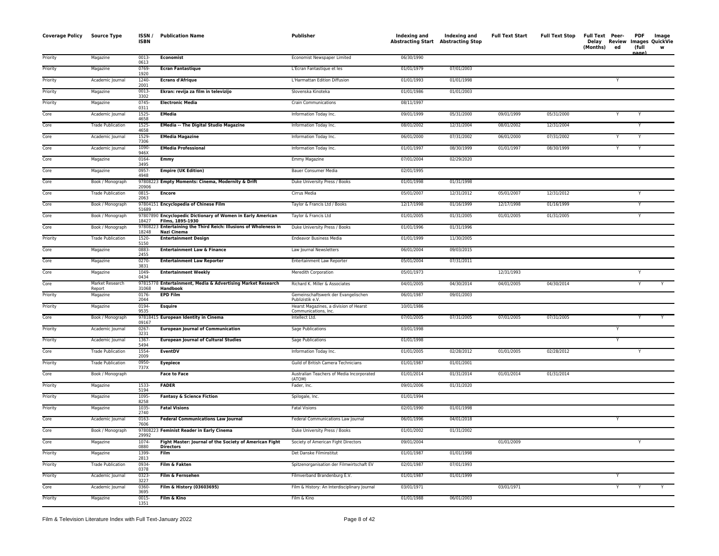| <b>Coverage Policy</b> | <b>Source Type</b>        | ISSN/<br><b>ISBN</b> | <b>Publication Name</b>                                                         | Publisher                                                      | Indexing and<br>Abstracting Start Abstracting Stop | Indexing and | <b>Full Text Start</b> | <b>Full Text Stop</b> | Full Text Peer-<br>(Months)<br>ed | <b>PDF</b><br>Image<br>Delay Review Images QuickVie<br>(full<br>nane |
|------------------------|---------------------------|----------------------|---------------------------------------------------------------------------------|----------------------------------------------------------------|----------------------------------------------------|--------------|------------------------|-----------------------|-----------------------------------|----------------------------------------------------------------------|
| Priority               | Magazine                  | $0013 -$<br>0613     | <b>Economist</b>                                                                | Economist Newspaper Limited                                    | 06/30/1990                                         |              |                        |                       |                                   |                                                                      |
| Priority               | Magazine                  | 0769-<br>1920        | <b>Ecran Fantastique</b>                                                        | L'Ecran Fantastique et les                                     | 01/01/1979                                         | 07/01/2003   |                        |                       |                                   |                                                                      |
| Priority               | Academic Journal          | 1240-<br>2001        | <b>Ecrans d'Afrique</b>                                                         | L'Harmattan Edition Diffusion                                  | 01/01/1993                                         | 01/01/1998   |                        |                       |                                   |                                                                      |
| Priority               | Magazine                  | $0013 -$<br>3302     | Ekran: revija za film in televizijo                                             | Slovenska Kinoteka                                             | 01/01/1986                                         | 01/01/2003   |                        |                       |                                   |                                                                      |
| Priority               | Magazine                  | $0745 -$<br>0311     | <b>Electronic Media</b>                                                         | <b>Crain Communications</b>                                    | 08/11/1997                                         |              |                        |                       |                                   |                                                                      |
| Core                   | Academic Journal          | 1525-<br>4658        | <b>EMedia</b>                                                                   | Information Today Inc.                                         | 09/01/1999                                         | 05/31/2000   | 09/01/1999             | 05/31/2000            |                                   |                                                                      |
| Core                   | <b>Trade Publication</b>  | 1525-<br>4658        | <b>EMedia -- The Digital Studio Magazine</b>                                    | Information Today Inc.                                         | 08/01/2002                                         | 12/31/2004   | 08/01/2002             | 12/31/2004            |                                   | Y                                                                    |
| Core                   | Academic Journal          | 1529-<br>7306        | <b>EMedia Magazine</b>                                                          | Information Today Inc.                                         | 06/01/2000                                         | 07/31/2002   | 06/01/2000             | 07/31/2002            |                                   |                                                                      |
| Core                   | Academic Journal          | 1090-<br>946X        | <b>EMedia Professional</b>                                                      | Information Today Inc.                                         | 01/01/1997                                         | 08/30/1999   | 01/01/1997             | 08/30/1999            |                                   |                                                                      |
| Core                   | Magazine                  | 0164-<br>3495        | Emmy                                                                            | Emmy Magazine                                                  | 07/01/2004                                         | 02/29/2020   |                        |                       |                                   |                                                                      |
| Core                   | Magazine                  | 0957-<br>4948        | <b>Empire (UK Edition)</b>                                                      | Bauer Consumer Media                                           | 02/01/1995                                         |              |                        |                       |                                   |                                                                      |
| Core                   | Book / Monograph          | 20906                | 97808223 Empty Moments: Cinema, Modernity & Drift                               | Duke University Press / Books                                  | 01/01/1998                                         | 01/31/1998   |                        |                       |                                   |                                                                      |
| Core                   | <b>Trade Publication</b>  | 0815-<br>2063        | <b>Encore</b>                                                                   | Cirrus Media                                                   | 05/01/2007                                         | 12/31/2012   | 05/01/2007             | 12/31/2012            |                                   |                                                                      |
| Core                   | Book / Monograph          | 51689                | 97804151 Encyclopedia of Chinese Film                                           | Taylor & Francis Ltd / Books                                   | 12/17/1998                                         | 01/16/1999   | 12/17/1998             | 01/16/1999            |                                   | v                                                                    |
| Core                   | Book / Monograph          | 18427                | 97807890 Encyclopedic Dictionary of Women in Early American<br>Films, 1895-1930 | Taylor & Francis Ltd                                           | 01/01/2005                                         | 01/31/2005   | 01/01/2005             | 01/31/2005            |                                   |                                                                      |
| Core                   | Book / Monograph          | 978082<br>18248      | 3 Entertaining the Third Reich: Illusions of Wholeness in<br>Nazi Cinema        | Duke University Press / Books                                  | 01/01/1996                                         | 01/31/1996   |                        |                       |                                   |                                                                      |
| Priority               | <b>Trade Publication</b>  | 1520-<br>5150        | <b>Entertainment Design</b>                                                     | <b>Endeavor Business Media</b>                                 | 01/01/1999                                         | 11/30/2005   |                        |                       |                                   |                                                                      |
| Core                   | Magazine                  | 0883-<br>2455        | <b>Entertainment Law &amp; Finance</b>                                          | Law Journal Newsletters                                        | 06/01/2004                                         | 09/03/2015   |                        |                       |                                   |                                                                      |
| Core                   | Magazine                  | 0270-<br>3831        | <b>Entertainment Law Reporter</b>                                               | Entertainment Law Reporter                                     | 05/01/2004                                         | 07/31/2011   |                        |                       |                                   |                                                                      |
| Core                   | Magazine                  | 1049-<br>0434        | <b>Entertainment Weekly</b>                                                     | Meredith Corporation                                           | 05/01/1973                                         |              | 12/31/1993             |                       |                                   |                                                                      |
| Core                   | Market Research<br>Report | 31068                | 97815778 Entertainment, Media & Advertising Market Research<br>Handbook         | Richard K. Miller & Associates                                 | 04/01/2005                                         | 04/30/2014   | 04/01/2005             | 04/30/2014            |                                   | Y                                                                    |
| Priority               | Magazine                  | 0176-<br>2044        | <b>EPD Film</b>                                                                 | Gemeinschaftswerk der Evangelischen<br>Publizistik e.V.        | 06/01/1987                                         | 09/01/2003   |                        |                       |                                   |                                                                      |
| Priority               | Magazine                  | 0194-<br>9535        | <b>Esquire</b>                                                                  | Hearst Magazines, a division of Hearst<br>Communications, Inc. | 10/01/1986                                         |              |                        |                       |                                   |                                                                      |
| Core                   | Book / Monograph          | 09167                | 97818415 European Identity in Cinema                                            | Intellect Ltd.                                                 | 07/01/2005                                         | 07/31/2005   | 07/01/2005             | 07/31/2005            |                                   |                                                                      |
| Priority               | Academic Journal          | 0267-<br>3231        | <b>European Journal of Communication</b>                                        | Sage Publications                                              | 03/01/1998                                         |              |                        |                       | Ÿ                                 |                                                                      |
| Priority               | Academic Journal          | 1367-<br>5494        | <b>European Journal of Cultural Studies</b>                                     | Sage Publications                                              | 01/01/1998                                         |              |                        |                       | Y                                 |                                                                      |
| Core                   | <b>Trade Publication</b>  | 1554-<br>2009        | EventDV                                                                         | Information Today Inc.                                         | 01/01/2005                                         | 02/28/2012   | 01/01/2005             | 02/28/2012            |                                   | Y                                                                    |
| Priority               | <b>Trade Publication</b>  | 0950-<br>737X        | <b>Eyepiece</b>                                                                 | Guild of British Camera Technicians                            | 01/01/1987                                         | 01/01/2001   |                        |                       |                                   |                                                                      |
| Core                   | Book / Monograph          |                      | <b>Face to Face</b>                                                             | Australian Teachers of Media Incorporated<br>(ATOM)            | 01/01/2014                                         | 01/31/2014   | 01/01/2014             | 01/31/2014            |                                   |                                                                      |
| Priority               | Magazine                  | 1533-<br>5194        | <b>FADER</b>                                                                    | Fader, Inc.                                                    | 09/01/2006                                         | 01/31/2020   |                        |                       |                                   |                                                                      |
| Priority               | Magazine                  | 1095-<br>8258        | <b>Fantasy &amp; Science Fiction</b>                                            | Spilogale, Inc.                                                | 01/01/1994                                         |              |                        |                       |                                   |                                                                      |
| Priority               | Magazine                  | 1035-<br>2740        | <b>Fatal Visions</b>                                                            | <b>Fatal Visions</b>                                           | 02/01/1990                                         | 01/01/1998   |                        |                       |                                   |                                                                      |
| Core                   | Academic Journal          | $0163 -$<br>7606     | <b>Federal Communications Law Journal</b>                                       | Federal Communications Law Journal                             | 06/01/1996                                         | 04/01/2018   |                        |                       |                                   |                                                                      |
| Core                   | Book / Monograph          | 29992                | 97808223 Feminist Reader in Early Cinema                                        | Duke University Press / Books                                  | 01/01/2002                                         | 01/31/2002   |                        |                       |                                   |                                                                      |
| Core                   | Magazine                  | 1074-<br>0880        | Fight Master: Journal of the Society of American Fight<br><b>Directors</b>      | Society of American Fight Directors                            | 09/01/2004                                         |              | 01/01/2009             |                       |                                   |                                                                      |
| Priority               | Magazine                  | 1399<br>2813         | Film                                                                            | Det Danske Filminstitut                                        | 01/01/1987                                         | 01/01/1998   |                        |                       |                                   |                                                                      |
| Priority               | <b>Trade Publication</b>  | 0934-<br>0378        | Film & Fakten                                                                   | Spitzenorganisation der Filmwirtschaft EV                      | 02/01/1987                                         | 07/01/1993   |                        |                       |                                   |                                                                      |
| Priority               | Academic Journal          | 0323-<br>3227        | Film & Fernsehen                                                                | Filmverband Brandenburg E.V.                                   | 01/01/1987                                         | 01/01/1999   |                        |                       |                                   |                                                                      |
| Core                   | Academic Journal          | 0360-<br>3695        | Film & History (03603695)                                                       | Film & History: An Interdisciplinary Journal                   | 03/01/1971                                         |              | 03/01/1971             |                       | Y                                 | Y<br>Y                                                               |
| Priority               | Magazine                  | 0015<br>1351         | Film & Kino                                                                     | Film & Kino                                                    | 01/01/1988                                         | 06/01/2003   |                        |                       |                                   |                                                                      |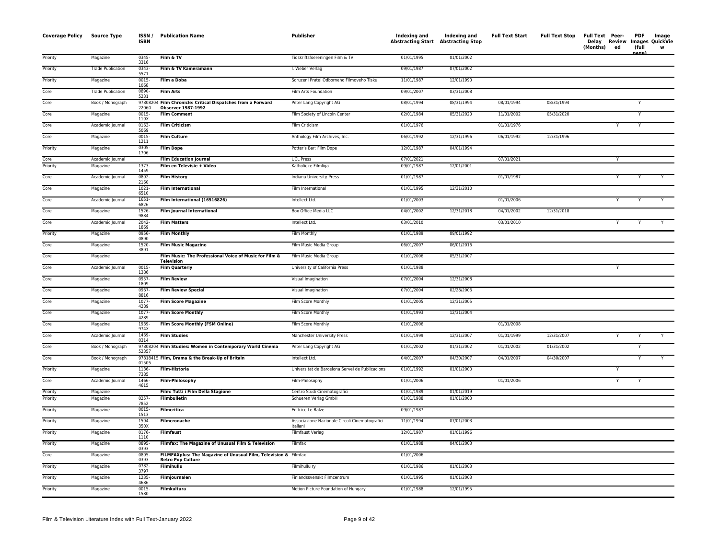| <b>Coverage Policy</b> | Source Type              | ISSN/<br>ISBN    | <b>Publication Name</b>                                                                     | Publisher                                                  | Indexing and Indexing and<br>Abstracting Start Abstracting Stop |            | <b>Full Text Start</b> | <b>Full Text Stop</b> | Full Text Peer-<br>Delay Review Images QuickVie<br>(Months) | ed             | <b>PDF</b><br>(full<br>nage) | Image<br>w |
|------------------------|--------------------------|------------------|---------------------------------------------------------------------------------------------|------------------------------------------------------------|-----------------------------------------------------------------|------------|------------------------|-----------------------|-------------------------------------------------------------|----------------|------------------------------|------------|
| Priority               | Magazine                 | 0345<br>3316     | Film & TV                                                                                   | Tidskriftsfoereningen Film & TV                            | 01/01/1995                                                      | 01/01/2002 |                        |                       |                                                             |                |                              |            |
| Priority               | <b>Trade Publication</b> | 0343-<br>5571    | Film & TV Kameramann                                                                        | I. Weber Verlag                                            | 09/01/1987                                                      | 07/01/2002 |                        |                       |                                                             |                |                              |            |
| Priority               | Magazine                 | $0015 -$<br>1068 | <b>Film a Doba</b>                                                                          | Sdruzeni Pratel Odborneho Filmoveho Tisku                  | 11/01/1987                                                      | 12/01/1990 |                        |                       |                                                             |                |                              |            |
| Core                   | <b>Trade Publication</b> | 0890-<br>5231    | <b>Film Arts</b>                                                                            | Film Arts Foundation                                       | 09/01/2007                                                      | 03/31/2008 |                        |                       |                                                             |                |                              |            |
| Core                   | Book / Monograph         | 978082<br>22060  | Film Chronicle: Critical Dispatches from a Forward<br><b>Observer 1987-1992</b>             | Peter Lang Copyright AG                                    | 08/01/1994                                                      | 08/31/1994 | 08/01/1994             | 08/31/1994            |                                                             |                | Y                            |            |
| Core                   | Magazine                 | $0015 -$<br>119X | <b>Film Comment</b>                                                                         | Film Society of Lincoln Center                             | 02/01/1984                                                      | 05/31/2020 | 11/01/2002             | 05/31/2020            |                                                             |                | Y                            |            |
| Core                   | Academic Journal         | 0163-<br>5069    | <b>Film Criticism</b>                                                                       | Film Criticism                                             | 01/01/1976                                                      |            | 01/01/1976             |                       |                                                             | Y              | Y                            |            |
| Core                   | Magazine                 | 0015<br>1211     | <b>Film Culture</b>                                                                         | Anthology Film Archives, Inc.                              | 06/01/1992                                                      | 12/31/1996 | 06/01/1992             | 12/31/1996            |                                                             |                |                              |            |
| Priority               | Magazine                 | 0305<br>1706     | <b>Film Dope</b>                                                                            | Potter's Bar: Film Dope                                    | 12/01/1987                                                      | 04/01/1994 |                        |                       |                                                             |                |                              |            |
| Core                   | Academic Journal         |                  | <b>Film Education Journal</b>                                                               | <b>UCL Press</b>                                           | 07/01/2021                                                      |            | 07/01/2021             |                       |                                                             | Y              |                              |            |
| Priority               | Magazine                 | 1373-<br>1459    | Film en Televisie + Video                                                                   | Katholieke Filmliga                                        | 09/01/1987                                                      | 12/01/2001 |                        |                       |                                                             |                |                              |            |
| Core                   | Academic Journal         | 0892-<br>2160    | <b>Film History</b>                                                                         | Indiana University Press                                   | 01/01/1987                                                      |            | 01/01/1987             |                       |                                                             |                |                              |            |
| Core                   | Magazine                 | $1021 -$<br>6510 | <b>Film International</b>                                                                   | Film International                                         | 01/01/1995                                                      | 12/31/2010 |                        |                       |                                                             |                |                              |            |
| Core                   | Academic Journal         | $1651 -$<br>6826 | Film International (16516826)                                                               | Intellect Ltd.                                             | 01/01/2003                                                      |            | 01/01/2006             |                       |                                                             | Y              |                              |            |
| Core                   | Magazine                 | 1526-<br>9884    | <b>Film Journal International</b>                                                           | Box Office Media LLC                                       | 04/01/2002                                                      | 12/31/2018 | 04/01/2002             | 12/31/2018            |                                                             |                |                              |            |
| Core                   | Academic Journal         | $2042 -$<br>1869 | <b>Film Matters</b>                                                                         | Intellect Ltd.                                             | 03/01/2010                                                      |            | 03/01/2010             |                       |                                                             | Y              |                              |            |
| Priority               | Magazine                 | 0956-<br>0890    | <b>Film Monthly</b>                                                                         | Film Monthly                                               | 01/01/1989                                                      | 09/01/1992 |                        |                       |                                                             |                |                              |            |
| Core                   | Magazine                 | 1520-<br>3891    | <b>Film Music Magazine</b>                                                                  | Film Music Media Group                                     | 06/01/2007                                                      | 06/01/2016 |                        |                       |                                                             |                |                              |            |
| Core                   | Magazine                 |                  | Film Music: The Professional Voice of Music for Film &<br>Television                        | Film Music Media Group                                     | 01/01/2006                                                      | 05/31/2007 |                        |                       |                                                             |                |                              |            |
| Core                   | Academic Journal         | $0015 -$<br>1386 | <b>Film Quarterly</b>                                                                       | University of California Press                             | 01/01/1988                                                      |            |                        |                       |                                                             | $\overline{Y}$ |                              |            |
| Core                   | Magazine                 | 0957<br>1809     | <b>Film Review</b>                                                                          | Visual Imagination                                         | 07/01/2004                                                      | 12/31/2008 |                        |                       |                                                             |                |                              |            |
| Core                   | Magazine                 | 0967-<br>8816    | <b>Film Review Special</b>                                                                  | Visual Imagination                                         | 07/01/2004                                                      | 02/28/2006 |                        |                       |                                                             |                |                              |            |
| Core                   | Magazine                 | 1077-<br>4289    | <b>Film Score Magazine</b>                                                                  | Film Score Monthly                                         | 01/01/2005                                                      | 12/31/2005 |                        |                       |                                                             |                |                              |            |
| Core                   | Magazine                 | 1077-<br>4289    | <b>Film Score Monthly</b>                                                                   | Film Score Monthly                                         | 01/01/1993                                                      | 12/31/2004 |                        |                       |                                                             |                |                              |            |
| Core                   | Magazine                 | 1939-<br>974X    | Film Score Monthly (FSM Online)                                                             | Film Score Monthly                                         | 01/01/2006                                                      |            | 01/01/2008             |                       |                                                             |                |                              |            |
| Core                   | Academic Journal         | 1469-<br>0314    | <b>Film Studies</b>                                                                         | Manchester University Press                                | 01/01/1999                                                      | 12/31/2007 | 01/01/1999             | 12/31/2007            |                                                             | Y              | Y                            | Y          |
| Core                   | Book / Monograph         | 52357            | 97808204 Film Studies: Women in Contemporary World Cinema                                   | Peter Lang Copyright AG                                    | 01/01/2002                                                      | 01/31/2002 | 01/01/2002             | 01/31/2002            |                                                             |                | Y                            |            |
| Core                   | Book / Monograph         | 01505            | 97818415 Film, Drama & the Break-Up of Britain                                              | Intellect Ltd.                                             | 04/01/2007                                                      | 04/30/2007 | 04/01/2007             | 04/30/2007            |                                                             |                | Y                            | Y          |
| Priority               | Magazine                 | 1136-<br>7385    | <b>Film-Historia</b>                                                                        | Universitat de Barcelona Servei de Publicacions            | 01/01/1992                                                      | 01/01/2000 |                        |                       |                                                             | Y              |                              |            |
| Core                   | Academic Journal         | 1466-<br>4615    | Film-Philosophy                                                                             | Film-Philosophy                                            | 01/01/2006                                                      |            | 01/01/2006             |                       |                                                             | $\mathsf{Y}$   | Y                            |            |
| Priority               | Magazine                 |                  | Film: Tutti i Film Della Stagione                                                           | Centro Studi Cinematografici                               | 01/01/1989                                                      | 01/01/2019 |                        |                       |                                                             |                |                              |            |
| Priority               | Magazine                 | $0257 -$<br>7852 | <b>Filmbulletin</b>                                                                         | Schueren Verlag GmbH                                       | 01/01/1988                                                      | 01/01/2003 |                        |                       |                                                             |                |                              |            |
| Priority               | Magazine                 | 0015-<br>1513    | <b>Filmcritica</b>                                                                          | Editrice Le Balze                                          | 09/01/1987                                                      |            |                        |                       |                                                             |                |                              |            |
| Priority               | Magazine                 | 1594-<br>350X    | Filmcronache                                                                                | Associazione Nazionale Circoli Cinematografici<br>Italiani | 11/01/1994                                                      | 07/01/2003 |                        |                       |                                                             |                |                              |            |
| Priority               | Magazine                 | 0176-<br>1110    | <b>Filmfaust</b>                                                                            | <b>Filmfaust Verlag</b>                                    | 12/01/1987                                                      | 01/01/1996 |                        |                       |                                                             |                |                              |            |
| Priority               | Magazine                 | 0895-<br>0393    | Filmfax: The Magazine of Unusual Film & Television                                          | Filmfax                                                    | 01/01/1988                                                      | 04/01/2003 |                        |                       |                                                             |                |                              |            |
| Core                   | Magazine                 | 0895-<br>0393    | FILMFAXplus: The Magazine of Unusual Film, Television & Filmfax<br><b>Retro Pop Culture</b> |                                                            | 01/01/2006                                                      |            |                        |                       |                                                             |                |                              |            |
| Priority               | Magazine                 | 0782-<br>3797    | Filmihullu                                                                                  | Filmihullu ry                                              | 01/01/1986                                                      | 01/01/2003 |                        |                       |                                                             |                |                              |            |
| Priority               | Magazine                 | 1235<br>4686     | Filmjournalen                                                                               | Finlandssvenskt Filmcentrum                                | 01/01/1995                                                      | 01/01/2003 |                        |                       |                                                             |                |                              |            |
| Priority               | Magazine                 | 0015-<br>1580    | Filmkultura                                                                                 | Motion Picture Foundation of Hungary                       | 01/01/1988                                                      | 12/01/1995 |                        |                       |                                                             |                |                              |            |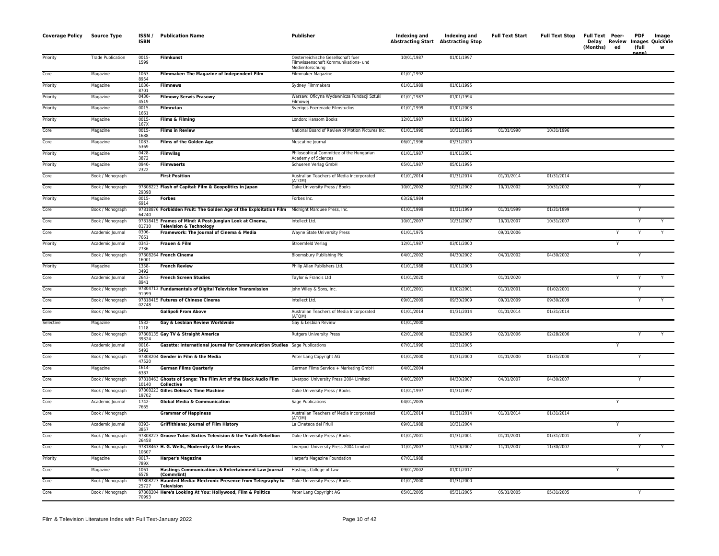| <b>Coverage Policy Source Type</b> |                          | ISSN/<br><b>ISBN</b> | <b>Publication Name</b>                                                                        | <b>Publisher</b>                                                                              | Indexing and<br><b>Abstracting Start Abstracting Stop</b> | Indexing and | <b>Full Text Start</b> | <b>Full Text Stop</b> | <b>Full Text Peer-</b><br>(Months) | Delay Review<br>ed | <b>PDF</b><br>(full<br>name | Image<br>Images QuickVie<br>W |
|------------------------------------|--------------------------|----------------------|------------------------------------------------------------------------------------------------|-----------------------------------------------------------------------------------------------|-----------------------------------------------------------|--------------|------------------------|-----------------------|------------------------------------|--------------------|-----------------------------|-------------------------------|
| Priority                           | <b>Trade Publication</b> | 0015-<br>1599        | <b>Filmkunst</b>                                                                               | Oesterreichische Gesellschaft fuer<br>Filmwissenschaft Kommunikations- und<br>Medienforschung | 10/01/1987                                                | 01/01/1997   |                        |                       |                                    |                    |                             |                               |
| Core                               | Magazine                 | 1063<br>8954         | Filmmaker: The Magazine of Independent Film                                                    | Filmmaker Magazine                                                                            | 01/01/1992                                                |              |                        |                       |                                    |                    |                             |                               |
| Priority                           | Magazine                 | 1036<br>8701         | <b>Filmnews</b>                                                                                | Sydney Filmmakers                                                                             | 01/01/1989                                                | 01/01/1995   |                        |                       |                                    |                    |                             |                               |
| Priority                           | Magazine                 | 0430-<br>4519        | <b>Filmowy Serwis Prasowy</b>                                                                  | Warsaw: Oficyna Wydawnicza Fundacji Sztuki<br>Filmowe                                         | 01/01/1987                                                | 01/01/1994   |                        |                       |                                    |                    |                             |                               |
| Priority                           | Magazine                 | 0015-<br>1661        | Filmrutan                                                                                      | Sveriges Foerenade Filmstudios                                                                | 01/01/1999                                                | 01/01/2003   |                        |                       |                                    |                    |                             |                               |
| Priority                           | Magazine                 | $0015 -$<br>167X     | Films & Filming                                                                                | London: Hansom Books                                                                          | 12/01/1987                                                | 01/01/1990   |                        |                       |                                    |                    |                             |                               |
| Core                               | Magazine                 | 0015<br>1688         | <b>Films in Review</b>                                                                         | National Board of Review of Motion Pictures Inc.                                              | 01/01/1990                                                | 10/31/1996   | 01/01/1990             | 10/31/1996            |                                    |                    |                             |                               |
| Core                               | Magazine                 | 1083<br>5369         | Films of the Golden Age                                                                        | Muscatine Journal                                                                             | 06/01/1996                                                | 03/31/2020   |                        |                       |                                    |                    |                             |                               |
| Priority                           | Magazine                 | $0428 -$<br>3872     | Filmvilag                                                                                      | Philosophical Committee of the Hungarian<br>Academy of Sciences                               | 01/01/1987                                                | 01/01/2001   |                        |                       |                                    |                    |                             |                               |
| Priority                           | Magazine                 | 0940-<br>2322        | <b>Filmwaerts</b>                                                                              | Schueren Verlag GmbH                                                                          | 05/01/1987                                                | 05/01/1995   |                        |                       |                                    |                    |                             |                               |
| Core                               | Book / Monograph         |                      | <b>First Position</b>                                                                          | Australian Teachers of Media Incorporated<br>(ATOM)                                           | 01/01/2014                                                | 01/31/2014   | 01/01/2014             | 01/31/2014            |                                    |                    |                             |                               |
| Core                               | Book / Monograph         | 29398                | 97808223 Flash of Capital: Film & Geopolitics in Japan                                         | Duke University Press / Books                                                                 | 10/01/2002                                                | 10/31/2002   | 10/01/2002             | 10/31/2002            |                                    |                    |                             |                               |
| Priority                           | Magazine                 | 0015-<br>6914        | <b>Forbes</b>                                                                                  | Forbes Inc.                                                                                   | 03/26/1984                                                |              |                        |                       |                                    |                    |                             |                               |
| Core                               | Book / Monograph         | 64240                | 97818876 Forbidden Fruit: The Golden Age of the Exploitation Film Midnight Marquee Press, Inc. |                                                                                               | 01/01/1999                                                | 01/31/1999   | 01/01/1999             | 01/31/1999            |                                    |                    | Y                           |                               |
| Core                               | Book / Monograph         | 01710                | 97818415 Frames of Mind: A Post-Jungian Look at Cinema,<br><b>Television &amp; Technology</b>  | Intellect Ltd.                                                                                | 10/01/2007                                                | 10/31/2007   | 10/01/2007             | 10/31/2007            |                                    |                    |                             |                               |
| Core                               | Academic Journal         | 0306-<br>7661        | Framework: The Journal of Cinema & Media                                                       | Wayne State University Press                                                                  | 01/01/1975                                                |              | 09/01/2006             |                       |                                    |                    |                             |                               |
| Priority                           | Academic Journal         | 0343-<br>7736        | Frauen & Film                                                                                  | Stroemfeld Verlag                                                                             | 12/01/1987                                                | 03/01/2000   |                        |                       |                                    | Y                  |                             |                               |
| Core                               | Book / Monograph         | 16001                | 97808264 French Cinema                                                                         | <b>Bloomsbury Publishing Plc</b>                                                              | 04/01/2002                                                | 04/30/2002   | 04/01/2002             | 04/30/2002            |                                    |                    | $\overline{Y}$              |                               |
| Priority                           | Magazine                 | 1358<br>3492         | <b>French Review</b>                                                                           | Philip Allan Publishers Ltd.                                                                  | 01/01/1988                                                | 01/01/2003   |                        |                       |                                    |                    |                             |                               |
| Core                               | Academic Journal         | 2643-<br>8941        | <b>French Screen Studies</b>                                                                   | Taylor & Francis Ltd                                                                          | 01/01/2020                                                |              | 01/01/2020             |                       |                                    |                    |                             |                               |
| Core                               | Book / Monograph         | 91999                | 97804713 Fundamentals of Digital Television Transmission                                       | John Wiley & Sons, Inc.                                                                       | 01/01/2001                                                | 01/02/2001   | 01/01/2001             | 01/02/2001            |                                    |                    |                             |                               |
| Core                               | Book / Monograph         | 02748                | 97818415 Futures of Chinese Cinema                                                             | Intellect Ltd.                                                                                | 09/01/2009                                                | 09/30/2009   | 09/01/2009             | 09/30/2009            |                                    |                    |                             |                               |
| Core                               | Book / Monograph         |                      | <b>Gallipoli From Above</b>                                                                    | Australian Teachers of Media Incorporated<br>(ATOM)                                           | 01/01/2014                                                | 01/31/2014   | 01/01/2014             | 01/31/2014            |                                    |                    |                             |                               |
| Selective                          | Magazine                 | 1532-<br>1118        | Gay & Lesbian Review Worldwide                                                                 | Gay & Lesbian Review                                                                          | 01/01/2000                                                |              |                        |                       |                                    |                    |                             |                               |
| Core                               | Book / Monograph         | 39324                | 97808135 Gay TV & Straight America                                                             | <b>Rutgers University Press</b>                                                               | 02/01/2006                                                | 02/28/2006   | 02/01/2006             | 02/28/2006            |                                    |                    |                             |                               |
| Core                               | Academic Journal         | 0016-<br>5492        | Gazette: International Journal for Communication Studies Sage Publications                     |                                                                                               | 07/01/1996                                                | 12/31/2005   |                        |                       |                                    |                    |                             |                               |
| Core                               | Book / Monograph         | 47520                | 97808204 Gender in Film & the Media                                                            | Peter Lang Copyright AG                                                                       | 01/01/2000                                                | 01/31/2000   | 01/01/2000             | 01/31/2000            |                                    |                    | Υ                           |                               |
| Core                               | Magazine                 | 1614-<br>6387        | <b>German Films Quarterly</b>                                                                  | German Films Service + Marketing GmbH                                                         | 04/01/2004                                                |              |                        |                       |                                    |                    |                             |                               |
| Core                               | Book / Monograph         | 10140                | 97818463 Ghosts of Songs: The Film Art of the Black Audio Film<br><b>Collective</b>            | Liverpool University Press 2004 Limited                                                       | 04/01/2007                                                | 04/30/2007   | 04/01/2007             | 04/30/2007            |                                    |                    | Y                           |                               |
| Core                               | Book / Monograph         | 19702                | 97808223 Gilles Deleuz's Time Machine                                                          | Duke University Press / Books                                                                 | 01/01/1997                                                | 01/31/1997   |                        |                       |                                    |                    |                             |                               |
| Core                               | Academic Journal         | 1742-<br>7665        | <b>Global Media &amp; Communication</b>                                                        | Sage Publications                                                                             | 04/01/2005                                                |              |                        |                       |                                    |                    |                             |                               |
| Core                               | Book / Monograph         |                      | <b>Grammar of Happiness</b>                                                                    | Australian Teachers of Media Incorporated<br>(ATOM)                                           | 01/01/2014                                                | 01/31/2014   | 01/01/2014             | 01/31/2014            |                                    |                    |                             |                               |
| Core                               | Academic Journal         | 0393-<br>3857        | Griffithiana: Journal of Film History                                                          | La Cineteca del Friuli                                                                        | 09/01/1988                                                | 10/31/2004   |                        |                       |                                    |                    |                             |                               |
| Core                               | Book / Monograph         | 26458                | 97808223 Groove Tube: Sixties Television & the Youth Rebellion                                 | Duke University Press / Books                                                                 | 01/01/2001                                                | 01/31/2001   | 01/01/2001             | 01/31/2001            |                                    |                    | Y                           |                               |
| Core                               | Book / Monograph         | 10607                | 97818463 H. G. Wells, Modernity & the Movies                                                   | Liverpool University Press 2004 Limited                                                       | 11/01/2007                                                | 11/30/2007   | 11/01/2007             | 11/30/2007            |                                    |                    |                             |                               |
| Priority                           | Magazine                 | $0017 -$<br>789X     | <b>Harper's Magazine</b>                                                                       | Harper's Magazine Foundation                                                                  | 07/01/1988                                                |              |                        |                       |                                    |                    |                             |                               |
| Core                               | Magazine                 | 1061<br>6578         | Hastings Communications & Entertainment Law Journal<br>(Comm/Ent)                              | Hastings College of Law                                                                       | 09/01/2002                                                | 01/01/2017   |                        |                       |                                    | Y                  |                             |                               |
| Core                               | Book / Monograph         | 25727                | 97808223 Haunted Media: Electronic Presence from Telegraphy to<br><b>Television</b>            | Duke University Press / Books                                                                 | 01/01/2000                                                | 01/31/2000   |                        |                       |                                    |                    |                             |                               |
| Core                               | Book / Monograph         | 70993                | 97808204 Here's Looking At You: Hollywood, Film & Politics                                     | Peter Lang Copyright AG                                                                       | 05/01/2005                                                | 05/31/2005   | 05/01/2005             | 05/31/2005            |                                    |                    |                             |                               |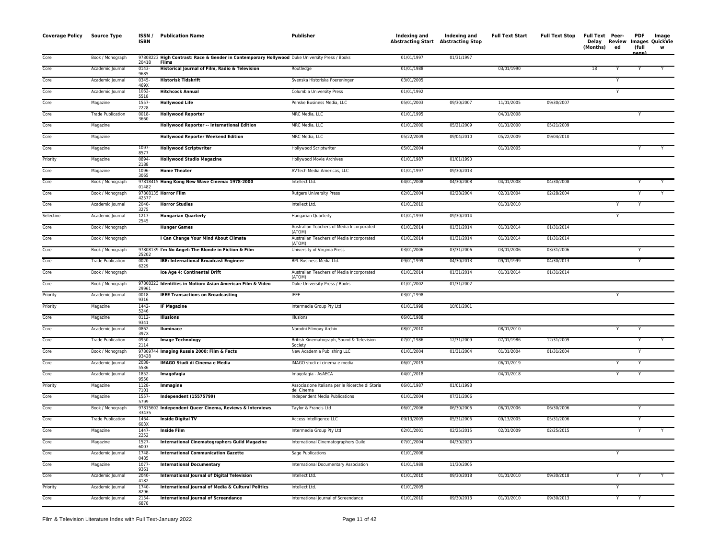| <b>Coverage Policy</b> | Source Type              | ISSN/<br><b>ISBN</b> | <b>Publication Name</b>                                                                                | <b>Publisher</b>                                              | Indexing and<br><b>Abstracting Start Abstracting Stop</b> | Indexing and | <b>Full Text Start</b> | <b>Full Text Stop</b> | Full Text Peer-<br>Delay Review<br>(Months) | ed | <b>PDF</b><br>(full | Image<br><b>Images QuickVie</b><br>W |
|------------------------|--------------------------|----------------------|--------------------------------------------------------------------------------------------------------|---------------------------------------------------------------|-----------------------------------------------------------|--------------|------------------------|-----------------------|---------------------------------------------|----|---------------------|--------------------------------------|
| Core                   | Book / Monograph         | 20418                | 97808223 High Contrast: Race & Gender in Contemporary Hollywood Duke University Press / Books<br>Films |                                                               | 01/01/1997                                                | 01/31/1997   |                        |                       |                                             |    |                     |                                      |
| Core                   | Academic Journal         | 0143-<br>9685        | Historical Journal of Film, Radio & Television                                                         | Routledge                                                     | 01/01/1988                                                |              | 03/01/1990             |                       | 18                                          |    | Y                   |                                      |
| Core                   | Academic Journal         | 0345-<br>469X        | <b>Historisk Tidskrift</b>                                                                             | Svenska Historiska Foereningen                                | 03/01/2005                                                |              |                        |                       |                                             |    |                     |                                      |
| Core                   | Academic Journal         | 1062-<br>5518        | <b>Hitchcock Annual</b>                                                                                | Columbia University Press                                     | 01/01/1992                                                |              |                        |                       |                                             | Y  |                     |                                      |
| Core                   | Magazine                 | 1557-<br>7228        | <b>Hollywood Life</b>                                                                                  | Penske Business Media, LLC                                    | 05/01/2003                                                | 09/30/2007   | 11/01/2005             | 09/30/2007            |                                             |    |                     |                                      |
| Core                   | <b>Trade Publication</b> | $0018 -$<br>3660     | <b>Hollywood Reporter</b>                                                                              | MRC Media, LLC                                                | 01/01/1995                                                |              | 04/01/2008             |                       |                                             |    | Υ                   |                                      |
| Core                   | Magazine                 |                      | Hollywood Reporter -- International Edition                                                            | MRC Media, LLC                                                | 01/01/2000                                                | 05/21/2009   | 01/01/2000             | 05/21/2009            |                                             |    |                     |                                      |
| Core                   | Magazine                 |                      | <b>Hollywood Reporter Weekend Edition</b>                                                              | MRC Media, LLC                                                | 05/22/2009                                                | 09/04/2010   | 05/22/2009             | 09/04/2010            |                                             |    |                     |                                      |
| Core                   | Magazine                 | 1097-<br>8577        | <b>Hollywood Scriptwriter</b>                                                                          | Hollywood Scriptwriter                                        | 05/01/2004                                                |              | 01/01/2005             |                       |                                             |    |                     |                                      |
| Priority               | Magazine                 | 0894-<br>2188        | <b>Hollywood Studio Magazine</b>                                                                       | Hollywood Movie Archives                                      | 01/01/1987                                                | 01/01/1990   |                        |                       |                                             |    |                     |                                      |
| Core                   | Magazine                 | 1096-<br>3065        | <b>Home Theater</b>                                                                                    | AVTech Media Americas, LLC                                    | 01/01/1997                                                | 09/30/2013   |                        |                       |                                             |    |                     |                                      |
| Core                   | Book / Monograph         | 01482                | 97818415 Hong Kong New Wave Cinema: 1978-2000                                                          | Intellect Ltd.                                                | 04/01/2008                                                | 04/30/2008   | 04/01/2008             | 04/30/2008            |                                             |    |                     |                                      |
| Core                   | Book / Monograph         | 42577                | 97808135 Horror Film                                                                                   | <b>Rutgers University Press</b>                               | 02/01/2004                                                | 02/28/2004   | 02/01/2004             | 02/28/2004            |                                             |    | Y                   |                                      |
| Core                   | Academic Journal         | $2040 -$<br>3275     | <b>Horror Studies</b>                                                                                  | Intellect Ltd.                                                | 01/01/2010                                                |              | 01/01/2010             |                       |                                             | Y  |                     |                                      |
| Selective              | Academic Journal         | 1217-<br>2545        | <b>Hungarian Quarterly</b>                                                                             | Hungarian Quarterly                                           | 01/01/1993                                                | 09/30/2014   |                        |                       |                                             | Y  |                     |                                      |
| Core                   | Book / Monograph         |                      | <b>Hunger Games</b>                                                                                    | Australian Teachers of Media Incorporated<br>(ATOM)           | 01/01/2014                                                | 01/31/2014   | 01/01/2014             | 01/31/2014            |                                             |    |                     |                                      |
| Core                   | Book / Monograph         |                      | I Can Change Your Mind About Climate                                                                   | Australian Teachers of Media Incorporated<br>(ATOM)           | 01/01/2014                                                | 01/31/2014   | 01/01/2014             | 01/31/2014            |                                             |    |                     |                                      |
| Core                   | Book / Monograph         | 25202                | 97808139 I'm No Angel: The Blonde in Fiction & Film                                                    | University of Virginia Press                                  | 03/01/2006                                                | 03/31/2006   | 03/01/2006             | 03/31/2006            |                                             |    |                     |                                      |
| Core                   | <b>Trade Publication</b> | $0020 -$<br>6229     | <b>IBE: International Broadcast Engineer</b>                                                           | BPL Business Media Ltd.                                       | 09/01/1999                                                | 04/30/2013   | 09/01/1999             | 04/30/2013            |                                             |    |                     |                                      |
| Core                   | Book / Monograph         |                      | Ice Age 4: Continental Drift                                                                           | Australian Teachers of Media Incorporated<br>(ATOM)           | 01/01/2014                                                | 01/31/2014   | 01/01/2014             | 01/31/2014            |                                             |    |                     |                                      |
| Core                   | Book / Monograph         | 29961                | 97808223 Identities in Motion: Asian American Film & Video                                             | Duke University Press / Books                                 | 01/01/2002                                                | 01/31/2002   |                        |                       |                                             |    |                     |                                      |
| Priority               | Academic Journal         | $0018 -$<br>9316     | <b>IEEE Transactions on Broadcasting</b>                                                               | <b>IEEE</b>                                                   | 03/01/1998                                                |              |                        |                       |                                             | Υ  |                     |                                      |
| Priority               | Magazine                 | 1442-<br>5246        | <b>IF Magazine</b>                                                                                     | Intermedia Group Pty Ltd                                      | 01/01/1998                                                | 10/01/2001   |                        |                       |                                             |    |                     |                                      |
| Core                   | Magazine                 | 0112-<br>9341        | <b>Illusions</b>                                                                                       | Illusions                                                     | 06/01/1988                                                |              |                        |                       |                                             |    |                     |                                      |
| Core                   | Academic Journal         | 0862-<br>397X        | Iluminace                                                                                              | Narodni Filmovy Archiv                                        | 08/01/2010                                                |              | 08/01/2010             |                       |                                             |    |                     |                                      |
| Core                   | <b>Trade Publication</b> | 0950-<br>2114        | <b>Image Technology</b>                                                                                | British Kinematograph, Sound & Television<br>Society          | 07/01/1986                                                | 12/31/2009   | 07/01/1986             | 12/31/2009            |                                             |    | Υ                   | Y                                    |
| Core                   | Book / Monograph         | 93428                | 97809744 Imaging Russia 2000: Film & Facts                                                             | New Academia Publishing LLC                                   | 01/01/2004                                                | 01/31/2004   | 01/01/2004             | 01/31/2004            |                                             |    |                     |                                      |
| Core                   | Academic Journal         | 2038-<br>5536        | IMAGO Studi di Cinema e Media                                                                          | IMAGO studi di cinema e media                                 | 06/01/2019                                                |              | 06/01/2019             |                       |                                             |    | Y                   |                                      |
| Core                   | Academic Journal         | 1852-<br>9550        | Imagofagia                                                                                             | Imagofagia - AsAECA                                           | 04/01/2018                                                |              | 04/01/2018             |                       |                                             |    | Y                   |                                      |
| Priority               | Magazine                 | 1128-<br>7101        | Immagine                                                                                               | Associazione Italiana per le Ricerche di Storia<br>del Cinema | 06/01/1987                                                | 01/01/1998   |                        |                       |                                             |    |                     |                                      |
| Core                   | Magazine                 | $1557 -$<br>5799     | <b>Independent (15575799)</b>                                                                          | <b>Independent Media Publications</b>                         | 01/01/2004                                                | 07/31/2006   |                        |                       |                                             |    |                     |                                      |
| Core                   | Book / Monograph         | 33435                | 97815602 Independent Queer Cinema, Reviews & Interviews                                                | Taylor & Francis Ltd                                          | 06/01/2006                                                | 06/30/2006   | 06/01/2006             | 06/30/2006            |                                             |    |                     |                                      |
| Core                   | <b>Trade Publication</b> | 1464-<br>603X        | <b>Inside Digital TV</b>                                                                               | Access Intelligence LLC                                       | 09/13/2005                                                | 05/31/2006   | 09/13/2005             | 05/31/2006            |                                             |    |                     |                                      |
| Core                   | Magazine                 | 1447-<br>2252        | <b>Inside Film</b>                                                                                     | Intermedia Group Pty Ltd                                      | 02/01/2001                                                | 02/25/2015   | 02/01/2009             | 02/25/2015            |                                             |    |                     |                                      |
| Core                   | Magazine                 | 1527-<br>6007        | <b>International Cinematographers Guild Magazine</b>                                                   | International Cinematographers Guild                          | 07/01/2004                                                | 04/30/2020   |                        |                       |                                             |    |                     |                                      |
| Core                   | Academic Journal         | 1748-<br>0485        | <b>International Communication Gazette</b>                                                             | <b>Sage Publications</b>                                      | 01/01/2006                                                |              |                        |                       |                                             |    |                     |                                      |
| Core                   | Magazine                 | 1077-<br>9361        | <b>International Documentary</b>                                                                       | International Documentary Association                         | 01/01/1989                                                | 11/30/2005   |                        |                       |                                             |    |                     |                                      |
| Core                   | Academic Journal         | 2040-<br>4182        | <b>International Journal of Digital Television</b>                                                     | Intellect Ltd.                                                | 01/01/2010                                                | 09/30/2018   | 01/01/2010             | 09/30/2018            |                                             |    |                     |                                      |
| Priority               | Academic Journal         | 1740-<br>8296        | International Journal of Media & Cultural Politics                                                     | Intellect Ltd.                                                | 01/01/2005                                                |              |                        |                       |                                             |    |                     |                                      |
| Core                   | Academic Journal         | 2154-<br>6878        | <b>International Journal of Screendance</b>                                                            | International Journal of Screendance                          | 01/01/2010                                                | 09/30/2013   | 01/01/2010             | 09/30/2013            |                                             | Y  |                     |                                      |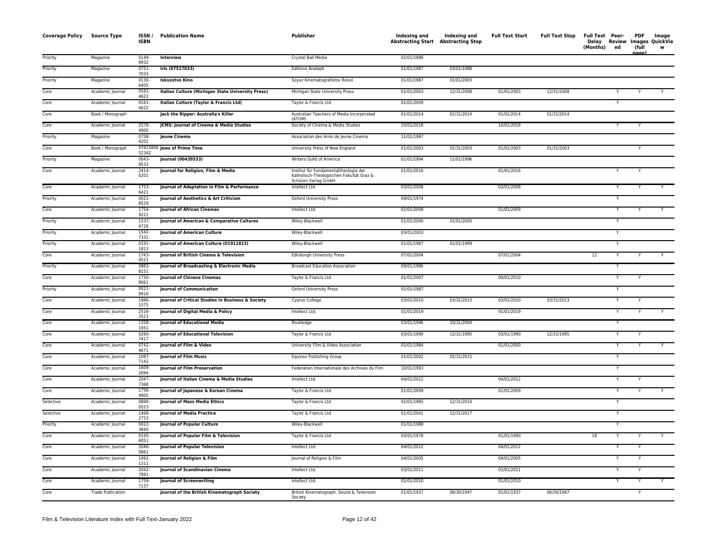| <b>Coverage Policy</b> | Source Type              | ISSN/<br><b>ISBN</b> | <b>Publication Name</b>                           | Publisher                                                                                                | Indexing and<br><b>Abstracting Start Abstracting Stop</b> | Indexing and | <b>Full Text Start</b> | <b>Full Text Stop</b> | Full Text Peer-<br>(Months) | ed                      | <b>PDF</b><br>(full<br>aage. | Image<br>Delay Review Images QuickVie<br>w |
|------------------------|--------------------------|----------------------|---------------------------------------------------|----------------------------------------------------------------------------------------------------------|-----------------------------------------------------------|--------------|------------------------|-----------------------|-----------------------------|-------------------------|------------------------------|--------------------------------------------|
| Priority               | Magazine                 | 0149<br>8932         | Interview                                         | Crystal Ball Media                                                                                       | 01/01/1988                                                |              |                        |                       |                             |                         |                              |                                            |
| Priority               | Magazine                 | $0751 -$<br>7033     | Iris (07517033)                                   | <b>Editions Analeph</b>                                                                                  | 01/01/1987                                                | 03/01/1988   |                        |                       |                             |                         |                              |                                            |
| Priority               | Magazine                 | 0130<br>6405         | <b>Iskusstvo Kino</b>                             | Soyuz Kinematografistov Rossii                                                                           | 01/01/1987                                                | 01/01/2003   |                        |                       |                             |                         |                              |                                            |
| Core                   | Academic Journal         | 0161-<br>4622        | Italian Culture (Michigan State University Press) | Michigan State University Press                                                                          | 01/01/2003                                                | 12/31/2008   | 01/01/2003             | 12/31/2008            |                             | Y                       |                              |                                            |
| Core                   | Academic Journal         | $0161 -$<br>4622     | Italian Culture (Taylor & Francis Ltd)            | Taylor & Francis Ltd                                                                                     | 01/01/2009                                                |              |                        |                       |                             |                         |                              |                                            |
| Core                   | Book / Monograph         |                      | Jack the Ripper: Australia's Killer               | Australian Teachers of Media Incorporated<br>(ATOM)                                                      | 01/01/2014                                                | 01/31/2014   | 01/01/2014             | 01/31/2014            |                             |                         |                              |                                            |
| Core                   | Academic Journal         | 2578-<br>4900        | JCMS: Journal of Cinema & Media Studies           | Society of Cinema & Media Studies                                                                        | 10/01/2018                                                |              | 10/01/2018             |                       |                             |                         |                              |                                            |
| Priority               | Magazine                 | 0758-<br>4202        | Jeune Cinema                                      | Association des Amis de Jeune Cinema                                                                     | 11/01/1987                                                |              |                        |                       |                             |                         |                              |                                            |
| Core                   | Book / Monograph         | 52342                | 97815846 Jews of Prime Time                       | University Press of New England                                                                          | 01/01/2003                                                | 01/31/2003   | 01/01/2003             | 01/31/2003            |                             |                         | Y                            |                                            |
| Priority               | Magazine                 | 0043-<br>9533        | Journal (00439533)                                | Writers Guild of America                                                                                 | 01/01/1994                                                | 11/01/1996   |                        |                       |                             |                         |                              |                                            |
| Core                   | Academic Journal         | $2414 -$<br>0201     | Journal for Religion, Film & Media                | Institut für Fundamentaltheologie der<br>Katholisch-Theologischen Fakultät Graz &<br>Schüren Verlag GmbH | 01/01/2016                                                |              | 01/01/2016             |                       |                             |                         |                              |                                            |
| Core                   | Academic Journal         | 1753-<br>6421        | Journal of Adaptation in Film & Performance       | Intellect Ltd.                                                                                           | 03/01/2008                                                |              | 03/01/2008             |                       |                             |                         |                              |                                            |
| Priority               | Academic Journal         | 0021-<br>8529        | Journal of Aesthetics & Art Criticism             | <b>Oxford University Press</b>                                                                           | 09/01/1974                                                |              |                        |                       |                             | Y                       |                              |                                            |
| Core                   | Academic Journal         | 1754-<br>9221        | <b>Journal of African Cinemas</b>                 | Intellect Ltd.                                                                                           | 01/01/2009                                                |              | 01/01/2009             |                       |                             | Y                       |                              |                                            |
| Priority               | Academic Journal         | 1537-<br>4726        | Journal of American & Comparative Cultures        | Wiley-Blackwell                                                                                          | 01/01/2000                                                | 01/01/2000   |                        |                       |                             | Y                       |                              |                                            |
| Priority               | Academic Journal         | $1542 -$<br>7331     | Journal of American Culture                       | Wiley-Blackwell                                                                                          | 03/01/2003                                                |              |                        |                       |                             | Y                       |                              |                                            |
| Priority               | Academic Journal         | $0191 -$<br>1813     | Journal of American Culture (01911813)            | Wiley-Blackwell                                                                                          | 01/01/1987                                                | 01/01/1999   |                        |                       |                             | Y                       |                              |                                            |
| Core                   | Academic Journal         | 1743-<br>4521        | Journal of British Cinema & Television            | Edinburgh University Press                                                                               | 07/01/2004                                                |              | 07/01/2004             |                       | 12                          | Y                       |                              | Y                                          |
| Priority               | Academic Journal         | 0883-<br>8151        | Journal of Broadcasting & Electronic Media        | <b>Broadcast Education Association</b>                                                                   | 09/01/1986                                                |              |                        |                       |                             | $\overline{Y}$          |                              |                                            |
| Core                   | Academic Journal         | 1750-<br>8061        | <b>Journal of Chinese Cinemas</b>                 | Taylor & Francis Ltd                                                                                     | 01/01/2007                                                |              | 09/01/2010             |                       |                             |                         |                              |                                            |
| Priority               | Academic Journal         | $0021 -$<br>9916     | <b>Journal of Communication</b>                   | <b>Oxford University Press</b>                                                                           | 01/01/1987                                                |              |                        |                       |                             | Y                       |                              |                                            |
| Core                   | Academic Journal         | 1986-<br>1575        | Journal of Critical Studies in Business & Society | Cyprus College                                                                                           | 03/01/2010                                                | 03/31/2013   | 03/01/2010             | 03/31/2013            |                             |                         |                              |                                            |
| Core                   | Academic Journal         | 2516<br>3523         | Journal of Digital Media & Policy                 | Intellect Ltd.                                                                                           | 01/01/2019                                                |              | 01/01/2019             |                       |                             | Y                       |                              |                                            |
| Core                   | Academic Journal         | 1358-<br>1651        | <b>Journal of Educational Media</b>               | Routledge                                                                                                | 03/01/1996                                                | 10/31/2004   |                        |                       |                             | $\overline{\mathsf{Y}}$ |                              |                                            |
| Core                   | Academic Journal         | 0260-<br>7417        | <b>Journal of Educational Television</b>          | Taylor & Francis Ltd                                                                                     | 03/01/1990                                                | 12/31/1995   | 03/01/1990             | 12/31/1995            |                             | Y                       |                              |                                            |
| Core                   | Academic Journal         | $0742 -$<br>4671     | Journal of Film & Video                           | University Film & Video Association                                                                      | 01/01/1984                                                |              | 01/01/2000             |                       |                             | Y                       |                              |                                            |
| Core                   | Academic Journal         | 1087-<br>7142        | <b>Journal of Film Music</b>                      | Equinox Publishing Group                                                                                 | 01/01/2002                                                | 01/31/2015   |                        |                       |                             |                         |                              |                                            |
| Core                   | Academic Journal         | 1609<br>2694         | Journal of Film Preservation                      | Federation Internationale des Archives du Film                                                           | 10/01/1993                                                |              |                        |                       |                             | Y                       |                              |                                            |
| Core                   | Academic Journal         | $2047 -$<br>7368     | Journal of Italian Cinema & Media Studies         | Intellect Ltd.                                                                                           | 04/01/2012                                                |              | 04/01/2012             |                       |                             | Y                       |                              |                                            |
| Core                   | Academic Journal         | 1756-<br>4905        | Journal of Japanese & Korean Cinema               | Taylor & Francis Ltd                                                                                     | 01/01/2009                                                |              | 01/01/2009             |                       |                             | Y                       |                              |                                            |
| Selective              | Academic Journal         | 0890-<br>0523        | Journal of Mass Media Ethics                      | Taylor & Francis Ltd                                                                                     | 01/01/1985                                                | 12/31/2014   |                        |                       |                             | Y                       |                              |                                            |
| Selective              | Academic Journal         | 1468-<br>2753        | <b>Journal of Media Practice</b>                  | Taylor & Francis Ltd                                                                                     | 01/01/2001                                                | 12/31/2017   |                        |                       |                             |                         |                              |                                            |
| Priority               | Academic Journal         | $0022 -$<br>3840     | <b>Journal of Popular Culture</b>                 | Wiley-Blackwell                                                                                          | 01/01/1988                                                |              |                        |                       |                             | Y                       |                              |                                            |
| Core                   | Academic Journal         | 0195-<br>6051        | Journal of Popular Film & Television              | Taylor & Francis Ltd                                                                                     | 03/01/1978                                                |              | 01/01/1990             |                       | 18                          | Y                       |                              | Y                                          |
| Core                   | Academic Journal         | 2046-<br>9861        | <b>Journal of Popular Television</b>              | Intellect Ltd.                                                                                           | 04/01/2012                                                |              | 04/01/2012             |                       |                             |                         |                              |                                            |
| Core                   | Academic Journal         | 1092-<br>1311        | Journal of Religion & Film                        | Journal of Religion & Film                                                                               | 04/01/2005                                                |              | 04/01/2005             |                       |                             |                         |                              |                                            |
| Core                   | Academic Journal         | 2042-<br>7891        | <b>Journal of Scandinavian Cinema</b>             | Intellect Ltd.                                                                                           | 03/01/2011                                                |              | 03/01/2011             |                       |                             |                         |                              |                                            |
| Core                   | Academic Journal         | 1759<br>7137         | Journal of Screenwriting                          | Intellect Ltd.                                                                                           | 01/01/2010                                                |              | 01/01/2010             |                       |                             |                         |                              |                                            |
| Core                   | <b>Trade Publication</b> |                      | Journal of the British Kinematograph Society      | British Kinematograph, Sound & Television<br>Societv                                                     | 01/01/1937                                                | 06/30/1947   | 01/01/1937             | 06/30/1947            |                             |                         | Y                            |                                            |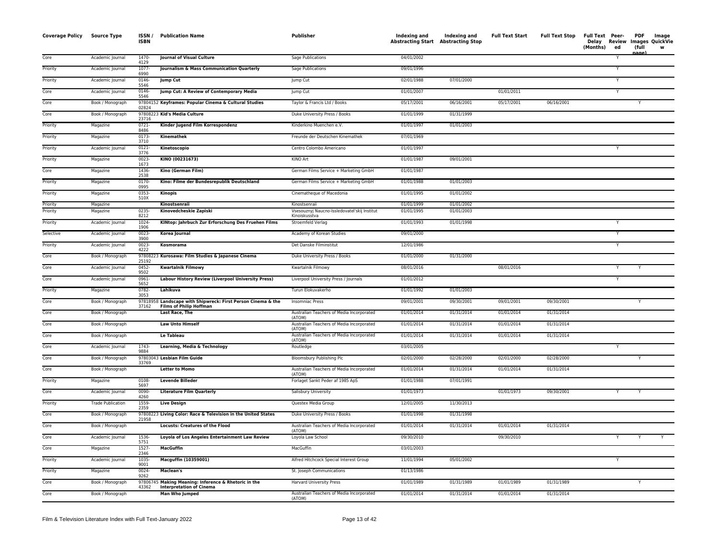| <b>Coverage Policy</b> | Source Type              | ISSN/<br><b>ISBN</b> | <b>Publication Name</b>                                                                        | Publisher                                                    | Indexing and Indexing and<br>Abstracting Start Abstracting Stop |            | <b>Full Text Start</b> | <b>Full Text Stop</b> | Full Text Peer-<br>Delay Review Images QuickVie<br>(Months)<br>ed | <b>PDF</b><br>(full<br>iaαe | Image<br>w |
|------------------------|--------------------------|----------------------|------------------------------------------------------------------------------------------------|--------------------------------------------------------------|-----------------------------------------------------------------|------------|------------------------|-----------------------|-------------------------------------------------------------------|-----------------------------|------------|
| Core                   | Academic Journal         | 1470-<br>4129        | Journal of Visual Culture                                                                      | Sage Publications                                            | 04/01/2002                                                      |            |                        |                       | Y                                                                 |                             |            |
| Priority               | Academic Journal         | 1077<br>6990         | Journalism & Mass Communication Quarterly                                                      | <b>Sage Publications</b>                                     | 09/01/1996                                                      |            |                        |                       |                                                                   |                             |            |
| Priority               | Academic Journal         | 0146<br>5546         | <b>Jump Cut</b>                                                                                | Jump Cut                                                     | 02/01/1988                                                      | 07/01/2000 |                        |                       | Y                                                                 |                             |            |
| Core                   | Academic Journal         | $0146 -$<br>5546     | Jump Cut: A Review of Contemporary Media                                                       | Jump Cut                                                     | 01/01/2007                                                      |            | 01/01/2011             |                       | Y                                                                 |                             |            |
| Core                   | Book / Monograph         | 02824                | 97804152 Keyframes: Popular Cinema & Cultural Studies                                          | Taylor & Francis Ltd / Books                                 | 05/17/2001                                                      | 06/16/2001 | 05/17/2001             | 06/16/2001            |                                                                   |                             |            |
| Core                   | Book / Monograph         | 23716                | 97808223 Kid's Media Culture                                                                   | Duke University Press / Books                                | 01/01/1999                                                      | 01/31/1999 |                        |                       |                                                                   |                             |            |
| Priority               | Magazine                 | $0721 -$<br>8486     | Kinder Jugend Film Korrespondenz                                                               | Kinderkino Muenchen e.V.                                     | 01/01/1997                                                      | 01/01/2003 |                        |                       |                                                                   |                             |            |
| Priority               | Magazine                 | 0173-<br>3710        | Kinemathek                                                                                     | Freunde der Deutschen Kinemathek                             | 07/01/1969                                                      |            |                        |                       |                                                                   |                             |            |
| Priority               | Academic Journal         | $0121 -$<br>3776     | Kinetoscopio                                                                                   | Centro Colombo Americano                                     | 01/01/1997                                                      |            |                        |                       |                                                                   |                             |            |
| Priority               | Magazine                 | 0023<br>1673         | KINO (00231673)                                                                                | KINO Art                                                     | 01/01/1987                                                      | 09/01/2001 |                        |                       |                                                                   |                             |            |
| Core                   | Magazine                 | 1436-<br>2538        | Kino (German Film)                                                                             | German Films Service + Marketing GmbH                        | 01/01/1987                                                      |            |                        |                       |                                                                   |                             |            |
| Priority               | Magazine                 | $0170 -$<br>0995     | Kino: Filme der Bundesrepublik Deutschland                                                     | German Films Service + Marketing GmbH                        | 01/01/1988                                                      | 01/01/2003 |                        |                       |                                                                   |                             |            |
| Priority               | Magazine                 | 0353<br>510X         | <b>Kinopis</b>                                                                                 | Cinematheque of Macedonia                                    | 01/01/1995                                                      | 01/01/2002 |                        |                       |                                                                   |                             |            |
| Priority               | Magazine                 |                      | Kinostsenraii                                                                                  | Kinostsenraii                                                | 01/01/1999                                                      | 01/01/2002 |                        |                       |                                                                   |                             |            |
| Priority               | Magazine                 | 0235<br>8212         | Kinovedcheskie Zapiski                                                                         | Vsesouznyj Naucno-Issledovateľskij Institut<br>Kinoiskusstva | 01/01/1995                                                      | 01/01/2003 |                        |                       |                                                                   |                             |            |
| Priority               | Academic Journal         | 1024<br>1906         | KINtop: Jahrbuch Zur Erforschung Des Fruehen Films                                             | Stroemfeld Verlag                                            | 01/01/1993                                                      | 01/01/1998 |                        |                       |                                                                   |                             |            |
| Selective              | Academic Journal         | $0023 -$<br>3900     | Korea Journal                                                                                  | Academy of Korean Studies                                    | 09/01/2000                                                      |            |                        |                       |                                                                   |                             |            |
| Priority               | Academic Journal         | $0023 -$<br>4222     | Kosmorama                                                                                      | Det Danske Filminstitut                                      | 12/01/1986                                                      |            |                        |                       | Y                                                                 |                             |            |
| Core                   | Book / Monograph         | 25192                | 97808223 Kurosawa: Film Studies & Japanese Cinema                                              | Duke University Press / Books                                | 01/01/2000                                                      | 01/31/2000 |                        |                       |                                                                   |                             |            |
| Core                   | Academic Journal         | $0452 -$<br>9502     | <b>Kwartalnik Filmowy</b>                                                                      | Kwartalnik Filmowy                                           | 08/01/2016                                                      |            | 08/01/2016             |                       | Y                                                                 |                             |            |
| Core                   | Academic Journal         | 0961-<br>5652        | Labour History Review (Liverpool University Press)                                             | Liverpool University Press / Journals                        | 01/01/2012                                                      |            |                        |                       | Y                                                                 |                             |            |
| Priority               | Magazine                 | 0782-<br>3053        | Lahikuva                                                                                       | Turun Elokuvakerho                                           | 01/01/1992                                                      | 01/01/2003 |                        |                       |                                                                   |                             |            |
| Core                   | Book / Monograph         | 37162                | 97818958 Landscape with Shipwreck: First Person Cinema & the<br><b>Films of Philip Hoffman</b> | <b>Insomniac Press</b>                                       | 09/01/2001                                                      | 09/30/2001 | 09/01/2001             | 09/30/2001            |                                                                   | Y                           |            |
| Core                   | Book / Monograph         |                      | <b>Last Race, The</b>                                                                          | Australian Teachers of Media Incorporated<br>(ATOM)          | 01/01/2014                                                      | 01/31/2014 | 01/01/2014             | 01/31/2014            |                                                                   |                             |            |
| Core                   | Book / Monograph         |                      | <b>Law Unto Himself</b>                                                                        | Australian Teachers of Media Incorporated<br>(ATOM)          | 01/01/2014                                                      | 01/31/2014 | 01/01/2014             | 01/31/2014            |                                                                   |                             |            |
| Core                   | Book / Monograph         |                      | Le Tableau                                                                                     | Australian Teachers of Media Incorporated<br>(ATOM)          | 01/01/2014                                                      | 01/31/2014 | 01/01/2014             | 01/31/2014            |                                                                   |                             |            |
| Core                   | Academic Journal         | 1743<br>9884         | Learning, Media & Technology                                                                   | Routledge                                                    | 03/01/2005                                                      |            |                        |                       | Y                                                                 |                             |            |
| Core                   | Book / Monograph         | 33769                | 97803043 Lesbian Film Guide                                                                    | Bloomsbury Publishing Plc                                    | 02/01/2000                                                      | 02/28/2000 | 02/01/2000             | 02/28/2000            |                                                                   | Y                           |            |
| Core                   | Book / Monograph         |                      | <b>Letter to Momo</b>                                                                          | Australian Teachers of Media Incorporated<br>(ATOM)          | 01/01/2014                                                      | 01/31/2014 | 01/01/2014             | 01/31/2014            |                                                                   |                             |            |
| Priority               | Magazine                 | 0108-<br>5697        | <b>Levende Billeder</b>                                                                        | Forlaget Sankt Peder af 1985 ApS                             | 01/01/1988                                                      | 07/01/1991 |                        |                       |                                                                   |                             |            |
| Core                   | Academic Journal         | 0090-<br>4260        | <b>Literature Film Quarterly</b>                                                               | Salisbury University                                         | 01/01/1973                                                      |            | 01/01/1973             | 09/30/2001            |                                                                   |                             |            |
| Priority               | <b>Trade Publication</b> | 1559<br>2359         | <b>Live Design</b>                                                                             | Questex Media Group                                          | 12/01/2005                                                      | 11/30/2013 |                        |                       |                                                                   |                             |            |
| Core                   | Book / Monograph         | 21958                | 97808223 Living Color: Race & Television in the United States                                  | Duke University Press / Books                                | 01/01/1998                                                      | 01/31/1998 |                        |                       |                                                                   |                             |            |
| Core                   | Book / Monograph         |                      | <b>Locusts: Creatures of the Flood</b>                                                         | Australian Teachers of Media Incorporated<br>(ATOM)          | 01/01/2014                                                      | 01/31/2014 | 01/01/2014             | 01/31/2014            |                                                                   |                             |            |
| Core                   | Academic Journal         | 1536-<br>5751        | Loyola of Los Angeles Entertainment Law Review                                                 | Loyola Law School                                            | 09/30/2010                                                      |            | 09/30/2010             |                       | Y                                                                 | Y                           | Y          |
| Core                   | Magazine                 | 1527<br>2346         | <b>MacGuffin</b>                                                                               | MacGuffin                                                    | 03/01/2003                                                      |            |                        |                       |                                                                   |                             |            |
| Priority               | Academic Journal         | 1035<br>9001         | Macguffin (10359001)                                                                           | Alfred Hitchcock Special Interest Group                      | 11/01/1994                                                      | 05/01/2002 |                        |                       | Y                                                                 |                             |            |
| Priority               | Magazine                 | $0024 -$<br>9262     | Maclean's                                                                                      | St. Joseph Communications                                    | 01/13/1986                                                      |            |                        |                       |                                                                   |                             |            |
| Core                   | Book / Monograph         | 43362                | 97806745 Making Meaning: Inference & Rhetoric in the<br><b>Interpretation of Cinema</b>        | Harvard University Press                                     | 01/01/1989                                                      | 01/31/1989 | 01/01/1989             | 01/31/1989            |                                                                   |                             |            |
| Core                   | Book / Monograph         |                      | <b>Man Who Jumped</b>                                                                          | Australian Teachers of Media Incorporated<br>(ATOM)          | 01/01/2014                                                      | 01/31/2014 | 01/01/2014             | 01/31/2014            |                                                                   |                             |            |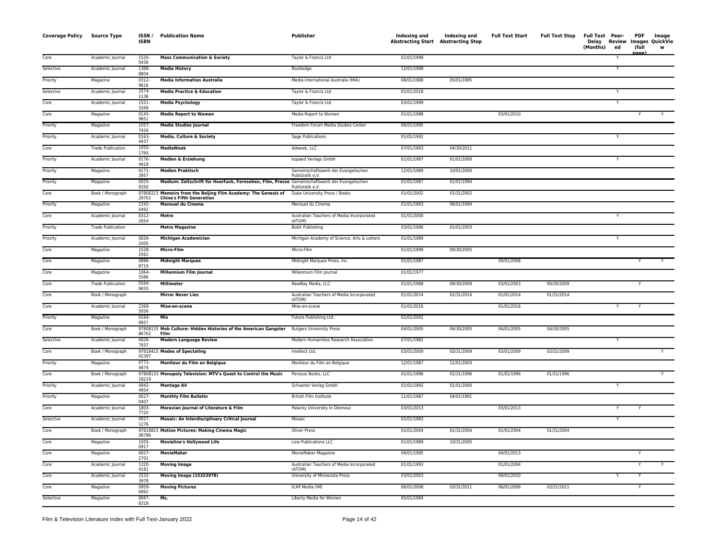| <b>Coverage Policy</b> | <b>Source Type</b>       | ISSN/<br>ISBN    | <b>Publication Name</b>                                                                       | Publisher                                               | Indexing and<br><b>Abstracting Start Abstracting Stop</b> | Indexing and | <b>Full Text Start</b> | <b>Full Text Stop</b> | Full Text Peer-<br>Delay<br>(Months) | ed | PDF<br>(full | Image<br><b>Review Images QuickVie</b><br>w |
|------------------------|--------------------------|------------------|-----------------------------------------------------------------------------------------------|---------------------------------------------------------|-----------------------------------------------------------|--------------|------------------------|-----------------------|--------------------------------------|----|--------------|---------------------------------------------|
| Core                   | Academic Journal         | 1520-<br>5436    | <b>Mass Communication &amp; Society</b>                                                       | Taylor & Francis Ltd                                    | 01/01/1998                                                |              |                        |                       |                                      |    | nage)        |                                             |
| Selective              | Academic Journal         | 1368-<br>8804    | <b>Media History</b>                                                                          | Routledge                                               | 12/01/1998                                                |              |                        |                       |                                      | Y  |              |                                             |
| Priority               | Magazine                 | 0312-<br>9616    | <b>Media Information Australia</b>                                                            | Media International Australia (MIA)                     | 08/01/1988                                                | 05/01/1995   |                        |                       |                                      |    |              |                                             |
| Selective              | Academic Journal         | 2574-<br>1136    | <b>Media Practice &amp; Education</b>                                                         | Taylor & Francis Ltd                                    | 01/01/2018                                                |              |                        |                       |                                      | Y  |              |                                             |
| Core                   | Academic Journal         | 1521-<br>3269    | <b>Media Psychology</b>                                                                       | Taylor & Francis Ltd                                    | 03/01/1999                                                |              |                        |                       |                                      | Y  |              |                                             |
| Core                   | Magazine                 | $0145 -$<br>9651 | <b>Media Report to Women</b>                                                                  | Media Report to Women                                   | 01/01/1988                                                |              | 03/01/2010             |                       |                                      |    |              | Y                                           |
| Priority               | Magazine                 | $1057 -$<br>7416 | <b>Media Studies Journal</b>                                                                  | Freedom Forum Media Studies Center                      | 06/01/1995                                                |              |                        |                       |                                      |    |              |                                             |
| Priority               | Academic Journal         | 0163-<br>4437    | Media, Culture & Society                                                                      | Sage Publications                                       | 01/01/1992                                                |              |                        |                       |                                      | Y  |              |                                             |
| Core                   | <b>Trade Publication</b> | 1055-<br>176X    | <b>MediaWeek</b>                                                                              | Adweek, LLC                                             | 07/01/1993                                                | 04/30/2011   |                        |                       |                                      |    |              |                                             |
| Priority               | Academic Journal         | 0176-<br>4918    | Medien & Erziehung                                                                            | kopaed Verlags GmbH                                     | 01/01/1987                                                | 01/01/2000   |                        |                       |                                      |    |              |                                             |
| Priority               | Magazine                 | $0171 -$<br>3957 | <b>Medien Praktisch</b>                                                                       | Gemeinschaftswerk der Evangelischen<br>Publizistik e.V. | 12/01/1989                                                | 10/01/2000   |                        |                       |                                      |    |              |                                             |
| Priority               | Magazine                 | 0025<br>8350     | Medium: Zeitschrift für Hoerfunk, Fernsehen, Film, Presse Gemeinschaftswerk der Evangelischen | Publizistik e.V.                                        | 01/01/1987                                                | 01/01/1994   |                        |                       |                                      |    |              |                                             |
| Core                   | Book / Monograph         | 978082<br>29701  | 23 Memoirs from the Beijing Film Academy: The Genesis of<br><b>China's Fifth Generation</b>   | Duke University Press / Books                           | 01/01/2002                                                | 01/31/2002   |                        |                       |                                      |    |              |                                             |
| Priority               | Magazine                 | 1242-<br>0492    | <b>Mensuel du Cinema</b>                                                                      | Mensuel du Cinema                                       | 01/01/1993                                                | 06/01/1994   |                        |                       |                                      |    |              |                                             |
| Core                   | Academic Journal         | 0312-<br>2654    | Metro                                                                                         | Australian Teachers of Media Incorporated<br>(ATOM)     | 01/01/2000                                                |              |                        |                       |                                      | Y  |              |                                             |
| Priority               | <b>Trade Publication</b> |                  | <b>Metro Magazine</b>                                                                         | <b>Bobit Publishing</b>                                 | 03/01/1986                                                | 01/01/2003   |                        |                       |                                      |    |              |                                             |
| Priority               | Academic Journal         | 0026-<br>2005    | <b>Michigan Academician</b>                                                                   | Michigan Academy of Science, Arts & Letters             | 01/01/1989                                                |              |                        |                       |                                      | Y  |              |                                             |
| Core                   | Magazine                 | 1528-<br>2562    | Micro-Film                                                                                    | Micro-Film                                              | 01/01/1999                                                | 09/30/2005   |                        |                       |                                      |    |              |                                             |
| Core                   | Magazine                 | 0886<br>8719     | <b>Midnight Marquee</b>                                                                       | Midnight Marquee Press, Inc.                            | 01/01/1987                                                |              | 09/01/2008             |                       |                                      |    |              | Y                                           |
| Core                   | Magazine                 | 1064-<br>5586    | Millennium Film Journal                                                                       | Millennium Film Journal                                 | 01/01/1977                                                |              |                        |                       |                                      |    |              |                                             |
| Core                   | <b>Trade Publication</b> | 0164-<br>9655    | Millimeter                                                                                    | NewBay Media, LLC                                       | 01/01/1988                                                | 09/30/2009   | 03/01/2003             | 09/30/2009            |                                      |    | Y            |                                             |
| Core                   | Book / Monograph         |                  | <b>Mirror Never Lies</b>                                                                      | Australian Teachers of Media Incorporated<br>(ATOM)     | 01/01/2014                                                | 01/31/2014   | 01/01/2014             | 01/31/2014            |                                      |    |              |                                             |
| Core                   | Academic Journal         | 2369-<br>5056    | Mise-en-scene                                                                                 | Mise-en-scene                                           | 01/01/2016                                                |              | 01/01/2016             |                       |                                      | Y  | Y            |                                             |
| Priority               | Magazine                 | 0164-<br>9957    | Mix                                                                                           | Future Publishing Ltd.                                  | 01/01/2002                                                |              |                        |                       |                                      |    |              |                                             |
| Core                   | Book / Monograph         | 97808<br>86762   | Mob Culture: Hidden Histories of the American Gangster<br>Film                                | <b>Rutgers University Press</b>                         | 04/01/2005                                                | 04/30/2005   | 04/01/2005             | 04/30/2005            |                                      |    |              |                                             |
| Selective              | Academic Journal         | 0026-<br>7937    | <b>Modern Language Review</b>                                                                 | Modern Humanities Research Association                  | 07/01/1982                                                |              |                        |                       |                                      | Y  |              |                                             |
| Core                   | Book / Monograph         | 02397            | 97818415 Modes of Spectating                                                                  | Intellect Ltd.                                          | 03/01/2009                                                | 03/31/2009   | 03/01/2009             | 03/31/2009            |                                      |    |              |                                             |
| Priority               | Magazine                 | $0771 -$<br>4874 | Moniteur du Film en Belgique                                                                  | Moniteur du Film en Belgique                            | 12/01/1987                                                | 11/01/2003   |                        |                       |                                      |    |              |                                             |
| Core                   | Book / Monograph         | 18219            | 97808133 Monopoly Television: MTV's Quest to Control the Music                                | Perseus Books, LLC                                      | 01/01/1996                                                | 01/31/1996   | 01/01/1996             | 01/31/1996            |                                      |    |              | Y                                           |
| Priority               | Academic Journal         | 0942-<br>4954    | <b>Montage AV</b>                                                                             | Schueren Verlag GmbH                                    | 01/01/1992                                                | 01/01/2000   |                        |                       |                                      | Y  |              |                                             |
| Priority               | Magazine                 | 0027-<br>0407    | <b>Monthly Film Bulletin</b>                                                                  | British Film Institute                                  | 11/01/1987                                                | 04/01/1991   |                        |                       |                                      |    |              |                                             |
| Core                   | Academic Journal         | 1803<br>7720     | Moravian Journal of Literature & Film                                                         | Palacky University in Olomouc                           | 03/01/2013                                                |              | 03/01/2013             |                       |                                      | Y  |              |                                             |
| Selective              | Academic Journal         | $0027 -$<br>1276 | <b>Mosaic: An Interdisciplinary Critical Journal</b>                                          | Mosaic                                                  | 01/01/1983                                                |              |                        |                       |                                      | Y  |              |                                             |
| Core                   | Book / Monograph         | 08786            | 97818815 Motion Pictures: Making Cinema Magic                                                 | Oliver Press                                            | 01/01/2004                                                | 01/31/2004   | 01/01/2004             | 01/31/2004            |                                      |    |              |                                             |
| Core                   | Magazine                 | 1055-<br>0917    | <b>Movieline's Hollywood Life</b>                                                             | Line Publications LLC                                   | 01/01/1989                                                | 10/31/2005   |                        |                       |                                      |    |              |                                             |
| Core                   | Magazine                 | $0027 -$<br>2701 | <b>MovieMaker</b>                                                                             | MovieMaker Magazine                                     | 09/01/1995                                                |              | 04/01/2013             |                       |                                      |    | Υ            |                                             |
| Core                   | Academic Journal         | 1320-<br>4181    | <b>Moving Image</b>                                                                           | Australian Teachers of Media Incorporated<br>(ATOM)     | 01/01/1993                                                |              | 01/01/2004             |                       |                                      |    | Y            | Y                                           |
| Core                   | Academic Journal         | 1532-<br>3978    | <b>Moving Image (15323978)</b>                                                                | University of Minnesota Press                           | 03/01/2003                                                |              | 09/01/2010             |                       |                                      | Y  | Υ            |                                             |
| Core                   | Magazine                 | 0959-<br>6992    | <b>Moving Pictures</b>                                                                        | ICAP Media (IM)                                         | 06/01/2008                                                | 03/31/2011   | 06/01/2008             | 03/31/2011            |                                      |    | Υ            |                                             |
| Selective              | Magazine                 | $0047 -$<br>8318 | Ms.                                                                                           | Liberty Media for Women                                 | 05/01/1984                                                |              |                        |                       |                                      |    |              |                                             |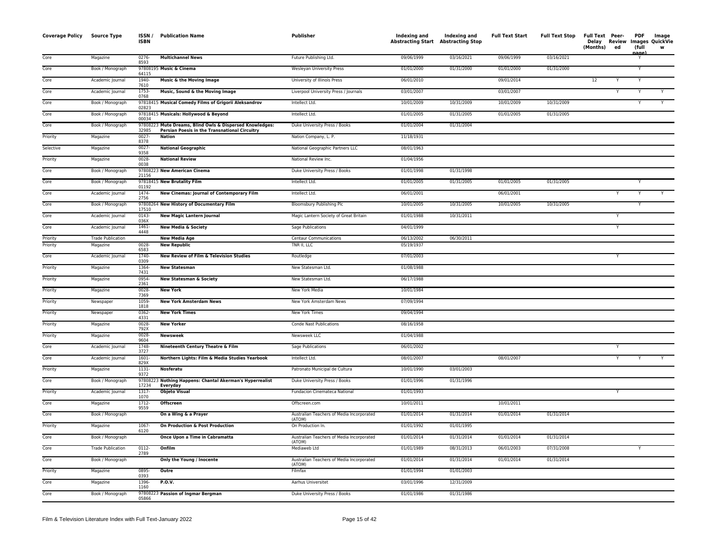| <b>Coverage Policy</b> | Source Type              | ISSN/<br><b>ISBN</b> | <b>Publication Name</b>                                                                                   | Publisher                                           | Indexing and<br><b>Abstracting Start Abstracting Stop</b> | Indexing and | <b>Full Text Start</b> | <b>Full Text Stop</b> | Full Text Peer-<br>Delay Review<br>(Months) | ed | <b>PDF</b><br>(full<br>nage) | Image<br>Images QuickVie<br>W |
|------------------------|--------------------------|----------------------|-----------------------------------------------------------------------------------------------------------|-----------------------------------------------------|-----------------------------------------------------------|--------------|------------------------|-----------------------|---------------------------------------------|----|------------------------------|-------------------------------|
| Core                   | Magazine                 | 0276-<br>8593        | <b>Multichannel News</b>                                                                                  | Future Publishing Ltd.                              | 09/06/1999                                                | 03/16/2021   | 09/06/1999             | 03/16/2021            |                                             |    | Y                            |                               |
| Core                   | Book / Monograph         | 64115                | 97808195 Music & Cinema                                                                                   | <b>Wesleyan University Press</b>                    | 01/01/2000                                                | 01/31/2000   | 01/01/2000             | 01/31/2000            |                                             |    | Y                            |                               |
| Core                   | Academic Journal         | 1940-<br>7610        | Music & the Moving Image                                                                                  | University of Illinois Press                        | 06/01/2010                                                |              | 09/01/2014             |                       | 12                                          |    | Y                            |                               |
| Core                   | Academic Journal         | 1753-<br>0768        | Music, Sound & the Moving Image                                                                           | Liverpool University Press / Journals               | 03/01/2007                                                |              | 03/01/2007             |                       |                                             |    | Y                            |                               |
| Core                   | Book / Monograph         | 02823                | 97818415 Musical Comedy Films of Grigorii Aleksandrov                                                     | Intellect Ltd.                                      | 10/01/2009                                                | 10/31/2009   | 10/01/2009             | 10/31/2009            |                                             |    | Υ                            | Y                             |
| Core                   | Book / Monograph         | 00034                | 97818415 Musicals: Hollywood & Beyond                                                                     | Intellect Ltd.                                      | 01/01/2005                                                | 01/31/2005   | 01/01/2005             | 01/31/2005            |                                             |    |                              |                               |
| Core                   | Book / Monograph         | 32985                | 97808223 Mute Dreams, Blind Owls & Dispersed Knowledges:<br>Persian Poesis in the Transnational Circuitry | Duke University Press / Books                       | 01/01/2004                                                | 01/31/2004   |                        |                       |                                             |    |                              |                               |
| Priority               | Magazine                 | $0027 -$<br>8378     | <b>Nation</b>                                                                                             | Nation Company, L. P.                               | 11/18/1931                                                |              |                        |                       |                                             |    |                              |                               |
| Selective              | Magazine                 | $0027 -$<br>9358     | <b>National Geographic</b>                                                                                | National Geographic Partners LLC                    | 08/01/1963                                                |              |                        |                       |                                             |    |                              |                               |
| Priority               | Magazine                 | 0028-<br>0038        | <b>National Review</b>                                                                                    | National Review Inc.                                | 01/04/1956                                                |              |                        |                       |                                             |    |                              |                               |
| Core                   | Book / Monograph         | 21156                | 97808223 New American Cinema                                                                              | Duke University Press / Books                       | 01/01/1998                                                | 01/31/1998   |                        |                       |                                             |    |                              |                               |
| Core                   | Book / Monograph         | 01192                | 97818415 New Brutality Film                                                                               | Intellect Ltd.                                      | 01/01/2005                                                | 01/31/2005   | 01/01/2005             | 01/31/2005            |                                             |    |                              |                               |
| Core                   | Academic Journal         | 1474-<br>2756        | <b>New Cinemas: Journal of Contemporary Film</b>                                                          | Intellect Ltd.                                      | 06/01/2001                                                |              | 06/01/2001             |                       |                                             |    |                              |                               |
| Core                   | Book / Monograph         | 17510                | 97808264 New History of Documentary Film                                                                  | Bloomsbury Publishing Plc                           | 10/01/2005                                                | 10/31/2005   | 10/01/2005             | 10/31/2005            |                                             |    | Y                            |                               |
| Core                   | Academic Journal         | $0143 -$<br>036X     | <b>New Magic Lantern Journal</b>                                                                          | Magic Lantern Society of Great Britain              | 01/01/1988                                                | 10/31/2011   |                        |                       |                                             | Y  |                              |                               |
| Core                   | Academic Journal         | $1461 -$<br>4448     | <b>New Media &amp; Society</b>                                                                            | Sage Publications                                   | 04/01/1999                                                |              |                        |                       |                                             | Y  |                              |                               |
| Priority               | <b>Trade Publication</b> |                      | <b>New Media Age</b>                                                                                      | <b>Centaur Communications</b>                       | 06/13/2002                                                | 06/30/2011   |                        |                       |                                             |    |                              |                               |
| Priority               | Magazine                 | 0028<br>6583         | <b>New Republic</b>                                                                                       | TNR II, LLC                                         | 05/19/1937                                                |              |                        |                       |                                             |    |                              |                               |
| Core                   | Academic Journal         | 1740<br>0309         | New Review of Film & Television Studies                                                                   | Routledge                                           | 07/01/2003                                                |              |                        |                       |                                             |    |                              |                               |
| Priority               | Magazine                 | 1364-<br>7431        | <b>New Statesman</b>                                                                                      | New Statesman Ltd.                                  | 01/08/1988                                                |              |                        |                       |                                             |    |                              |                               |
| Priority               | Magazine                 | 0954-<br>2361        | New Statesman & Society                                                                                   | New Statesman Ltd.                                  | 06/17/1988                                                |              |                        |                       |                                             |    |                              |                               |
| Priority               | Magazine                 | 0028-<br>7369        | <b>New York</b>                                                                                           | New York Media                                      | 10/01/1984                                                |              |                        |                       |                                             |    |                              |                               |
| Priority               | Newspaper                | 1059-<br>1818        | <b>New York Amsterdam News</b>                                                                            | New York Amsterdam News                             | 07/09/1994                                                |              |                        |                       |                                             |    |                              |                               |
| Priority               | Newspaper                | 0362-<br>4331        | <b>New York Times</b>                                                                                     | New York Times                                      | 09/04/1994                                                |              |                        |                       |                                             |    |                              |                               |
| Priority               | Magazine                 | 0028-<br>792X        | <b>New Yorker</b>                                                                                         | Conde Nast Publications                             | 08/16/1958                                                |              |                        |                       |                                             |    |                              |                               |
| Priority               | Magazine                 | $0028 -$<br>9604     | <b>Newsweek</b>                                                                                           | Newsweek LLC                                        | 01/04/1988                                                |              |                        |                       |                                             |    |                              |                               |
| Core                   | Academic Journal         | 1748-<br>3727        | Nineteenth Century Theatre & Film                                                                         | Sage Publications                                   | 06/01/2002                                                |              |                        |                       |                                             |    |                              |                               |
| Core                   | Academic Journal         | 1601-<br>829X        | Northern Lights: Film & Media Studies Yearbook                                                            | Intellect Ltd.                                      | 08/01/2007                                                |              | 08/01/2007             |                       |                                             |    |                              |                               |
| Priority               | Magazine                 | 1131-<br>9372        | <b>Nosferatu</b>                                                                                          | Patronato Municipal de Cultura                      | 10/01/1990                                                | 03/01/2003   |                        |                       |                                             |    |                              |                               |
| Core                   | Book / Monograph         | 17234                | 97808223 Nothing Happens: Chantal Akerman's Hyperrealist<br>Everyday                                      | Duke University Press / Books                       | 01/01/1996                                                | 01/31/1996   |                        |                       |                                             |    |                              |                               |
| Priority               | Academic Journal         | 1317-<br>1070        | <b>Objeto Visual</b>                                                                                      | <b>Fundacion Cinemateca National</b>                | 01/01/1993                                                |              |                        |                       |                                             |    |                              |                               |
| Core                   | Magazine                 | $1712 -$<br>9559     | Offscreen                                                                                                 | Offscreen.com                                       | 10/01/2011                                                |              | 10/01/2011             |                       |                                             |    |                              |                               |
| Core                   | Book / Monograph         |                      | On a Wing & a Prayer                                                                                      | Australian Teachers of Media Incorporated<br>(ATOM) | 01/01/2014                                                | 01/31/2014   | 01/01/2014             | 01/31/2014            |                                             |    |                              |                               |
| Priority               | Magazine                 | 1067-<br>6120        | <b>On Production &amp; Post Production</b>                                                                | On Production In.                                   | 01/01/1992                                                | 01/01/1995   |                        |                       |                                             |    |                              |                               |
| Core                   | Book / Monograph         |                      | Once Upon a Time in Cabramatta                                                                            | Australian Teachers of Media Incorporated<br>(ATOM) | 01/01/2014                                                | 01/31/2014   | 01/01/2014             | 01/31/2014            |                                             |    |                              |                               |
| Core                   | <b>Trade Publication</b> | $0112 -$<br>2789     | Onfilm                                                                                                    | Mediaweb Ltd                                        | 01/01/1989                                                | 08/31/2013   | 06/01/2003             | 07/31/2008            |                                             |    | Y                            |                               |
| Core                   | Book / Monograph         |                      | Only the Young / Inocente                                                                                 | Australian Teachers of Media Incorporated<br>(ATOM) | 01/01/2014                                                | 01/31/2014   | 01/01/2014             | 01/31/2014            |                                             |    |                              |                               |
| Priority               | Magazine                 | 0895-<br>0393        | Outre                                                                                                     | Filmfax                                             | 01/01/1994                                                | 01/01/2003   |                        |                       |                                             |    |                              |                               |
| Core                   | Magazine                 | 1396-<br>1160        | P.0.V.                                                                                                    | Aarhus Universitet                                  | 03/01/1996                                                | 12/31/2009   |                        |                       |                                             |    |                              |                               |
| Core                   | Book / Monograph         | 05866                | 97808223 Passion of Ingmar Bergman                                                                        | Duke University Press / Books                       | 01/01/1986                                                | 01/31/1986   |                        |                       |                                             |    |                              |                               |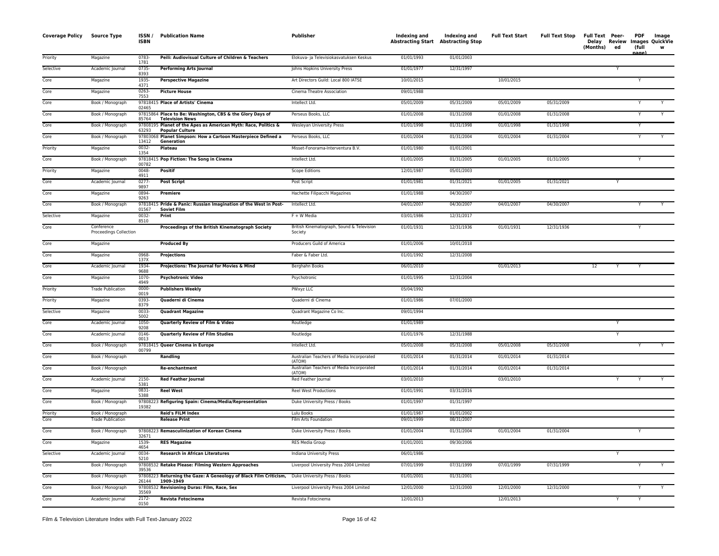| <b>Coverage Policy</b> | <b>Source Type</b>                           | ISSN /<br><b>ISBN</b> | <b>Publication Name</b>                                                                  | Publisher                                            | Indexing and<br><b>Abstracting Start Abstracting Stop</b> | Indexing and             | <b>Full Text Start</b> | <b>Full Text Stop</b> | Full Text Peer-<br>(Months) | ed | PDF<br>(full<br>nage) | Image<br>Delay Review Images QuickVie<br>w |
|------------------------|----------------------------------------------|-----------------------|------------------------------------------------------------------------------------------|------------------------------------------------------|-----------------------------------------------------------|--------------------------|------------------------|-----------------------|-----------------------------|----|-----------------------|--------------------------------------------|
| Priority               | Magazine                                     | 0783-<br>1781         | Peili: Audiovisual Culture of Children & Teachers                                        | Elokuva- ja Televisiokasvatuksen Keskus              | 01/01/1993                                                | 01/01/2003               |                        |                       |                             |    |                       |                                            |
| Selective              | Academic Journal                             | 0735-<br>8393         | <b>Performing Arts Journal</b>                                                           | Johns Hopkins University Press                       | 01/01/1977                                                | 12/31/1997               |                        |                       |                             |    |                       |                                            |
| Core                   | Magazine                                     | 1935-<br>4371         | <b>Perspective Magazine</b>                                                              | Art Directors Guild: Local 800 IATSE                 | 10/01/2015                                                |                          | 10/01/2015             |                       |                             |    |                       |                                            |
| Core                   | Magazine                                     | 0263-<br>7553         | <b>Picture House</b>                                                                     | Cinema Theatre Association                           | 09/01/1988                                                |                          |                        |                       |                             |    |                       |                                            |
| Core                   | Book / Monograph                             | 02465                 | 97818415 Place of Artists' Cinema                                                        | Intellect Ltd.                                       | 05/01/2009                                                | 05/31/2009               | 05/01/2009             | 05/31/2009            |                             |    | Y                     | Y                                          |
| Core                   | Book / Monograph                             | 85764                 | 97815864 Place to Be: Washington, CBS & the Glory Days of<br><b>Television News</b>      | Perseus Books, LLC                                   | 01/01/2008                                                | 01/31/2008               | 01/01/2008             | 01/31/2008            |                             |    | Y                     | Y                                          |
| Core                   | Book / Monograph                             | 63293                 | 97808195 Planet of the Apes as American Myth: Race, Politics &<br><b>Popular Culture</b> | Wesleyan University Press                            | 01/01/1998                                                | 01/31/1998               | 01/01/1998             | 01/31/1998            |                             |    | Y                     |                                            |
| Core                   | Book / Monograph                             | 13412                 | 97803068 Planet Simpson: How a Cartoon Masterpiece Defined a<br>Generation               | Perseus Books, LLC                                   | 01/01/2004                                                | 01/31/2004               | 01/01/2004             | 01/31/2004            |                             |    | Υ                     |                                            |
| Priority               | Magazine                                     | 0032-<br>1354         | Plateau                                                                                  | Misset-Fonorama-Interventura B.V.                    | 01/01/1980                                                | 01/01/2001               |                        |                       |                             |    |                       |                                            |
| Core                   | Book / Monograph                             | 00782                 | 97818415 Pop Fiction: The Song in Cinema                                                 | Intellect Ltd.                                       | 01/01/2005                                                | 01/31/2005               | 01/01/2005             | 01/31/2005            |                             |    | Y                     |                                            |
| Priority               | Magazine                                     | 0048-<br>4911         | <b>Positif</b>                                                                           | Scope Editions                                       | 12/01/1987                                                | 05/01/2003               |                        |                       |                             |    |                       |                                            |
| Core                   | Academic Journal                             | 0277-<br>9897         | <b>Post Script</b>                                                                       | Post Script                                          | 01/01/1981                                                | 01/31/2021               | 01/01/2005             | 01/31/2021            |                             | Υ  |                       |                                            |
| Core                   | Magazine                                     | 0894-<br>9263         | Premiere                                                                                 | Hachette Filipacchi Magazines                        | 01/01/1988                                                | 04/30/2007               |                        |                       |                             |    |                       |                                            |
| Core                   | Book / Monograph                             | 01567                 | 97818415 Pride & Panic: Russian Imagination of the West in Post-<br><b>Soviet Film</b>   | Intellect Ltd.                                       | 04/01/2007                                                | 04/30/2007               | 04/01/2007             | 04/30/2007            |                             |    |                       |                                            |
| Selective              | Magazine                                     | 0032-<br>8510         | Print                                                                                    | F + W Media                                          | 03/01/1986                                                | 12/31/2017               |                        |                       |                             |    |                       |                                            |
| Core                   | Conference<br>Proceedings Collection         |                       | Proceedings of the British Kinematograph Society                                         | British Kinematograph, Sound & Television<br>Society | 01/01/1931                                                | 12/31/1936               | 01/01/1931             | 12/31/1936            |                             |    |                       |                                            |
| Core                   | Magazine                                     |                       | <b>Produced By</b>                                                                       | Producers Guild of America                           | 01/01/2006                                                | 10/01/2018               |                        |                       |                             |    |                       |                                            |
| Core                   | Magazine                                     | 0968-<br>137X         | Projections                                                                              | Faber & Faber Ltd.                                   | 01/01/1992                                                | 12/31/2008               |                        |                       |                             |    |                       |                                            |
| Core                   | Academic Journal                             | 1934-<br>9688         | Projections: The Journal for Movies & Mind                                               | Berghahn Books                                       | 06/01/2010                                                |                          | 01/01/2013             |                       | 12                          | Υ  | Y                     |                                            |
| Core                   | Magazine                                     | 1070-<br>4949         | <b>Psychotronic Video</b>                                                                | Psychotronic                                         | 01/01/1995                                                | 12/31/2004               |                        |                       |                             |    |                       |                                            |
| Priority               | <b>Trade Publication</b>                     | 0000-<br>0019         | <b>Publishers Weekly</b>                                                                 | PWxyz LLC                                            | 05/04/1992                                                |                          |                        |                       |                             |    |                       |                                            |
| Priority               | Magazine                                     | 0393-<br>8379         | Quaderni di Cinema                                                                       | Quaderni di Cinema                                   | 01/01/1986                                                | 07/01/2000               |                        |                       |                             |    |                       |                                            |
| Selective              | Magazine                                     | 0033-<br>5002         | <b>Quadrant Magazine</b>                                                                 | Quadrant Magazine Co Inc.                            | 09/01/1994                                                |                          |                        |                       |                             |    |                       |                                            |
| Core                   | Academic Journal                             | 1050-<br>9208         | Quarterly Review of Film & Video                                                         | Routledge                                            | 01/01/1989                                                |                          |                        |                       |                             | Υ  |                       |                                            |
| Core                   | Academic Journal                             | 0146-<br>0013         | <b>Quarterly Review of Film Studies</b>                                                  | Routledge                                            | 01/01/1976                                                | 12/31/1988               |                        |                       |                             | Y  |                       |                                            |
| Core                   | Book / Monograph                             | 00799                 | 97818415 Queer Cinema in Europe                                                          | Intellect Ltd.                                       | 05/01/2008                                                | 05/31/2008               | 05/01/2008             | 05/31/2008            |                             |    | Y                     | Y                                          |
| Core                   | Book / Monograph                             |                       | Randling                                                                                 | Australian Teachers of Media Incorporated<br>(ATOM)  | 01/01/2014                                                | 01/31/2014               | 01/01/2014             | 01/31/2014            |                             |    |                       |                                            |
| Core                   | Book / Monograph                             |                       | Re-enchantment                                                                           | Australian Teachers of Media Incorporated<br>(ATOM)  | 01/01/2014                                                | 01/31/2014               | 01/01/2014             | 01/31/2014            |                             |    |                       |                                            |
| Core                   | Academic Journal                             | 2150-<br>5381         | <b>Red Feather Journal</b>                                                               | Red Feather Journal                                  | 03/01/2010                                                |                          | 03/01/2010             |                       |                             | Υ  | Y                     |                                            |
| Core                   | Magazine                                     | 0831-<br>5388         | <b>Reel West</b>                                                                         | <b>Reel West Productions</b>                         | 01/01/1991                                                | 03/31/2016               |                        |                       |                             |    |                       |                                            |
| Core                   | Book / Monograph                             | 19382                 | 97808223 Refiguring Spain: Cinema/Media/Representation                                   | Duke University Press / Books                        | 01/01/1997                                                | 01/31/1997               |                        |                       |                             |    |                       |                                            |
| Priority<br>Core       | Book / Monograph<br><b>Trade Publication</b> |                       | Reid's FILM Index<br><b>Release Print</b>                                                | Lulu Books<br>Film Arts Foundation                   | 01/01/1987<br>09/01/1999                                  | 01/01/2002<br>08/31/2007 |                        |                       |                             |    |                       |                                            |
| Core                   | Book / Monograph                             |                       | 97808223 Remasculinization of Korean Cinema                                              | Duke University Press / Books                        | 01/01/2004                                                | 01/31/2004               | 01/01/2004             | 01/31/2004            |                             |    | Y                     |                                            |
| Core                   | Magazine                                     | 32671<br>1539-        | <b>RES Magazine</b>                                                                      | RES Media Group                                      | 01/01/2001                                                | 09/30/2006               |                        |                       |                             |    |                       |                                            |
| Selective              | Academic Journal                             | 4654<br>0034-         | <b>Research in African Literatures</b>                                                   | Indiana University Press                             | 06/01/1986                                                |                          |                        |                       |                             |    |                       |                                            |
| Core                   | Book / Monograph                             | 5210                  | 97808532 Retake Please: Filming Western Approaches                                       | Liverpool University Press 2004 Limited              | 07/01/1999                                                | 07/31/1999               | 07/01/1999             | 07/31/1999            |                             |    | Y                     | Y                                          |
| Core                   | Book / Monograph                             | 39536                 | 97808223 Returning the Gaze: A Geneology of Black Film Criticism,                        | Duke University Press / Books                        | 01/01/2001                                                | 01/31/2001               |                        |                       |                             |    |                       |                                            |
| Core                   | Book / Monograph                             | 26144                 | 1909-1949<br>97808532 Revisioning Duras: Film, Race, Sex                                 | Liverpool University Press 2004 Limited              | 12/01/2000                                                | 12/31/2000               | 12/01/2000             | 12/31/2000            |                             |    |                       |                                            |
| Core                   | Academic Journal                             | 35569<br>$2172-$      | Revista Fotocinema                                                                       | Revista Fotocinema                                   | 12/01/2013                                                |                          | 12/01/2013             |                       |                             | Y  | Y                     |                                            |
|                        |                                              | 0150                  |                                                                                          |                                                      |                                                           |                          |                        |                       |                             |    |                       |                                            |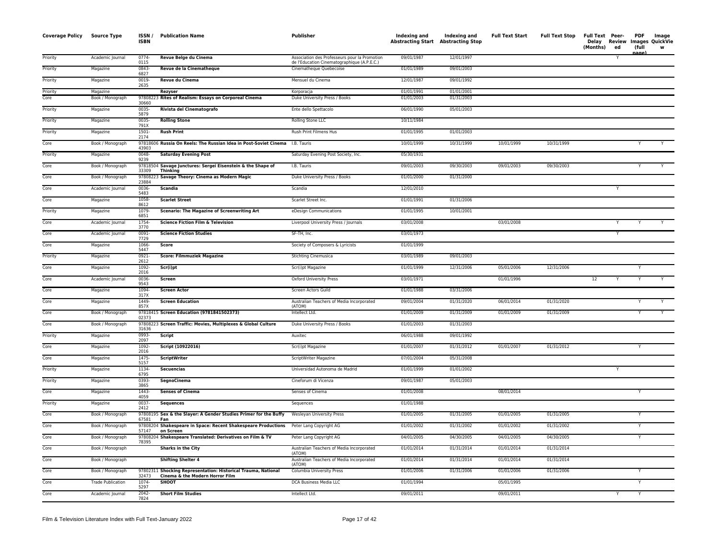| <b>Coverage Policy Source Type</b> |                          | ISSN/<br><b>ISBN</b> | <b>Publication Name</b>                                                                          | Publisher                                                                                    | Indexing and<br><b>Abstracting Start Abstracting Stop</b> | Indexing and | <b>Full Text Start</b> | <b>Full Text Stop</b> | Full Text Peer-<br>(Months) | Delay Review<br>ed | <b>PDF</b><br>(full<br><b>nage</b> | Image<br><b>Images QuickVie</b><br>W |
|------------------------------------|--------------------------|----------------------|--------------------------------------------------------------------------------------------------|----------------------------------------------------------------------------------------------|-----------------------------------------------------------|--------------|------------------------|-----------------------|-----------------------------|--------------------|------------------------------------|--------------------------------------|
| Priority                           | Academic Journal         | $0774-$<br>0115      | Revue Belge du Cinema                                                                            | Association des Professeurs pour la Promotion<br>de l'Education Cinematographique (A.P.E.C.) | 09/01/1987                                                | 12/01/1997   |                        |                       |                             |                    |                                    |                                      |
| Priority                           | Magazine                 | $0843-$<br>6827      | Revue de la Cinematheque                                                                         | Cinematheque Quebecoise                                                                      | 01/01/1989                                                | 09/01/2003   |                        |                       |                             |                    |                                    |                                      |
| Priority                           | Magazine                 | 0019-<br>2635        | Revue du Cinema                                                                                  | Mensuel du Cinema                                                                            | 12/01/1987                                                | 09/01/1992   |                        |                       |                             |                    |                                    |                                      |
| Priority                           | Magazine                 |                      | Rezyser                                                                                          | Korporacja                                                                                   | 01/01/1991                                                | 01/01/2001   |                        |                       |                             |                    |                                    |                                      |
| Core                               | Book / Monograph         | 978082<br>30660      | 3 Rites of Realism: Essays on Corporeal Cinema                                                   | Duke University Press / Books                                                                | 01/01/2003                                                | 01/31/2003   |                        |                       |                             |                    |                                    |                                      |
| Priority                           | Magazine                 | 0035-<br>5879        | Rivista del Cinematografo                                                                        | Ente dello Spettacolo                                                                        | 06/01/1990                                                | 05/01/2003   |                        |                       |                             |                    |                                    |                                      |
| Priority                           | Magazine                 | 0035-<br>791X        | <b>Rolling Stone</b>                                                                             | <b>Rolling Stone LLC</b>                                                                     | 10/11/1984                                                |              |                        |                       |                             |                    |                                    |                                      |
| Priority                           | Magazine                 | $1501 -$<br>2174     | <b>Rush Print</b>                                                                                | Rush Print Filmens Hus                                                                       | 01/01/1995                                                | 01/01/2003   |                        |                       |                             |                    |                                    |                                      |
| Core                               | Book / Monograph         | 43903                | 97818606 Russia On Reels: The Russian Idea in Post-Soviet Cinema I.B. Tauris                     |                                                                                              | 10/01/1999                                                | 10/31/1999   | 10/01/1999             | 10/31/1999            |                             |                    |                                    |                                      |
| Priority                           | Magazine                 | 0048-<br>9239        | <b>Saturday Evening Post</b>                                                                     | Saturday Evening Post Society, Inc.                                                          | 05/30/1931                                                |              |                        |                       |                             |                    |                                    |                                      |
| Core                               | Book / Monograph         | 33309                | 97818504 Savage Junctures: Sergei Eisenstein & the Shape of<br>Thinking                          | I.B. Tauris                                                                                  | 09/01/2003                                                | 09/30/2003   | 09/01/2003             | 09/30/2003            |                             |                    |                                    |                                      |
| Core                               | Book / Monograph         | 23884                | 97808223 Savage Theory: Cinema as Modern Magic                                                   | Duke University Press / Books                                                                | 01/01/2000                                                | 01/31/2000   |                        |                       |                             |                    |                                    |                                      |
| Core                               | Academic Journal         | 0036-<br>5483        | <b>Scandia</b>                                                                                   | Scandia                                                                                      | 12/01/2010                                                |              |                        |                       |                             | Y                  |                                    |                                      |
| Core                               | Magazine                 | 1058-<br>8612        | <b>Scarlet Street</b>                                                                            | Scarlet Street Inc.                                                                          | 01/01/1991                                                | 01/31/2006   |                        |                       |                             |                    |                                    |                                      |
| Priority                           | Magazine                 | 1079-<br>6851        | <b>Scenario: The Magazine of Screenwriting Art</b>                                               | eDesign Communications                                                                       | 01/01/1995                                                | 10/01/2001   |                        |                       |                             |                    |                                    |                                      |
| Core                               | Academic Journal         | 1754-<br>3770        | <b>Science Fiction Film &amp; Television</b>                                                     | Liverpool University Press / Journals                                                        | 03/01/2008                                                |              | 03/01/2008             |                       |                             |                    |                                    |                                      |
| Core                               | Academic Journal         | 0091-<br>7729        | <b>Science Fiction Studies</b>                                                                   | SF-TH, Inc.                                                                                  | 03/01/1973                                                |              |                        |                       |                             | Y                  |                                    |                                      |
| Core                               | Magazine                 | 1066-<br>5447        | Score                                                                                            | Society of Composers & Lyricists                                                             | 01/01/1999                                                |              |                        |                       |                             |                    |                                    |                                      |
| Priority                           | Magazine                 | 0921-<br>2612        | <b>Score: Filmmuziek Magazine</b>                                                                | <b>Stichting Cinemusica</b>                                                                  | 03/01/1989                                                | 09/01/2003   |                        |                       |                             |                    |                                    |                                      |
| Core                               | Magazine                 | 1092-<br>2016        | Scr(i)pt                                                                                         | Scr(i)pt Magazine                                                                            | 01/01/1999                                                | 12/31/2006   | 05/01/2006             | 12/31/2006            |                             |                    | Υ                                  |                                      |
| Core                               | Academic Journal         | 0036-<br>9543        | Screen                                                                                           | Oxford University Press                                                                      | 03/01/1971                                                |              | 01/01/1996             |                       | 12                          |                    |                                    |                                      |
| Core                               | Magazine                 | 1094-<br>317X        | <b>Screen Actor</b>                                                                              | Screen Actors Guild                                                                          | 01/01/1988                                                | 03/31/2006   |                        |                       |                             |                    |                                    |                                      |
| Core                               | Magazine                 | 1449-<br>857X        | <b>Screen Education</b>                                                                          | Australian Teachers of Media Incorporated<br>(ATOM)                                          | 09/01/2004                                                | 01/31/2020   | 06/01/2014             | 01/31/2020            |                             |                    |                                    |                                      |
| Core                               | Book / Monograph         | 02373                | 97818415 Screen Education (9781841502373)                                                        | Intellect Ltd.                                                                               | 01/01/2009                                                | 01/31/2009   | 01/01/2009             | 01/31/2009            |                             |                    | Υ                                  |                                      |
| Core                               | Book / Monograph         | 31636                | 97808223 Screen Traffic: Movies, Multiplexes & Global Culture                                    | Duke University Press / Books                                                                | 01/01/2003                                                | 01/31/2003   |                        |                       |                             |                    |                                    |                                      |
| Priority                           | Magazine                 | 0993-<br>2097        | Script                                                                                           | Auxitec                                                                                      | 06/01/1988                                                | 09/01/1992   |                        |                       |                             |                    |                                    |                                      |
| Core                               | Magazine                 | 1092-<br>2016        | Script (10922016)                                                                                | Scr(i)pt Magazine                                                                            | 01/01/2007                                                | 01/31/2012   | 01/01/2007             | 01/31/2012            |                             |                    | Y                                  |                                      |
| Core                               | Magazine                 | 1475-<br>5157        | <b>ScriptWriter</b>                                                                              | ScriptWriter Magazine                                                                        | 07/01/2004                                                | 05/31/2008   |                        |                       |                             |                    |                                    |                                      |
| Priority                           | Magazine                 | 1134-<br>6795        | <b>Secuencias</b>                                                                                | Universidad Autonoma de Madrid                                                               | 01/01/1999                                                | 01/01/2002   |                        |                       |                             |                    |                                    |                                      |
| Priority                           | Magazine                 | 0393-<br>3865        | SegnoCinema                                                                                      | Cineforum di Vicenza                                                                         | 09/01/1987                                                | 05/01/2003   |                        |                       |                             |                    |                                    |                                      |
| Core                               | Magazine                 | 1443-<br>4059        | <b>Senses of Cinema</b>                                                                          | Senses of Cinema                                                                             | 01/01/2008                                                |              | 08/01/2014             |                       |                             |                    |                                    |                                      |
| Priority                           | Magazine                 | 0037-<br>2412        | <b>Sequences</b>                                                                                 | Sequences                                                                                    | 01/01/1988                                                |              |                        |                       |                             |                    |                                    |                                      |
| Core                               | Book / Monograph         | 67581                | 97808195 Sex & the Slayer: A Gender Studies Primer for the Buffy<br>Fan                          | Wesleyan University Press                                                                    | 01/01/2005                                                | 01/31/2005   | 01/01/2005             | 01/31/2005            |                             |                    |                                    |                                      |
| Core                               | Book / Monograph         | 57147                | 97808204 Shakespeare in Space: Recent Shakespeare Productions<br>on Screen                       | Peter Lang Copyright AG                                                                      | 01/01/2002                                                | 01/31/2002   | 01/01/2002             | 01/31/2002            |                             |                    | Y                                  |                                      |
| Core                               | Book / Monograph         | 78395                | 97808204 Shakespeare Translated: Derivatives on Film & TV                                        | Peter Lang Copyright AG                                                                      | 04/01/2005                                                | 04/30/2005   | 04/01/2005             | 04/30/2005            |                             |                    | Υ                                  |                                      |
| Core                               | Book / Monograph         |                      | <b>Sharks in the City</b>                                                                        | Australian Teachers of Media Incorporated<br>(ATOM)                                          | 01/01/2014                                                | 01/31/2014   | 01/01/2014             | 01/31/2014            |                             |                    |                                    |                                      |
| Core                               | Book / Monograph         |                      | <b>Shifting Shelter 4</b>                                                                        | Australian Teachers of Media Incorporated<br>(ATOM)                                          | 01/01/2014                                                | 01/31/2014   | 01/01/2014             | 01/31/2014            |                             |                    |                                    |                                      |
| Core                               | Book / Monograph         | 32473                | 97802311 Shocking Representation: Historical Trauma, National<br>Cinema & the Modern Horror Film | Columbia University Press                                                                    | 01/01/2006                                                | 01/31/2006   | 01/01/2006             | 01/31/2006            |                             |                    |                                    |                                      |
| Core                               | <b>Trade Publication</b> | 1074<br>5297         | <b>SHOOT</b>                                                                                     | DCA Business Media LLC                                                                       | 01/01/1994                                                |              | 05/01/1995             |                       |                             |                    | Y                                  |                                      |
| Core                               | Academic Journal         | $2042 -$<br>7824     | <b>Short Film Studies</b>                                                                        | Intellect Ltd.                                                                               | 09/01/2011                                                |              | 09/01/2011             |                       |                             | Y                  | Y                                  |                                      |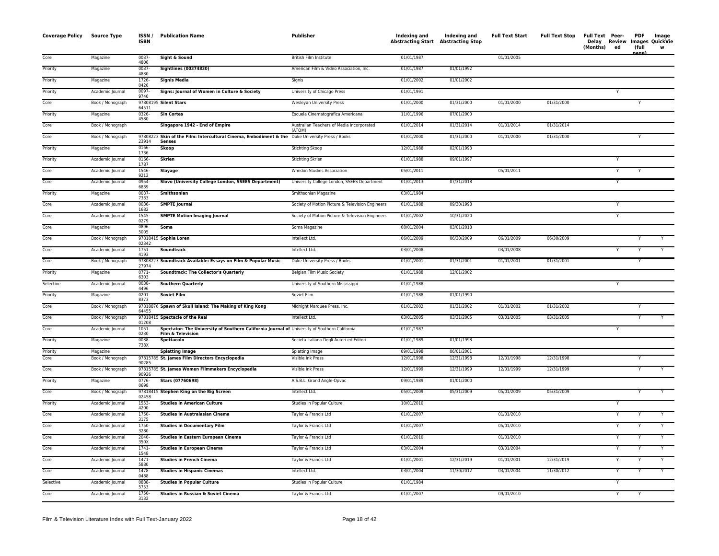| <b>Coverage Policy Source Type</b> |                              | ISSN/<br><b>ISBN</b> | <b>Publication Name</b>                                                                                            | Publisher                                           | Indexing and<br><b>Abstracting Start Abstracting Stop</b> | Indexing and             | <b>Full Text Start</b> | <b>Full Text Stop</b> | Full Text Peer-<br>Delay Review<br>(Months) | ed                      | <b>PDF</b><br>(full<br>anne | Image<br>Images QuickVie |
|------------------------------------|------------------------------|----------------------|--------------------------------------------------------------------------------------------------------------------|-----------------------------------------------------|-----------------------------------------------------------|--------------------------|------------------------|-----------------------|---------------------------------------------|-------------------------|-----------------------------|--------------------------|
| Core                               | Magazine                     | 0037-<br>4806        | Sight & Sound                                                                                                      | British Film Institute                              | 01/01/1987                                                |                          | 01/01/2005             |                       |                                             |                         |                             |                          |
| Priority                           | Magazine                     | $0037 -$<br>4830     | <b>Sightlines (00374830)</b>                                                                                       | American Film & Video Association, Inc.             | 01/01/1987                                                | 01/01/1992               |                        |                       |                                             |                         |                             |                          |
| Priority                           | Magazine                     | 1726-<br>0426        | <b>Signis Media</b>                                                                                                | Signis                                              | 01/01/2002                                                | 01/01/2002               |                        |                       |                                             |                         |                             |                          |
| Priority                           | Academic Journal             | 0097-<br>9740        | Signs: Journal of Women in Culture & Society                                                                       | University of Chicago Press                         | 01/01/1991                                                |                          |                        |                       |                                             |                         |                             |                          |
| Core                               | Book / Monograph             | 64511                | 97808195 Silent Stars                                                                                              | Wesleyan University Press                           | 01/01/2000                                                | 01/31/2000               | 01/01/2000             | 01/31/2000            |                                             |                         |                             |                          |
| Priority                           | Magazine                     | 0326-<br>4580        | <b>Sin Cortes</b>                                                                                                  | Escuela Cinematografica Americana                   | 11/01/1996                                                | 07/01/2000               |                        |                       |                                             |                         |                             |                          |
| Core                               | Book / Monograph             |                      | Singapore 1942 - End of Empire                                                                                     | Australian Teachers of Media Incorporated<br>(ATOM) | 01/01/2014                                                | 01/31/2014               | 01/01/2014             | 01/31/2014            |                                             |                         |                             |                          |
| Core                               | Book / Monograph             | 23914                | 97808223 Skin of the Film: Intercultural Cinema, Embodiment & the Duke University Press / Books<br><b>Senses</b>   |                                                     | 01/01/2000                                                | 01/31/2000               | 01/01/2000             | 01/31/2000            |                                             |                         | Υ                           |                          |
| Priority                           | Magazine                     | 0166-<br>1736        | Skoop                                                                                                              | Stichting Skoop                                     | 12/01/1988                                                | 02/01/1993               |                        |                       |                                             |                         |                             |                          |
| Priority                           | Academic Journal             | 0166-<br>1787        | <b>Skrien</b>                                                                                                      | Stichting Skrien                                    | 01/01/1988                                                | 09/01/1997               |                        |                       |                                             |                         |                             |                          |
| Core                               | Academic Journal             | 1546-<br>9212        | Slayage                                                                                                            | Whedon Studies Association                          | 05/01/2011                                                |                          | 05/01/2011             |                       |                                             | Υ                       |                             |                          |
| Core                               | Academic Journal             | 0954-<br>6839        | Slovo (University College London, SSEES Department)                                                                | University College London, SSEES Department         | 01/01/2013                                                | 07/31/2018               |                        |                       |                                             | Y                       |                             |                          |
| Priority                           | Magazine                     | 0037-<br>7333        | Smithsonian                                                                                                        | Smithsonian Magazine                                | 03/01/1984                                                |                          |                        |                       |                                             |                         |                             |                          |
| Core                               | Academic Journal             | 0036-<br>1682        | <b>SMPTE Journal</b>                                                                                               | Society of Motion Picture & Television Engineers    | 01/01/1988                                                | 09/30/1998               |                        |                       |                                             | Υ                       |                             |                          |
| Core                               | Academic Journal             | 1545-<br>0279        | <b>SMPTE Motion Imaging Journal</b>                                                                                | Society of Motion Picture & Television Engineers    | 01/01/2002                                                | 10/31/2020               |                        |                       |                                             |                         |                             |                          |
| Core                               | Magazine                     | 0896-<br>5005        | Soma                                                                                                               | Soma Magazine                                       | 08/01/2004                                                | 03/01/2018               |                        |                       |                                             |                         |                             |                          |
| Core                               | Book / Monograph             | 02342                | 97818415 Sophia Loren                                                                                              | Intellect Ltd.                                      | 06/01/2009                                                | 06/30/2009               | 06/01/2009             | 06/30/2009            |                                             |                         |                             |                          |
| Core                               | Academic Journal             | $1751 -$<br>4193     | Soundtrack                                                                                                         | Intellect Ltd.                                      | 03/01/2008                                                |                          | 03/01/2008             |                       |                                             |                         |                             |                          |
| Core                               | Book / Monograph             | 27974                | 97808223 Soundtrack Available: Essays on Film & Popular Music                                                      | Duke University Press / Books                       | 01/01/2001                                                | 01/31/2001               | 01/01/2001             | 01/31/2001            |                                             |                         | Y                           |                          |
| Priority                           | Magazine                     | $0771 -$<br>6303     | <b>Soundtrack: The Collector's Quarterly</b>                                                                       | Belgian Film Music Society                          | 01/01/1988                                                | 12/01/2002               |                        |                       |                                             |                         |                             |                          |
| Selective                          | Academic Journal             | 0038-<br>4496        | <b>Southern Quarterly</b>                                                                                          | University of Southern Mississippi                  | 01/01/1988                                                |                          |                        |                       |                                             | $\overline{\mathsf{Y}}$ |                             |                          |
| Priority                           | Magazine                     | $0201 -$<br>8373     | <b>Soviet Film</b>                                                                                                 | Soviet Film                                         | 01/01/1988                                                | 01/01/1990               |                        |                       |                                             |                         |                             |                          |
| Core                               | Book / Monograph             | 64455                | 97818876 Spawn of Skull Island: The Making of King Kong                                                            | Midnight Marquee Press, Inc.                        | 01/01/2002                                                | 01/31/2002               | 01/01/2002             | 01/31/2002            |                                             |                         |                             |                          |
| Core                               | Book / Monograph             | 01208                | 97818415 Spectacle of the Real                                                                                     | Intellect Ltd.                                      | 03/01/2005                                                | 03/31/2005               | 03/01/2005             | 03/31/2005            |                                             |                         | Y                           | Y                        |
| Core                               | Academic Journal             | $1051 -$<br>0230     | Spectator: The University of Southern California Journal of University of Southern California<br>Film & Television |                                                     | 01/01/1987                                                |                          |                        |                       |                                             |                         |                             |                          |
| Priority                           | Magazine                     | 0038-<br>738X        | Spettacolo                                                                                                         | Societa Italiana Degli Autori ed Editori            | 01/01/1989                                                | 01/01/1998               |                        |                       |                                             |                         |                             |                          |
| Priority<br>Core                   | Magazine<br>Book / Monograph | 90285                | <b>Splatting Image</b><br>97815785 St. James Film Directors Encyclopedia                                           | Splatting Image<br>Visible Ink Press                | 09/01/1998<br>12/01/1998                                  | 06/01/2001<br>12/31/1998 | 12/01/1998             | 12/31/1998            |                                             |                         | Y                           |                          |
| Core                               | Book / Monograph             | 90926                | 97815785 St. James Women Filmmakers Encyclopedia                                                                   | Visible Ink Press                                   | 12/01/1999                                                | 12/31/1999               | 12/01/1999             | 12/31/1999            |                                             |                         |                             |                          |
| Priority                           | Magazine                     | 0776-<br>0698        | Stars (07760698)                                                                                                   | A.S.B.L. Grand Angle-Opvac                          | 09/01/1989                                                | 01/01/2000               |                        |                       |                                             |                         |                             |                          |
| Core                               | Book / Monograph             | 02458                | 97818415 Stephen King on the Big Screen                                                                            | Intellect Ltd.                                      | 05/01/2009                                                | 05/31/2009               | 05/01/2009             | 05/31/2009            |                                             |                         |                             |                          |
| Priority                           | Academic Journal             | 1553-<br>4200        | <b>Studies in American Culture</b>                                                                                 | Studies in Popular Culture                          | 10/01/2010                                                |                          |                        |                       |                                             | Y                       |                             |                          |
| Core                               | Academic Journal             | 1750-<br>3175        | <b>Studies in Australasian Cinema</b>                                                                              | Taylor & Francis Ltd                                | 01/01/2007                                                |                          | 01/01/2010             |                       |                                             |                         |                             |                          |
| Core                               | Academic Journal             | 1750-<br>3280        | <b>Studies in Documentary Film</b>                                                                                 | Taylor & Francis Ltd                                | 01/01/2007                                                |                          | 05/01/2010             |                       |                                             |                         |                             |                          |
| Core                               | Academic Journal             | 2040-<br>350X        | <b>Studies in Eastern European Cinema</b>                                                                          | Taylor & Francis Ltd                                | 01/01/2010                                                |                          | 01/01/2010             |                       |                                             |                         |                             | Y                        |
| Core                               | Academic Journal             | $1741 -$<br>1548     | <b>Studies in European Cinema</b>                                                                                  | Taylor & Francis Ltd                                | 03/01/2004                                                |                          | 03/01/2004             |                       |                                             | Y                       | Y                           |                          |
| Core                               | Academic Journal             | $1471 -$<br>5880     | <b>Studies in French Cinema</b>                                                                                    | Taylor & Francis Ltd                                | 01/01/2001                                                | 12/31/2019               | 01/01/2001             | 12/31/2019            |                                             |                         |                             |                          |
| Core                               | Academic Journal             | 1478-<br>0488        | <b>Studies in Hispanic Cinemas</b>                                                                                 | Intellect Ltd.                                      | 03/01/2004                                                | 11/30/2012               | 03/01/2004             | 11/30/2012            |                                             | Υ                       | Y                           |                          |
| Selective                          | Academic Journal             | 0888-<br>5753        | <b>Studies in Popular Culture</b>                                                                                  | Studies in Popular Culture                          | 01/01/1984                                                |                          |                        |                       |                                             |                         |                             |                          |
| Core                               | Academic Journal             | 1750-<br>3132        | Studies in Russian & Soviet Cinema                                                                                 | Taylor & Francis Ltd                                | 01/01/2007                                                |                          | 09/01/2010             |                       |                                             |                         |                             |                          |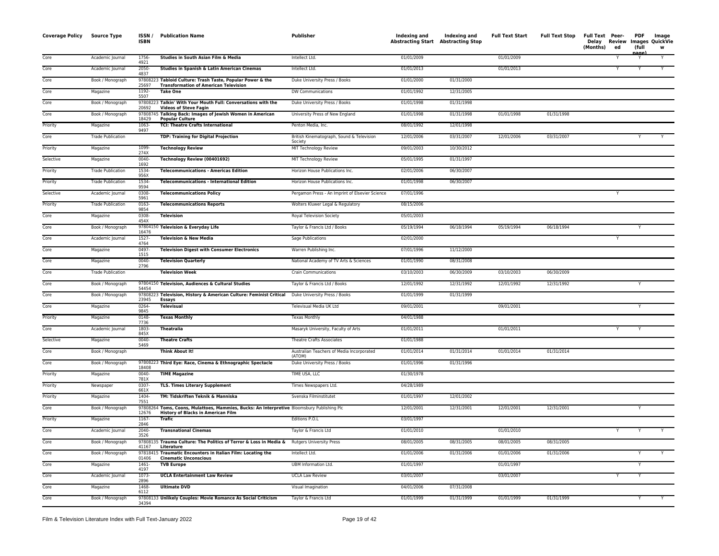| <b>Coverage Policy</b> | <b>Source Type</b>       | ISSN/<br>ISBN    | <b>Publication Name</b>                                                                                                                 | Publisher                                            | Indexing and<br><b>Abstracting Start Abstracting Stop</b> | Indexing and | <b>Full Text Start</b> | <b>Full Text Stop</b> | Full Text Peer-<br>Delay<br>(Months) | ed | PDF<br>(full<br>nage) | Image<br>Review Images QuickVie<br>w |
|------------------------|--------------------------|------------------|-----------------------------------------------------------------------------------------------------------------------------------------|------------------------------------------------------|-----------------------------------------------------------|--------------|------------------------|-----------------------|--------------------------------------|----|-----------------------|--------------------------------------|
| Core                   | Academic Journal         | 1756-<br>4921    | Studies in South Asian Film & Media                                                                                                     | Intellect Ltd.                                       | 01/01/2009                                                |              | 01/01/2009             |                       |                                      |    |                       | Y                                    |
| Core                   | Academic Journal         | $2050 -$<br>4837 | Studies in Spanish & Latin American Cinemas                                                                                             | Intellect Ltd.                                       | 01/01/2013                                                |              | 01/01/2013             |                       |                                      | Y  |                       | Y                                    |
| Core                   | Book / Monograph         | 25697            | 97808223 Tabloid Culture: Trash Taste, Popular Power & the<br><b>Transformation of American Television</b>                              | Duke University Press / Books                        | 01/01/2000                                                | 01/31/2000   |                        |                       |                                      |    |                       |                                      |
| Core                   | Magazine                 | 1192-<br>5507    | <b>Take One</b>                                                                                                                         | DW Communications                                    | 01/01/1992                                                | 12/31/2005   |                        |                       |                                      |    |                       |                                      |
| Core                   | Book / Monograph         | 20692            | 97808223 Talkin' With Your Mouth Full: Conversations with the<br><b>Videos of Steve Fagin</b>                                           | Duke University Press / Books                        | 01/01/1998                                                | 01/31/1998   |                        |                       |                                      |    |                       |                                      |
| Core                   | Book / Monograph         | 978087<br>18429  | 45 Talking Back: Images of Jewish Women in American<br><b>Popular Culture</b>                                                           | University Press of New England                      | 01/01/1998                                                | 01/31/1998   | 01/01/1998             | 01/31/1998            |                                      |    |                       |                                      |
| Priority               | Magazine                 | 1063<br>9497     | <b>TCI: Theatre Crafts International</b>                                                                                                | Penton Media, Inc.                                   | 08/01/1992                                                | 12/01/1998   |                        |                       |                                      |    |                       |                                      |
| Core                   | <b>Trade Publication</b> |                  | TDP: Training for Digital Projection                                                                                                    | British Kinematograph, Sound & Television<br>Society | 12/01/2006                                                | 03/31/2007   | 12/01/2006             | 03/31/2007            |                                      |    |                       |                                      |
| Priority               | Magazine                 | 1099-<br>274X    | <b>Technology Review</b>                                                                                                                | MIT Technology Review                                | 09/01/2003                                                | 10/30/2012   |                        |                       |                                      |    |                       |                                      |
| Selective              | Magazine                 | 0040-<br>1692    | Technology Review (00401692)                                                                                                            | MIT Technology Review                                | 05/01/1995                                                | 01/31/1997   |                        |                       |                                      |    |                       |                                      |
| Priority               | <b>Trade Publication</b> | 1534-<br>956X    | <b>Telecommunications - Americas Edition</b>                                                                                            | Horizon House Publications Inc.                      | 02/01/2006                                                | 06/30/2007   |                        |                       |                                      |    |                       |                                      |
| Priority               | <b>Trade Publication</b> | 1534-<br>9594    | <b>Telecommunications - International Edition</b>                                                                                       | Horizon House Publications Inc.                      | 01/01/1998                                                | 06/30/2007   |                        |                       |                                      |    |                       |                                      |
| Selective              | Academic Journal         | 0308<br>5961     | <b>Telecommunications Policy</b>                                                                                                        | Pergamon Press - An Imprint of Elsevier Science      | 07/01/1996                                                |              |                        |                       |                                      | Y  |                       |                                      |
| Priority               | <b>Trade Publication</b> | 0163-<br>9854    | <b>Telecommunications Reports</b>                                                                                                       | Wolters Kluwer Legal & Regulatory                    | 08/15/2006                                                |              |                        |                       |                                      |    |                       |                                      |
| Core                   | Magazine                 | 0308-<br>454X    | <b>Television</b>                                                                                                                       | Royal Television Society                             | 05/01/2003                                                |              |                        |                       |                                      |    |                       |                                      |
| Core                   | Book / Monograph         | 16476            | 97804150 Television & Everyday Life                                                                                                     | Taylor & Francis Ltd / Books                         | 05/19/1994                                                | 06/18/1994   | 05/19/1994             | 06/18/1994            |                                      |    |                       |                                      |
| Core                   | Academic Journal         | 1527-<br>4764    | <b>Television &amp; New Media</b>                                                                                                       | Sage Publications                                    | 02/01/2000                                                |              |                        |                       |                                      | Y  |                       |                                      |
| Core                   | Magazine                 | 0497-<br>1515    | <b>Television Digest with Consumer Electronics</b>                                                                                      | Warren Publishing Inc.                               | 07/01/1996                                                | 11/12/2000   |                        |                       |                                      |    |                       |                                      |
| Core                   | Magazine                 | 0040-<br>2796    | <b>Television Quarterly</b>                                                                                                             | National Academy of TV Arts & Sciences               | 01/01/1990                                                | 08/31/2008   |                        |                       |                                      |    |                       |                                      |
| Core                   | <b>Trade Publication</b> |                  | <b>Television Week</b>                                                                                                                  | <b>Crain Communications</b>                          | 03/10/2003                                                | 06/30/2009   | 03/10/2003             | 06/30/2009            |                                      |    |                       |                                      |
| Core                   | Book / Monograph         | 54454            | 97804150 Television, Audiences & Cultural Studies                                                                                       | Taylor & Francis Ltd / Books                         | 12/01/1992                                                | 12/31/1992   | 12/01/1992             | 12/31/1992            |                                      |    | Y                     |                                      |
| Core                   | Book / Monograph         | 23945            | 97808223 Television, History & American Culture: Feminist Critical<br><b>Essays</b>                                                     | Duke University Press / Books                        | 01/01/1999                                                | 01/31/1999   |                        |                       |                                      |    |                       |                                      |
| Core                   | Magazine                 | 0264-<br>9845    | <b>Televisual</b>                                                                                                                       | Televisual Media UK Ltd                              | 09/01/2001                                                |              | 09/01/2001             |                       |                                      |    | Υ                     |                                      |
| Priority               | Magazine                 | 0148-<br>7736    | <b>Texas Monthly</b>                                                                                                                    | <b>Texas Monthly</b>                                 | 04/01/1988                                                |              |                        |                       |                                      |    |                       |                                      |
| Core                   | Academic Journal         | 1803-<br>845X    | <b>Theatralia</b>                                                                                                                       | Masaryk University, Faculty of Arts                  | 01/01/2011                                                |              | 01/01/2011             |                       |                                      | Y  | Y                     |                                      |
| Selective              | Magazine                 | 0040-<br>5469    | <b>Theatre Crafts</b>                                                                                                                   | <b>Theatre Crafts Associates</b>                     | 01/01/1988                                                |              |                        |                       |                                      |    |                       |                                      |
| Core                   | Book / Monograph         |                  | <b>Think About It!</b>                                                                                                                  | Australian Teachers of Media Incorporated<br>(ATOM)  | 01/01/2014                                                | 01/31/2014   | 01/01/2014             | 01/31/2014            |                                      |    |                       |                                      |
| Core                   | Book / Monograph         | 18408            | 97808223 Third Eye: Race, Cinema & Ethnographic Spectacle                                                                               | Duke University Press / Books                        | 01/01/1996                                                | 01/31/1996   |                        |                       |                                      |    |                       |                                      |
| Priority               | Magazine                 | 0040-<br>781X    | <b>TIME Magazine</b>                                                                                                                    | TIME USA, LLC                                        | 01/30/1978                                                |              |                        |                       |                                      |    |                       |                                      |
| Priority               | Newspaper                | 0307-<br>661X    | <b>TLS. Times Literary Supplement</b>                                                                                                   | Times Newspapers Ltd.                                | 04/28/1989                                                |              |                        |                       |                                      |    |                       |                                      |
| Priority               | Magazine                 | 1404-<br>7551    | TM: Tidskriften Teknik & Manniska                                                                                                       | Svenska Filminstitutet                               | 01/01/1997                                                | 12/01/2002   |                        |                       |                                      |    |                       |                                      |
| Core                   | Book / Monograph         | 12676            | 97808264 Toms, Coons, Mulattoes, Mammies, Bucks: An Interpretive Bloomsbury Publishing Plc<br><b>History of Blacks in American Film</b> |                                                      | 12/01/2001                                                | 12/31/2001   | 12/01/2001             | 12/31/2001            |                                      |    | Y                     |                                      |
| Priority               | Magazine                 | 1167-<br>2846    | Trafic                                                                                                                                  | Editions P.O.L                                       | 03/01/1997                                                |              |                        |                       |                                      |    |                       |                                      |
| Core                   | Academic Journal         | 2040-<br>3526    | <b>Transnational Cinemas</b>                                                                                                            | Taylor & Francis Ltd                                 | 01/01/2010                                                |              | 01/01/2010             |                       |                                      |    |                       |                                      |
| Core                   | Book / Monograph         | 41167            | 97808135 Trauma Culture: The Politics of Terror & Loss in Media & Rutgers University Press<br>Literature                                |                                                      | 08/01/2005                                                | 08/31/2005   | 08/01/2005             | 08/31/2005            |                                      |    |                       |                                      |
| Core                   | Book / Monograph         | 978184<br>01406  | 5 Traumatic Encounters in Italian Film: Locating the<br><b>Cinematic Unconscious</b>                                                    | Intellect Ltd.                                       | 01/01/2006                                                | 01/31/2006   | 01/01/2006             | 01/31/2006            |                                      |    | Υ                     | Y                                    |
| Core                   | Magazine                 | $1461 -$<br>4197 | <b>TVB Europe</b>                                                                                                                       | <b>UBM Information Ltd.</b>                          | 01/01/1997                                                |              | 01/01/1997             |                       |                                      |    | Y                     |                                      |
| Core                   | Academic Journal         | 1073-<br>2896    | <b>UCLA Entertainment Law Review</b>                                                                                                    | <b>UCLA Law Review</b>                               | 03/01/2007                                                |              | 03/01/2007             |                       |                                      | Y  | Υ                     |                                      |
| Core                   | Magazine                 | 1468-<br>6112    | <b>Ultimate DVD</b>                                                                                                                     | Visual Imagination                                   | 04/01/2006                                                | 07/31/2008   |                        |                       |                                      |    |                       |                                      |
| Core                   | Book / Monograph         | 34394            | 97808133 Unlikely Couples: Movie Romance As Social Criticism                                                                            | Taylor & Francis Ltd                                 | 01/01/1999                                                | 01/31/1999   | 01/01/1999             | 01/31/1999            |                                      |    |                       |                                      |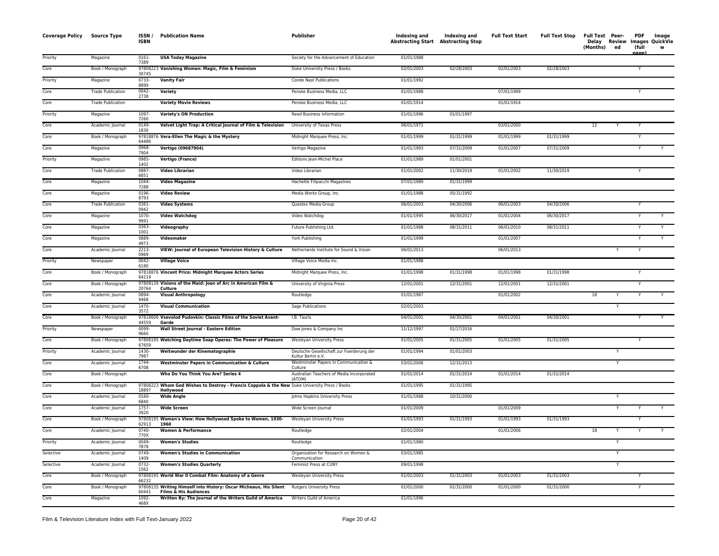| <b>Coverage Policy</b> | Source Type              | ISSN/<br><b>ISBN</b> | <b>Publication Name</b>                                                                                    | Publisher                                                      | Indexing and<br><b>Abstracting Start Abstracting Stop</b> | Indexing and | <b>Full Text Start</b> | <b>Full Text Stop</b> | Full Text Peer-<br>(Months) | Delay Review<br>ed | <b>PDF</b><br>(full | Image<br>Images QuickVie<br>w |
|------------------------|--------------------------|----------------------|------------------------------------------------------------------------------------------------------------|----------------------------------------------------------------|-----------------------------------------------------------|--------------|------------------------|-----------------------|-----------------------------|--------------------|---------------------|-------------------------------|
| Priority               | Magazine                 | 0161-<br>7389        | <b>USA Today Magazine</b>                                                                                  | Society for the Advancement of Education                       | 01/01/1988                                                |              |                        |                       |                             |                    |                     |                               |
| Core                   | Book / Monograph         | 30745                | 97808223 Vanishing Women: Magic, Film & Feminism                                                           | Duke University Press / Books                                  | 02/01/2003                                                | 02/28/2003   | 02/01/2003             | 02/28/2003            |                             |                    |                     |                               |
| Priority               | Magazine                 | 0733-<br>8899        | <b>Vanity Fair</b>                                                                                         | Conde Nast Publications                                        | 01/01/1992                                                |              |                        |                       |                             |                    |                     |                               |
| Core                   | <b>Trade Publication</b> | 0042-<br>2738        | Variety                                                                                                    | Penske Business Media, LLC                                     | 01/01/1988                                                |              | 07/01/1999             |                       |                             |                    |                     |                               |
| Core                   | <b>Trade Publication</b> |                      | <b>Variety Movie Reviews</b>                                                                               | Penske Business Media, LLC                                     | 01/01/1914                                                |              | 01/01/1914             |                       |                             |                    |                     |                               |
| Priority               | Magazine                 | 1097-<br>7260        | <b>Variety's ON Production</b>                                                                             | Reed Business Information                                      | 01/01/1996                                                | 01/01/1997   |                        |                       |                             |                    |                     |                               |
| Core                   | Academic Journal         | 0149-<br>1830        | Velvet Light Trap: A Critical Journal of Film & Television                                                 | University of Texas Press                                      | 06/01/1971                                                |              | 03/01/2000             |                       | 12                          |                    | Y                   |                               |
| Core                   | Book / Monograph         | 978188<br>64486      | 76 Vera-Ellen The Magic & the Mystery                                                                      | Midnight Marquee Press, Inc.                                   | 01/01/1999                                                | 01/31/1999   | 01/01/1999             | 01/31/1999            |                             |                    | Y                   |                               |
| Core                   | Magazine                 | 0968-<br>7904        | Vertigo (09687904)                                                                                         | Vertigo Magazine                                               | 01/01/1993                                                | 07/31/2009   | 01/01/2007             | 07/31/2009            |                             |                    |                     |                               |
| Priority               | Magazine                 | 0985-<br>1402        | Vertigo (France)                                                                                           | Editions Jean-Michel Place                                     | 01/01/1989                                                | 01/01/2001   |                        |                       |                             |                    |                     |                               |
| Core                   | <b>Trade Publication</b> | 0887-<br>6851        | <b>Video Librarian</b>                                                                                     | Video Librarian                                                | 01/01/2002                                                | 11/30/2019   | 01/01/2002             | 11/30/2019            |                             |                    | Υ                   |                               |
| Core                   | Magazine                 | 1044-<br>7288        | <b>Video Magazine</b>                                                                                      | Hachette Filipacchi Magazines                                  | 07/01/1989                                                | 01/31/1999   |                        |                       |                             |                    |                     |                               |
| Core                   | Magazine                 | 0196<br>8793         | <b>Video Review</b>                                                                                        | Media Works Group, Inc.                                        | 01/01/1988                                                | 05/31/1992   |                        |                       |                             |                    |                     |                               |
| Core                   | <b>Trade Publication</b> | 0361-<br>0942        | <b>Video Systems</b>                                                                                       | Questex Media Group                                            | 06/01/2003                                                | 04/30/2006   | 06/01/2003             | 04/30/2006            |                             |                    |                     |                               |
| Core                   | Magazine                 | 1070-<br>9991        | <b>Video Watchdog</b>                                                                                      | Video Watchdog                                                 | 01/01/1995                                                | 06/30/2017   | 01/01/2004             | 06/30/2017            |                             |                    |                     |                               |
| Core                   | Magazine                 | 0363-<br>1001        | Videography                                                                                                | Future Publishing Ltd.                                         | 01/01/1988                                                | 08/31/2011   | 06/01/2010             | 08/31/2011            |                             |                    |                     |                               |
| Core                   | Magazine                 | 0889-<br>4973        | Videomaker                                                                                                 | York Publishing                                                | 01/01/1999                                                |              | 01/01/2007             |                       |                             |                    | Y                   | Y                             |
| Core                   | Academic Journal         | 2213-<br>0969        | VIEW: Journal of European Television History & Culture                                                     | Netherlands Institute for Sound & Vision                       | 06/01/2013                                                |              | 06/01/2013             |                       |                             |                    | Y                   |                               |
| Priority               | Newspaper                | 0042-<br>6180        | <b>Village Voice</b>                                                                                       | Village Voice Media Inc.                                       | 01/01/1988                                                |              |                        |                       |                             |                    |                     |                               |
| Core                   | Book / Monograph         | 64219                | 97818876 Vincent Price: Midnight Marquee Actors Series                                                     | Midnight Marquee Press, Inc.                                   | 01/01/1998                                                | 01/31/1998   | 01/01/1998             | 01/31/1998            |                             |                    |                     |                               |
| Core                   | Book / Monograph         | 20764                | 97808139 Visions of the Maid: Joan of Arc in American Film &<br>Culture                                    | University of Virginia Press                                   | 12/01/2001                                                | 12/31/2001   | 12/01/2001             | 12/31/2001            |                             |                    | Y                   |                               |
| Core                   | Academic Journal         | 0894-<br>9468        | <b>Visual Anthropology</b>                                                                                 | Routledge                                                      | 01/01/1987                                                |              | 01/01/2002             |                       | 18                          |                    | Y                   |                               |
| Core                   | Academic Journal         | 1470-<br>3572        | <b>Visual Communication</b>                                                                                | Sage Publications                                              | 02/01/2003                                                |              |                        |                       |                             |                    |                     |                               |
| Core                   | Book / Monograph         | 44559                | 97818606 Vsevolod Pudovkin: Classic Films of the Soviet Avant-<br>Garde                                    | I.B. Tauris                                                    | 04/01/2001                                                | 04/30/2001   | 04/01/2001             | 04/30/2001            |                             |                    |                     |                               |
| Priority               | Newspaper                | 0099-<br>9660        | Wall Street Journal - Eastern Edition                                                                      | Dow Jones & Company Inc                                        | 11/12/1997                                                | 01/17/2016   |                        |                       |                             |                    |                     |                               |
| Core                   | Book / Monograph         | 67659                | 97808195 Watching Daytime Soap Operas: The Power of Pleasure                                               | Wesleyan University Press                                      | 01/01/2005                                                | 01/31/2005   | 01/01/2005             | 01/31/2005            |                             |                    | Y                   |                               |
| Priority               | Academic Journal         | 1430-<br>7987        | Weltwunder der Kinematographie                                                                             | Deutsche Gesellschaft zur Foerderung der<br>Kultur Berlin e.V. | 01/01/1994                                                | 01/01/2003   |                        |                       |                             |                    |                     |                               |
| Core                   | Academic Journal         | 1744-<br>6708        | <b>Westminster Papers in Communication &amp; Culture</b>                                                   | Westminster Papers in Communication &<br>Culture               | 03/01/2006                                                | 12/31/2013   |                        |                       |                             | Y                  |                     |                               |
| Core                   | Book / Monograph         |                      | Who Do You Think You Are? Series 4                                                                         | Australian Teachers of Media Incorporated<br>(ATOM)            | 01/01/2014                                                | 01/31/2014   | 01/01/2014             | 01/31/2014            |                             |                    |                     |                               |
| Core                   | Book / Monograph         | 18897                | 97808223 Whom God Wishes to Destroy - Francis Coppola & the New Duke University Press / Books<br>Hollywood |                                                                | 01/01/1995                                                | 01/31/1995   |                        |                       |                             |                    |                     |                               |
| Core                   | Academic Journal         | $0160 -$<br>6840     | <b>Wide Angle</b>                                                                                          | Johns Hopkins University Press                                 | 01/01/1988                                                | 10/31/2000   |                        |                       |                             | Y                  |                     |                               |
| Core                   | Academic Journal         | 1757-<br>3920        | <b>Wide Screen</b>                                                                                         | Wide Screen Journal                                            | 01/01/2009                                                |              | 01/01/2009             |                       |                             | Y                  |                     |                               |
| Core                   | Book / Monograph         | 62913                | 97808195 Woman's View: How Hollywood Spoke to Women, 1930-<br>1960                                         | Wesleyan University Press                                      | 01/01/1993                                                | 01/31/1993   | 01/01/1993             | 01/31/1993            |                             |                    |                     |                               |
| Core                   | Academic Journal         | $0740 -$<br>770X     | <b>Women &amp; Performance</b>                                                                             | Routledge                                                      | 02/01/2004                                                |              | 01/01/2006             |                       | 18                          |                    |                     |                               |
| Priority               | Academic Journal         | 0049-<br>7878        | <b>Women's Studies</b>                                                                                     | Routledge                                                      | 01/01/1980                                                |              |                        |                       |                             | Y                  |                     |                               |
| Selective              | Academic Journal         | 0749-<br>1409        | <b>Women's Studies in Communication</b>                                                                    | Organization for Research on Women &<br>Communication          | 03/01/1985                                                |              |                        |                       |                             |                    |                     |                               |
| Selective              | Academic Journal         | 0732-<br>1562        | <b>Women's Studies Quarterly</b>                                                                           | Feminist Press at CUNY                                         | 09/01/1998                                                |              |                        |                       |                             |                    |                     |                               |
| Core                   | Book / Monograph         | 66232                | 97808195 World War II Combat Film: Anatomy of a Genre                                                      | Wesleyan University Press                                      | 01/01/2003                                                | 01/31/2003   | 01/01/2003             | 01/31/2003            |                             |                    |                     |                               |
| Core                   | Book / Monograph         | 60441                | 97808135 Writing Himself into History: Oscar Micheaux, His Silent<br><b>Films &amp; His Audiences</b>      | <b>Rutgers University Press</b>                                | 01/01/2000                                                | 01/31/2000   | 01/01/2000             | 01/31/2000            |                             |                    | Υ                   |                               |
| Core                   | Magazine                 | 1092-<br>468X        | Written By: The Journal of the Writers Guild of America                                                    | Writers Guild of America                                       | 01/01/1996                                                |              |                        |                       |                             |                    |                     |                               |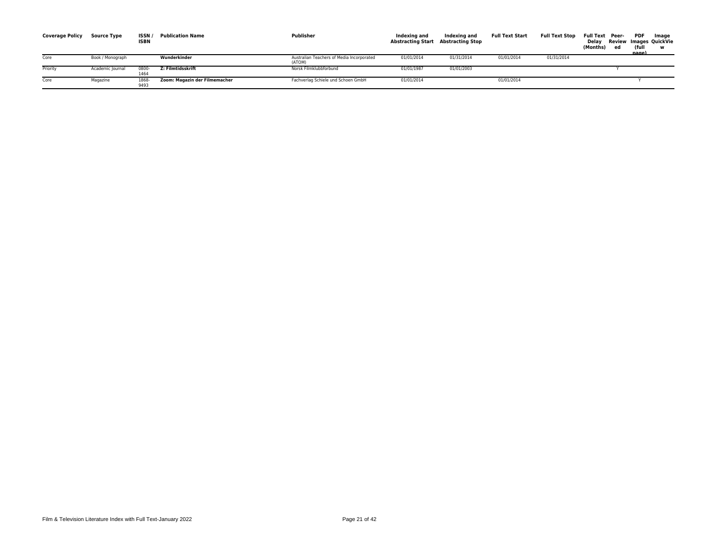| <b>Coverage Policy</b> | <b>Source Type</b> | <b>ISSN</b><br><b>ISBN</b> | <b>Publication Name</b>       | Publisher                                           | Indexing and<br>Abstracting Start Abstracting Stop | Indexing and | <b>Full Text Start</b> | <b>Full Text Stop</b> | <b>Full Text Peer-</b><br>Delav<br>(Months) | ed | PDF<br>(ful<br>nage) | Image<br>Review Images QuickVie |
|------------------------|--------------------|----------------------------|-------------------------------|-----------------------------------------------------|----------------------------------------------------|--------------|------------------------|-----------------------|---------------------------------------------|----|----------------------|---------------------------------|
| Core                   | Book / Monograph   |                            | Wunderkinder                  | Australian Teachers of Media Incorporated<br>(ATOM) | 01/01/2014                                         | 01/31/2014   | 01/01/2014             | 01/31/2014            |                                             |    |                      |                                 |
| Priority               | Academic Journal   | 0800<br>1464               | Z: Filmtidsskrift             | Norsk Filmklubbforbund                              | 01/01/1987                                         | 01/01/2003   |                        |                       |                                             |    |                      |                                 |
| Core                   | Magazine           | 1868<br>9493               | Zoom: Magazin der Filmemacher | Fachverlag Schiele und Schoen GmbH                  | 01/01/2014                                         |              | 01/01/2014             |                       |                                             |    |                      |                                 |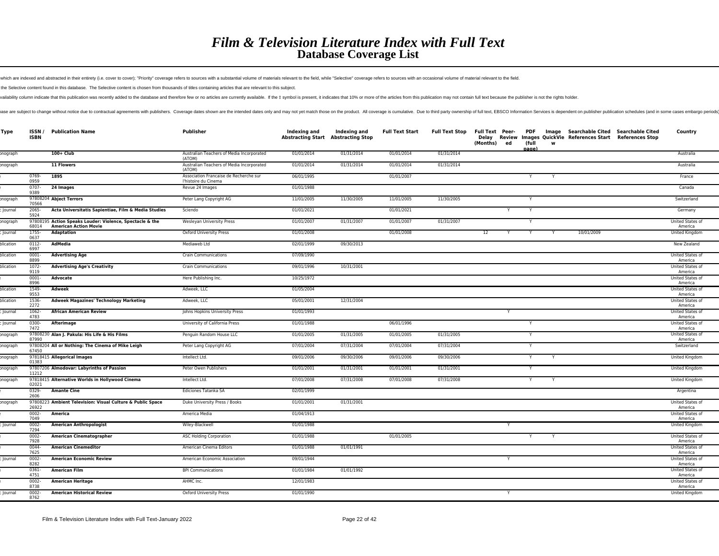which are indexed and abstracted in their entirety (i.e. cover to cover); "Priority" coverage refers to sources with a substantial volume of materials relevant to the field, while "Selective" coverage refers to sources wit

the Selective content found in this database. The Selective content is chosen from thousands of titles containing articles that are relevant to this subject.

vailability column indicate that this publication was recently added to the database and therefore few or no articles are currently available. If the ‡ symbol is present, it indicates that 10% or more of the articles from

ase are subject to change without notice due to contractual agreements with publishers. Coverage dates shown are the intended dates only and may not yet match those on the product. All coverage is cumulative. Due to third

| Type      | ISSN /<br><b>ISBN</b> | <b>Publication Name</b>                                                                  | Publisher                                                      | Indexing and | Indexing and<br><b>Abstracting Start Abstracting Stop</b> | <b>Full Text Start</b> | <b>Full Text Stop</b> | Full Text Peer-<br>Delay<br>(Months) | ed | PDF<br>(full<br>nagel | Image<br>W |            | Searchable Cited Searchable Cited<br>Review Images QuickVie References Start References Stop | Country                     |
|-----------|-----------------------|------------------------------------------------------------------------------------------|----------------------------------------------------------------|--------------|-----------------------------------------------------------|------------------------|-----------------------|--------------------------------------|----|-----------------------|------------|------------|----------------------------------------------------------------------------------------------|-----------------------------|
| onograph  |                       | $100+$ Club                                                                              | Australian Teachers of Media Incorporated<br>(ATOM)            | 01/01/2014   | 01/31/2014                                                | 01/01/2014             | 01/31/2014            |                                      |    |                       |            |            |                                                                                              | Australia                   |
| onograph  |                       | 11 Flowers                                                                               | Australian Teachers of Media Incorporated<br>(ATOM)            | 01/01/2014   | 01/31/2014                                                | 01/01/2014             | 01/31/2014            |                                      |    |                       |            |            |                                                                                              | Australia                   |
|           | 0769-<br>0959         | 1895                                                                                     | Association Francaise de Recherche sur<br>l'histoire du Cinema | 06/01/1995   |                                                           | 01/01/2007             |                       |                                      |    | Y                     |            |            |                                                                                              | France                      |
|           | $0707 -$<br>9389      | 24 Images                                                                                | Revue 24 Images                                                | 01/01/1988   |                                                           |                        |                       |                                      |    |                       |            |            |                                                                                              | Canada                      |
| onograph  | 70566                 | 97808204 Abject Terrors                                                                  | Peter Lang Copyright AG                                        | 11/01/2005   | 11/30/2005                                                | 11/01/2005             | 11/30/2005            |                                      |    |                       |            |            |                                                                                              | Switzerland                 |
| Journal   | 2065-<br>5924         | Acta Universitatis Sapientiae, Film & Media Studies                                      | Sciendo                                                        | 01/01/2021   |                                                           | 01/01/2021             |                       |                                      |    |                       |            |            |                                                                                              | Germany                     |
| onograph  | 68014                 | 97808195 Action Speaks Louder: Violence, Spectacle & the<br><b>American Action Movie</b> | <b>Wesleyan University Press</b>                               | 01/01/2007   | 01/31/2007                                                | 01/01/2007             | 01/31/2007            |                                      |    |                       |            |            |                                                                                              | United States of<br>America |
| Journal   | 1755-<br>0637         | <b>Adaptation</b>                                                                        | Oxford University Press                                        | 01/01/2008   |                                                           | 01/01/2008             |                       | 12                                   | Y  | Y                     | Y          | 10/01/2009 |                                                                                              | United Kingdom              |
| plication | $0112 -$<br>6997      | AdMedia                                                                                  | Mediaweb Ltd                                                   | 02/01/1999   | 09/30/2013                                                |                        |                       |                                      |    |                       |            |            |                                                                                              | New Zealand                 |
| olication | 0001-<br>8899         | <b>Advertising Age</b>                                                                   | <b>Crain Communications</b>                                    | 07/09/1990   |                                                           |                        |                       |                                      |    |                       |            |            |                                                                                              | United States of<br>America |
| olication | $1072 -$<br>9119      | <b>Advertising Age's Creativity</b>                                                      | <b>Crain Communications</b>                                    | 09/01/1996   | 10/31/2001                                                |                        |                       |                                      |    |                       |            |            |                                                                                              | United States of<br>America |
|           | $0001 -$<br>8996      | Advocate                                                                                 | Here Publishing Inc.                                           | 10/25/1972   |                                                           |                        |                       |                                      |    |                       |            |            |                                                                                              | United States of<br>America |
| olication | 1549-<br>9553         | Adweek                                                                                   | Adweek, LLC                                                    | 01/05/2004   |                                                           |                        |                       |                                      |    |                       |            |            |                                                                                              | United States of<br>America |
| olication | 1536-<br>2272         | <b>Adweek Magazines' Technology Marketing</b>                                            | Adweek, LLC                                                    | 05/01/2001   | 12/31/2004                                                |                        |                       |                                      |    |                       |            |            |                                                                                              | United States of<br>America |
| Journal   | $1062 -$<br>4783      | <b>African American Review</b>                                                           | Johns Hopkins University Press                                 | 01/01/1993   |                                                           |                        |                       |                                      | Y  |                       |            |            |                                                                                              | United States of<br>America |
| Journal   | 0300-<br>7472         | Afterimage                                                                               | University of California Press                                 | 01/01/1988   |                                                           | 06/01/1996             |                       |                                      |    |                       |            |            |                                                                                              | United States of<br>America |
| onograph  | 87990                 | 97808230 Alan J. Pakula: His Life & His Films                                            | Penguin Random House LLC                                       | 01/01/2005   | 01/31/2005                                                | 01/01/2005             | 01/31/2005            |                                      |    |                       |            |            |                                                                                              | United States of<br>America |
| onograph  | 67450                 | 97808204 All or Nothing: The Cinema of Mike Leigh                                        | Peter Lang Copyright AG                                        | 07/01/2004   | 07/31/2004                                                | 07/01/2004             | 07/31/2004            |                                      |    | Y                     |            |            |                                                                                              | Switzerland                 |
| onograph  | 01383                 | 97818415 Allegorical Images                                                              | Intellect Ltd.                                                 | 09/01/2006   | 09/30/2006                                                | 09/01/2006             | 09/30/2006            |                                      |    | Y                     | Y          |            |                                                                                              | United Kingdom              |
| onograph  | 11212                 | 97807206 Almodovar: Labyrinths of Passion                                                | Peter Owen Publishers                                          | 01/01/2001   | 01/31/2001                                                | 01/01/2001             | 01/31/2001            |                                      |    | Y                     |            |            |                                                                                              | United Kingdom              |
| onograph  | 02021                 | 97818415 Alternative Worlds in Hollywood Cinema                                          | Intellect Ltd.                                                 | 07/01/2008   | 07/31/2008                                                | 07/01/2008             | 07/31/2008            |                                      |    |                       |            |            |                                                                                              | United Kingdom              |
|           | 0329-<br>2606         | <b>Amante Cine</b>                                                                       | Ediciones Tatanka SA                                           | 02/01/1999   |                                                           |                        |                       |                                      |    |                       |            |            |                                                                                              | Argentina                   |
| onograph  | 26922                 | 97808223 Ambient Television: Visual Culture & Public Space                               | Duke University Press / Books                                  | 01/01/2001   | 01/31/2001                                                |                        |                       |                                      |    |                       |            |            |                                                                                              | United States of<br>America |
|           | 0002-<br>7049         | America                                                                                  | America Media                                                  | 01/04/1913   |                                                           |                        |                       |                                      |    |                       |            |            |                                                                                              | United States of<br>America |
| Journal   | $0002 -$<br>7294      | <b>American Anthropologist</b>                                                           | Wiley-Blackwell                                                | 01/01/1988   |                                                           |                        |                       |                                      |    |                       |            |            |                                                                                              | United Kingdom              |
|           | $0002 -$<br>7928      | American Cinematographer                                                                 | <b>ASC Holding Corporation</b>                                 | 01/01/1988   |                                                           | 01/01/2005             |                       |                                      |    |                       |            |            |                                                                                              | United States of<br>America |
|           | $0044 -$<br>7625      | <b>American Cinemeditor</b>                                                              | American Cinema Editors                                        | 01/01/1988   | 01/01/1991                                                |                        |                       |                                      |    |                       |            |            |                                                                                              | United States of<br>America |
| Journal   | 0002-<br>8282         | <b>American Economic Review</b>                                                          | American Economic Association                                  | 09/01/1944   |                                                           |                        |                       |                                      |    |                       |            |            |                                                                                              | United States of<br>America |
|           | 0361-<br>4751         | <b>American Film</b>                                                                     | <b>BPI Communications</b>                                      | 01/01/1984   | 01/01/1992                                                |                        |                       |                                      |    |                       |            |            |                                                                                              | United States of<br>America |
|           | $0002 -$<br>8738      | <b>American Heritage</b>                                                                 | AHMC Inc.                                                      | 12/01/1983   |                                                           |                        |                       |                                      |    |                       |            |            |                                                                                              | United States of<br>America |
| lournal   | 0002-<br>8762         | <b>American Historical Review</b>                                                        | Oxford University Press                                        | 01/01/1990   |                                                           |                        |                       |                                      |    |                       |            |            |                                                                                              | United Kingdom              |
|           |                       |                                                                                          |                                                                |              |                                                           |                        |                       |                                      |    |                       |            |            |                                                                                              |                             |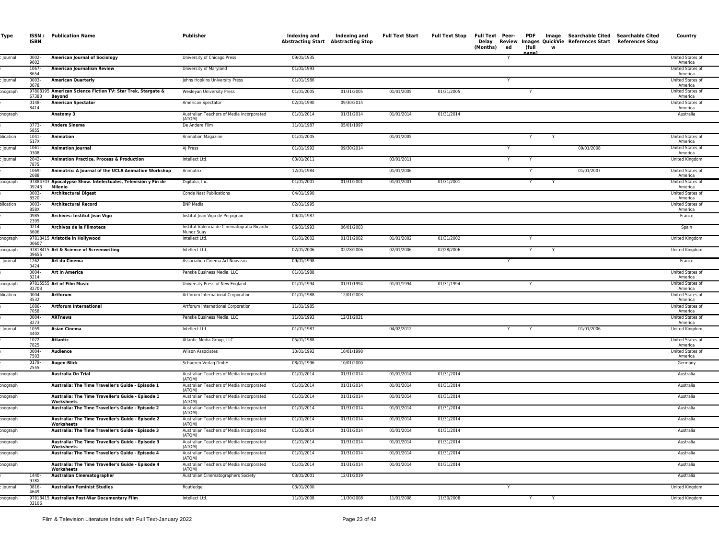| Type           | ISSN/<br><b>ISBN</b>  | <b>Publication Name</b>                                                                                | Publisher                                                                                        | Indexing and<br><b>Abstracting Start Abstracting Stop</b> | Indexing and             | <b>Full Text Start</b>   | <b>Full Text Stop</b>    | Full Text Peer-<br>(Months)<br>ed | PDF<br>(full | W | Image Searchable Cited Searchable Cited<br>Delay Review Images QuickVie References Start References Stop | Country                     |
|----------------|-----------------------|--------------------------------------------------------------------------------------------------------|--------------------------------------------------------------------------------------------------|-----------------------------------------------------------|--------------------------|--------------------------|--------------------------|-----------------------------------|--------------|---|----------------------------------------------------------------------------------------------------------|-----------------------------|
| lournal        | $0002 -$<br>9602      | <b>American Journal of Sociology</b>                                                                   | University of Chicago Press                                                                      | 09/01/1935                                                |                          |                          |                          |                                   | nage         |   |                                                                                                          | United States of<br>America |
|                | 1067<br>8654          | <b>American Journalism Review</b>                                                                      | University of Maryland                                                                           | 01/01/1993                                                |                          |                          |                          |                                   |              |   |                                                                                                          | United States of<br>America |
| Journal        | 0003-<br>0678         | <b>American Quarterly</b>                                                                              | Johns Hopkins University Press                                                                   | 01/01/1986                                                |                          |                          |                          |                                   |              |   |                                                                                                          | United States of<br>America |
| onograph       | 67383                 | 97808195 American Science Fiction TV: Star Trek, Stargate &                                            | Wesleyan University Press                                                                        | 01/01/2005                                                | 01/31/2005               | 01/01/2005               | 01/31/2005               |                                   | Y            |   |                                                                                                          | United States of<br>America |
|                | 0148-<br>8414         | Beyond<br><b>American Spectator</b>                                                                    | American Spectator                                                                               | 02/01/1990                                                | 09/30/2014               |                          |                          |                                   |              |   |                                                                                                          | United States of<br>America |
| onograph       |                       | Anatomy 3                                                                                              | Australian Teachers of Media Incorporated<br>(ATOM)                                              | 01/01/2014                                                | 01/31/2014               | 01/01/2014               | 01/31/2014               |                                   |              |   |                                                                                                          | Australia                   |
|                | 0773-                 | <b>Andere Sinema</b>                                                                                   | De Andere Film                                                                                   | 11/01/1987                                                | 05/01/1997               |                          |                          |                                   |              |   |                                                                                                          |                             |
| olication      | 5855<br>1041-<br>617X | <b>Animation</b>                                                                                       | <b>Animation Magazine</b>                                                                        | 01/01/2005                                                |                          | 01/01/2005               |                          |                                   |              |   |                                                                                                          | United States of<br>America |
| <b>Journal</b> | $1061 -$<br>0308      | <b>Animation Journal</b>                                                                               | AJ Press                                                                                         | 01/01/1992                                                | 09/30/2014               |                          |                          | Y                                 |              |   | 09/01/2008                                                                                               | United States of<br>America |
| Journal        | $2042 -$<br>7875      | <b>Animation Practice, Process &amp; Production</b>                                                    | Intellect Ltd.                                                                                   | 03/01/2011                                                |                          | 03/01/2011               |                          |                                   |              |   |                                                                                                          | United Kingdom              |
|                | 1069-<br>2088         | Animatrix: A Journal of the UCLA Animation Workshop                                                    | Animatrix                                                                                        | 12/01/1984                                                |                          | 01/01/2006               |                          |                                   |              |   | 01/01/2007                                                                                               | United States of<br>America |
| onograph       | 09243                 | 97884703 Apocalypse Show. Intelectuales, Televisión y Fin de<br>Milenio                                | Digitalia, Inc.                                                                                  | 01/01/2001                                                | 01/31/2001               | 01/01/2001               | 01/31/2001               |                                   | Y            |   |                                                                                                          | United States of<br>America |
|                | 0003-<br>8520         | <b>Architectural Digest</b>                                                                            | Conde Nast Publications                                                                          | 04/01/1990                                                |                          |                          |                          |                                   |              |   |                                                                                                          | United States of<br>America |
| plication      | 0003-<br>858X         | <b>Architectural Record</b>                                                                            | <b>BNP Media</b>                                                                                 | 02/01/1995                                                |                          |                          |                          |                                   |              |   |                                                                                                          | United States of<br>America |
|                | 0985<br>2395          | Archives: Institut Jean Vigo                                                                           | Institut Jean Vigo de Perpignan                                                                  | 09/01/1987                                                |                          |                          |                          |                                   |              |   |                                                                                                          | France                      |
|                | 0214-<br>6606         | Archivos de la Filmoteca                                                                               | Institut Valencia de Cinematografia Ricardo<br>Munoz Suav                                        | 06/01/1993                                                | 06/01/2003               |                          |                          |                                   |              |   |                                                                                                          | Spain                       |
| onograph       | 00607                 | 97818415 Aristotle in Hollywood                                                                        | Intellect Ltd.                                                                                   | 01/01/2002                                                | 01/31/2002               | 01/01/2002               | 01/31/2002               |                                   | Y            |   |                                                                                                          | <b>United Kingdom</b>       |
| onograph       | 09655                 | 97818415 Art & Science of Screenwriting                                                                | Intellect Ltd.                                                                                   | 02/01/2006                                                | 02/28/2006               | 02/01/2006               | 02/28/2006               |                                   | Y            |   |                                                                                                          | United Kingdom              |
| lournal        | 1262-<br>0424         | Art du Cinema                                                                                          | Association Cinema Art Nouveau                                                                   | 09/01/1998                                                |                          |                          |                          | Y                                 |              |   |                                                                                                          | France                      |
|                | $0004 -$<br>3214      | <b>Art in America</b>                                                                                  | Penske Business Media, LLC                                                                       | 01/01/1988                                                |                          |                          |                          |                                   |              |   |                                                                                                          | United States of<br>America |
| onograph       | 32703                 | 97815555 Art of Film Music                                                                             | University Press of New England                                                                  | 01/01/1994                                                | 01/31/1994               | 01/01/1994               | 01/31/1994               |                                   | Y            |   |                                                                                                          | United States of<br>America |
| plication      | 0004-<br>3532         | Artforum                                                                                               | Artforum International Corporation                                                               | 01/01/1988                                                | 12/01/2003               |                          |                          |                                   |              |   |                                                                                                          | United States of<br>America |
|                | 1086-<br>7058         | <b>Artforum International</b>                                                                          | Artforum International Corporation                                                               | 11/01/1985                                                |                          |                          |                          |                                   |              |   |                                                                                                          | United States of<br>America |
|                | 0004-<br>3273         | <b>ARTnews</b>                                                                                         | Penske Business Media, LLC                                                                       | 11/01/1993                                                | 12/31/2021               |                          |                          |                                   |              |   |                                                                                                          | United States of<br>America |
| lournal        | 1059<br>440X          | <b>Asian Cinema</b>                                                                                    | Intellect Ltd.                                                                                   | 01/01/1987                                                |                          | 04/02/2012               |                          | Y                                 |              |   | 01/01/2006                                                                                               | United Kingdom              |
|                | 1072-<br>7825         | <b>Atlantic</b>                                                                                        | Atlantic Media Group, LLC                                                                        | 05/01/1988                                                |                          |                          |                          |                                   |              |   |                                                                                                          | United States of<br>America |
|                | 0004-<br>7503         | Audience                                                                                               | <b>Wilson Associates</b>                                                                         | 10/01/1992                                                | 10/01/1998               |                          |                          |                                   |              |   |                                                                                                          | United States of<br>America |
|                | 0179-<br>2555         | Augen-Blick                                                                                            | Schueren Verlag GmbH                                                                             | 08/01/1996                                                | 10/01/2000               |                          |                          |                                   |              |   |                                                                                                          | Germany                     |
| onograph       |                       | Australia On Trial                                                                                     | Australian Teachers of Media Incorporated<br>(ATOM)                                              | 01/01/2014                                                | 01/31/2014               | 01/01/2014               | 01/31/2014               |                                   |              |   |                                                                                                          | Australia                   |
| onograph       |                       | Australia: The Time Traveller's Guide - Episode 1                                                      | Australian Teachers of Media Incorporated<br>(ATOM)                                              | 01/01/2014                                                | 01/31/2014               | 01/01/2014               | 01/31/2014               |                                   |              |   |                                                                                                          | Australia                   |
| onograph       |                       | Australia: The Time Traveller's Guide - Episode 1<br>Worksheets                                        | Australian Teachers of Media Incorporated<br>(ATOM)                                              | 01/01/2014                                                | 01/31/2014               | 01/01/2014               | 01/31/2014               |                                   |              |   |                                                                                                          | Australia                   |
| onograph       |                       | Australia: The Time Traveller's Guide - Episode 2                                                      | Australian Teachers of Media Incorporated<br>(ATOM)                                              | 01/01/2014                                                | 01/31/2014               | 01/01/2014               | 01/31/2014               |                                   |              |   |                                                                                                          | Australia                   |
| onograph       |                       | Australia: The Time Traveller's Guide - Episode 2<br>Worksheets                                        | Australian Teachers of Media Incorporated<br>(ATOM)                                              | 01/01/2014                                                | 01/31/2014               | 01/01/2014               | 01/31/2014               |                                   |              |   |                                                                                                          | Australia                   |
| onograph       |                       | Australia: The Time Traveller's Guide - Episode 3<br>Australia: The Time Traveller's Guide - Episode 3 | Australian Teachers of Media Incorporated<br>(ATOM)<br>Australian Teachers of Media Incorporated | 01/01/2014<br>01/01/2014                                  | 01/31/2014<br>01/31/2014 | 01/01/2014<br>01/01/2014 | 01/31/2014<br>01/31/2014 |                                   |              |   |                                                                                                          | Australia<br>Australia      |
| onograph       |                       | Worksheets                                                                                             | (ATOM)<br>Australian Teachers of Media Incorporated                                              |                                                           |                          |                          |                          |                                   |              |   |                                                                                                          |                             |
| onograph       |                       | Australia: The Time Traveller's Guide - Episode 4                                                      | (ATOM)                                                                                           | 01/01/2014                                                | 01/31/2014               | 01/01/2014               | 01/31/2014               |                                   |              |   |                                                                                                          | Australia                   |
| onograph       | 1440                  | Australia: The Time Traveller's Guide - Episode 4<br>Worksheets                                        | Australian Teachers of Media Incorporated<br>(ATOM)                                              | 01/01/2014                                                | 01/31/2014               | 01/01/2014               | 01/31/2014               |                                   |              |   |                                                                                                          | Australia                   |
|                | 978X<br>0816-         | <b>Australian Cinematographer</b>                                                                      | Australian Cinematographers Society                                                              | 03/01/2001<br>03/01/2000                                  | 12/31/2019               |                          |                          |                                   |              |   |                                                                                                          | Australia                   |
| Journal        | 4649                  | <b>Australian Feminist Studies</b>                                                                     | Routledge                                                                                        |                                                           |                          |                          |                          |                                   |              |   |                                                                                                          | United Kingdom              |
| onograph       | 02106                 | 97818415 Australian Post-War Documentary Film                                                          | Intellect Ltd.                                                                                   | 11/01/2008                                                | 11/30/2008               | 11/01/2008               | 11/30/2008               |                                   |              |   |                                                                                                          | United Kingdom              |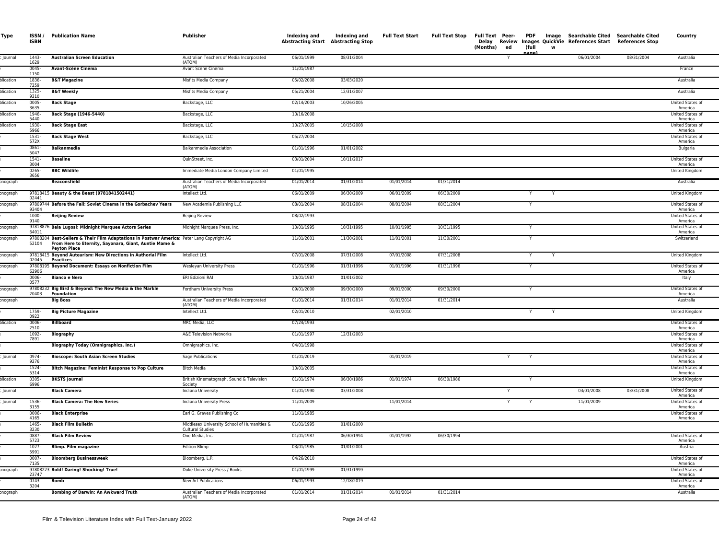| Type            | ISSN /<br><b>ISBN</b>    | <b>Publication Name</b>                                                                                                                                                    | Publisher                                                              | Indexing and<br><b>Abstracting Start Abstracting Stop</b> | Indexing and | <b>Full Text Start</b> | <b>Full Text Stop</b> | Delay<br>(Months)<br>ed | (full<br>aage | w | Full Text Peer- PDF Image Searchable Cited Searchable Cited<br>Review Images QuickVie References Start References Stop |            | Country                                         |
|-----------------|--------------------------|----------------------------------------------------------------------------------------------------------------------------------------------------------------------------|------------------------------------------------------------------------|-----------------------------------------------------------|--------------|------------------------|-----------------------|-------------------------|---------------|---|------------------------------------------------------------------------------------------------------------------------|------------|-------------------------------------------------|
| Journal         | 1443-<br>1629            | <b>Australian Screen Education</b>                                                                                                                                         | Australian Teachers of Media Incorporated<br>(ATOM)                    | 06/01/1999                                                | 08/31/2004   |                        |                       | Y                       |               |   | 06/01/2004                                                                                                             | 08/31/2004 | Australia                                       |
|                 | $0045 -$<br>1150         | Avant-Scène Cinéma                                                                                                                                                         | Avant Scene Cinema                                                     | 11/01/1987                                                |              |                        |                       |                         |               |   |                                                                                                                        |            | France                                          |
| olication       | 1836-<br>7259            | <b>B&amp;T Magazine</b>                                                                                                                                                    | Misfits Media Company                                                  | 05/02/2008                                                | 03/03/2020   |                        |                       |                         |               |   |                                                                                                                        |            | Australia                                       |
| olication       | 1325-<br>9210            | <b>B&amp;T Weekly</b>                                                                                                                                                      | Misfits Media Company                                                  | 05/21/2004                                                | 12/31/2007   |                        |                       |                         |               |   |                                                                                                                        |            | Australia                                       |
| olication       | 0005-<br>3635            | <b>Back Stage</b>                                                                                                                                                          | Backstage, LLC                                                         | 02/14/2003                                                | 10/26/2005   |                        |                       |                         |               |   |                                                                                                                        |            | United States of<br>America                     |
| plication       | 1946-<br>5440            | Back Stage (1946-5440)                                                                                                                                                     | Backstage, LLC                                                         | 10/16/2008                                                |              |                        |                       |                         |               |   |                                                                                                                        |            | United States of<br>America                     |
| plication       | 1930-<br>5966            | <b>Back Stage East</b>                                                                                                                                                     | Backstage, LLC                                                         | 10/27/2005                                                | 10/15/2008   |                        |                       |                         |               |   |                                                                                                                        |            | United States of<br>America                     |
|                 | 1531-<br>572X            | <b>Back Stage West</b>                                                                                                                                                     | Backstage, LLC                                                         | 05/27/2004                                                |              |                        |                       |                         |               |   |                                                                                                                        |            | United States of<br>America                     |
|                 | 0861-<br>5047            | <b>Balkanmedia</b>                                                                                                                                                         | Balkanmedia Association                                                | 01/01/1996                                                | 01/01/2002   |                        |                       |                         |               |   |                                                                                                                        |            | Bulgaria                                        |
|                 | $1541 -$<br>3004         | <b>Baseline</b>                                                                                                                                                            | QuinStreet, Inc.                                                       | 03/01/2004                                                | 10/11/2017   |                        |                       |                         |               |   |                                                                                                                        |            | <b>United States of</b><br>America              |
|                 | 0265-<br>3656            | <b>BBC Wildlife</b>                                                                                                                                                        | Immediate Media London Company Limited                                 | 01/01/1995                                                |              |                        |                       |                         |               |   |                                                                                                                        |            | United Kingdom                                  |
| onograph        |                          | <b>Beaconsfield</b>                                                                                                                                                        | Australian Teachers of Media Incorporated<br>(ATOM)                    | 01/01/2014                                                | 01/31/2014   | 01/01/2014             | 01/31/2014            |                         |               |   |                                                                                                                        |            | Australia                                       |
| onograph        | 02441                    | 97818415 Beauty & the Beast (9781841502441)                                                                                                                                | Intellect Ltd.                                                         | 06/01/2009                                                | 06/30/2009   | 06/01/2009             | 06/30/2009            |                         |               |   |                                                                                                                        |            | <b>United Kingdom</b>                           |
| onograph        | 93404                    | 97809744 Before the Fall: Soviet Cinema in the Gorbachev Years                                                                                                             | New Academia Publishing LLC                                            | 08/01/2004                                                | 08/31/2004   | 08/01/2004             | 08/31/2004            |                         |               |   |                                                                                                                        |            | United States of<br>America                     |
|                 | 1000-<br>9140            | <b>Beijing Review</b>                                                                                                                                                      | <b>Beijing Review</b>                                                  | 08/02/1993                                                |              |                        |                       |                         |               |   |                                                                                                                        |            | United States of<br>America                     |
| onograph        | 64011                    | 97818876 Bela Lugosi: Midnight Marquee Actors Series                                                                                                                       | Midnight Marquee Press, Inc.                                           | 10/01/1995                                                | 10/31/1995   | 10/01/1995             | 10/31/1995            |                         |               |   |                                                                                                                        |            | United States of<br>America                     |
| onograph        | 52104                    | 97808204 Best-Sellers & Their Film Adaptations in Postwar America: Peter Lang Copyright AG<br>From Here to Eternity, Sayonara, Giant, Auntie Mame &<br><b>Peyton Place</b> |                                                                        | 11/01/2001                                                | 11/30/2001   | 11/01/2001             | 11/30/2001            |                         |               |   |                                                                                                                        |            | Switzerland                                     |
| onograph        | 02045                    | 97818415 Beyond Auteurism: New Directions in Authorial Film<br>Practices                                                                                                   | Intellect Ltd.                                                         | 07/01/2008                                                | 07/31/2008   | 07/01/2008             | 07/31/2008            |                         | Y             | Y |                                                                                                                        |            | United Kingdom                                  |
| onograph        | 62906                    | 97808195 Beyond Document: Essays on Nonfiction Film                                                                                                                        | <b>Wesleyan University Press</b>                                       | 01/01/1996                                                | 01/31/1996   | 01/01/1996             | 01/31/1996            |                         | Y             |   |                                                                                                                        |            | United States of<br>America                     |
|                 | 0006<br>0577             | <b>Bianco e Nero</b>                                                                                                                                                       | ERI Edizioni RAI                                                       | 10/01/1987                                                | 01/01/2002   |                        |                       |                         |               |   |                                                                                                                        |            | Italy                                           |
| onograph        | 20403                    | 97808232 Big Bird & Beyond: The New Media & the Markle<br><b>Foundation</b>                                                                                                | Fordham University Press                                               | 09/01/2000                                                | 09/30/2000   | 09/01/2000             | 09/30/2000            |                         | Y             |   |                                                                                                                        |            | United States of<br>America                     |
| onograph        |                          | <b>Big Boss</b>                                                                                                                                                            | Australian Teachers of Media Incorporated<br>(ATOM)                    | 01/01/2014                                                | 01/31/2014   | 01/01/2014             | 01/31/2014            |                         |               |   |                                                                                                                        |            | Australia                                       |
|                 | 1759-<br>0922            | <b>Big Picture Magazine</b>                                                                                                                                                | Intellect Ltd.                                                         | 02/01/2010                                                |              | 02/01/2010             |                       |                         |               |   |                                                                                                                        |            | United Kingdom                                  |
| <b>Iication</b> | 0006-<br>2510            | <b>Billboard</b>                                                                                                                                                           | MRC Media, LLC                                                         | 07/24/1993                                                |              |                        |                       |                         |               |   |                                                                                                                        |            | United States of<br>America                     |
|                 | 1092-<br>7891            | <b>Biography</b>                                                                                                                                                           | A&E Television Networks                                                | 01/01/1997                                                | 12/31/2003   |                        |                       |                         |               |   |                                                                                                                        |            | United States of<br>America                     |
|                 |                          | <b>Biography Today (Omnigraphics, Inc.)</b>                                                                                                                                | Omnigraphics, Inc.                                                     | 04/01/1998                                                |              |                        |                       |                         |               |   |                                                                                                                        |            | United States of<br>America                     |
| Journal         | 0974-<br>9276            | <b>Bioscope: South Asian Screen Studies</b>                                                                                                                                | Sage Publications                                                      | 01/01/2019                                                |              | 01/01/2019             |                       | Y                       | Y             |   |                                                                                                                        |            | United States of<br>America                     |
|                 | 1524-<br>5314            | <b>Bitch Magazine: Feminist Response to Pop Culture</b>                                                                                                                    | <b>Bitch Media</b>                                                     | 10/01/2005                                                |              |                        |                       |                         |               |   |                                                                                                                        |            | United States of<br>America                     |
| lication        | 0305-<br>6996            | <b>BKSTS Journal</b>                                                                                                                                                       | British Kinematograph, Sound & Television<br>Society                   | 01/01/1974                                                | 06/30/1986   | 01/01/1974             | 06/30/1986            |                         | Y             |   |                                                                                                                        |            | United Kingdom                                  |
| <b>Journal</b>  |                          | <b>Black Camera</b>                                                                                                                                                        | Indiana University                                                     | 01/01/1990                                                | 03/31/2008   |                        |                       | Y                       |               |   | 03/01/2008                                                                                                             | 03/31/2008 | United States of<br>America                     |
| <b>Journal</b>  | 1536<br>3155<br>0006-    | <b>Black Camera: The New Series</b>                                                                                                                                        | Indiana University Press                                               | 11/01/2009                                                |              | 11/01/2014             |                       | Y                       | Y             |   | 11/01/2009                                                                                                             |            | United States of<br>America                     |
|                 | 4165                     | <b>Black Enterprise</b><br><b>Black Film Bulletin</b>                                                                                                                      | Earl G. Graves Publishing Co.                                          | 11/01/1985                                                |              |                        |                       |                         |               |   |                                                                                                                        |            | United States of<br>America                     |
|                 | 1465-<br>3230            |                                                                                                                                                                            | Middlesex University School of Humanities &<br><b>Cultural Studies</b> | 01/01/1995<br>01/01/1987                                  | 01/01/2000   | 01/01/1992             |                       |                         |               |   |                                                                                                                        |            |                                                 |
|                 | 0887<br>5723<br>$1027 -$ | <b>Black Film Review</b>                                                                                                                                                   | One Media, Inc.                                                        |                                                           | 06/30/1994   |                        | 06/30/1994            |                         |               |   |                                                                                                                        |            | United States of<br>America                     |
|                 | 5991<br>$0007 -$         | <b>Blimp. Film magazine</b>                                                                                                                                                | <b>Edition Blimp</b>                                                   | 03/01/1985<br>04/26/2010                                  | 01/01/2001   |                        |                       |                         |               |   |                                                                                                                        |            | Austria                                         |
|                 | 7135                     | <b>Bloomberg Businessweek</b><br>97808223 Bold! Daring! Shocking! True!                                                                                                    | Bloomberg, L.P.                                                        | 01/01/1999                                                | 01/31/1999   |                        |                       |                         |               |   |                                                                                                                        |            | United States of<br>America                     |
| onograph        | 23747<br>$0743-$         | <b>Bomb</b>                                                                                                                                                                | Duke University Press / Books<br><b>New Art Publications</b>           | 06/01/1993                                                | 12/18/2019   |                        |                       |                         |               |   |                                                                                                                        |            | United States of<br>America<br>United States of |
| onograph        | 3204                     | Bombing of Darwin: An Awkward Truth                                                                                                                                        | Australian Teachers of Media Incorporated                              | 01/01/2014                                                | 01/31/2014   | 01/01/2014             | 01/31/2014            |                         |               |   |                                                                                                                        |            | America<br>Australia                            |
|                 |                          |                                                                                                                                                                            | (ATOM)                                                                 |                                                           |              |                        |                       |                         |               |   |                                                                                                                        |            |                                                 |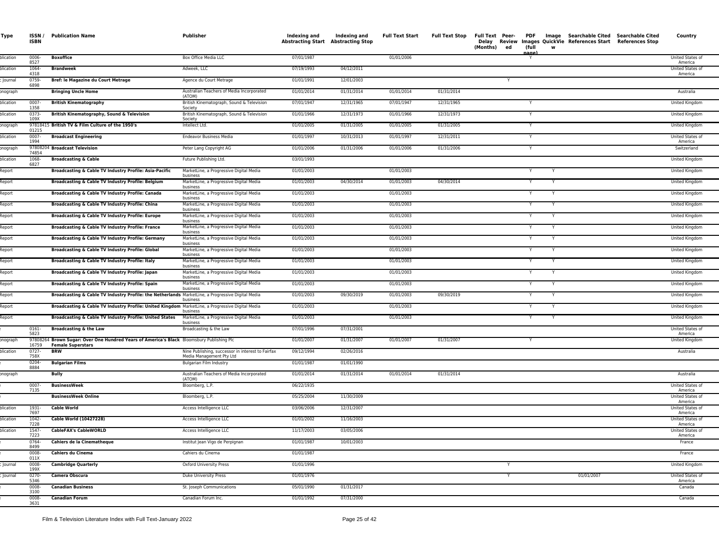| Type                    | ISSN /<br><b>ISBN</b> | <b>Publication Name</b>                                                                             | Publisher                                                                                      | Indexing and<br><b>Abstracting Start Abstracting Stop</b> | Indexing and | <b>Full Text Start</b>   | <b>Full Text Stop</b> | Full Text Peer- PDF<br>(Months)<br>ed | (full  | w |            | Image Searchable Cited Searchable Cited<br>Delay Review Images QuickVie References Start References Stop | Country                          |
|-------------------------|-----------------------|-----------------------------------------------------------------------------------------------------|------------------------------------------------------------------------------------------------|-----------------------------------------------------------|--------------|--------------------------|-----------------------|---------------------------------------|--------|---|------------|----------------------------------------------------------------------------------------------------------|----------------------------------|
| plication               | 0006-<br>8527         | <b>Boxoffice</b>                                                                                    | Box Office Media LLC                                                                           | 07/01/1987                                                |              | 01/01/2006               |                       |                                       | nage   |   |            |                                                                                                          | United States of<br>America      |
| olication               | 1064-<br>4318         | <b>Brandweek</b>                                                                                    | Adweek, LLC                                                                                    | 07/19/1993                                                | 04/12/2011   |                          |                       |                                       |        |   |            |                                                                                                          | United States of<br>America      |
| Journal                 | 0759-<br>6898         | Bref: le Magazine du Court Metrage                                                                  | Agence du Court Metrage                                                                        | 01/01/1991                                                | 12/01/2003   |                          |                       | Y                                     |        |   |            |                                                                                                          |                                  |
| onograph                |                       | <b>Bringing Uncle Home</b>                                                                          | Australian Teachers of Media Incorporated<br>(ATOM)                                            | 01/01/2014                                                | 01/31/2014   | 01/01/2014               | 01/31/2014            |                                       |        |   |            |                                                                                                          | Australia                        |
| olication               | 0007-<br>1358         | <b>British Kinematography</b>                                                                       | British Kinematograph, Sound & Television<br>Society                                           | 07/01/1947                                                | 12/31/1965   | 07/01/1947               | 12/31/1965            |                                       | Y      |   |            |                                                                                                          | United Kingdom                   |
| plication               | $0373-$<br>109X       | British Kinematography, Sound & Television                                                          | British Kinematograph, Sound & Television<br>Society                                           | 01/01/1966                                                | 12/31/1973   | 01/01/1966               | 12/31/1973            |                                       | Y      |   |            |                                                                                                          | United Kingdom                   |
| onograph                | 01215                 | 97818415 British TV & Film Culture of the 1950's                                                    | Intellect Ltd.                                                                                 | 01/01/2005                                                | 01/31/2005   | 01/01/2005               | 01/31/2005            |                                       | Y      |   |            |                                                                                                          | United Kingdom                   |
| olication               | 0007-<br>1994         | <b>Broadcast Engineering</b>                                                                        | <b>Endeavor Business Media</b>                                                                 | 01/01/1997                                                | 10/31/2013   | 01/01/1997               | 12/31/2011            |                                       | Y      |   |            |                                                                                                          | United States of<br>America      |
| onograph                | 74854                 | 97808204 Broadcast Television                                                                       | Peter Lang Copyright AG                                                                        | 01/01/2006                                                | 01/31/2006   | 01/01/2006               | 01/31/2006            |                                       | Y      |   |            |                                                                                                          | Switzerland                      |
| plication               | 1068-<br>6827         | <b>Broadcasting &amp; Cable</b>                                                                     | Future Publishing Ltd.                                                                         | 03/01/1993                                                |              |                          |                       |                                       |        |   |            |                                                                                                          | United Kingdom                   |
| <b>Report</b>           |                       | Broadcasting & Cable TV Industry Profile: Asia-Pacific                                              | MarketLine, a Progressive Digital Media<br>business                                            | 01/01/2003                                                |              | 01/01/2003               |                       |                                       |        |   |            |                                                                                                          | United Kingdom                   |
| <b>Report</b>           |                       | <b>Broadcasting &amp; Cable TV Industry Profile: Belgiun</b>                                        | MarketLine, a Progressive Digital Media<br>business                                            | 01/01/2003                                                | 04/30/2014   | 01/01/2003               | 04/30/2014            |                                       |        |   |            |                                                                                                          | United Kingdom                   |
| <b>Report</b>           |                       | Broadcasting & Cable TV Industry Profile: Canada                                                    | MarketLine, a Progressive Digital Media<br>business                                            | 01/01/2003                                                |              | 01/01/2003               |                       |                                       | Y      |   |            |                                                                                                          | United Kingdom                   |
| <b>Report</b>           |                       | Broadcasting & Cable TV Industry Profile: China                                                     | MarketLine, a Progressive Digital Media<br>business                                            | 01/01/2003                                                |              | 01/01/2003               |                       |                                       | Y      |   |            |                                                                                                          | United Kingdom                   |
| <b>Report</b>           |                       | Broadcasting & Cable TV Industry Profile: Europe                                                    | MarketLine, a Progressive Digital Media<br>business                                            | 01/01/2003                                                |              | 01/01/2003               |                       |                                       | Y      |   |            |                                                                                                          | United Kingdom                   |
| <b>Report</b>           |                       | <b>Broadcasting &amp; Cable TV Industry Profile: France</b>                                         | MarketLine, a Progressive Digital Media<br>business                                            | 01/01/2003                                                |              | 01/01/2003               |                       |                                       | Y      |   |            |                                                                                                          | United Kingdom                   |
| <b>Report</b>           |                       | Broadcasting & Cable TV Industry Profile: Germany                                                   | MarketLine, a Progressive Digital Media<br>business                                            | 01/01/2003                                                |              | 01/01/2003               |                       |                                       | Y      |   |            |                                                                                                          | United Kingdom                   |
| <b>Report</b><br>Report |                       | Broadcasting & Cable TV Industry Profile: Global<br>Broadcasting & Cable TV Industry Profile: Italy | MarketLine, a Progressive Digital Media<br>business<br>MarketLine, a Progressive Digital Media | 01/01/2003<br>01/01/2003                                  |              | 01/01/2003<br>01/01/2003 |                       |                                       | Y<br>Y |   |            |                                                                                                          | United Kingdom<br>United Kingdom |
| <b>Report</b>           |                       | Broadcasting & Cable TV Industry Profile: Japan                                                     | business<br>MarketLine, a Progressive Digital Media                                            | 01/01/2003                                                |              | 01/01/2003               |                       |                                       | Y      | Y |            |                                                                                                          | United Kingdom                   |
| <b>Report</b>           |                       | Broadcasting & Cable TV Industry Profile: Spain                                                     | business<br>MarketLine, a Progressive Digital Media                                            | 01/01/2003                                                |              | 01/01/2003               |                       |                                       | Y      | Y |            |                                                                                                          | United Kingdom                   |
| <b>Report</b>           |                       | Broadcasting & Cable TV Industry Profile: the Netherlands MarketLine, a Progressive Digital Media   | business                                                                                       | 01/01/2003                                                | 09/30/2019   | 01/01/2003               | 09/30/2019            |                                       | Y      | Y |            |                                                                                                          | United Kingdom                   |
| Report                  |                       | Broadcasting & Cable TV Industry Profile: United Kingdom MarketLine, a Progressive Digital Media    | business                                                                                       | 01/01/2003                                                |              | 01/01/2003               |                       |                                       | Y      |   |            |                                                                                                          | United Kingdom                   |
| <b>Report</b>           |                       | Broadcasting & Cable TV Industry Profile: United States                                             | business<br>MarketLine, a Progressive Digital Media                                            | 01/01/2003                                                |              | 01/01/2003               |                       |                                       |        |   |            |                                                                                                          | United Kingdom                   |
|                         | 0161-                 | <b>Broadcasting &amp; the Law</b>                                                                   | business<br>Broadcasting & the Law                                                             | 07/01/1996                                                | 07/31/2001   |                          |                       |                                       |        |   |            |                                                                                                          | United States of                 |
| onograph                | 5823                  | 97808264 Brown Sugar: Over One Hundred Years of America's Black Bloomsbury Publishing Plc           |                                                                                                | 01/01/2007                                                | 01/31/2007   | 01/01/2007               | 01/31/2007            |                                       |        |   |            |                                                                                                          | America<br>United Kingdom        |
| olication               | 16759<br>0727-        | <b>Female Superstars</b><br><b>BRW</b>                                                              | Nine Publishing, successor in interest to Fairfax                                              | 09/12/1994                                                | 02/26/2016   |                          |                       |                                       |        |   |            |                                                                                                          | Australia                        |
|                         | 758X<br>0204-         | <b>Bulgarian Films</b>                                                                              | Media Management Pty Ltd<br>Bulgarian Film Industry                                            | 01/01/1987                                                | 01/01/1990   |                          |                       |                                       |        |   |            |                                                                                                          |                                  |
| onograph                | 8884                  | Bully                                                                                               | Australian Teachers of Media Incorporated<br>(ATOM)                                            | 01/01/2014                                                | 01/31/2014   | 01/01/2014               | 01/31/2014            |                                       |        |   |            |                                                                                                          | Australia                        |
|                         | 0007-<br>7135         | <b>BusinessWeek</b>                                                                                 | Bloomberg, L.P.                                                                                | 06/22/1935                                                |              |                          |                       |                                       |        |   |            |                                                                                                          | United States of<br>America      |
|                         |                       | <b>BusinessWeek Online</b>                                                                          | Bloomberg, L.P.                                                                                | 05/25/2004                                                | 11/30/2009   |                          |                       |                                       |        |   |            |                                                                                                          | United States of<br>America      |
| plication               | 1931-<br>7697         | <b>Cable World</b>                                                                                  | Access Intelligence LLC                                                                        | 03/06/2006                                                | 12/31/2007   |                          |                       |                                       |        |   |            |                                                                                                          | United States of<br>America      |
| olication               | 1042-<br>7228         | Cable World (10427228)                                                                              | Access Intelligence LLC                                                                        | 01/01/2002                                                | 11/16/2003   |                          |                       |                                       |        |   |            |                                                                                                          | United States of<br>America      |
| olication               | 1547-<br>7223         | <b>CableFAX's CableWORLD</b>                                                                        | Access Intelligence LLC                                                                        | 11/17/2003                                                | 03/05/2006   |                          |                       |                                       |        |   |            |                                                                                                          | United States of<br>America      |
|                         | 0764-<br>8499         | <b>Cahiers de la Cinematheque</b>                                                                   | Institut Jean Vigo de Perpignan                                                                | 01/01/1987                                                | 10/01/2003   |                          |                       |                                       |        |   |            |                                                                                                          | France                           |
|                         | 0008-<br>011X         | <b>Cahiers du Cinema</b>                                                                            | Cahiers du Cinema                                                                              | 01/01/1987                                                |              |                          |                       |                                       |        |   |            |                                                                                                          | France                           |
| Journal                 | 0008-<br>199X         | <b>Cambridge Quarterly</b>                                                                          | Oxford University Press                                                                        | 01/01/1996                                                |              |                          |                       |                                       |        |   |            |                                                                                                          | United Kingdom                   |
| Journal                 | 0270-<br>5346         | Camera Obscura                                                                                      | Duke University Press                                                                          | 01/01/1976                                                |              |                          |                       |                                       |        |   | 01/01/2007 |                                                                                                          | United States of<br>America      |
|                         | $0008 -$<br>3100      | <b>Canadian Business</b>                                                                            | St. Joseph Communications                                                                      | 05/01/1990                                                | 01/31/2017   |                          |                       |                                       |        |   |            |                                                                                                          | Canada                           |
|                         | $0008 -$<br>3631      | <b>Canadian Forum</b>                                                                               | Canadian Forum Inc.                                                                            | 01/01/1992                                                | 07/31/2000   |                          |                       |                                       |        |   |            |                                                                                                          | Canada                           |
|                         |                       |                                                                                                     |                                                                                                |                                                           |              |                          |                       |                                       |        |   |            |                                                                                                          |                                  |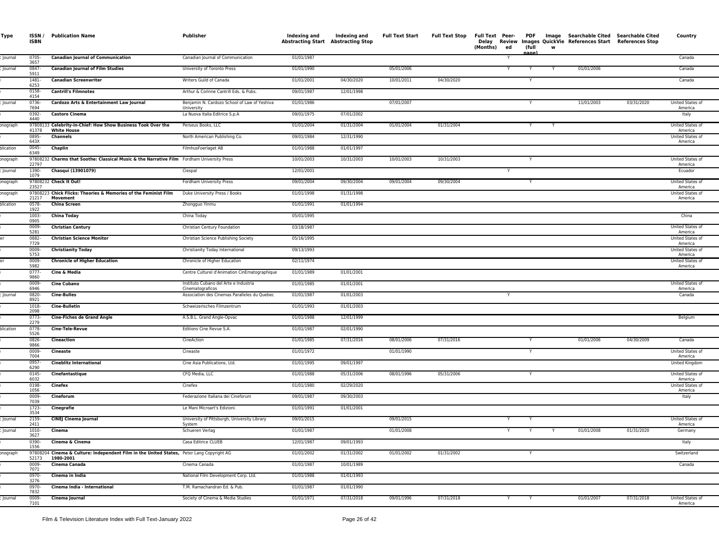| Type      | ISSN /<br><b>ISBN</b> | <b>Publication Name</b>                                                                                | Publisher                                                  | Indexing and<br><b>Abstracting Start Abstracting Stop</b> | Indexing and | <b>Full Text Start</b> | Full Text Stop | Full Text Peer- PDF Image Searchable Cited Searchable Cited<br>Delay<br>(Months)<br>ed | (full<br>nane | w | Review Images QuickVie References Start References Stop |            | Country                     |
|-----------|-----------------------|--------------------------------------------------------------------------------------------------------|------------------------------------------------------------|-----------------------------------------------------------|--------------|------------------------|----------------|----------------------------------------------------------------------------------------|---------------|---|---------------------------------------------------------|------------|-----------------------------|
| Journal   | 0705-<br>3657         | <b>Canadian Journal of Communication</b>                                                               | Canadian Journal of Communication                          | 01/01/1987                                                |              |                        |                |                                                                                        |               |   |                                                         |            | Canada                      |
| Journal   | 0847-<br>5911         | <b>Canadian Journal of Film Studies</b>                                                                | University of Toronto Press                                | 01/01/1990                                                |              | 05/01/2006             |                | Y                                                                                      |               |   | 01/01/2006                                              |            | Canada                      |
|           | 1481-<br>6253         | <b>Canadian Screenwriter</b>                                                                           | Writers Guild of Canada                                    | 01/01/2001                                                | 04/30/2020   | 10/01/2011             | 04/30/2020     |                                                                                        |               |   |                                                         |            | Canada                      |
|           | 0158-<br>4154         | <b>Cantrill's Filmnotes</b>                                                                            | Arthur & Corinne Cantrill Eds. & Pubs.                     | 09/01/1987                                                | 12/01/1998   |                        |                |                                                                                        |               |   |                                                         |            |                             |
| Journal   | 0736-<br>7694         | Cardozo Arts & Entertainment Law Journal                                                               | Benjamin N. Cardozo School of Law of Yeshiva<br>University | 01/01/1986                                                |              | 07/01/2007             |                |                                                                                        |               |   | 11/01/2003                                              | 03/31/2020 | United States of<br>America |
|           | 0392-<br>4440         | <b>Castoro Cinema</b>                                                                                  | La Nuova Italia Editrice S.p.A                             | 09/01/1975                                                | 07/01/2002   |                        |                |                                                                                        |               |   |                                                         |            | Italy                       |
| onograph  | 41378                 | 97808133 Celebrity-in-Chief: How Show Business Took Over the<br><b>White House</b>                     | Perseus Books, LLC                                         | 01/01/2004                                                | 01/31/2004   | 01/01/2004             | 01/31/2004     |                                                                                        | Y             | Y |                                                         |            | United States of<br>America |
|           | 0895-<br>643X         | <b>Channels</b>                                                                                        | North American Publishing Co.                              | 09/01/1984                                                | 12/31/1990   |                        |                |                                                                                        |               |   |                                                         |            | United States of<br>America |
| olication | 0045-<br>6349         | Chaplin                                                                                                | FilmhusFoerlaget AB                                        | 01/01/1988                                                | 01/01/1997   |                        |                |                                                                                        |               |   |                                                         |            |                             |
| onograph  | 22797                 | 97808232 Charms that Soothe: Classical Music & the Narrative Film Fordham University Press             |                                                            | 10/01/2003                                                | 10/31/2003   | 10/01/2003             | 10/31/2003     |                                                                                        |               |   |                                                         |            | United States of<br>America |
| Journal   | 1390-<br>1079         | Chasqui (13901079)                                                                                     | Ciespal                                                    | 12/01/2001                                                |              |                        |                |                                                                                        |               |   |                                                         |            | Ecuador                     |
| onograph  | 23527                 | 97808232 Check It Out!                                                                                 | Fordham University Press                                   | 09/01/2004                                                | 09/30/2004   | 09/01/2004             | 09/30/2004     |                                                                                        |               |   |                                                         |            | United States of<br>America |
| onograph  | 21217                 | 97808223 Chick Flicks: Theories & Memories of the Feminist Film<br>Movement                            | Duke University Press / Books                              | 01/01/1998                                                | 01/31/1998   |                        |                |                                                                                        |               |   |                                                         |            | United States of<br>America |
| olication | 0578-<br>1922         | <b>China Screen</b>                                                                                    | Zhongguo Yinmu                                             | 01/01/1991                                                | 01/01/1994   |                        |                |                                                                                        |               |   |                                                         |            |                             |
|           | 1003-<br>0905         | <b>China Today</b>                                                                                     | China Today                                                | 05/01/1995                                                |              |                        |                |                                                                                        |               |   |                                                         |            | China                       |
|           | $0009 -$<br>5281      | <b>Christian Century</b>                                                                               | Christian Century Foundation                               | 03/18/1987                                                |              |                        |                |                                                                                        |               |   |                                                         |            | United States of<br>America |
|           | 0882-<br>7729         | <b>Christian Science Monitor</b>                                                                       | Christian Science Publishing Society                       | 05/16/1995                                                |              |                        |                |                                                                                        |               |   |                                                         |            | United States of<br>America |
|           | 0009-<br>5753         | <b>Christianity Today</b>                                                                              | Christianity Today International                           | 09/13/1993                                                |              |                        |                |                                                                                        |               |   |                                                         |            | United States of<br>America |
|           | 0009-<br>5982         | <b>Chronicle of Higher Education</b>                                                                   | Chronicle of Higher Education                              | 02/11/1974                                                |              |                        |                |                                                                                        |               |   |                                                         |            | United States of<br>America |
|           | $0777 -$<br>9860      | Cine & Media                                                                                           | Centre Culturel d'Animation CinEmatographique              | 01/01/1989                                                | 01/01/2001   |                        |                |                                                                                        |               |   |                                                         |            |                             |
|           | 0009-<br>6946         | <b>Cine Cubano</b>                                                                                     | Instituto Cubano del Arte e Industria<br>Cinematograficos  | 01/01/1985                                                | 01/01/2001   |                        |                |                                                                                        |               |   |                                                         |            | United States of<br>America |
| Journal   | 0820-<br>8921         | <b>Cine-Bulles</b>                                                                                     | Association des Cinemas Paralleles du Quebec               | 01/01/1987                                                | 01/01/2003   |                        |                |                                                                                        |               |   |                                                         |            | Canada                      |
|           | 1018-<br>2098         | <b>Cine-Bulletin</b>                                                                                   | Schweizerisches Filmzentrum                                | 01/01/1993                                                | 01/01/2003   |                        |                |                                                                                        |               |   |                                                         |            |                             |
|           | $0773-$<br>2279       | <b>Cine-Fiches de Grand Angle</b>                                                                      | A.S.B.L. Grand Angle-Opvac                                 | 01/01/1988                                                | 12/01/1999   |                        |                |                                                                                        |               |   |                                                         |            | Belgium                     |
| plication | 0778-<br>5526         | Cine-Tele-Revue                                                                                        | Editions Cine Revue S.A.                                   | 01/01/1987                                                | 02/01/1990   |                        |                |                                                                                        |               |   |                                                         |            |                             |
|           | $0826 -$<br>9866      | Cineaction                                                                                             | CineAction                                                 | 01/01/1985                                                | 07/31/2016   | 08/01/2006             | 07/31/2016     |                                                                                        |               |   | 01/01/2006                                              | 04/30/2009 | Canada                      |
|           | 0009-<br>7004         | Cineaste                                                                                               | Cineaste                                                   | 01/01/1972                                                |              | 01/01/1990             |                |                                                                                        |               |   |                                                         |            | United States of<br>America |
|           | 0957-<br>6290         | <b>Cineblitz International</b>                                                                         | Cine Asia Publications, Ltd.                               | 01/01/1995                                                | 09/01/1997   |                        |                |                                                                                        |               |   |                                                         |            | United Kingdom              |
|           | 0145-<br>6032         | Cinefantastique                                                                                        | CFQ Media, LLC                                             | 01/01/1988                                                | 05/31/2006   | 08/01/1996             | 05/31/2006     |                                                                                        |               |   |                                                         |            | United States of<br>America |
|           | 0198-<br>1056         | Cinefex                                                                                                | Cinefex                                                    | 01/01/1980                                                | 02/29/2020   |                        |                |                                                                                        |               |   |                                                         |            | United States of<br>America |
|           | 0009-<br>7039         | Cineforum                                                                                              | Federazione Italiana dei Cineforum                         | 09/01/1987                                                | 09/30/2003   |                        |                |                                                                                        |               |   |                                                         |            | Italy                       |
|           | 1723-<br>3534         | Cinegrafie                                                                                             | Le Mani Microart's Edizioni.                               | 01/01/1991                                                | 01/01/2001   |                        |                |                                                                                        |               |   |                                                         |            |                             |
| lournal   | 2159-<br>2411         | <b>CINEJ Cinema Journal</b>                                                                            | University of Pittsburgh, University Library<br>System     | 09/01/2015                                                |              | 09/01/2015             |                | Y                                                                                      |               |   |                                                         |            | United States of<br>America |
| Journal   | $1010 -$<br>3627      | Cinema                                                                                                 | Schueren Verlag                                            | 01/01/1987                                                |              | 01/01/2008             |                | Y                                                                                      | Y             | Y | 01/01/2008                                              | 01/31/2020 | Germany                     |
|           | 0390-<br>1556         | Cinema & Cinema                                                                                        | Casa Editrice CLUEB                                        | 12/01/1987                                                | 09/01/1993   |                        |                |                                                                                        |               |   |                                                         |            | Italy                       |
| onograph  | 52173                 | 97808204 Cinema & Culture: Independent Film in the United States, Peter Lang Copyright AG<br>1980-2001 |                                                            | 01/01/2002                                                | 01/31/2002   | 01/01/2002             | 01/31/2002     |                                                                                        |               |   |                                                         |            | Switzerland                 |
|           | $0009 -$<br>7071      | Cinema Canada                                                                                          | Cinema Canada                                              | 01/01/1987                                                | 10/01/1989   |                        |                |                                                                                        |               |   |                                                         |            | Canada                      |
|           | 0970-<br>3276         | Cinema in India                                                                                        | National Film Development Corp. Ltd.                       | 01/01/1988                                                | 01/01/1993   |                        |                |                                                                                        |               |   |                                                         |            |                             |
|           | 0970-<br>7832         | Cinema India - International                                                                           | T.M. Ramachandran Ed. & Pub.                               | 01/01/1987                                                | 01/01/1990   |                        |                |                                                                                        |               |   |                                                         |            |                             |
| Journal   | 0009-<br>7101         | Cinema Journal                                                                                         | Society of Cinema & Media Studies                          | 01/01/1971                                                | 07/31/2018   | 09/01/1996             | 07/31/2018     | Y                                                                                      | Y             |   | 01/01/2007                                              | 07/31/2018 | United States of<br>America |
|           |                       |                                                                                                        |                                                            |                                                           |              |                        |                |                                                                                        |               |   |                                                         |            |                             |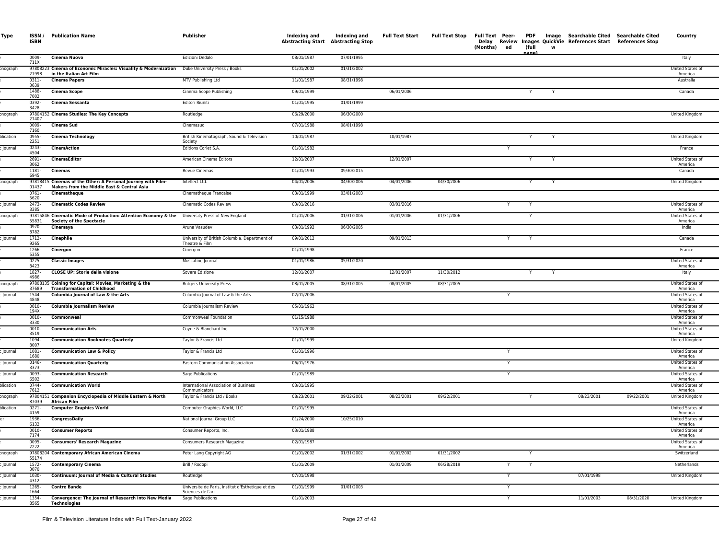| Type            | ISSN /<br><b>ISBN</b> | <b>Publication Name</b>                                                                                                           | Publisher                                                              | Indexing and<br><b>Abstracting Start Abstracting Stop</b> | Indexing and | <b>Full Text Start</b> |            | Full Text Stop Full Text Peer- PDF Image Searchable Cited Searchable Cited<br>(Months) ed | (full<br>nane' | w | Delay Review Images QuickVie References Start References Stop |            | Country                     |
|-----------------|-----------------------|-----------------------------------------------------------------------------------------------------------------------------------|------------------------------------------------------------------------|-----------------------------------------------------------|--------------|------------------------|------------|-------------------------------------------------------------------------------------------|----------------|---|---------------------------------------------------------------|------------|-----------------------------|
|                 | 0009-<br>711X         | Cinema Nuovo                                                                                                                      | Edizioni Dedalo                                                        | 08/01/1987                                                | 07/01/1995   |                        |            |                                                                                           |                |   |                                                               |            | Italy                       |
| onograph        | 27998                 | 97808223 Cinema of Economic Miracles: Visuality & Modernization Duke University Press / Books<br>in the Italian Art Film          |                                                                        | 01/01/2002                                                | 01/31/2002   |                        |            |                                                                                           |                |   |                                                               |            | United States of<br>America |
|                 | 0311-<br>3639         | <b>Cinema Papers</b>                                                                                                              | MTV Publishing Ltd                                                     | 11/01/1987                                                | 08/31/1998   |                        |            |                                                                                           |                |   |                                                               |            | Australia                   |
|                 | 1488-<br>7002         | <b>Cinema Scope</b>                                                                                                               | Cinema Scope Publishing                                                | 09/01/1999                                                |              | 06/01/2006             |            |                                                                                           | Y              | Y |                                                               |            | Canada                      |
|                 | 0392-<br>3428         | Cinema Sessanta                                                                                                                   | Editori Riuniti                                                        | 01/01/1995                                                | 01/01/1999   |                        |            |                                                                                           |                |   |                                                               |            |                             |
| onograph        | 27407                 | 97804152 Cinema Studies: The Key Concepts                                                                                         | Routledge                                                              | 06/29/2000                                                | 06/30/2000   |                        |            |                                                                                           |                |   |                                                               |            | United Kingdom              |
|                 | 0009-<br>7160         | Cinema Sud                                                                                                                        | Cinemasud                                                              | 07/01/1988                                                | 08/01/1998   |                        |            |                                                                                           |                |   |                                                               |            |                             |
| <b>Iication</b> | 0955-<br>2251         | <b>Cinema Technology</b>                                                                                                          | British Kinematograph, Sound & Television<br>Society                   | 10/01/1987                                                |              | 10/01/1987             |            |                                                                                           | Y              | Y |                                                               |            | United Kingdom              |
| Journal         | 0243-<br>4504         | <b>CinemAction</b>                                                                                                                | Editions Corlet S.A.                                                   | 01/01/1982                                                |              |                        |            | Y                                                                                         |                |   |                                                               |            | France                      |
|                 | 2691-<br>3062         | CinemaEditor                                                                                                                      | American Cinema Editors                                                | 12/01/2007                                                |              | 12/01/2007             |            |                                                                                           | Y              | Y |                                                               |            | United States of<br>America |
|                 | 1181-<br>6945         | Cinemas                                                                                                                           | Revue Cinemas                                                          | 01/01/1993                                                | 09/30/2015   |                        |            |                                                                                           |                |   |                                                               |            | Canada                      |
| onograph        | 01437                 | 97818415 Cinemas of the Other: A Personal Journey with Film-<br>Makers from the Middle East & Central Asia                        | Intellect Ltd.                                                         | 04/01/2006                                                | 04/30/2006   | 04/01/2006             | 04/30/2006 |                                                                                           |                |   |                                                               |            | United Kingdom              |
|                 | 0761-<br>5620         | Cinematheque                                                                                                                      | Cinematheque Francaise                                                 | 03/01/1999                                                | 03/01/2003   |                        |            |                                                                                           |                |   |                                                               |            |                             |
| Journal         | 2473-<br>3385         | <b>Cinematic Codes Review</b>                                                                                                     | Cinematic Codes Review                                                 | 03/01/2016                                                |              | 03/01/2016             |            |                                                                                           |                |   |                                                               |            | United States of<br>America |
| onograph        | 55831                 | 97815846 Cinematic Mode of Production: Attention Economy & the University Press of New England<br><b>Society of the Spectacle</b> |                                                                        | 01/01/2006                                                | 01/31/2006   | 01/01/2006             | 01/31/2006 |                                                                                           |                |   |                                                               |            | United States of<br>America |
|                 | 0970-<br>8782         | Cinemaya                                                                                                                          | Aruna Vasudev                                                          | 03/01/1992                                                | 06/30/2005   |                        |            |                                                                                           |                |   |                                                               |            | India                       |
| Journal         | 1712-<br>9265         | Cinephile                                                                                                                         | University of British Columbia, Department of<br>Theatre & Film        | 09/01/2012                                                |              | 09/01/2013             |            | Y                                                                                         |                |   |                                                               |            | Canada                      |
|                 | 1266-<br>5355         | Cinergon                                                                                                                          | Cinergon                                                               | 01/01/1998                                                |              |                        |            |                                                                                           |                |   |                                                               |            | France                      |
|                 | 0275-<br>8423         | <b>Classic Images</b>                                                                                                             | Muscatine Journal                                                      | 01/01/1986                                                | 05/31/2020   |                        |            |                                                                                           |                |   |                                                               |            | United States of<br>America |
|                 | 1827-<br>4986         | <b>CLOSE UP: Storie della visione</b>                                                                                             | Sovera Edizione                                                        | 12/01/2007                                                |              | 12/01/2007             | 11/30/2012 |                                                                                           | Y              | Y |                                                               |            | Italy                       |
| onograph        | 37689                 | 97808135 Coining for Capital: Movies, Marketing & the<br><b>Transformation of Childhood</b>                                       | <b>Rutgers University Press</b>                                        | 08/01/2005                                                | 08/31/2005   | 08/01/2005             | 08/31/2005 |                                                                                           |                |   |                                                               |            | United States of<br>America |
| Journal         | 1544<br>4848          | Columbia Journal of Law & the Arts                                                                                                | Columbia Journal of Law & the Arts                                     | 02/01/2006                                                |              |                        |            | Y                                                                                         |                |   |                                                               |            | United States of<br>America |
|                 | 0010-<br>194X         | Columbia Journalism Review                                                                                                        | Columbia Journalism Review                                             | 05/01/1962                                                |              |                        |            |                                                                                           |                |   |                                                               |            | United States of<br>America |
|                 | 0010-<br>3330         | Commonweal                                                                                                                        | Commonweal Foundation                                                  | 01/15/1988                                                |              |                        |            |                                                                                           |                |   |                                                               |            | United States of<br>America |
|                 | 0010-<br>3519         | <b>Communication Arts</b>                                                                                                         | Coyne & Blanchard Inc.                                                 | 12/01/2000                                                |              |                        |            |                                                                                           |                |   |                                                               |            | United States of<br>America |
|                 | 1094-<br>8007         | <b>Communication Booknotes Quarterly</b>                                                                                          | Taylor & Francis Ltd                                                   | 01/01/1999                                                |              |                        |            |                                                                                           |                |   |                                                               |            | United Kingdom              |
| lournal         | 1081-<br>1680         | <b>Communication Law &amp; Policy</b>                                                                                             | Taylor & Francis Ltd                                                   | 01/01/1996                                                |              |                        |            |                                                                                           |                |   |                                                               |            | United States of<br>America |
| ournal          | 0146-<br>3373         | <b>Communication Quarterly</b>                                                                                                    | Eastern Communication Association                                      | 06/01/1976                                                |              |                        |            | Y                                                                                         |                |   |                                                               |            | United States of<br>America |
| Journa          | 0093-<br>6502         | <b>Communication Research</b>                                                                                                     | Sage Publications                                                      | 01/01/1989                                                |              |                        |            |                                                                                           |                |   |                                                               |            | United States of<br>America |
| olication       | 0744-<br>7612         | <b>Communication World</b>                                                                                                        | International Association of Business<br>Communicators                 | 03/01/1995                                                |              |                        |            |                                                                                           |                |   |                                                               |            | United States of<br>America |
| onograph        | 87039                 | 97804151 Companion Encyclopedia of Middle Eastern & North<br><b>African Film</b>                                                  | Taylor & Francis Ltd / Books                                           | 08/23/2001                                                | 09/22/2001   | 08/23/2001             | 09/22/2001 |                                                                                           |                |   | 08/23/2001                                                    | 09/22/2001 | United Kingdom              |
| plication       | 0271-<br>4159         | <b>Computer Graphics World</b>                                                                                                    | Computer Graphics World, LLC                                           | 01/01/1995                                                |              |                        |            |                                                                                           |                |   |                                                               |            | United States of<br>America |
|                 | 1936-<br>6132         | <b>CongressDaily</b>                                                                                                              | National Journal Group LLC                                             | 01/24/2000                                                | 10/25/2010   |                        |            |                                                                                           |                |   |                                                               |            | United States of<br>America |
|                 | 0010-<br>7174         | <b>Consumer Reports</b>                                                                                                           | Consumer Reports, Inc.                                                 | 03/01/1988                                                |              |                        |            |                                                                                           |                |   |                                                               |            | United States of<br>America |
|                 | 0095-<br>2222         | <b>Consumers' Research Magazine</b>                                                                                               | Consumers Research Magazine                                            | 02/01/1987                                                |              |                        |            |                                                                                           |                |   |                                                               |            | United States of<br>America |
| onograph        | 55174                 | 97808204 Contemporary African American Cinema                                                                                     | Peter Lang Copyright AG                                                | 01/01/2002                                                | 01/31/2002   | 01/01/2002             | 01/31/2002 |                                                                                           |                |   |                                                               |            | Switzerland                 |
| Journal         | 1572-<br>3070         | <b>Contemporary Cinema</b>                                                                                                        | Brill / Rodopi                                                         | 01/01/2009                                                |              | 01/01/2009             | 06/28/2019 | Y                                                                                         |                |   |                                                               |            | Netherlands                 |
| Journal         | 1030-<br>4312         | Continuum: Journal of Media & Cultural Studies                                                                                    | Routledge                                                              | 07/01/1998                                                |              |                        |            |                                                                                           |                |   | 07/01/1998                                                    |            | United Kingdom              |
| Journal         | 1265-<br>1664         | <b>Contre Bande</b>                                                                                                               | Universite de Paris, Institut d'Esthetique et des<br>Sciences de l'art | 01/01/1999                                                | 01/01/2003   |                        |            |                                                                                           |                |   |                                                               |            |                             |
| Journal         | 1354-<br>8565         | Convergence: The Journal of Research into New Media<br><b>Technologies</b>                                                        | Sage Publications                                                      | 01/01/2003                                                |              |                        |            | Y                                                                                         |                |   | 11/01/2003                                                    | 08/31/2020 | United Kingdom              |
|                 |                       |                                                                                                                                   |                                                                        |                                                           |              |                        |            |                                                                                           |                |   |                                                               |            |                             |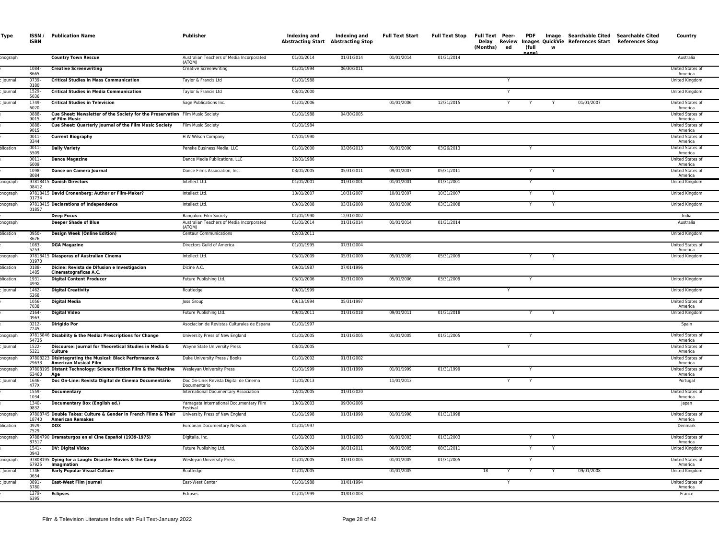| Type      | <b>ISBN</b>              | <b>ISSN / Publication Name</b>                                                                  | Publisher                                             | Indexing and<br><b>Abstracting Start Abstracting Stop</b> | Indexing and             | <b>Full Text Start</b> | <b>Full Text Stop</b> | (Months) ed | (full | w |            | Full Text Peer- PDF Image Searchable Cited Searchable Cited<br>Delay Review Images QuickVie References Start References Stop | Country                            |
|-----------|--------------------------|-------------------------------------------------------------------------------------------------|-------------------------------------------------------|-----------------------------------------------------------|--------------------------|------------------------|-----------------------|-------------|-------|---|------------|------------------------------------------------------------------------------------------------------------------------------|------------------------------------|
| onograph  |                          | <b>Country Town Rescue</b>                                                                      | Australian Teachers of Media Incorporated<br>(ATOM)   | 01/01/2014                                                | 01/31/2014               | 01/01/2014             | 01/31/2014            |             |       |   |            |                                                                                                                              | Australia                          |
|           | 1084-<br>8665            | <b>Creative Screenwriting</b>                                                                   | <b>Creative Screenwriting</b>                         | 01/01/1994                                                | 06/30/2011               |                        |                       |             |       |   |            |                                                                                                                              | United States of                   |
| lournal   | 0739-<br>3180            | <b>Critical Studies in Mass Communication</b>                                                   | Taylor & Francis Ltd                                  | 01/01/1988                                                |                          |                        |                       |             |       |   |            |                                                                                                                              | America<br>United Kingdom          |
| lournal   | 1529<br>5036             | <b>Critical Studies in Media Communication</b>                                                  | Taylor & Francis Ltd                                  | 03/01/2000                                                |                          |                        |                       | Y           |       |   |            |                                                                                                                              | United Kingdom                     |
| Journal   | 1749-<br>6020            | <b>Critical Studies in Television</b>                                                           | Sage Publications Inc.                                | 01/01/2006                                                |                          | 01/01/2006             | 12/31/2015            | Y           | Y     |   | 01/01/2007 |                                                                                                                              | United States of<br>America        |
|           | 0888<br>9015             | Cue Sheet: Newsletter of the Society for the Preservation Film Music Society<br>of Film Music   |                                                       | 01/01/1988                                                | 04/30/2005               |                        |                       |             |       |   |            |                                                                                                                              | United States of<br>America        |
|           | 0888<br>9015             | Cue Sheet: Quarterly Journal of the Film Music Society                                          | Film Music Society                                    | 01/01/1984                                                |                          |                        |                       |             |       |   |            |                                                                                                                              | United States of<br>America        |
|           | $0011 -$<br>3344         | <b>Current Biography</b>                                                                        | H W Wilson Company                                    | 07/01/1990                                                |                          |                        |                       |             |       |   |            |                                                                                                                              | United States of<br>America        |
| olication | $0011 -$<br>5509         | <b>Daily Variety</b>                                                                            | Penske Business Media, LLC                            | 01/01/2000                                                | 03/26/2013               | 01/01/2000             | 03/26/2013            |             | Y     |   |            |                                                                                                                              | United States of<br>America        |
|           | $0011 -$<br>6009         | <b>Dance Magazine</b>                                                                           | Dance Media Publications, LLC                         | 12/01/1986                                                |                          |                        |                       |             |       |   |            |                                                                                                                              | United States of<br>America        |
|           | 1098-<br>8084            | Dance on Camera Journal                                                                         | Dance Films Association, Inc.                         | 03/01/2005                                                | 05/31/2011               | 09/01/2007             | 05/31/2011            |             | Y     |   |            |                                                                                                                              | United States of<br>America        |
| onograph  | 08412                    | 97818415 Danish Directors                                                                       | Intellect Ltd.                                        | 01/01/2001                                                | 01/31/2001               | 01/01/2001             | 01/31/2001            |             |       |   |            |                                                                                                                              | United Kingdom                     |
| onograph  | 01734                    | 97818415 David Cronenberg: Author or Film-Maker?                                                | Intellect Ltd.                                        | 10/01/2007                                                | 10/31/2007               | 10/01/2007             | 10/31/2007            |             |       |   |            |                                                                                                                              | <b>United Kingdom</b>              |
| onograph  | 01857                    | 97818415 Declarations of Independence                                                           | Intellect Ltd.                                        | 03/01/2008                                                | 03/31/2008               | 03/01/2008             | 03/31/2008            |             | Y     |   |            |                                                                                                                              | United Kingdom                     |
|           |                          | <b>Deep Focus</b>                                                                               | <b>Bangalore Film Society</b>                         | 01/01/1990                                                | 12/31/2002               |                        |                       |             |       |   |            |                                                                                                                              | India                              |
| onograph  |                          | <b>Deeper Shade of Blue</b>                                                                     | Australian Teachers of Media Incorporated<br>(ATOM)   | 01/01/2014                                                | 01/31/2014               | 01/01/2014             | 01/31/2014            |             |       |   |            |                                                                                                                              | Australia                          |
| plication | 0950-<br>3676            | <b>Design Week (Online Edition)</b>                                                             | <b>Centaur Communications</b>                         | 02/03/2011                                                |                          |                        |                       |             |       |   |            |                                                                                                                              | United Kingdom                     |
|           | 1083-<br>5253            | <b>DGA Magazine</b>                                                                             | Directors Guild of America                            | 01/01/1995                                                | 07/31/2004               |                        |                       |             |       |   |            |                                                                                                                              | United States of<br>America        |
| onograph  | 01970                    | 97818415 Diasporas of Australian Cinema                                                         | Intellect Ltd.                                        | 05/01/2009                                                | 05/31/2009               | 05/01/2009             | 05/31/2009            |             |       |   |            |                                                                                                                              | United Kingdom                     |
| olication | 0188-<br>1485            | Dicine: Revista de Difusion e Investigacion<br>Cinematograficas A.C.                            | Dicine A.C.                                           | 09/01/1987                                                | 07/01/1996               |                        |                       |             |       |   |            |                                                                                                                              |                                    |
| plication | $1931 -$<br>499X<br>1462 | <b>Digital Content Producer</b>                                                                 | Future Publishing Ltd.                                | 05/01/2006                                                | 03/31/2009               | 05/01/2006             | 03/31/2009            |             |       |   |            |                                                                                                                              | United Kingdom                     |
| Journal   | 6268                     | <b>Digital Creativity</b>                                                                       | Routledge                                             | 09/01/1999                                                |                          |                        |                       |             |       |   |            |                                                                                                                              | United Kingdom<br>United States of |
|           | 1056-<br>7038<br>2164-   | <b>Digital Media</b><br><b>Digital Video</b>                                                    | Joss Group<br>Future Publishing Ltd.                  | 09/13/1994<br>09/01/2011                                  | 05/31/1997<br>01/31/2018 | 09/01/2011             | 01/31/2018            |             | Y     | Y |            |                                                                                                                              | America<br>United Kingdom          |
|           | 0963<br>$0212 -$         | <b>Dirigido Por</b>                                                                             | Asociacion de Revistas Culturales de Espana           | 01/01/1997                                                |                          |                        |                       |             |       |   |            |                                                                                                                              | Spain                              |
| onograph  | 7245                     | 97815846 Disability & the Media: Prescriptions for Change                                       | University Press of New England                       | 01/01/2005                                                | 01/31/2005               | 01/01/2005             | 01/31/2005            |             |       |   |            |                                                                                                                              | United States of                   |
| lournal   | 54735<br>$1522 -$        | Discourse: Journal for Theoretical Studies in Media &                                           | Wayne State University Press                          | 03/01/2005                                                |                          |                        |                       | Y           |       |   |            |                                                                                                                              | America<br>United States of        |
| onograph  | 5321                     | Culture<br>97808223 Disintegrating the Musical: Black Performance &                             | Duke University Press / Books                         | 01/01/2002                                                | 01/31/2002               |                        |                       |             |       |   |            |                                                                                                                              | America<br>United States of        |
| onograph  | 29633                    | <b>American Musical Film</b><br>97808195 Distant Technology: Science Fiction Film & the Machine | Wesleyan University Press                             | 01/01/1999                                                | 01/31/1999               | 01/01/1999             | 01/31/1999            |             |       |   |            |                                                                                                                              | America<br>United States o         |
| Journal   | 63460<br>1646-<br>477X   | Age<br>Doc On-Line: Revista Digital de Cinema Documentário                                      | Doc On-Line: Revista Digital de Cinema                | 11/01/2013                                                |                          | 11/01/2013             |                       | Y           | Y     |   |            |                                                                                                                              | America<br>Portugal                |
|           | 1559-<br>1034            | <b>Documentary</b>                                                                              | Documentario<br>International Documentary Association | 12/01/2005                                                | 01/31/2020               |                        |                       |             |       |   |            |                                                                                                                              | United States of<br>America        |
|           | 1340-<br>9832            | Documentary Box (English ed.)                                                                   | Yamagata International Documentary Film<br>Festival   | 10/01/2003                                                | 09/30/2006               |                        |                       |             |       |   |            |                                                                                                                              | Japan                              |
| onograph  | 18740                    | 97808745 Double Takes: Culture & Gender in French Films & Their<br>American Remakes             | University Press of New England                       | 01/01/1998                                                | 01/31/1998               | 01/01/1998             | 01/31/1998            |             |       |   |            |                                                                                                                              | United States of<br>America        |
| olication | 0929-<br>7529            | <b>DOX</b>                                                                                      | European Documentary Network                          | 01/01/1997                                                |                          |                        |                       |             |       |   |            |                                                                                                                              | Denmark                            |
| onograph  | 87517                    | 97884790 Dramaturgos en el Cine Español (1939-1975)                                             | Digitalia, Inc.                                       | 01/01/2003                                                | 01/31/2003               | 01/01/2003             | 01/31/2003            |             | Y     | Y |            |                                                                                                                              | United States of<br>America        |
|           | $1541 -$<br>0943         | DV: Digital Video                                                                               | Future Publishing Ltd.                                | 02/01/2004                                                | 08/31/2011               | 06/01/2005             | 08/31/2011            |             | Y     | Y |            |                                                                                                                              | United Kingdom                     |
| onograph  | 67925                    | 97808195 Dying for a Laugh: Disaster Movies & the Camp<br>Imagination                           | Wesleyan University Press                             | 01/01/2005                                                | 01/31/2005               | 01/01/2005             | 01/31/2005            |             | Y     |   |            |                                                                                                                              | United States of<br>America        |
| Journal   | 1746-<br>0654            | <b>Early Popular Visual Culture</b>                                                             | Routledge                                             | 01/01/2005                                                |                          | 01/01/2005             |                       | 18<br>Y     |       |   | 09/01/2008 |                                                                                                                              | <b>United Kingdom</b>              |
| lournal   | 0891-<br>6780            | East-West Film Journal                                                                          | East-West Center                                      | 01/01/1988                                                | 01/01/1994               |                        |                       | Y           |       |   |            |                                                                                                                              | United States of<br>America        |
|           | 1279-<br>6395            | <b>Eclipses</b>                                                                                 | Eclipses                                              | 01/01/1999                                                | 01/01/2003               |                        |                       |             |       |   |            |                                                                                                                              | France                             |
|           |                          |                                                                                                 |                                                       |                                                           |                          |                        |                       |             |       |   |            |                                                                                                                              |                                    |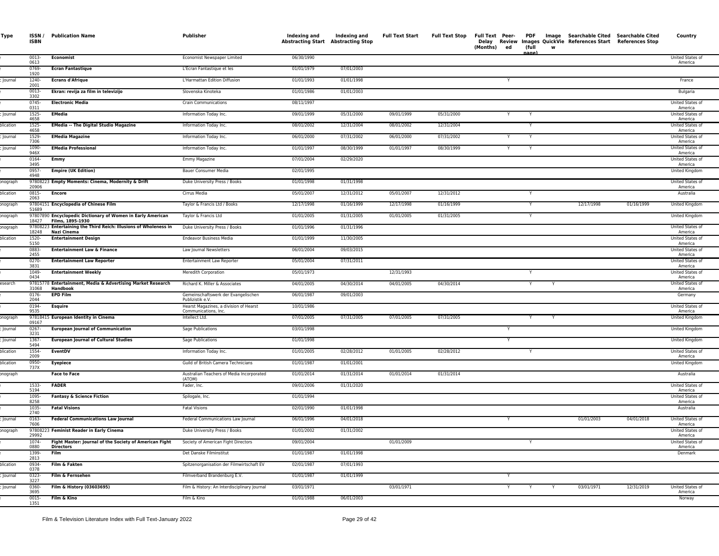| Type      | <b>ISBN</b>      | <b>ISSN</b> / Publication Name                                                  | Publisher                                                      | Indexing and<br><b>Abstracting Start Abstracting Stop</b> | Indexing and | <b>Full Text Start</b> | <b>Full Text Stop</b> | (Months)<br>ed | (full<br>w<br>nage | Full Text Peer- PDF Image Searchable Cited Searchable Cited<br>Delay Review Images QuickVie References Start References Stop |            | Country                     |
|-----------|------------------|---------------------------------------------------------------------------------|----------------------------------------------------------------|-----------------------------------------------------------|--------------|------------------------|-----------------------|----------------|--------------------|------------------------------------------------------------------------------------------------------------------------------|------------|-----------------------------|
|           | 0013-<br>0613    | <b>Economist</b>                                                                | Economist Newspaper Limited                                    | 06/30/1990                                                |              |                        |                       |                |                    |                                                                                                                              |            | United States of<br>America |
|           | 0769-<br>1920    | <b>Ecran Fantastique</b>                                                        | L'Ecran Fantastique et les                                     | 01/01/1979                                                | 07/01/2003   |                        |                       |                |                    |                                                                                                                              |            |                             |
| Journal   | 1240-<br>2001    | <b>Ecrans d'Afrique</b>                                                         | L'Harmattan Edition Diffusion                                  | 01/01/1993                                                | 01/01/1998   |                        |                       |                |                    |                                                                                                                              |            | France                      |
|           | 0013-<br>3302    | Ekran: revija za film in televizijo                                             | Slovenska Kinoteka                                             | 01/01/1986                                                | 01/01/2003   |                        |                       |                |                    |                                                                                                                              |            | Bulgaria                    |
|           | 0745-<br>0311    | <b>Electronic Media</b>                                                         | <b>Crain Communications</b>                                    | 08/11/1997                                                |              |                        |                       |                |                    |                                                                                                                              |            | United States of<br>America |
| Journal   | 1525-<br>4658    | <b>EMedia</b>                                                                   | Information Today Inc.                                         | 09/01/1999                                                | 05/31/2000   | 09/01/1999             | 05/31/2000            | Y              | Y                  |                                                                                                                              |            | United States of<br>America |
| olication | 1525-<br>4658    | <b>EMedia -- The Digital Studio Magazine</b>                                    | Information Today Inc.                                         | 08/01/2002                                                | 12/31/2004   | 08/01/2002             | 12/31/2004            |                |                    |                                                                                                                              |            | United States of<br>America |
| lournal   | 1529-<br>7306    | <b>EMedia Magazine</b>                                                          | Information Today Inc.                                         | 06/01/2000                                                | 07/31/2002   | 06/01/2000             | 07/31/2002            | Y              |                    |                                                                                                                              |            | United States of<br>America |
| Journal   | 1090-<br>946X    | <b>EMedia Professional</b>                                                      | Information Today Inc.                                         | 01/01/1997                                                | 08/30/1999   | 01/01/1997             | 08/30/1999            | Y              | Y                  |                                                                                                                              |            | United States of<br>America |
|           | 0164-<br>3495    | Emmy                                                                            | Emmy Magazine                                                  | 07/01/2004                                                | 02/29/2020   |                        |                       |                |                    |                                                                                                                              |            | United States o<br>America  |
|           | 0957-<br>4948    | <b>Empire (UK Edition)</b>                                                      | Bauer Consumer Media                                           | 02/01/1995                                                |              |                        |                       |                |                    |                                                                                                                              |            | United Kingdom              |
| onograph  | 20906            | 97808223 Empty Moments: Cinema, Modernity & Drift                               | Duke University Press / Books                                  | 01/01/1998                                                | 01/31/1998   |                        |                       |                |                    |                                                                                                                              |            | United States of<br>America |
| blication | 0815-<br>2063    | <b>Encore</b>                                                                   | Cirrus Media                                                   | 05/01/2007                                                | 12/31/2012   | 05/01/2007             | 12/31/2012            |                |                    |                                                                                                                              |            | Australia                   |
| onograph  | 51689            | 97804151 Encyclopedia of Chinese Film                                           | Taylor & Francis Ltd / Books                                   | 12/17/1998                                                | 01/16/1999   | 12/17/1998             | 01/16/1999            |                |                    | 12/17/1998                                                                                                                   | 01/16/1999 | United Kingdom              |
| onograph  | 18427            | 97807890 Encyclopedic Dictionary of Women in Early American<br>Films, 1895-1930 | Taylor & Francis Ltd                                           | 01/01/2005                                                | 01/31/2005   | 01/01/2005             | 01/31/2005            |                | Y                  |                                                                                                                              |            | United Kingdom              |
| onograph  | 18248            | 97808223 Entertaining the Third Reich: Illusions of Wholeness in<br>Nazi Cinema | Duke University Press / Books                                  | 01/01/1996                                                | 01/31/1996   |                        |                       |                |                    |                                                                                                                              |            | United States of<br>America |
| plication | 1520-<br>5150    | <b>Entertainment Design</b>                                                     | <b>Endeavor Business Media</b>                                 | 01/01/1999                                                | 11/30/2005   |                        |                       |                |                    |                                                                                                                              |            | United States of<br>America |
|           | 0883-<br>2455    | <b>Entertainment Law &amp; Finance</b>                                          | Law Journal Newsletters                                        | 06/01/2004                                                | 09/03/2015   |                        |                       |                |                    |                                                                                                                              |            | United States of<br>America |
|           | 0270-<br>3831    | <b>Entertainment Law Reporter</b>                                               | Entertainment Law Reporter                                     | 05/01/2004                                                | 07/31/2011   |                        |                       |                |                    |                                                                                                                              |            | United States of<br>America |
|           | 1049-<br>0434    | <b>Entertainment Weekly</b>                                                     | Meredith Corporation                                           | 05/01/1973                                                |              | 12/31/1993             |                       |                | Y                  |                                                                                                                              |            | United States of<br>America |
| esearch   | 31068            | 97815778 Entertainment, Media & Advertising Market Research<br>Handbook         | Richard K. Miller & Associates                                 | 04/01/2005                                                | 04/30/2014   | 04/01/2005             | 04/30/2014            |                | Y<br>Y             |                                                                                                                              |            | United States of<br>America |
|           | $0176 -$<br>2044 | <b>EPD Film</b>                                                                 | Gemeinschaftswerk der Evangelischen<br>Publizistik e.V.        | 06/01/1987                                                | 09/01/2003   |                        |                       |                |                    |                                                                                                                              |            | Germany                     |
|           | 0194-<br>9535    | Esquire                                                                         | Hearst Magazines, a division of Hearst<br>Communications, Inc. | 10/01/1986                                                |              |                        |                       |                |                    |                                                                                                                              |            | United States of<br>America |
| onograph  | 09167            | 97818415 European Identity in Cinema                                            | Intellect Ltd.                                                 | 07/01/2005                                                | 07/31/2005   | 07/01/2005             | 07/31/2005            |                |                    |                                                                                                                              |            | United Kingdom              |
| Journal   | 0267-<br>3231    | <b>European Journal of Communication</b>                                        | Sage Publications                                              | 03/01/1998                                                |              |                        |                       |                |                    |                                                                                                                              |            | United Kingdom              |
| Journal   | 1367-<br>5494    | <b>European Journal of Cultural Studies</b>                                     | Sage Publications                                              | 01/01/1998                                                |              |                        |                       |                |                    |                                                                                                                              |            | United Kingdom              |
| olication | 1554-<br>2009    | EventDV                                                                         | Information Today Inc.                                         | 01/01/2005                                                | 02/28/2012   | 01/01/2005             | 02/28/2012            |                |                    |                                                                                                                              |            | United States of<br>America |
| olication | 0950-<br>737X    | Eyepiece                                                                        | Guild of British Camera Technicians                            | 01/01/1987                                                | 01/01/2001   |                        |                       |                |                    |                                                                                                                              |            | United Kingdom              |
| onograph  |                  | <b>Face to Face</b>                                                             | Australian Teachers of Media Incorporated<br>(ATOM)            | 01/01/2014                                                | 01/31/2014   | 01/01/2014             | 01/31/2014            |                |                    |                                                                                                                              |            | Australia                   |
|           | 1533-<br>5194    | <b>FADER</b>                                                                    | Fader, Inc.                                                    | 09/01/2006                                                | 01/31/2020   |                        |                       |                |                    |                                                                                                                              |            | United States of<br>America |
|           | 1095-<br>8258    | <b>Fantasy &amp; Science Fiction</b>                                            | Spilogale, Inc.                                                | 01/01/1994                                                |              |                        |                       |                |                    |                                                                                                                              |            | United States of<br>America |
|           | 1035-<br>2740    | <b>Fatal Visions</b>                                                            | <b>Fatal Visions</b>                                           | 02/01/1990                                                | 01/01/1998   |                        |                       |                |                    |                                                                                                                              |            | Australia                   |
| lournal   | 0163-<br>7606    | <b>Federal Communications Law Journal</b>                                       | Federal Communications Law Journal                             | 06/01/1996                                                | 04/01/2018   |                        |                       | Y              |                    | 01/01/2003                                                                                                                   | 04/01/2018 | United States of<br>America |
| onograph  | 29992            | 97808223 Feminist Reader in Early Cinema                                        | Duke University Press / Books                                  | 01/01/2002                                                | 01/31/2002   |                        |                       |                |                    |                                                                                                                              |            | United States of<br>America |
|           | 1074-<br>0880    | Fight Master: Journal of the Society of American Fight<br>Directors             | Society of American Fight Directors                            | 09/01/2004                                                |              | 01/01/2009             |                       |                | Y                  |                                                                                                                              |            | United States of<br>America |
|           | 1399-<br>2813    | Film                                                                            | Det Danske Filminstitut                                        | 01/01/1987                                                | 01/01/1998   |                        |                       |                |                    |                                                                                                                              |            | Denmark                     |
| blication | 0934-<br>0378    | Film & Fakten                                                                   | Spitzenorganisation der Filmwirtschaft EV                      | 02/01/1987                                                | 07/01/1993   |                        |                       |                |                    |                                                                                                                              |            |                             |
| Journal   | 0323-<br>3227    | Film & Fernsehen                                                                | Filmverband Brandenburg E.V.                                   | 01/01/1987                                                | 01/01/1999   |                        |                       |                |                    |                                                                                                                              |            |                             |
| Journal   | 0360-<br>3695    | Film & History (03603695)                                                       | Film & History: An Interdisciplinary Journal                   | 03/01/1971                                                |              | 03/01/1971             |                       |                | Y                  | 03/01/1971                                                                                                                   | 12/31/2019 | United States of<br>America |
|           | $0015 -$<br>1351 | Film & Kino                                                                     | Film & Kino                                                    | 01/01/1988                                                | 06/01/2003   |                        |                       |                |                    |                                                                                                                              |            | Norway                      |
|           |                  |                                                                                 |                                                                |                                                           |              |                        |                       |                |                    |                                                                                                                              |            |                             |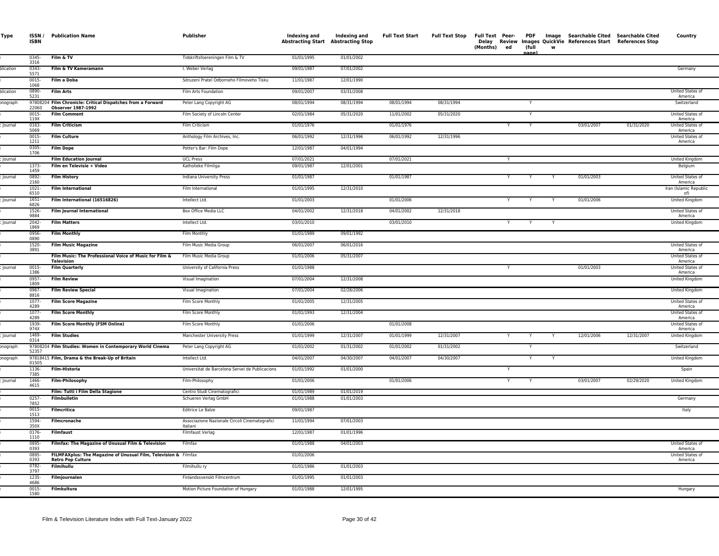| Type      | <b>ISBN</b>      | ISSN / Publication Name                                                                     | Publisher                                                  | Indexing and<br><b>Abstracting Start Abstracting Stop</b> | Indexing and | <b>Full Text Start</b> | <b>Full Text Stop</b> | (Months) ed |   | (full | w |            | Full Text Peer- PDF Image Searchable Cited Searchable Cited<br>Delay Review Images QuickVie References Start References Stop | Country                       |
|-----------|------------------|---------------------------------------------------------------------------------------------|------------------------------------------------------------|-----------------------------------------------------------|--------------|------------------------|-----------------------|-------------|---|-------|---|------------|------------------------------------------------------------------------------------------------------------------------------|-------------------------------|
|           | 0345-<br>3316    | Film & TV                                                                                   | Tidskriftsfoereningen Film & TV                            | 01/01/1995                                                | 01/01/2002   |                        |                       |             |   | nage  |   |            |                                                                                                                              |                               |
| olication | 0343-<br>5571    | Film & TV Kameramann                                                                        | I. Weber Verlag                                            | 09/01/1987                                                | 07/01/2002   |                        |                       |             |   |       |   |            |                                                                                                                              | Germany                       |
|           | 0015-<br>1068    | Film a Doba                                                                                 | Sdruzeni Pratel Odborneho Filmoveho Tisku                  | 11/01/1987                                                | 12/01/1990   |                        |                       |             |   |       |   |            |                                                                                                                              |                               |
| olication | 0890-<br>5231    | <b>Film Arts</b>                                                                            | Film Arts Foundation                                       | 09/01/2007                                                | 03/31/2008   |                        |                       |             |   |       |   |            |                                                                                                                              | United States of<br>America   |
| onograph  | 22060            | 97808204 Film Chronicle: Critical Dispatches from a Forward<br><b>Observer 1987-1992</b>    | Peter Lang Copyright AG                                    | 08/01/1994                                                | 08/31/1994   | 08/01/1994             | 08/31/1994            |             |   | Y     |   |            |                                                                                                                              | Switzerland                   |
|           | $0015 -$<br>119X | <b>Film Comment</b>                                                                         | Film Society of Lincoln Center                             | 02/01/1984                                                | 05/31/2020   | 11/01/2002             | 05/31/2020            |             |   | Y     |   |            |                                                                                                                              | United States of<br>America   |
| Journal   | $0163 -$<br>5069 | <b>Film Criticism</b>                                                                       | Film Criticism                                             | 01/01/1976                                                |              | 01/01/1976             |                       |             | Y | Y     |   | 03/01/2007 | 01/31/2020                                                                                                                   | United States of<br>America   |
|           | 0015-<br>1211    | <b>Film Culture</b>                                                                         | Anthology Film Archives, Inc.                              | 06/01/1992                                                | 12/31/1996   | 06/01/1992             | 12/31/1996            |             |   |       |   |            |                                                                                                                              | United States of<br>America   |
|           | 0305-<br>1706    | <b>Film Dope</b>                                                                            | Potter's Bar: Film Dope                                    | 12/01/1987                                                | 04/01/1994   |                        |                       |             |   |       |   |            |                                                                                                                              |                               |
| Inumal    |                  | <b>Film Education Journal</b>                                                               | <b>IICI Press</b>                                          | 07/01/2021                                                |              | 07/01/2021             |                       |             | Y |       |   |            |                                                                                                                              | <b>United Kingdom</b>         |
|           | 1373-<br>1459    | Film en Televisie + Video                                                                   | Katholieke Filmliga                                        | 09/01/1987                                                | 12/01/2001   |                        |                       |             |   |       |   |            |                                                                                                                              | Belgium                       |
| lournal   | 0892<br>2160     | <b>Film History</b>                                                                         | Indiana University Press                                   | 01/01/1987                                                |              | 01/01/1987             |                       |             |   |       |   | 01/01/2003 |                                                                                                                              | United States of<br>America   |
|           | $1021 -$<br>6510 | <b>Film International</b>                                                                   | Film International                                         | 01/01/1995                                                | 12/31/2010   |                        |                       |             |   |       |   |            |                                                                                                                              | Iran (Islamic Republic<br>of) |
| Journal   | $1651 -$<br>6826 | Film International (16516826)                                                               | Intellect Ltd.                                             | 01/01/2003                                                |              | 01/01/2006             |                       |             |   |       |   | 01/01/2006 |                                                                                                                              | United Kingdom                |
|           | 1526-<br>9884    | <b>Film Journal International</b>                                                           | Box Office Media LLC                                       | 04/01/2002                                                | 12/31/2018   | 04/01/2002             | 12/31/2018            |             |   |       |   |            |                                                                                                                              | United States of<br>America   |
| Journal   | 2042-<br>1869    | <b>Film Matters</b>                                                                         | Intellect Ltd.                                             | 03/01/2010                                                |              | 03/01/2010             |                       | Y           |   | Y     |   |            |                                                                                                                              | United Kingdom                |
|           | 0956-<br>0890    | <b>Film Monthly</b>                                                                         | Film Monthly                                               | 01/01/1989                                                | 09/01/1992   |                        |                       |             |   |       |   |            |                                                                                                                              |                               |
|           | 1520-<br>3891    | <b>Film Music Magazine</b>                                                                  | Film Music Media Group                                     | 06/01/2007                                                | 06/01/2016   |                        |                       |             |   |       |   |            |                                                                                                                              | United States of<br>America   |
|           |                  | Film Music: The Professional Voice of Music for Film &<br><b>Television</b>                 | Film Music Media Group                                     | 01/01/2006                                                | 05/31/2007   |                        |                       |             |   |       |   |            |                                                                                                                              | United States of<br>America   |
| Journal   | $0015 -$<br>1386 | <b>Film Quarterly</b>                                                                       | University of California Press                             | 01/01/1988                                                |              |                        |                       | Y           |   |       |   | 01/01/2003 |                                                                                                                              | United States of<br>America   |
|           | 0957-<br>1809    | <b>Film Review</b>                                                                          | Visual Imagination                                         | 07/01/2004                                                | 12/31/2008   |                        |                       |             |   |       |   |            |                                                                                                                              | United Kingdom                |
|           | $0967 -$<br>8816 | <b>Film Review Special</b>                                                                  | Visual Imagination                                         | 07/01/2004                                                | 02/28/2006   |                        |                       |             |   |       |   |            |                                                                                                                              | <b>United Kingdom</b>         |
|           | $1077 -$<br>4289 | <b>Film Score Magazine</b>                                                                  | Film Score Monthly                                         | 01/01/2005                                                | 12/31/2005   |                        |                       |             |   |       |   |            |                                                                                                                              | United States of<br>America   |
|           | 1077-<br>4289    | <b>Film Score Monthly</b>                                                                   | Film Score Monthly                                         | 01/01/1993                                                | 12/31/2004   |                        |                       |             |   |       |   |            |                                                                                                                              | United States of<br>America   |
|           | 1939-<br>974X    | Film Score Monthly (FSM Online)                                                             | Film Score Monthly                                         | 01/01/2006                                                |              | 01/01/2008             |                       |             |   |       |   |            |                                                                                                                              | United States of<br>America   |
| lournal   | 1469-<br>0314    | <b>Film Studies</b>                                                                         | Manchester University Press                                | 01/01/1999                                                | 12/31/2007   | 01/01/1999             | 12/31/2007            | Y           |   | Y     |   | 12/01/2006 | 12/31/2007                                                                                                                   | United Kingdom                |
| onograph  | 52357            | 97808204 Film Studies: Women in Contemporary World Cinema                                   | Peter Lang Copyright AG                                    | 01/01/2002                                                | 01/31/2002   | 01/01/2002             | 01/31/2002            |             |   | Y     |   |            |                                                                                                                              | Switzerland                   |
| onograph  | 01505            | 97818415 Film, Drama & the Break-Up of Britain                                              | Intellect Ltd.                                             | 04/01/2007                                                | 04/30/2007   | 04/01/2007             | 04/30/2007            |             |   | Y     |   |            |                                                                                                                              | United Kingdom                |
|           | 1136-<br>7385    | <b>Film-Historia</b>                                                                        | Universitat de Barcelona Servei de Publicacions            | 01/01/1992                                                | 01/01/2000   |                        |                       |             |   |       |   |            |                                                                                                                              | Spain                         |
| Journal   | 1466-<br>4615    | <b>Film-Philosophy</b>                                                                      | Film-Philosophy                                            | 01/01/2006                                                |              | 01/01/2006             |                       |             | Y |       |   | 03/01/2007 | 02/29/2020                                                                                                                   | United Kingdom                |
|           |                  | Film: Tutti i Film Della Stagione                                                           | Centro Studi Cinematografici                               | 01/01/1989                                                | 01/01/2019   |                        |                       |             |   |       |   |            |                                                                                                                              |                               |
|           | 0257-<br>7852    | Filmbulletin                                                                                | Schueren Verlag GmbH                                       | 01/01/1988                                                | 01/01/2003   |                        |                       |             |   |       |   |            |                                                                                                                              | Germany                       |
|           | 0015-<br>1513    | <b>Filmcritica</b>                                                                          | Editrice Le Balze                                          | 09/01/1987                                                |              |                        |                       |             |   |       |   |            |                                                                                                                              | Italy                         |
|           | 1594-<br>350X    | Filmcronache                                                                                | Associazione Nazionale Circoli Cinematografici<br>Italiani | 11/01/1994                                                | 07/01/2003   |                        |                       |             |   |       |   |            |                                                                                                                              |                               |
|           | $0176 -$<br>1110 | <b>Filmfaust</b>                                                                            | Filmfaust Verlag                                           | 12/01/1987                                                | 01/01/1996   |                        |                       |             |   |       |   |            |                                                                                                                              |                               |
|           | 0895-<br>0393    | Filmfax: The Magazine of Unusual Film & Television                                          | Filmfax                                                    | 01/01/1988                                                | 04/01/2003   |                        |                       |             |   |       |   |            |                                                                                                                              | United States of<br>America   |
|           | 0895-<br>0393    | FILMFAXplus: The Magazine of Unusual Film, Television & Filmfax<br><b>Retro Pop Culture</b> |                                                            | 01/01/2006                                                |              |                        |                       |             |   |       |   |            |                                                                                                                              | United States of<br>America   |
|           | $0782 -$<br>3797 | <b>Filmihullu</b>                                                                           | Filmihullu ry                                              | 01/01/1986                                                | 01/01/2003   |                        |                       |             |   |       |   |            |                                                                                                                              |                               |
|           | 1235-<br>4686    | Filmjournalen                                                                               | Finlandssvenskt Filmcentrum                                | 01/01/1995                                                | 01/01/2003   |                        |                       |             |   |       |   |            |                                                                                                                              |                               |
|           | 0015-<br>1580    | Filmkultura                                                                                 | Motion Picture Foundation of Hungary                       | 01/01/1988                                                | 12/01/1995   |                        |                       |             |   |       |   |            |                                                                                                                              | Hungary                       |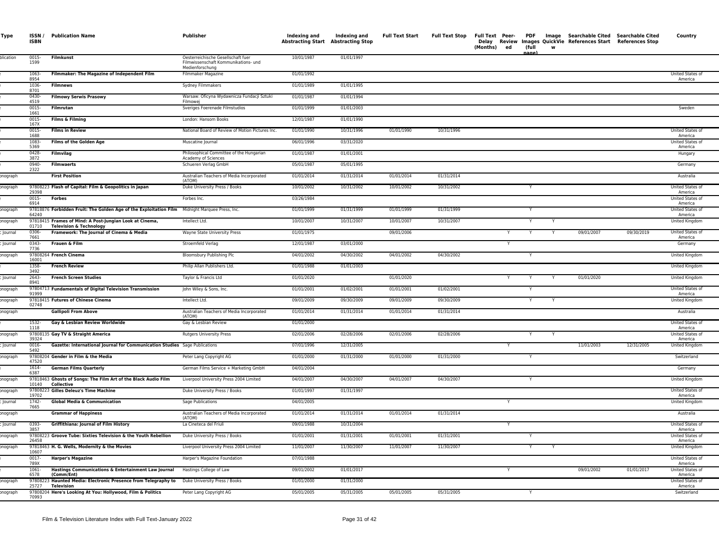| Type           | <b>ISBN</b>      | <b>ISSN / Publication Name</b>                                                                                                      | Publisher                                                                                     | Indexing and<br><b>Abstracting Start Abstracting Stop</b> | Indexing and             | <b>Full Text Start</b> | <b>Full Text Stop</b>    | (Months) | ed | (full  | w | Full Text Peer- PDF Image Searchable Cited Searchable Cited<br>Delay Review Images QuickVie References Start References Stop |            | Country                                         |
|----------------|------------------|-------------------------------------------------------------------------------------------------------------------------------------|-----------------------------------------------------------------------------------------------|-----------------------------------------------------------|--------------------------|------------------------|--------------------------|----------|----|--------|---|------------------------------------------------------------------------------------------------------------------------------|------------|-------------------------------------------------|
| plication      | 0015-<br>1599    | Filmkunst                                                                                                                           | Oesterreichische Gesellschaft fuer<br>Filmwissenschaft Kommunikations- und<br>Medienforschung | 10/01/1987                                                | 01/01/1997               |                        |                          |          |    |        |   |                                                                                                                              |            |                                                 |
|                | 1063-<br>8954    | Filmmaker: The Magazine of Independent Film                                                                                         | Filmmaker Magazine                                                                            | 01/01/1992                                                |                          |                        |                          |          |    |        |   |                                                                                                                              |            | United States of<br>America                     |
|                | 1036<br>8701     | <b>Filmnews</b>                                                                                                                     | Sydney Filmmakers                                                                             | 01/01/1989                                                | 01/01/1995               |                        |                          |          |    |        |   |                                                                                                                              |            |                                                 |
|                | $0430 -$<br>4519 | <b>Filmowy Serwis Prasowy</b>                                                                                                       | Warsaw: Oficyna Wydawnicza Fundacji Sztuk<br>Filmowei                                         | 01/01/1987                                                | 01/01/1994               |                        |                          |          |    |        |   |                                                                                                                              |            |                                                 |
|                | 0015-<br>1661    | Filmrutan                                                                                                                           | Sveriges Foerenade Filmstudios                                                                | 01/01/1999                                                | 01/01/2003               |                        |                          |          |    |        |   |                                                                                                                              |            | Sweden                                          |
|                | $0015 -$<br>167X | Films & Filming                                                                                                                     | London: Hansom Books                                                                          | 12/01/1987                                                | 01/01/1990               |                        |                          |          |    |        |   |                                                                                                                              |            |                                                 |
|                | $0015 -$<br>1688 | <b>Films in Review</b>                                                                                                              | National Board of Review of Motion Pictures Inc.                                              | 01/01/1990                                                | 10/31/1996               | 01/01/1990             | 10/31/1996               |          |    |        |   |                                                                                                                              |            | <b>United States of</b><br>America              |
|                | 1083-<br>5369    | <b>Films of the Golden Age</b>                                                                                                      | Muscatine Journal                                                                             | 06/01/1996                                                | 03/31/2020               |                        |                          |          |    |        |   |                                                                                                                              |            | United States of<br>America                     |
|                | 0428-<br>3872    | Filmvilag                                                                                                                           | Philosophical Committee of the Hungarian<br>Academy of Sciences                               | 01/01/1987                                                | 01/01/2001               |                        |                          |          |    |        |   |                                                                                                                              |            | Hungary                                         |
|                | 0940-<br>2322    | <b>Filmwaerts</b>                                                                                                                   | Schueren Verlag GmbH                                                                          | 05/01/1987                                                | 05/01/1995               |                        |                          |          |    |        |   |                                                                                                                              |            | Germany                                         |
| onograph       |                  | <b>First Position</b>                                                                                                               | Australian Teachers of Media Incorporated<br>(ATOM)                                           | 01/01/2014                                                | 01/31/2014               | 01/01/2014             | 01/31/2014               |          |    |        |   |                                                                                                                              |            | Australia                                       |
| onograph       | 29398            | 97808223 Flash of Capital: Film & Geopolitics in Japan                                                                              | Duke University Press / Books                                                                 | 10/01/2002                                                | 10/31/2002               | 10/01/2002             | 10/31/2002               |          |    | Y      |   |                                                                                                                              |            | United States of<br>America                     |
|                | $0015 -$<br>6914 | Forbes                                                                                                                              | Forbes Inc.                                                                                   | 03/26/1984                                                |                          |                        |                          |          |    |        |   |                                                                                                                              |            | United States of<br>America                     |
| onograph       | 64240            | 97818876 Forbidden Fruit: The Golden Age of the Exploitation Film Midnight Marquee Press, Inc.                                      |                                                                                               | 01/01/1999                                                | 01/31/1999               | 01/01/1999             | 01/31/1999               |          |    | Y      |   |                                                                                                                              |            | United States of<br>America                     |
| onograph       | 01710            | 97818415 Frames of Mind: A Post-Jungian Look at Cinema,<br>Television & Technology                                                  | Intellect Ltd.                                                                                | 10/01/2007                                                | 10/31/2007               | 10/01/2007             | 10/31/2007               |          |    |        |   |                                                                                                                              |            | United Kingdom                                  |
| Journal        | 0306<br>7661     | Framework: The Journal of Cinema & Media                                                                                            | Wayne State University Press                                                                  | 01/01/1975                                                |                          | 09/01/2006             |                          |          |    |        |   | 09/01/2007                                                                                                                   | 09/30/2019 | United States of<br>America                     |
| lournal        | 0343-<br>7736    | Frauen & Film                                                                                                                       | Stroemfeld Verlag                                                                             | 12/01/1987                                                | 03/01/2000               |                        |                          |          |    |        |   |                                                                                                                              |            | Germany                                         |
| onograph       | 16001            | 97808264 French Cinema                                                                                                              | Bloomsbury Publishing Plc                                                                     | 04/01/2002                                                | 04/30/2002               | 04/01/2002             | 04/30/2002               |          |    |        |   |                                                                                                                              |            | United Kingdom                                  |
|                | 1358-<br>3492    | <b>French Review</b>                                                                                                                | Philip Allan Publishers Ltd.                                                                  | 01/01/1988                                                | 01/01/2003               |                        |                          |          |    |        |   |                                                                                                                              |            | United Kingdom                                  |
| Journal        | 2643-<br>8941    | <b>French Screen Studies</b>                                                                                                        | Taylor & Francis Ltd                                                                          | 01/01/2020                                                |                          | 01/01/2020             |                          |          |    |        |   | 01/01/2020                                                                                                                   |            | United Kingdom                                  |
| onograph       | 91999            | 97804713 Fundamentals of Digital Television Transmission                                                                            | John Wiley & Sons, Inc.                                                                       | 01/01/2001                                                | 01/02/2001               | 01/01/2001             | 01/02/2001               |          |    |        |   |                                                                                                                              |            | United States of<br>America                     |
| onograph       | 02748            | 97818415 Futures of Chinese Cinema                                                                                                  | Intellect Ltd.                                                                                | 09/01/2009                                                | 09/30/2009               | 09/01/2009             | 09/30/2009               |          |    | Y      |   |                                                                                                                              |            | United Kingdom                                  |
| onograph       |                  | <b>Gallipoli From Above</b>                                                                                                         | Australian Teachers of Media Incorporated<br>(ATOM)                                           | 01/01/2014                                                | 01/31/2014               | 01/01/2014             | 01/31/2014               |          |    |        |   |                                                                                                                              |            | Australia                                       |
|                | 1532-<br>1118    | Gay & Lesbian Review Worldwide                                                                                                      | Gay & Lesbian Review                                                                          | 01/01/2000                                                |                          |                        |                          |          |    |        |   |                                                                                                                              |            | United States of<br>America                     |
| onograph       | 39324            | 97808135 Gay TV & Straight America                                                                                                  | <b>Rutgers University Press</b>                                                               | 02/01/2006                                                | 02/28/2006               | 02/01/2006             | 02/28/2006               |          |    | Y      |   |                                                                                                                              |            | United States of<br>America                     |
| Journal        | 0016-<br>5492    | Gazette: International Journal for Communication Studies Sage Publications                                                          |                                                                                               | 07/01/1996                                                | 12/31/2005               |                        |                          |          |    |        |   | 11/01/2003                                                                                                                   | 12/31/2005 | United Kingdom                                  |
| onograph       | 47520            | 97808204 Gender in Film & the Media                                                                                                 | Peter Lang Copyright AG                                                                       | 01/01/2000                                                | 01/31/2000               | 01/01/2000             | 01/31/2000               |          |    |        |   |                                                                                                                              |            | Switzerland                                     |
|                | 1614-<br>6387    | <b>German Films Quarterly</b>                                                                                                       | German Films Service + Marketing GmbH                                                         | 04/01/2004                                                |                          |                        |                          |          |    |        |   |                                                                                                                              |            | Germany                                         |
| onograph       | 10140            | 97818463 Ghosts of Songs: The Film Art of the Black Audio Film<br>Collective                                                        | Liverpool University Press 2004 Limited                                                       | 04/01/2007                                                | 04/30/2007               | 04/01/2007             | 04/30/2007               |          |    |        |   |                                                                                                                              |            | United Kingdom                                  |
| onograph       | 19702            | 97808223 Gilles Deleuz's Time Machine                                                                                               | Duke University Press / Books                                                                 | 01/01/1997                                                | 01/31/1997               |                        |                          |          |    |        |   |                                                                                                                              |            | United States of<br>America                     |
| Journal        | 1742-<br>7665    | <b>Global Media &amp; Communication</b>                                                                                             | Sage Publications                                                                             | 04/01/2005                                                |                          |                        |                          |          |    |        |   |                                                                                                                              |            | United Kingdom                                  |
| onograph       |                  | <b>Grammar of Happiness</b>                                                                                                         | Australian Teachers of Media Incorporated<br>(ATOM)                                           | 01/01/2014                                                | 01/31/2014               | 01/01/2014             | 01/31/2014               |          |    |        |   |                                                                                                                              |            | Australia                                       |
| <b>Journal</b> | 0393-<br>3857    | <b>Griffithiana: Journal of Film History</b>                                                                                        | La Cineteca del Friuli                                                                        | 09/01/1988                                                | 10/31/2004               |                        |                          |          |    |        |   |                                                                                                                              |            | United States of<br>America                     |
| onograph       | 26458            | 97808223 Groove Tube: Sixties Television & the Youth Rebellion                                                                      | Duke University Press / Books                                                                 | 01/01/2001                                                | 01/31/2001<br>11/30/2007 | 01/01/2001             | 01/31/2001<br>11/30/2007 |          |    | Y<br>Y |   |                                                                                                                              |            | <b>United States of</b><br>America              |
| onograph       | 10607            | 97818463 H. G. Wells, Modernity & the Movies                                                                                        | Liverpool University Press 2004 Limited                                                       | 11/01/2007                                                |                          | 11/01/2007             |                          |          |    |        |   |                                                                                                                              |            | United Kingdom                                  |
|                | $0017 -$<br>789X | <b>Harper's Magazine</b>                                                                                                            | Harper's Magazine Foundation                                                                  | 07/01/1988                                                |                          |                        |                          |          |    |        |   |                                                                                                                              |            | United States of<br>America                     |
|                | 1061-<br>6578    | Hastings Communications & Entertainment Law Journal<br>(Comm/Ent)<br>97808223 Haunted Media: Electronic Presence from Telegraphy to | Hastings College of Law<br>Duke University Press / Books                                      | 09/01/2002<br>01/01/2000                                  | 01/01/2017<br>01/31/2000 |                        |                          |          |    |        |   | 09/01/2002                                                                                                                   | 01/01/2017 | United States of<br>America<br>United States of |
| nograp         | 25727            | Television<br>97808204 Here's Looking At You: Hollywood, Film & Politics                                                            |                                                                                               | 05/01/2005                                                | 05/31/2005               | 05/01/2005             | 05/31/2005               |          |    |        |   |                                                                                                                              |            | America<br>Switzerland                          |
| onograph       | 70993            |                                                                                                                                     | Peter Lang Copyright AG                                                                       |                                                           |                          |                        |                          |          |    |        |   |                                                                                                                              |            |                                                 |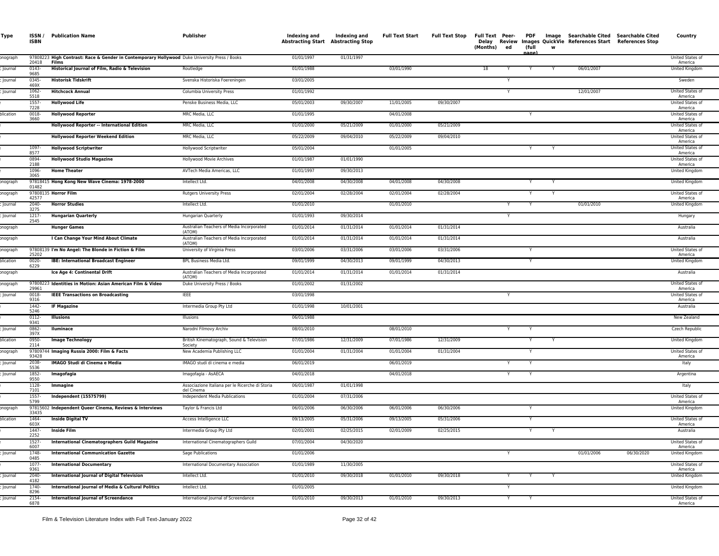| Type      | ISSN /<br><b>ISBN</b>  | <b>Publication Name</b>                                                                                | Publisher                                                     | Indexing and<br><b>Abstracting Start</b> | Indexing and<br><b>Abstracting Stop</b> | <b>Full Text Start</b> | <b>Full Text Stop</b> | Full Text Peer- PDF<br>(Months) ed |   | (full |   |            | Image Searchable Cited Searchable Cited<br>Delay Review Images QuickVie References Start References Stop | Country                     |
|-----------|------------------------|--------------------------------------------------------------------------------------------------------|---------------------------------------------------------------|------------------------------------------|-----------------------------------------|------------------------|-----------------------|------------------------------------|---|-------|---|------------|----------------------------------------------------------------------------------------------------------|-----------------------------|
| onograph  |                        | 97808223 High Contrast: Race & Gender in Contemporary Hollywood Duke University Press / Books<br>Films |                                                               | 01/01/1997                               | 01/31/1997                              |                        |                       |                                    |   | nane  |   |            |                                                                                                          | United States of            |
| Journal   | 20418<br>0143-<br>9685 | Historical Journal of Film, Radio & Television                                                         | Routledge                                                     | 01/01/1988                               |                                         | 03/01/1990             |                       | 18                                 |   |       |   | 06/01/2007 |                                                                                                          | America<br>United Kingdom   |
| Journal   | 0345-<br>469X          | <b>Historisk Tidskrift</b>                                                                             | Svenska Historiska Foereningen                                | 03/01/2005                               |                                         |                        |                       |                                    | Y |       |   |            |                                                                                                          | Sweden                      |
| Journal   | 1062-<br>5518          | <b>Hitchcock Annual</b>                                                                                | Columbia University Press                                     | 01/01/1992                               |                                         |                        |                       |                                    | Y |       |   | 12/01/2007 |                                                                                                          | United States of<br>America |
|           | 1557<br>7228           | <b>Hollywood Life</b>                                                                                  | Penske Business Media, LLC                                    | 05/01/2003                               | 09/30/2007                              | 11/01/2005             | 09/30/2007            |                                    |   |       |   |            |                                                                                                          | United States of<br>America |
| plication | 0018-<br>3660          | <b>Hollywood Reporter</b>                                                                              | MRC Media, LLC                                                | 01/01/1995                               |                                         | 04/01/2008             |                       |                                    |   |       |   |            |                                                                                                          | United States of<br>America |
|           |                        | Hollywood Reporter -- International Edition                                                            | MRC Media, LLC                                                | 01/01/2000                               | 05/21/2009                              | 01/01/2000             | 05/21/2009            |                                    |   |       |   |            |                                                                                                          | United States of<br>America |
|           |                        | <b>Hollywood Reporter Weekend Edition</b>                                                              | MRC Media, LLC                                                | 05/22/2009                               | 09/04/2010                              | 05/22/2009             | 09/04/2010            |                                    |   |       |   |            |                                                                                                          | United States of<br>America |
|           | 1097-<br>8577          | <b>Hollywood Scriptwriter</b>                                                                          | Hollywood Scriptwriter                                        | 05/01/2004                               |                                         | 01/01/2005             |                       |                                    |   | Y     | Y |            |                                                                                                          | United States of<br>America |
|           | 0894-<br>2188          | <b>Hollywood Studio Magazine</b>                                                                       | Hollywood Movie Archives                                      | 01/01/1987                               | 01/01/1990                              |                        |                       |                                    |   |       |   |            |                                                                                                          | United States of<br>America |
|           | 1096-<br>3065          | <b>Home Theater</b>                                                                                    | AVTech Media Americas, LLC                                    | 01/01/1997                               | 09/30/2013                              |                        |                       |                                    |   |       |   |            |                                                                                                          | United Kingdom              |
| onograph  | 01482                  | 97818415 Hong Kong New Wave Cinema: 1978-2000                                                          | Intellect Ltd.                                                | 04/01/2008                               | 04/30/2008                              | 04/01/2008             | 04/30/2008            |                                    |   |       |   |            |                                                                                                          | United Kingdom              |
| onograph  | 42577                  | 97808135 Horror Film                                                                                   | <b>Rutgers University Press</b>                               | 02/01/2004                               | 02/28/2004                              | 02/01/2004             | 02/28/2004            |                                    |   |       |   |            |                                                                                                          | United States of<br>America |
| Journal   | 2040-<br>3275          | <b>Horror Studies</b>                                                                                  | Intellect Ltd.                                                | 01/01/2010                               |                                         | 01/01/2010             |                       |                                    |   | Y     |   | 01/01/2010 |                                                                                                          | United Kingdom              |
| lournal   | 1217-<br>2545          | <b>Hungarian Quarterly</b>                                                                             | Hungarian Quarterly                                           | 01/01/1993                               | 09/30/2014                              |                        |                       |                                    | Y |       |   |            |                                                                                                          | Hungary                     |
| onograph  |                        | <b>Hunger Games</b>                                                                                    | Australian Teachers of Media Incorporated<br>(ATOM)           | 01/01/2014                               | 01/31/2014                              | 01/01/2014             | 01/31/2014            |                                    |   |       |   |            |                                                                                                          | Australia                   |
| onograph  |                        | I Can Change Your Mind About Climate                                                                   | Australian Teachers of Media Incorporated<br>(ATOM)           | 01/01/2014                               | 01/31/2014                              | 01/01/2014             | 01/31/2014            |                                    |   |       |   |            |                                                                                                          | Australia                   |
| onograph  | 25202                  | 97808139 I'm No Angel: The Blonde in Fiction & Film                                                    | University of Virginia Press                                  | 03/01/2006                               | 03/31/2006                              | 03/01/2006             | 03/31/2006            |                                    |   |       |   |            |                                                                                                          | United States of<br>America |
| olication | 0020-<br>6229          | <b>IBE: International Broadcast Engineer</b>                                                           | <b>BPL Business Media Ltd.</b>                                | 09/01/1999                               | 04/30/2013                              | 09/01/1999             | 04/30/2013            |                                    |   |       |   |            |                                                                                                          | United Kingdom              |
| onograph  |                        | Ice Age 4: Continental Drift                                                                           | Australian Teachers of Media Incorporated<br>(ATOM)           | 01/01/2014                               | 01/31/2014                              | 01/01/2014             | 01/31/2014            |                                    |   |       |   |            |                                                                                                          | Australia                   |
| onograph  | 29961                  | 97808223 Identities in Motion: Asian American Film & Video                                             | Duke University Press / Books                                 | 01/01/2002                               | 01/31/2002                              |                        |                       |                                    |   |       |   |            |                                                                                                          | United States of<br>America |
| Journal   | 0018-<br>9316          | <b>IEEE Transactions on Broadcasting</b>                                                               | <b>IEEE</b>                                                   | 03/01/1998                               |                                         |                        |                       |                                    | Y |       |   |            |                                                                                                          | United States of<br>America |
|           | 1442-<br>5246          | <b>IF Magazine</b>                                                                                     | Intermedia Group Pty Ltd                                      | 01/01/1998                               | 10/01/2001                              |                        |                       |                                    |   |       |   |            |                                                                                                          | Australia                   |
|           | 0112-<br>9341          | <b>Illusions</b>                                                                                       | Illusions                                                     | 06/01/1988                               |                                         |                        |                       |                                    |   |       |   |            |                                                                                                          | New Zealand                 |
| Journal   | 0862-<br>397X          | Iluminace                                                                                              | Narodni Filmovy Archiv                                        | 08/01/2010                               |                                         | 08/01/2010             |                       |                                    | Y |       |   |            |                                                                                                          | Czech Republic              |
| plication | 0950-<br>2114          | <b>Image Technology</b>                                                                                | British Kinematograph, Sound & Television<br>Society          | 07/01/1986                               | 12/31/2009                              | 07/01/1986             | 12/31/2009            |                                    |   | Y     |   |            |                                                                                                          | United Kingdom              |
| onograph  | 93428                  | 97809744 Imaging Russia 2000: Film & Facts                                                             | New Academia Publishing LLC                                   | 01/01/2004                               | 01/31/2004                              | 01/01/2004             | 01/31/2004            |                                    |   | Y     |   |            |                                                                                                          | United States of<br>America |
| Journal   | 2038-<br>5536          | IMAGO Studi di Cinema e Media                                                                          | IMAGO studi di cinema e media                                 | 06/01/2019                               |                                         | 06/01/2019             |                       |                                    |   |       |   |            |                                                                                                          | Italy                       |
| Journal   | 1852-<br>9550          | Imagofagia                                                                                             | Imagofagia - AsAECA                                           | 04/01/2018                               |                                         | 04/01/2018             |                       |                                    | Y | Y     |   |            |                                                                                                          | Argentina                   |
|           | 1128-<br>7101          | Immagine                                                                                               | Associazione Italiana per le Ricerche di Storia<br>del Cinema | 06/01/1987                               | 01/01/1998                              |                        |                       |                                    |   |       |   |            |                                                                                                          | Italy                       |
|           | 1557-<br>5799          | <b>Independent (15575799)</b>                                                                          | Independent Media Publications                                | 01/01/2004                               | 07/31/2006                              |                        |                       |                                    |   |       |   |            |                                                                                                          | United States of<br>America |
| onograph  | 33435                  | 97815602 Independent Queer Cinema, Reviews & Interviews                                                | Taylor & Francis Ltd                                          | 06/01/2006                               | 06/30/2006                              | 06/01/2006             | 06/30/2006            |                                    |   |       |   |            |                                                                                                          | United Kingdom              |
| plication | 1464-<br>603X          | <b>Inside Digital TV</b>                                                                               | Access Intelligence LLC                                       | 09/13/2005                               | 05/31/2006                              | 09/13/2005             | 05/31/2006            |                                    |   |       |   |            |                                                                                                          | United States of<br>America |
|           | 1447-<br>2252          | <b>Inside Film</b>                                                                                     | Intermedia Group Pty Ltd                                      | 02/01/2001                               | 02/25/2015                              | 02/01/2009             | 02/25/2015            |                                    |   | Y     |   |            |                                                                                                          | Australia                   |
|           | 1527-<br>6007          | <b>International Cinematographers Guild Magazine</b>                                                   | International Cinematographers Guild                          | 07/01/2004                               | 04/30/2020                              |                        |                       |                                    |   |       |   |            |                                                                                                          | United States of<br>America |
| Journal   | 1748-<br>0485          | <b>International Communication Gazette</b>                                                             | Sage Publications                                             | 01/01/2006                               |                                         |                        |                       |                                    | Y |       |   | 01/01/2006 | 06/30/2020                                                                                               | United Kingdom              |
|           | 1077-<br>9361          | <b>International Documentary</b>                                                                       | International Documentary Association                         | 01/01/1989                               | 11/30/2005                              |                        |                       |                                    |   |       |   |            |                                                                                                          | United States of<br>America |
| Journal   | 2040-<br>4182          | <b>International Journal of Digital Television</b>                                                     | Intellect Ltd.                                                | 01/01/2010                               | 09/30/2018                              | 01/01/2010             | 09/30/2018            |                                    | Y | Y     |   |            |                                                                                                          | United Kingdom              |
| Journal   | 1740-<br>8296          | International Journal of Media & Cultural Politics                                                     | Intellect Ltd.                                                | 01/01/2005                               |                                         |                        |                       |                                    | Y |       |   |            |                                                                                                          | United Kingdom              |
| Journal   | 2154-<br>6878          | <b>International Journal of Screendance</b>                                                            | International Journal of Screendance                          | 01/01/2010                               | 09/30/2013                              | 01/01/2010             | 09/30/2013            |                                    | Y | Y     |   |            |                                                                                                          | United States of<br>America |
|           |                        |                                                                                                        |                                                               |                                          |                                         |                        |                       |                                    |   |       |   |            |                                                                                                          |                             |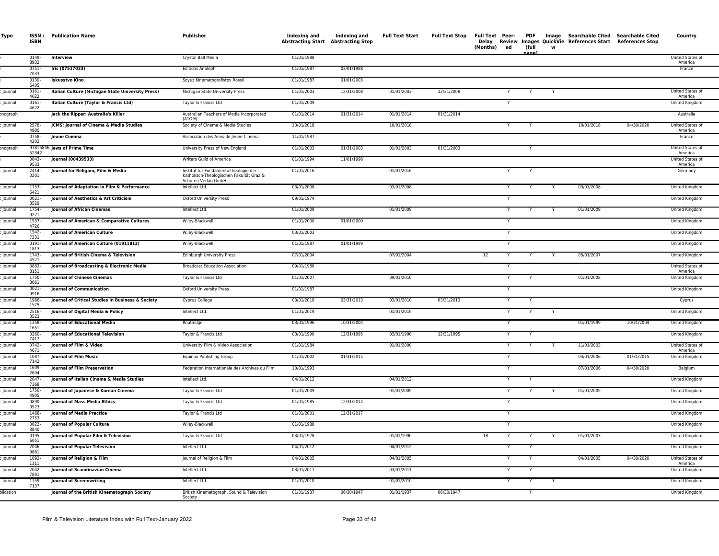| Type               | <b>ISBN</b>            | <b>ISSN / Publication Name</b>                                    | Publisher                                                                                                | Indexing and<br>Abstracting Start Abstracting Stop | Indexing and | <b>Full Text Start</b> | Full Text Stop | Full Text Peer-<br>(Months)<br>ed | (full  |   | PDF Image Searchable Cited Searchable Cited<br>Delay Review Images QuickVie References Start References Stop |            | Country                          |
|--------------------|------------------------|-------------------------------------------------------------------|----------------------------------------------------------------------------------------------------------|----------------------------------------------------|--------------|------------------------|----------------|-----------------------------------|--------|---|--------------------------------------------------------------------------------------------------------------|------------|----------------------------------|
|                    | $0149 -$<br>8932       | Interview                                                         | Crystal Ball Media                                                                                       | 01/01/1988                                         |              |                        |                |                                   |        |   |                                                                                                              |            | United States of<br>America      |
|                    | 0751-<br>7033          | Iris (07517033)                                                   | <b>Editions Analeph</b>                                                                                  | 01/01/1987                                         | 03/01/1988   |                        |                |                                   |        |   |                                                                                                              |            | France                           |
|                    | 0130-<br>6405          | <b>Iskusstvo Kino</b>                                             | Soyuz Kinematografistov Rossii                                                                           | 01/01/1987                                         | 01/01/2003   |                        |                |                                   |        |   |                                                                                                              |            |                                  |
| <b>Journal</b>     | 0161<br>4622           | Italian Culture (Michigan State University Press)                 | Michigan State University Press                                                                          | 01/01/2003                                         | 12/31/2008   | 01/01/2003             | 12/31/2008     |                                   |        |   |                                                                                                              |            | United States of<br>America      |
| lournal            | 0161-<br>4622          | Italian Culture (Taylor & Francis Ltd)                            | Taylor & Francis Ltd                                                                                     | 01/01/2009                                         |              |                        |                |                                   |        |   |                                                                                                              |            | United Kingdom                   |
| onograph           |                        | Jack the Ripper: Australia's Killer                               | Australian Teachers of Media Incorporated<br>(ATOM)                                                      | 01/01/2014                                         | 01/31/2014   | 01/01/2014             | 01/31/2014     |                                   |        |   |                                                                                                              |            | Australia                        |
| Journal            | 2578-<br>4900          | JCMS: Journal of Cinema & Media Studies                           | Society of Cinema & Media Studies                                                                        | 10/01/2018                                         |              | 10/01/2018             |                | Y                                 |        |   | 10/01/2018                                                                                                   | 04/30/2020 | United States of<br>America      |
|                    | 0758-<br>4202          | Jeune Cinema                                                      | Association des Amis de Jeune Cinema                                                                     | 11/01/1987                                         |              |                        |                |                                   |        |   |                                                                                                              |            | France                           |
| onograph           | 52342                  | 97815846 Jews of Prime Time                                       | University Press of New England                                                                          | 01/01/2003                                         | 01/31/2003   | 01/01/2003             | 01/31/2003     |                                   |        |   |                                                                                                              |            | United States of<br>America      |
|                    | 0043-<br>9533          | Journal (00439533)                                                | Writers Guild of America                                                                                 | 01/01/1994                                         | 11/01/1996   |                        |                |                                   |        |   |                                                                                                              |            | United States of<br>America      |
| Journal            | 2414-<br>0201          | Journal for Religion, Film & Media                                | Institut für Fundamentaltheologie der<br>Katholisch-Theologischen Fakultät Graz &<br>Schüren Verlag GmbH | 01/01/2016                                         |              | 01/01/2016             |                |                                   |        |   |                                                                                                              |            | Germany                          |
| Journal            | 1753-<br>6421          | Journal of Adaptation in Film & Performance                       | Intellect Ltd.                                                                                           | 03/01/2008                                         |              | 03/01/2008             |                |                                   |        |   | 03/01/2008                                                                                                   |            | United Kingdom                   |
| <b>Journal</b>     | $0021 -$<br>8529       | Journal of Aesthetics & Art Criticism                             | Oxford University Press                                                                                  | 09/01/1974                                         |              |                        |                |                                   |        |   |                                                                                                              |            | United Kingdom                   |
| lournal            | 1754-<br>9221          | <b>Journal of African Cinemas</b>                                 | Intellect Ltd.                                                                                           | 01/01/2009                                         |              | 01/01/2009             |                | Y                                 |        |   | 01/01/2009                                                                                                   |            | United Kingdom                   |
| lournal            | 1537-<br>4726          | Journal of American & Comparative Cultures                        | Wiley-Blackwell                                                                                          | 01/01/2000                                         | 01/01/2000   |                        |                |                                   |        |   |                                                                                                              |            | United Kingdom                   |
| Journal            | 1542-<br>7331          | Journal of American Culture                                       | Wiley-Blackwell                                                                                          | 03/01/2003                                         |              |                        |                |                                   |        |   |                                                                                                              |            | United Kingdom                   |
| Journal            | 0191<br>1813           | Journal of American Culture (01911813)                            | Wiley-Blackwell                                                                                          | 01/01/1987                                         | 01/01/1999   |                        |                |                                   |        |   |                                                                                                              |            | United Kingdom                   |
| Journal            | 1743-<br>4521          | Journal of British Cinema & Television                            | <b>Edinburgh University Press</b>                                                                        | 07/01/2004                                         |              | 07/01/2004             |                | 12                                |        |   | 05/01/2007                                                                                                   |            | United Kingdom                   |
| lournal            | 0883-<br>8151          | Journal of Broadcasting & Electronic Media                        | <b>Broadcast Education Association</b>                                                                   | 09/01/1986                                         |              |                        |                |                                   |        |   |                                                                                                              |            | United States of<br>America      |
| lournal            | 1750-<br>8061          | <b>Journal of Chinese Cinemas</b>                                 | Taylor & Francis Ltd                                                                                     | 01/01/2007                                         |              | 09/01/2010             |                | Y                                 |        |   | 01/01/2008                                                                                                   |            | United Kingdom                   |
| Journal            | 0021-<br>9916          | <b>Journal of Communication</b>                                   | Oxford University Press                                                                                  | 01/01/1987                                         |              |                        |                |                                   |        |   |                                                                                                              |            | United Kingdom                   |
| Journal            | 1986-<br>1575          | Journal of Critical Studies in Business & Society                 | Cyprus College                                                                                           | 03/01/2010                                         | 03/31/2013   | 03/01/2010             | 03/31/2013     | Y<br>Y                            | Y<br>Y |   |                                                                                                              |            | Cyprus                           |
| Journal<br>lournal | 2516-<br>3523<br>1358- | Journal of Digital Media & Policy<br>Journal of Educational Media | Intellect Ltd.<br>Routledge                                                                              | 01/01/2019<br>03/01/1996                           | 10/31/2004   | 01/01/2019             |                | Y                                 |        |   | 01/01/1999                                                                                                   | 10/31/2004 | United Kingdom<br>United Kingdom |
| Journal            | 1651<br>$0260 -$       | <b>Iournal of Educational Television</b>                          | Taylor & Francis Ltd                                                                                     | 03/01/1990                                         | 12/31/1995   | 03/01/1990             | 12/31/1995     | Y                                 |        |   |                                                                                                              |            | United Kingdom                   |
| Journal            | 7417<br>$0742 -$       | <b>Iournal of Film &amp; Video</b>                                | University Film & Video Association                                                                      | 01/01/1984                                         |              | 01/01/2000             |                | Y                                 | Y      |   | 11/01/2003                                                                                                   |            | United States of                 |
| Journal            | 4671<br>1087           | Journal of Film Music                                             | Equinox Publishing Group                                                                                 | 01/01/2002                                         | 01/31/2015   |                        |                |                                   |        |   | 04/01/2006                                                                                                   | 01/31/2015 | America<br>United Kingdom        |
| Journal            | 7142<br>1609-          | Journal of Film Preservation                                      | Federation Internationale des Archives du Film                                                           | 10/01/1993                                         |              |                        |                | $\mathsf{v}$                      |        |   | 07/01/2006                                                                                                   | 04/30/2020 | Belgium                          |
| lournal            | 2694<br>2047-          | Journal of Italian Cinema & Media Studies                         | Intellect Ltd.                                                                                           | 04/01/2012                                         |              | 04/01/2012             |                |                                   |        |   |                                                                                                              |            | United Kingdom                   |
| Journal            | 7368<br>1756-          | Journal of Japanese & Korean Cinema                               | Taylor & Francis Ltd                                                                                     | 01/01/2009                                         |              | 01/01/2009             |                |                                   |        |   | 01/01/2009                                                                                                   |            | United Kingdom                   |
| Journal            | 4905<br>0890-          | <b>Iournal of Mass Media Ethics</b>                               | Taylor & Francis Ltd                                                                                     | 01/01/1985                                         | 12/31/2014   |                        |                |                                   |        |   |                                                                                                              |            | United Kingdom                   |
| Journal            | 0523<br>1468           | <b>Journal of Media Practice</b>                                  | Taylor & Francis Ltd                                                                                     | 01/01/2001                                         | 12/31/2017   |                        |                |                                   |        |   |                                                                                                              |            | United Kingdom                   |
| Journal            | 2753<br>0022-          | <b>Journal of Popular Culture</b>                                 | Wiley-Blackwell                                                                                          | 01/01/1988                                         |              |                        |                |                                   |        |   |                                                                                                              |            | United Kingdom                   |
| lournal            | 3840<br>0195-          | Journal of Popular Film & Television                              | Taylor & Francis Ltd                                                                                     | 03/01/1978                                         |              | 01/01/1990             |                | 18                                |        |   | 01/01/2003                                                                                                   |            | United Kingdom                   |
| Journal            | 6051<br>$2046 -$       | Journal of Popular Television                                     | Intellect Ltd.                                                                                           | 04/01/2012                                         |              | 04/01/2012             |                |                                   |        |   |                                                                                                              |            | United Kingdom                   |
| Journal            | 9861<br>1092-          | Journal of Religion & Film                                        | Journal of Religion & Film                                                                               | 04/01/2005                                         |              | 04/01/2005             |                | Y                                 |        |   | 04/01/2005                                                                                                   | 04/30/2020 | United States of                 |
| Journal            | 1311<br>2042-          | Journal of Scandinavian Cinema                                    | Intellect Ltd.                                                                                           | 03/01/2011                                         |              | 03/01/2011             |                | Y                                 |        |   |                                                                                                              |            | America<br>United Kingdom        |
| Journal            | 7891<br>1759-          | <b>Journal of Screenwriting</b>                                   | Intellect Ltd.                                                                                           | 01/01/2010                                         |              | 01/01/2010             |                | Y                                 | Y      | Y |                                                                                                              |            | United Kingdom                   |
| olication          | 7137                   | Journal of the British Kinematograph Society                      | British Kinematograph, Sound & Television                                                                | 01/01/1937                                         | 06/30/1947   | 01/01/1937             | 06/30/1947     |                                   |        |   |                                                                                                              |            | <b>United Kingdom</b>            |
|                    |                        |                                                                   | Society                                                                                                  |                                                    |              |                        |                |                                   |        |   |                                                                                                              |            |                                  |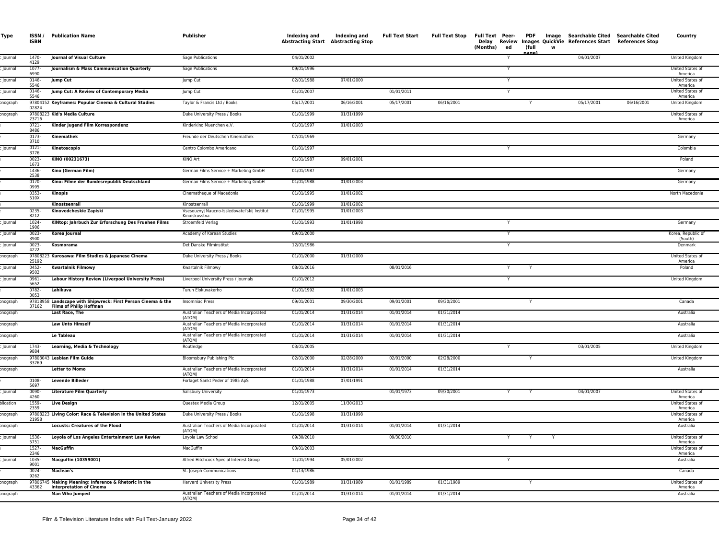| Type           | <b>ISBN</b>      | <b>ISSN / Publication Name</b>                                                          | Publisher                                                    | Indexing and             | Indexing and<br><b>Abstracting Start Abstracting Stop</b> | <b>Full Text Start</b> | <b>Full Text Stop</b> | Delay<br>(Months)<br>ed | (full<br>nage | Full Text Peer- PDF Image Searchable Cited Searchable Cited<br>Review Images QuickVie References Start References Stop<br><b>W</b> |            | Country                     |
|----------------|------------------|-----------------------------------------------------------------------------------------|--------------------------------------------------------------|--------------------------|-----------------------------------------------------------|------------------------|-----------------------|-------------------------|---------------|------------------------------------------------------------------------------------------------------------------------------------|------------|-----------------------------|
| lournal        | 1470-<br>4129    | Journal of Visual Culture                                                               | Sage Publications                                            | 04/01/2002               |                                                           |                        |                       |                         |               | 04/01/2007                                                                                                                         |            | United Kingdom              |
| <b>Journal</b> | $1077 -$<br>6990 | Journalism & Mass Communication Quarterly                                               | Sage Publications                                            | 09/01/1996               |                                                           |                        |                       |                         |               |                                                                                                                                    |            | United States of<br>America |
| lournal        | $0146 -$<br>5546 | <b>Jump Cut</b>                                                                         | lump Cut                                                     | 02/01/1988               | 07/01/2000                                                |                        |                       |                         |               |                                                                                                                                    |            | United States of<br>America |
| Journal        | $0146 -$<br>5546 | Jump Cut: A Review of Contemporary Media                                                | Jump Cut                                                     | 01/01/2007               |                                                           | 01/01/2011             |                       |                         |               |                                                                                                                                    |            | United States of<br>America |
| onograph       | 02824            | 97804152 Keyframes: Popular Cinema & Cultural Studies                                   | Taylor & Francis Ltd / Books                                 | 05/17/2001               | 06/16/2001                                                | 05/17/2001             | 06/16/2001            |                         | Y             | 05/17/2001                                                                                                                         | 06/16/2001 | United Kingdom              |
| onograph       | 23716            | 97808223 Kid's Media Culture                                                            | Duke University Press / Books                                | 01/01/1999               | 01/31/1999                                                |                        |                       |                         |               |                                                                                                                                    |            | United States of<br>America |
|                | 0721-<br>8486    | Kinder Jugend Film Korrespondenz                                                        | Kinderkino Muenchen e.V.                                     | 01/01/1997               | 01/01/2003                                                |                        |                       |                         |               |                                                                                                                                    |            |                             |
|                | 0173-<br>3710    | Kinemathek                                                                              | Freunde der Deutschen Kinemathek                             | 07/01/1969               |                                                           |                        |                       |                         |               |                                                                                                                                    |            | Germany                     |
| Journal        | $0121 -$<br>3776 | Kinetoscopio                                                                            | Centro Colombo Americano                                     | 01/01/1997               |                                                           |                        |                       | Y                       |               |                                                                                                                                    |            | Colombia                    |
|                | $0023 -$<br>1673 | KINO (00231673)                                                                         | KINO Art                                                     | 01/01/1987               | 09/01/2001                                                |                        |                       |                         |               |                                                                                                                                    |            | Poland                      |
|                | 1436-<br>2538    | Kino (German Film)                                                                      | German Films Service + Marketing GmbH                        | 01/01/1987               |                                                           |                        |                       |                         |               |                                                                                                                                    |            | Germany                     |
|                | $0170 -$<br>0995 | Kino: Filme der Bundesrepublik Deutschland                                              | German Films Service + Marketing GmbH                        | 01/01/1988               | 01/01/2003                                                |                        |                       |                         |               |                                                                                                                                    |            | Germany                     |
|                | 0353-<br>510X    | Kinopis                                                                                 | Cinematheque of Macedonia                                    | 01/01/1995               | 01/01/2002                                                |                        |                       |                         |               |                                                                                                                                    |            | North Macedonia             |
|                | 0235-            | Kinostsenraii<br>Kinovedcheskie Zapiski                                                 | Kinostsenraii<br>Vsesouznyj Naucno-Issledovateľskij Institut | 01/01/1999<br>01/01/1995 | 01/01/2002<br>01/01/2003                                  |                        |                       |                         |               |                                                                                                                                    |            |                             |
| lournal        | 8212<br>$1024 -$ | KINtop: Jahrbuch Zur Erforschung Des Fruehen Films                                      | Kinoiskusstva<br>Stroemfeld Verlag                           | 01/01/1993               | 01/01/1998                                                |                        |                       |                         |               |                                                                                                                                    |            | Germany                     |
| lournal        | 1906<br>$0023 -$ | Korea Journal                                                                           | Academy of Korean Studies                                    | 09/01/2000               |                                                           |                        |                       |                         |               |                                                                                                                                    |            | Korea, Republic of          |
| lournal        | 3900<br>$0023 -$ | Kosmorama                                                                               | Det Danske Filminstitut                                      | 12/01/1986               |                                                           |                        |                       | Y                       |               |                                                                                                                                    |            | (South)<br>Denmark          |
| onograph       | 4222             | 97808223 Kurosawa: Film Studies & Japanese Cinema                                       | Duke University Press / Books                                | 01/01/2000               | 01/31/2000                                                |                        |                       |                         |               |                                                                                                                                    |            | United States of            |
| lournal        | 25192<br>0452    | <b>Kwartalnik Filmowy</b>                                                               | Kwartalnik Filmowy                                           | 08/01/2016               |                                                           | 08/01/2016             |                       | Y                       | Y             |                                                                                                                                    |            | America<br>Poland           |
| Journal        | 9502<br>0961-    | Labour History Review (Liverpool University Press)                                      | Liverpool University Press / Journals                        | 01/01/2012               |                                                           |                        |                       | Y                       |               |                                                                                                                                    |            | United Kingdom              |
|                | 5652<br>0782-    | Lahikuva                                                                                | Turun Elokuvakerho                                           | 01/01/1992               | 01/01/2003                                                |                        |                       |                         |               |                                                                                                                                    |            |                             |
| onograph       | 3053             | 97818958 Landscape with Shipwreck: First Person Cinema & the                            | Insomniac Press                                              | 09/01/2001               | 09/30/2001                                                | 09/01/2001             | 09/30/2001            |                         |               |                                                                                                                                    |            | Canada                      |
| onograph       | 37162            | <b>Films of Philip Hoffman</b><br><b>Last Race, The</b>                                 | Australian Teachers of Media Incorporated                    | 01/01/2014               | 01/31/2014                                                | 01/01/2014             | 01/31/2014            |                         |               |                                                                                                                                    |            | Australia                   |
| onograph       |                  | <b>Law Unto Himself</b>                                                                 | (ATOM)<br>Australian Teachers of Media Incorporated          | 01/01/2014               | 01/31/2014                                                | 01/01/2014             | 01/31/2014            |                         |               |                                                                                                                                    |            | Australia                   |
| onograph       |                  | <b>Le Tableau</b>                                                                       | (ATOM)<br>Australian Teachers of Media Incorporated          | 01/01/2014               | 01/31/2014                                                | 01/01/2014             | 01/31/2014            |                         |               |                                                                                                                                    |            | Australia                   |
| Journal        | 1743-            | Learning, Media & Technology                                                            | (ATOM)<br>Routledge                                          | 03/01/2005               |                                                           |                        |                       | Y                       |               | 03/01/2005                                                                                                                         |            | United Kingdom              |
| onograph       | 9884             | 97803043 Lesbian Film Guide                                                             | Bloomsbury Publishing Plc                                    | 02/01/2000               | 02/28/2000                                                | 02/01/2000             | 02/28/2000            |                         | Y             |                                                                                                                                    |            | United Kingdom              |
| onograph       | 33769            | <b>Letter to Momo</b>                                                                   | Australian Teachers of Media Incorporated<br>(ATOM)          | 01/01/2014               | 01/31/2014                                                | 01/01/2014             | 01/31/2014            |                         |               |                                                                                                                                    |            | Australia                   |
|                | 0108-<br>5697    | <b>Levende Billeder</b>                                                                 | Forlaget Sankt Peder af 1985 ApS                             | 01/01/1988               | 07/01/1991                                                |                        |                       |                         |               |                                                                                                                                    |            |                             |
| lournal        | 0090-<br>4260    | <b>Literature Film Quarterly</b>                                                        | Salisbury University                                         | 01/01/1973               |                                                           | 01/01/1973             | 09/30/2001            |                         |               | 04/01/2007                                                                                                                         |            | United States of<br>America |
| plication      | 1559-<br>2359    | <b>Live Design</b>                                                                      | Questex Media Group                                          | 12/01/2005               | 11/30/2013                                                |                        |                       |                         |               |                                                                                                                                    |            | United States of<br>America |
| onograph       | 21958            | 97808223 Living Color: Race & Television in the United States                           | Duke University Press / Books                                | 01/01/1998               | 01/31/1998                                                |                        |                       |                         |               |                                                                                                                                    |            | United States of<br>America |
| onograph       |                  | <b>Locusts: Creatures of the Flood</b>                                                  | Australian Teachers of Media Incorporated<br>(ATOM)          | 01/01/2014               | 01/31/2014                                                | 01/01/2014             | 01/31/2014            |                         |               |                                                                                                                                    |            | Australia                   |
| Journal        | 1536-<br>5751    | Loyola of Los Angeles Entertainment Law Review                                          | Loyola Law School                                            | 09/30/2010               |                                                           | 09/30/2010             |                       | Y                       | Y             | Y                                                                                                                                  |            | United States of<br>America |
|                | 1527-<br>2346    | MacGuffin                                                                               | MacGuffin                                                    | 03/01/2003               |                                                           |                        |                       |                         |               |                                                                                                                                    |            | United States of<br>America |
| Journal        | 1035-<br>9001    | Macguffin (10359001)                                                                    | Alfred Hitchcock Special Interest Group                      | 11/01/1994               | 05/01/2002                                                |                        |                       |                         |               |                                                                                                                                    |            | Australia                   |
|                | $0024 -$<br>9262 | <b>Maclean's</b>                                                                        | St. Joseph Communications                                    | 01/13/1986               |                                                           |                        |                       |                         |               |                                                                                                                                    |            | Canada                      |
| nograph        | 43362            | 97806745 Making Meaning: Inference & Rhetoric in the<br><b>Interpretation of Cinema</b> | <b>Harvard University Press</b>                              | 01/01/1989               | 01/31/1989                                                | 01/01/1989             | 01/31/1989            |                         | Y             |                                                                                                                                    |            | United States of<br>America |
| onograph       |                  | Man Who Jumped                                                                          | Australian Teachers of Media Incorporated<br>(ATOM)          | 01/01/2014               | 01/31/2014                                                | 01/01/2014             | 01/31/2014            |                         |               |                                                                                                                                    |            | Australia                   |
|                |                  |                                                                                         |                                                              |                          |                                                           |                        |                       |                         |               |                                                                                                                                    |            |                             |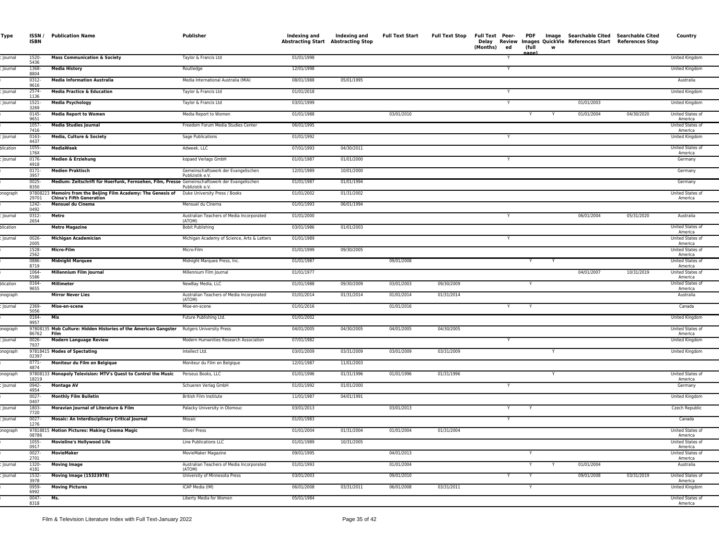| Type      | ISSN /<br><b>ISBN</b> | <b>Publication Name</b>                                                                           | Publisher                                               | Indexing and<br>Abstracting Start Abstracting Stop | Indexing and | <b>Full Text Start</b> | Full Text Stop | Delay<br>(Months)<br>ed |        | (full<br>w<br>nane | Full Text Peer- PDF Image Searchable Cited Searchable Cited<br>Review Images QuickVie References Start References Stop |            | Country                     |
|-----------|-----------------------|---------------------------------------------------------------------------------------------------|---------------------------------------------------------|----------------------------------------------------|--------------|------------------------|----------------|-------------------------|--------|--------------------|------------------------------------------------------------------------------------------------------------------------|------------|-----------------------------|
| Journal   | 1520-<br>5436         | <b>Mass Communication &amp; Society</b>                                                           | Taylor & Francis Ltd                                    | 01/01/1998                                         |              |                        |                | Y                       |        |                    |                                                                                                                        |            | United Kingdom              |
| Journal   | 1368-<br>8804         | <b>Media History</b>                                                                              | Routledge                                               | 12/01/1998                                         |              |                        |                | Y                       |        |                    |                                                                                                                        |            | United Kingdom              |
|           | 0312-<br>9616         | <b>Media Information Australia</b>                                                                | Media International Australia (MIA)                     | 08/01/1988                                         | 05/01/1995   |                        |                |                         |        |                    |                                                                                                                        |            | Australia                   |
| Journal   | 2574-<br>1136         | <b>Media Practice &amp; Education</b>                                                             | Taylor & Francis Ltd                                    | 01/01/2018                                         |              |                        |                |                         |        |                    |                                                                                                                        |            | United Kingdom              |
| Journal   | 1521-<br>3269         | <b>Media Psychology</b>                                                                           | Taylor & Francis Ltd                                    | 03/01/1999                                         |              |                        |                | Y                       |        |                    | 01/01/2003                                                                                                             |            | United Kingdom              |
|           | 0145-<br>9651         | <b>Media Report to Women</b>                                                                      | Media Report to Women                                   | 01/01/1988                                         |              | 03/01/2010             |                |                         |        | Y<br>Y             | 01/01/2004                                                                                                             | 04/30/2020 | United States of<br>America |
|           | $1057 -$<br>7416      | <b>Media Studies Journal</b>                                                                      | Freedom Forum Media Studies Center                      | 06/01/1995                                         |              |                        |                |                         |        |                    |                                                                                                                        |            | United States of<br>America |
| lournal   | 0163-<br>4437         | Media, Culture & Society                                                                          | Sage Publications                                       | 01/01/1992                                         |              |                        |                |                         |        |                    |                                                                                                                        |            | United Kingdom              |
| olication | 1055-<br>176X         | MediaWeek                                                                                         | Adweek, LLC                                             | 07/01/1993                                         | 04/30/2011   |                        |                |                         |        |                    |                                                                                                                        |            | United States of<br>America |
| Journal   | 0176-<br>4918         | Medien & Erziehung                                                                                | kopaed Verlags GmbH                                     | 01/01/1987                                         | 01/01/2000   |                        |                | Y                       |        |                    |                                                                                                                        |            | Germany                     |
|           | 0171-<br>3957         | <b>Medien Praktisch</b>                                                                           | Gemeinschaftswerk der Evangelischen<br>Publizistik e.V. | 12/01/1989                                         | 10/01/2000   |                        |                |                         |        |                    |                                                                                                                        |            | Germany                     |
|           | 0025-<br>8350         | Medium: Zeitschrift für Hoerfunk, Fernsehen, Film, Presse Gemeinschaftswerk der Evangelischen     | Publizistik e.V.                                        | 01/01/1987                                         | 01/01/1994   |                        |                |                         |        |                    |                                                                                                                        |            | Germany                     |
| onograph  | 29701                 | 97808223 Memoirs from the Beijing Film Academy: The Genesis of<br><b>China's Fifth Generation</b> | Duke University Press / Books                           | 01/01/2002                                         | 01/31/2002   |                        |                |                         |        |                    |                                                                                                                        |            | United States of<br>America |
|           | 1242-<br>0492         | Mensuel du Cinema                                                                                 | Mensuel du Cinema                                       | 01/01/1993                                         | 06/01/1994   |                        |                |                         |        |                    |                                                                                                                        |            |                             |
| Journal   | 0312-<br>2654         | Metro                                                                                             | Australian Teachers of Media Incorporated<br>(ATOM)     | 01/01/2000                                         |              |                        |                |                         |        |                    | 06/01/2004                                                                                                             | 05/31/2020 | Australia                   |
| blication |                       | <b>Metro Magazine</b>                                                                             | <b>Bobit Publishing</b>                                 | 03/01/1986                                         | 01/01/2003   |                        |                |                         |        |                    |                                                                                                                        |            | United States of<br>America |
| Journal   | 0026-<br>2005         | Michigan Academician                                                                              | Michigan Academy of Science, Arts & Letters             | 01/01/1989                                         |              |                        |                | Y                       |        |                    |                                                                                                                        |            | United States of<br>America |
|           | 1528-<br>2562         | Micro-Film                                                                                        | Micro-Film                                              | 01/01/1999                                         | 09/30/2005   |                        |                |                         |        |                    |                                                                                                                        |            | United States of<br>America |
|           | 0886-<br>8719         | <b>Midnight Marquee</b>                                                                           | Midnight Marquee Press, Inc.                            | 01/01/1987                                         |              | 09/01/2008             |                |                         |        | Y                  |                                                                                                                        |            | United States of<br>America |
|           | 1064-<br>5586         | Millennium Film Journal                                                                           | Millennium Film Journal                                 | 01/01/1977                                         |              |                        |                |                         |        |                    | 04/01/2007                                                                                                             | 10/31/2019 | United States of<br>America |
| olication | 0164-<br>9655         | Millimeter                                                                                        | NewBay Media, LLC                                       | 01/01/1988                                         | 09/30/2009   | 03/01/2003             | 09/30/2009     |                         |        |                    |                                                                                                                        |            | United States of<br>America |
| onograph  |                       | <b>Mirror Never Lies</b>                                                                          | Australian Teachers of Media Incorporated<br>(ATOM)     | 01/01/2014                                         | 01/31/2014   | 01/01/2014             | 01/31/2014     |                         |        |                    |                                                                                                                        |            | Australia                   |
| Journal   | 2369-<br>5056         | Mise-en-scene                                                                                     | Mise-en-scene                                           | 01/01/2016                                         |              | 01/01/2016             |                |                         | Y      |                    |                                                                                                                        |            | Canada                      |
|           | 0164-<br>9957         | Mix                                                                                               | Future Publishing Ltd.                                  | 01/01/2002                                         |              |                        |                |                         |        |                    |                                                                                                                        |            | United Kingdom              |
| onograph  | 86762                 | 97808135 Mob Culture: Hidden Histories of the American Gangster Rutgers University Press<br>Film  |                                                         | 04/01/2005                                         | 04/30/2005   | 04/01/2005             | 04/30/2005     |                         |        |                    |                                                                                                                        |            | United States of<br>America |
| Journal   | $0026 -$<br>7937      | <b>Modern Language Review</b>                                                                     | Modern Humanities Research Association                  | 07/01/1982                                         |              |                        |                | Y                       |        |                    |                                                                                                                        |            | United Kingdom              |
| onograph  | 02397                 | 97818415 Modes of Spectating                                                                      | Intellect Ltd.                                          | 03/01/2009                                         | 03/31/2009   | 03/01/2009             | 03/31/2009     |                         |        | Y                  |                                                                                                                        |            | United Kingdom              |
|           | 0771-<br>4874         | Moniteur du Film en Belgique                                                                      | Moniteur du Film en Belgique                            | 12/01/1987                                         | 11/01/2003   |                        |                |                         |        |                    |                                                                                                                        |            |                             |
| onograph  | 18219                 | 97808133 Monopoly Television: MTV's Quest to Control the Music                                    | Perseus Books, LLC                                      | 01/01/1996                                         | 01/31/1996   | 01/01/1996             | 01/31/1996     |                         |        | Y                  |                                                                                                                        |            | United States of<br>America |
| Journal   | 0942-<br>4954         | <b>Montage AV</b>                                                                                 | Schueren Verlag GmbH                                    | 01/01/1992                                         | 01/01/2000   |                        |                | Y                       |        |                    |                                                                                                                        |            | Germany                     |
|           | $0027 -$<br>0407      | <b>Monthly Film Bulletin</b>                                                                      | British Film Institute                                  | 11/01/1987                                         | 04/01/1991   |                        |                |                         |        |                    |                                                                                                                        |            | United Kingdom              |
| Journal   | 1803-<br>7720         | Moravian Journal of Literature & Film                                                             | Palacky University in Olomouc                           | 03/01/2013                                         |              | 03/01/2013             |                |                         |        |                    |                                                                                                                        |            | Czech Republic              |
| Journal   | 0027<br>1276          | <b>Mosaic: An Interdisciplinary Critical Journal</b>                                              | Mosaic                                                  | 01/01/1983                                         |              |                        |                | Y                       |        |                    |                                                                                                                        |            | Canada                      |
| onograph  | 08786                 | 97818815 Motion Pictures: Making Cinema Magic                                                     | Oliver Press                                            | 01/01/2004                                         | 01/31/2004   | 01/01/2004             | 01/31/2004     |                         |        |                    |                                                                                                                        |            | United States of<br>America |
|           | 1055-<br>0917         | <b>Movieline's Hollywood Life</b>                                                                 | Line Publications LLC                                   | 01/01/1989                                         | 10/31/2005   |                        |                |                         |        |                    |                                                                                                                        |            | United States of<br>America |
|           | $0027 -$<br>2701      | <b>MovieMaker</b>                                                                                 | MovieMaker Magazine                                     | 09/01/1995                                         |              | 04/01/2013             |                |                         |        |                    |                                                                                                                        |            | United States of<br>America |
| Journal   | 1320-<br>4181         | <b>Moving Image</b>                                                                               | Australian Teachers of Media Incorporated<br>(ATOM)     | 01/01/1993                                         |              | 01/01/2004             |                |                         |        | Y<br>Y             | 01/01/2004                                                                                                             |            | Australia                   |
| Journal   | 1532-<br>3978         | <b>Moving Image (15323978)</b>                                                                    | University of Minnesota Press                           | 03/01/2003                                         |              | 09/01/2010             |                |                         | Y<br>Y |                    | 09/01/2008                                                                                                             | 03/31/2019 | United States of<br>America |
|           | 0959-<br>6992         | <b>Moving Pictures</b>                                                                            | ICAP Media (IM)                                         | 06/01/2008                                         | 03/31/2011   | 06/01/2008             | 03/31/2011     |                         |        |                    |                                                                                                                        |            | United Kingdom              |
|           | $0047 -$<br>8318      | Ms.                                                                                               | Liberty Media for Women                                 | 05/01/1984                                         |              |                        |                |                         |        |                    |                                                                                                                        |            | United States of<br>America |
|           |                       |                                                                                                   |                                                         |                                                    |              |                        |                |                         |        |                    |                                                                                                                        |            |                             |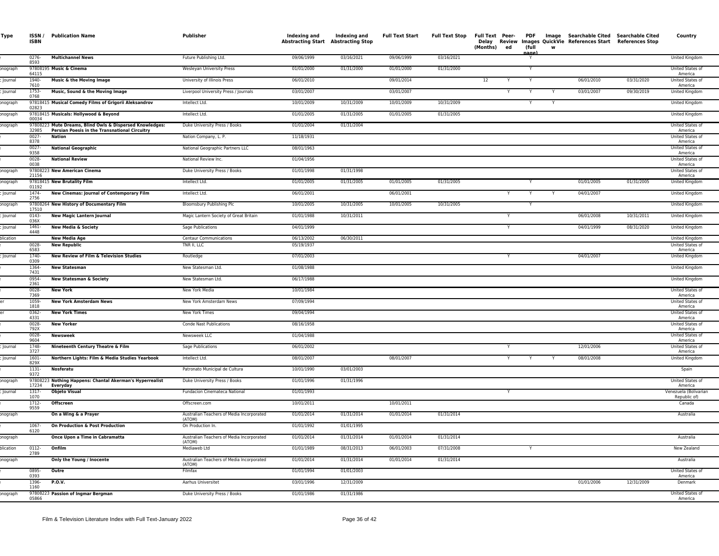| Type      | <b>ISBN</b>      | <b>ISSN</b> / Publication Name                                                                                   | Publisher                                    | Indexing and<br><b>Abstracting Start Abstracting Stop</b> | Indexing and | <b>Full Text Start</b> | Full Text Stop Full Text Peer- | (Months) | ed | <b>PDF</b><br>(full |   | Image Searchable Cited Searchable Cited<br>Delay Review Images QuickVie References Start References Stop |            | Country                            |
|-----------|------------------|------------------------------------------------------------------------------------------------------------------|----------------------------------------------|-----------------------------------------------------------|--------------|------------------------|--------------------------------|----------|----|---------------------|---|----------------------------------------------------------------------------------------------------------|------------|------------------------------------|
|           | 0276-<br>8593    | <b>Multichannel News</b>                                                                                         | Future Publishing Ltd.                       | 09/06/1999                                                | 03/16/2021   | 09/06/1999             | 03/16/2021                     |          |    | ane                 |   |                                                                                                          |            | United Kingdom                     |
| onograph  | 64115            | 97808195 Music & Cinema                                                                                          | Wesleyan University Press                    | 01/01/2000                                                | 01/31/2000   | 01/01/2000             | 01/31/2000                     |          |    | Y                   |   |                                                                                                          |            | United States of<br>America        |
| Journal   | 1940-<br>7610    | Music & the Moving Image                                                                                         | University of Illinois Press                 | 06/01/2010                                                |              | 09/01/2014             |                                | 12       |    |                     |   | 06/01/2010                                                                                               | 03/31/2020 | United States of<br>America        |
| Journal   | 1753-<br>0768    | Music, Sound & the Moving Image                                                                                  | Liverpool University Press / Journals        | 03/01/2007                                                |              | 03/01/2007             |                                |          |    |                     |   | 03/01/2007                                                                                               | 09/30/2019 | United Kingdom                     |
| onograph  | 02823            | 97818415 Musical Comedy Films of Grigorii Aleksandrov                                                            | Intellect Ltd.                               | 10/01/2009                                                | 10/31/2009   | 10/01/2009             | 10/31/2009                     |          |    |                     |   |                                                                                                          |            | United Kingdom                     |
| onograph  | 00034            | 97818415 Musicals: Hollywood & Beyond                                                                            | Intellect Ltd.                               | 01/01/2005                                                | 01/31/2005   | 01/01/2005             | 01/31/2005                     |          |    |                     |   |                                                                                                          |            | United Kingdom                     |
| onograph  | 32985            | 97808223 Mute Dreams, Blind Owls & Dispersed Knowledges:<br><b>Persian Poesis in the Transnational Circuitry</b> | Duke University Press / Books                | 01/01/2004                                                | 01/31/2004   |                        |                                |          |    |                     |   |                                                                                                          |            | <b>United States of</b><br>America |
|           | $0027 -$<br>8378 | <b>Nation</b>                                                                                                    | Nation Company, L. P.                        | 11/18/1931                                                |              |                        |                                |          |    |                     |   |                                                                                                          |            | United States of<br>America        |
|           | 0027<br>9358     | <b>National Geographic</b>                                                                                       | National Geographic Partners LLC             | 08/01/1963                                                |              |                        |                                |          |    |                     |   |                                                                                                          |            | United States of<br>America        |
|           | 0028-<br>0038    | <b>National Review</b>                                                                                           | National Review Inc.                         | 01/04/1956                                                |              |                        |                                |          |    |                     |   |                                                                                                          |            | United States of<br>America        |
| onograph  | 21156            | 97808223 New American Cinema                                                                                     | Duke University Press / Books                | 01/01/1998                                                | 01/31/1998   |                        |                                |          |    |                     |   |                                                                                                          |            | United States of<br>America        |
| onograph  | 01192            | 97818415 New Brutality Film                                                                                      | Intellect Ltd.                               | 01/01/2005                                                | 01/31/2005   | 01/01/2005             | 01/31/2005                     |          |    |                     |   | 01/01/2005                                                                                               | 01/31/2005 | United Kingdom                     |
| Journal   | 1474-<br>2756    | New Cinemas: Journal of Contemporary Film                                                                        | Intellect Ltd.                               | 06/01/2001                                                |              | 06/01/2001             |                                |          | Y  |                     |   | 04/01/2007                                                                                               |            | <b>United Kingdom</b>              |
| onograph  | 17510            | 97808264 New History of Documentary Film                                                                         | Bloomsbury Publishing Plc                    | 10/01/2005                                                | 10/31/2005   | 10/01/2005             | 10/31/2005                     |          |    |                     |   |                                                                                                          |            | United Kingdom                     |
| Journal   | 0143-<br>036X    | <b>New Magic Lantern Journal</b>                                                                                 | Magic Lantern Society of Great Britain       | 01/01/1988                                                | 10/31/2011   |                        |                                |          | Υ  |                     |   | 06/01/2008                                                                                               | 10/31/2011 | United Kingdom                     |
| lournal   | $1461 -$<br>4448 | <b>New Media &amp; Society</b>                                                                                   | Sage Publications                            | 04/01/1999                                                |              |                        |                                |          |    |                     |   | 04/01/1999                                                                                               | 08/31/2020 | United Kingdom                     |
| plication | 0028-            | <b>New Media Age</b><br><b>New Republic</b>                                                                      | <b>Centaur Communications</b><br>TNR II, LLC | 06/13/2002<br>05/19/1937                                  | 06/30/2011   |                        |                                |          |    |                     |   |                                                                                                          |            | United Kingdom<br>United States of |
| lournal   | 6583<br>1740-    | <b>New Review of Film &amp; Television Studies</b>                                                               | Routledge                                    | 07/01/2003                                                |              |                        |                                |          | Y  |                     |   | 04/01/2007                                                                                               |            | America<br>United Kingdom          |
|           | 0309<br>1364     | <b>New Statesman</b>                                                                                             | New Statesman Ltd.                           | 01/08/1988                                                |              |                        |                                |          |    |                     |   |                                                                                                          |            | United Kingdom                     |
|           | 7431<br>0954-    | <b>New Statesman &amp; Society</b>                                                                               | New Statesman Ltd.                           | 06/17/1988                                                |              |                        |                                |          |    |                     |   |                                                                                                          |            | <b>United Kingdom</b>              |
|           | 2361<br>$0028 -$ | <b>New York</b>                                                                                                  | New York Media                               | 10/01/1984                                                |              |                        |                                |          |    |                     |   |                                                                                                          |            | United States of                   |
|           | 7369<br>1059-    | <b>New York Amsterdam News</b>                                                                                   | New York Amsterdam News                      | 07/09/1994                                                |              |                        |                                |          |    |                     |   |                                                                                                          |            | America<br>United States of        |
|           | 1818<br>0362-    | <b>New York Times</b>                                                                                            | New York Times                               | 09/04/1994                                                |              |                        |                                |          |    |                     |   |                                                                                                          |            | America<br>United States of        |
|           | 4331<br>$0028 -$ | <b>New Yorker</b>                                                                                                | Conde Nast Publications                      | 08/16/1958                                                |              |                        |                                |          |    |                     |   |                                                                                                          |            | America<br>United States of        |
|           | 792X<br>$0028 -$ | <b>Newsweek</b>                                                                                                  | Newsweek LLC                                 | 01/04/1988                                                |              |                        |                                |          |    |                     |   |                                                                                                          |            | America<br>United States of        |
| Journal   | 9604<br>1748-    | Nineteenth Century Theatre & Film                                                                                | Sage Publications                            | 06/01/2002                                                |              |                        |                                |          |    |                     |   | 12/01/2006                                                                                               |            | America<br>United States of        |
| lournal   | 3727<br>$1601 -$ | Northern Lights: Film & Media Studies Yearbook                                                                   | Intellect Ltd.                               | 08/01/2007                                                |              | 08/01/2007             |                                |          | Y  | Y                   | Y | 08/01/2008                                                                                               |            | America<br>United Kingdom          |
|           | 829X<br>1131     | Nosferatu                                                                                                        | Patronato Municipal de Cultura               | 10/01/1990                                                | 03/01/2003   |                        |                                |          |    |                     |   |                                                                                                          |            | Spain                              |
| onograph  | 9372             | 97808223 Nothing Happens: Chantal Akerman's Hyperrealist                                                         | Duke University Press / Books                | 01/01/1996                                                | 01/31/1996   |                        |                                |          |    |                     |   |                                                                                                          |            | United States of                   |
| lournal   | 17234<br>1317-   | Everyday<br><b>Objeto Visual</b>                                                                                 | Fundacion Cinemateca National                | 01/01/1993                                                |              |                        |                                |          |    |                     |   |                                                                                                          |            | America<br>Venezuela (Bolivarian   |
|           | 1070<br>$1712-$  | Offscreen                                                                                                        | Offscreen.com                                | 10/01/2011                                                |              | 10/01/2011             |                                |          |    |                     |   |                                                                                                          |            | Republic of)<br>Canada             |
| onograph  | 9559             | On a Wing & a Prayer                                                                                             | Australian Teachers of Media Incorporated    | 01/01/2014                                                | 01/31/2014   | 01/01/2014             | 01/31/2014                     |          |    |                     |   |                                                                                                          |            | Australia                          |
|           | $1067 -$         | On Production & Post Production                                                                                  | (ATOM)<br>On Production In.                  | 01/01/1992                                                | 01/01/1995   |                        |                                |          |    |                     |   |                                                                                                          |            |                                    |
| onograph  | 6120             | Once Upon a Time in Cabramatta                                                                                   | Australian Teachers of Media Incorporated    | 01/01/2014                                                | 01/31/2014   | 01/01/2014             | 01/31/2014                     |          |    |                     |   |                                                                                                          |            | Australia                          |
| blication | $0112 -$         | Onfilm                                                                                                           | (ATOM)<br>Mediaweb Ltd                       | 01/01/1989                                                | 08/31/2013   | 06/01/2003             | 07/31/2008                     |          |    | Y                   |   |                                                                                                          |            | New Zealand                        |
| onograph  | 2789             | Only the Young / Inocente                                                                                        | Australian Teachers of Media Incorporated    | 01/01/2014                                                | 01/31/2014   | 01/01/2014             | 01/31/2014                     |          |    |                     |   |                                                                                                          |            | Australia                          |
|           | 0895-            | Outre                                                                                                            | (ATOM)<br>Filmfax                            | 01/01/1994                                                | 01/01/2003   |                        |                                |          |    |                     |   |                                                                                                          |            | United States of                   |
|           | 0393<br>1396-    | P.O.V.                                                                                                           | Aarhus Universitet                           | 03/01/1996                                                | 12/31/2009   |                        |                                |          |    |                     |   | 01/01/2006                                                                                               | 12/31/2009 | America<br>Denmark                 |
| onograph  | 1160             | 97808223 Passion of Ingmar Bergman                                                                               | Duke University Press / Books                | 01/01/1986                                                | 01/31/1986   |                        |                                |          |    |                     |   |                                                                                                          |            | United States of                   |
|           | 05866            |                                                                                                                  |                                              |                                                           |              |                        |                                |          |    |                     |   |                                                                                                          |            | America                            |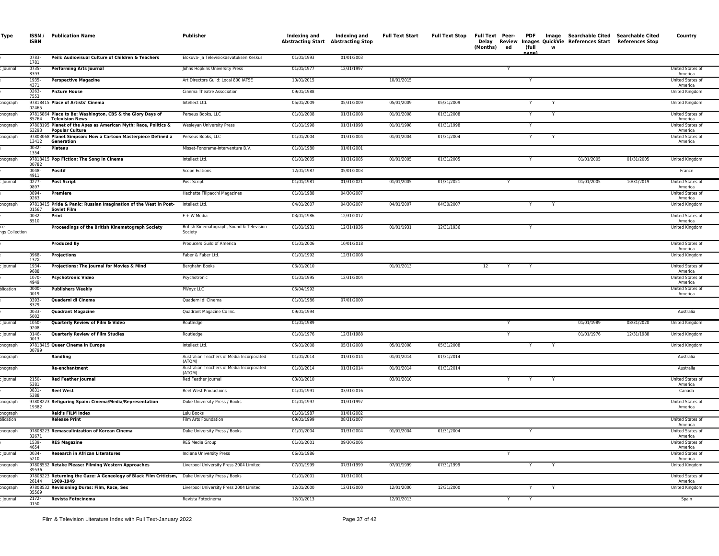| Type                  | ISSN /<br><b>ISBN</b> | <b>Publication Name</b>                                                                                            | Publisher                                            | Indexing and<br><b>Abstracting Start</b> | Indexing and<br>Abstracting Stop | <b>Full Text Start</b> | <b>Full Text Stop</b> | Full Text Peer- PDF<br>(Months)<br>ed | (full | w | Image Searchable Cited Searchable Cited<br>Delay Review Images QuickVie References Start References Stop |            | Country                     |
|-----------------------|-----------------------|--------------------------------------------------------------------------------------------------------------------|------------------------------------------------------|------------------------------------------|----------------------------------|------------------------|-----------------------|---------------------------------------|-------|---|----------------------------------------------------------------------------------------------------------|------------|-----------------------------|
|                       | 0783-<br>1781         | Peili: Audiovisual Culture of Children & Teachers                                                                  | Elokuva- ja Televisiokasvatuksen Keskus              | 01/01/1993                               | 01/01/2003                       |                        |                       |                                       | nage  |   |                                                                                                          |            |                             |
| Journal               | 0735-<br>8393         | <b>Performing Arts Journal</b>                                                                                     | Johns Hopkins University Press                       | 01/01/1977                               | 12/31/1997                       |                        |                       | Y                                     |       |   |                                                                                                          |            | United States of<br>America |
|                       | 1935-<br>4371         | <b>Perspective Magazine</b>                                                                                        | Art Directors Guild: Local 800 IATSE                 | 10/01/2015                               |                                  | 10/01/2015             |                       |                                       | Y     |   |                                                                                                          |            | United States of<br>America |
|                       | 0263-<br>7553         | <b>Picture House</b>                                                                                               | Cinema Theatre Association                           | 09/01/1988                               |                                  |                        |                       |                                       |       |   |                                                                                                          |            | United Kingdom              |
| onograph              | 02465                 | 97818415 Place of Artists' Cinema                                                                                  | Intellect Ltd.                                       | 05/01/2009                               | 05/31/2009                       | 05/01/2009             | 05/31/2009            |                                       |       |   |                                                                                                          |            | United Kingdom              |
| onograpl              | 85764                 | 97815864 Place to Be: Washington, CBS & the Glory Days of<br><b>Television News</b>                                | Perseus Books, LLC                                   | 01/01/2008                               | 01/31/2008                       | 01/01/2008             | 01/31/2008            |                                       | Y     |   |                                                                                                          |            | United States of<br>America |
| onograph              | 63293                 | 97808195 Planet of the Apes as American Myth: Race, Politics &<br><b>Popular Culture</b>                           | Wesleyan University Press                            | 01/01/1998                               | 01/31/1998                       | 01/01/1998             | 01/31/1998            |                                       |       |   |                                                                                                          |            | United States of<br>America |
| onograph              | 13412                 | 97803068 Planet Simpson: How a Cartoon Masterpiece Defined a<br>Generation                                         | Perseus Books, LLC                                   | 01/01/2004                               | 01/31/2004                       | 01/01/2004             | 01/31/2004            |                                       | Y     |   |                                                                                                          |            | United States of<br>America |
|                       | 0032-<br>1354         | Plateau                                                                                                            | Misset-Fonorama-Interventura B.V.                    | 01/01/1980                               | 01/01/2001                       |                        |                       |                                       |       |   |                                                                                                          |            |                             |
| onograph              | 00782                 | 97818415 Pop Fiction: The Song in Cinema                                                                           | Intellect Ltd.                                       | 01/01/2005                               | 01/31/2005                       | 01/01/2005             | 01/31/2005            |                                       | Y     |   | 01/01/2005                                                                                               | 01/31/2005 | United Kingdom              |
|                       | 0048-<br>4911         | Positif                                                                                                            | <b>Scope Editions</b>                                | 12/01/1987                               | 05/01/2003                       |                        |                       |                                       |       |   |                                                                                                          |            | France                      |
| Journal               | 0277-<br>9897         | <b>Post Script</b>                                                                                                 | Post Script                                          | 01/01/1981                               | 01/31/2021                       | 01/01/2005             | 01/31/2021            |                                       |       |   | 01/01/2005                                                                                               | 10/31/2019 | United States of<br>America |
|                       | 0894-<br>9263         | <b>Premiere</b>                                                                                                    | Hachette Filipacchi Magazines                        | 01/01/1988                               | 04/30/2007                       |                        |                       |                                       |       |   |                                                                                                          |            | United States of<br>America |
| onograph              | 01567                 | 97818415 Pride & Panic: Russian Imagination of the West in Post-<br><b>Soviet Film</b>                             | Intellect Ltd.                                       | 04/01/2007                               | 04/30/2007                       | 04/01/2007             | 04/30/2007            |                                       |       |   |                                                                                                          |            | United Kingdom              |
|                       | 0032-<br>8510         | Print                                                                                                              | F + W Media                                          | 03/01/1986                               | 12/31/2017                       |                        |                       |                                       |       |   |                                                                                                          |            | United States of<br>America |
| ngs Collection        |                       | Proceedings of the British Kinematograph Society                                                                   | British Kinematograph, Sound & Television<br>Society | 01/01/1931                               | 12/31/1936                       | 01/01/1931             | 12/31/1936            |                                       | Y     |   |                                                                                                          |            | United Kingdom              |
|                       |                       | <b>Produced By</b>                                                                                                 | Producers Guild of America                           | 01/01/2006                               | 10/01/2018                       |                        |                       |                                       |       |   |                                                                                                          |            | United States of<br>America |
|                       | 0968-<br>137X         | Projections                                                                                                        | Faber & Faber Ltd.                                   | 01/01/1992                               | 12/31/2008                       |                        |                       |                                       |       |   |                                                                                                          |            | United Kingdom              |
| Journal               | 1934-<br>9688         | Projections: The Journal for Movies & Mind                                                                         | Berghahn Books                                       | 06/01/2010                               |                                  | 01/01/2013             |                       | 12<br>Y                               | Y     |   |                                                                                                          |            | United States of<br>America |
|                       | 1070-<br>4949         | <b>Psychotronic Video</b>                                                                                          | Psychotronic                                         | 01/01/1995                               | 12/31/2004                       |                        |                       |                                       |       |   |                                                                                                          |            | United States of<br>America |
| plication             | 0000-<br>0019         | <b>Publishers Weekly</b>                                                                                           | PWxyz LLC                                            | 05/04/1992                               |                                  |                        |                       |                                       |       |   |                                                                                                          |            | United States of<br>America |
|                       | 0393-<br>8379         | Quaderni di Cinema                                                                                                 | Quaderni di Cinema                                   | 01/01/1986                               | 07/01/2000                       |                        |                       |                                       |       |   |                                                                                                          |            |                             |
|                       | 0033-<br>5002         | <b>Quadrant Magazine</b>                                                                                           | Quadrant Magazine Co Inc.                            | 09/01/1994                               |                                  |                        |                       |                                       |       |   |                                                                                                          |            | Australia                   |
| Journal               | 1050<br>9208          | Quarterly Review of Film & Video                                                                                   | Routledge                                            | 01/01/1989                               |                                  |                        |                       |                                       |       |   | 01/01/1989                                                                                               | 08/31/2020 | United Kingdom              |
| Journal               | 0146-<br>0013         | <b>Quarterly Review of Film Studies</b>                                                                            | Routledge                                            | 01/01/1976                               | 12/31/1988                       |                        |                       |                                       |       |   | 01/01/1976                                                                                               | 12/31/1988 | United Kingdom              |
| onograph              | 00799                 | 97818415 Queer Cinema in Europe                                                                                    | Intellect Ltd.                                       | 05/01/2008                               | 05/31/2008                       | 05/01/2008             | 05/31/2008            |                                       | Y     |   |                                                                                                          |            | United Kingdom              |
| onograph              |                       | Randling                                                                                                           | Australian Teachers of Media Incorporated<br>(ATOM)  | 01/01/2014                               | 01/31/2014                       | 01/01/2014             | 01/31/2014            |                                       |       |   |                                                                                                          |            | Australia                   |
| onograph              |                       | Re-enchantment                                                                                                     | Australian Teachers of Media Incorporated<br>(ATOM)  | 01/01/2014                               | 01/31/2014                       | 01/01/2014             | 01/31/2014            |                                       |       |   |                                                                                                          |            | Australia                   |
| Journal               | 2150-<br>5381         | <b>Red Feather Journal</b>                                                                                         | Red Feather Journal                                  | 03/01/2010                               |                                  | 03/01/2010             |                       | Y                                     | Y     |   |                                                                                                          |            | United States of<br>America |
|                       | 0831-<br>5388         | <b>Reel West</b>                                                                                                   | Reel West Productions                                | 01/01/1991                               | 03/31/2016                       |                        |                       |                                       |       |   |                                                                                                          |            | Canada                      |
| onograph              | 19382                 | 97808223 Refiguring Spain: Cinema/Media/Representation                                                             | Duke University Press / Books                        | 01/01/1997                               | 01/31/1997                       |                        |                       |                                       |       |   |                                                                                                          |            | United States of<br>America |
| onograph<br>olication |                       | <b>Reid's FILM Index</b><br><b>Release Print</b>                                                                   | Lulu Books<br>Film Arts Foundation                   | 01/01/1987<br>09/01/1999                 | 01/01/2002<br>08/31/2007         |                        |                       |                                       |       |   |                                                                                                          |            | United States of            |
| onograph              |                       | 97808223 Remasculinization of Korean Cinema                                                                        | Duke University Press / Books                        | 01/01/2004                               | 01/31/2004                       | 01/01/2004             | 01/31/2004            |                                       |       |   |                                                                                                          |            | America<br>United States of |
|                       | 32671<br>1539-        | <b>RES Magazine</b>                                                                                                | RES Media Group                                      | 01/01/2001                               | 09/30/2006                       |                        |                       |                                       |       |   |                                                                                                          |            | America<br>United States of |
| Journal               | 4654<br>0034-         | <b>Research in African Literatures</b>                                                                             | Indiana University Press                             | 06/01/1986                               |                                  |                        |                       |                                       |       |   |                                                                                                          |            | America<br>United States of |
| onograph              | 5210<br>39536         | 97808532 Retake Please: Filming Western Approaches                                                                 | Liverpool University Press 2004 Limited              | 07/01/1999                               | 07/31/1999                       | 07/01/1999             | 07/31/1999            |                                       | Y     |   |                                                                                                          |            | America<br>United Kingdom   |
| onograph              |                       | 97808223 Returning the Gaze: A Geneology of Black Film Criticism, Duke University Press / Books<br>26144 1909-1949 |                                                      | 01/01/2001                               | 01/31/2001                       |                        |                       |                                       |       |   |                                                                                                          |            | United States of<br>America |
| onograph              | 35569                 | 97808532 Revisioning Duras: Film, Race, Sex                                                                        | Liverpool University Press 2004 Limited              | 12/01/2000                               | 12/31/2000                       | 12/01/2000             | 12/31/2000            |                                       | Y     |   |                                                                                                          |            | United Kingdom              |
| Journal               | $2172 -$<br>0150      | Revista Fotocinema                                                                                                 | Revista Fotocinema                                   | 12/01/2013                               |                                  | 12/01/2013             |                       | Y                                     | Y     |   |                                                                                                          |            | Spain                       |
|                       |                       |                                                                                                                    |                                                      |                                          |                                  |                        |                       |                                       |       |   |                                                                                                          |            |                             |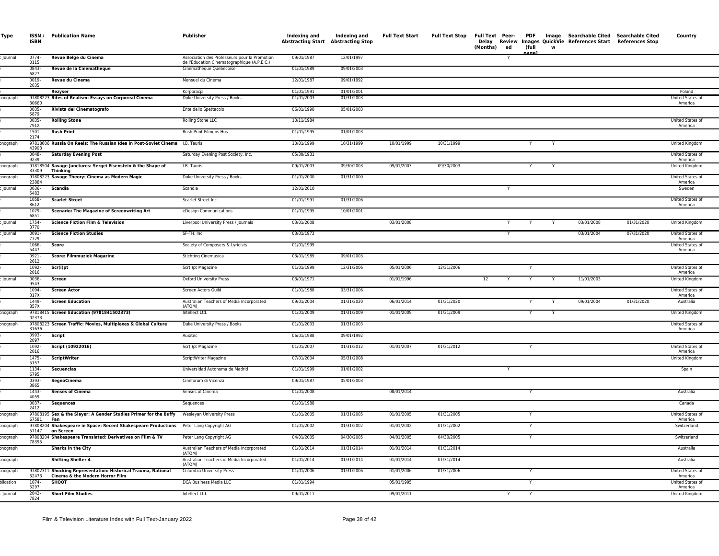| Type           | ISSN /<br><b>ISBN</b> | <b>Publication Name</b>                                                                            | Publisher                                                                                    | Indexing and<br><b>Abstracting Start Abstracting Stop</b> | Indexing and | <b>Full Text Start</b> | <b>Full Text Stop</b> | Full Text Peer-<br>Delay<br>(Months)<br>ed | <b>PDF</b><br>(full<br>nane |   | Image Searchable Cited Searchable Cited<br>Review Images QuickVie References Start References Stop |            | Country                            |
|----------------|-----------------------|----------------------------------------------------------------------------------------------------|----------------------------------------------------------------------------------------------|-----------------------------------------------------------|--------------|------------------------|-----------------------|--------------------------------------------|-----------------------------|---|----------------------------------------------------------------------------------------------------|------------|------------------------------------|
| lournal        | 0774-<br>0115         | Revue Belge du Cinema                                                                              | Association des Professeurs pour la Promotion<br>de l'Education Cinematographique (A.P.E.C.) | 09/01/1987                                                | 12/01/1997   |                        |                       | Y                                          |                             |   |                                                                                                    |            |                                    |
|                | 0843-<br>6827         | Revue de la Cinematheque                                                                           | Cinematheque Quebecoise                                                                      | 01/01/1989                                                | 09/01/2003   |                        |                       |                                            |                             |   |                                                                                                    |            |                                    |
|                | 0019-<br>2635         | Revue du Cinema                                                                                    | Mensuel du Cinema                                                                            | 12/01/1987                                                | 09/01/1992   |                        |                       |                                            |                             |   |                                                                                                    |            |                                    |
|                |                       | Rezyser                                                                                            | Korporacja                                                                                   | 01/01/1991                                                | 01/01/2001   |                        |                       |                                            |                             |   |                                                                                                    |            | Poland                             |
| onograph       | 30660                 | 97808223 Rites of Realism: Essays on Corporeal Cinema                                              | Duke University Press / Books                                                                | 01/01/2003                                                | 01/31/2003   |                        |                       |                                            |                             |   |                                                                                                    |            | United States of<br>America        |
|                | $0035 -$<br>5879      | Rivista del Cinematografo                                                                          | Ente dello Spettacolo                                                                        | 06/01/1990                                                | 05/01/2003   |                        |                       |                                            |                             |   |                                                                                                    |            |                                    |
|                | $0035 -$<br>791X      | <b>Rolling Stone</b>                                                                               | Rolling Stone LLC                                                                            | 10/11/1984                                                |              |                        |                       |                                            |                             |   |                                                                                                    |            | United States of<br>America        |
|                | 1501-<br>2174         | <b>Rush Print</b>                                                                                  | Rush Print Filmens Hus                                                                       | 01/01/1995                                                | 01/01/2003   |                        |                       |                                            |                             |   |                                                                                                    |            |                                    |
| onograph       | 43903                 | 97818606 Russia On Reels: The Russian Idea in Post-Soviet Cinema I.B. Tauris                       |                                                                                              | 10/01/1999                                                | 10/31/1999   | 10/01/1999             | 10/31/1999            |                                            |                             | Y |                                                                                                    |            | United Kingdom                     |
|                | $0048 -$<br>9239      | <b>Saturday Evening Post</b>                                                                       | Saturday Evening Post Society, Inc.                                                          | 05/30/1931                                                |              |                        |                       |                                            |                             |   |                                                                                                    |            | United States of<br>America        |
| onograph       | 33309                 | 97818504 Savage Junctures: Sergei Eisenstein & the Shape of<br>Thinking                            | I.B. Tauris                                                                                  | 09/01/2003                                                | 09/30/2003   | 09/01/2003             | 09/30/2003            |                                            |                             |   |                                                                                                    |            | <b>United Kingdom</b>              |
| onograph       | 23884                 | 97808223 Savage Theory: Cinema as Modern Magic                                                     | Duke University Press / Books                                                                | 01/01/2000                                                | 01/31/2000   |                        |                       |                                            |                             |   |                                                                                                    |            | United States of<br>America        |
| Journal        | $0036 -$<br>5483      | <b>Scandia</b>                                                                                     | Scandia                                                                                      | 12/01/2010                                                |              |                        |                       |                                            |                             |   |                                                                                                    |            | Sweden                             |
|                | 1058-<br>8612         | <b>Scarlet Street</b>                                                                              | Scarlet Street Inc.                                                                          | 01/01/1991                                                | 01/31/2006   |                        |                       |                                            |                             |   |                                                                                                    |            | <b>United States of</b><br>America |
|                | 1079-<br>6851         | <b>Scenario: The Magazine of Screenwriting Art</b>                                                 | eDesign Communications                                                                       | 01/01/1995                                                | 10/01/2001   |                        |                       |                                            |                             |   |                                                                                                    |            |                                    |
| <b>Journal</b> | 1754-<br>3770         | <b>Science Fiction Film &amp; Television</b>                                                       | Liverpool University Press / Journals                                                        | 03/01/2008                                                |              | 03/01/2008             |                       |                                            |                             |   | 03/01/2008                                                                                         | 01/31/2020 | United Kingdom                     |
| Journal        | 0091-<br>7729         | <b>Science Fiction Studies</b>                                                                     | SF-TH, Inc.                                                                                  | 03/01/1973                                                |              |                        |                       |                                            |                             |   | 03/01/2004                                                                                         | 07/31/2020 | United States of<br>America        |
|                | 1066-<br>5447         | Score                                                                                              | Society of Composers & Lyricists                                                             | 01/01/1999                                                |              |                        |                       |                                            |                             |   |                                                                                                    |            | United States of<br>America        |
|                | 0921-<br>2612         | <b>Score: Filmmuziek Magazine</b>                                                                  | <b>Stichting Cinemusica</b>                                                                  | 03/01/1989                                                | 09/01/2003   |                        |                       |                                            |                             |   |                                                                                                    |            |                                    |
|                | 1092-<br>2016         | Scr(i)pt                                                                                           | Scr(i)pt Magazine                                                                            | 01/01/1999                                                | 12/31/2006   | 05/01/2006             | 12/31/2006            |                                            |                             |   |                                                                                                    |            | United States of<br>America        |
| lournal        | 0036-<br>9543         | Screen                                                                                             | Oxford University Press                                                                      | 03/01/1971                                                |              | 01/01/1996             |                       | 12<br>Y                                    | Y                           | Y | 11/01/2003                                                                                         |            | United Kingdom                     |
|                | 1094-<br>317X         | <b>Screen Actor</b>                                                                                | Screen Actors Guild                                                                          | 01/01/1988                                                | 03/31/2006   |                        |                       |                                            |                             |   |                                                                                                    |            | United States of<br>America        |
|                | 1449-<br>857X         | <b>Screen Education</b>                                                                            | Australian Teachers of Media Incorporated<br>(ATOM)                                          | 09/01/2004                                                | 01/31/2020   | 06/01/2014             | 01/31/2020            |                                            |                             | Y | 09/01/2004                                                                                         | 01/31/2020 | Australia                          |
| onograph       | 02373                 | 97818415 Screen Education (9781841502373)                                                          | Intellect Ltd.                                                                               | 01/01/2009                                                | 01/31/2009   | 01/01/2009             | 01/31/2009            |                                            |                             |   |                                                                                                    |            | United Kingdom                     |
| onograph       | 31636                 | 97808223 Screen Traffic: Movies, Multiplexes & Global Culture                                      | Duke University Press / Books                                                                | 01/01/2003                                                | 01/31/2003   |                        |                       |                                            |                             |   |                                                                                                    |            | United States of<br>America        |
|                | 0993-<br>2097         | <b>Script</b>                                                                                      | Auxitec                                                                                      | 06/01/1988                                                | 09/01/1992   |                        |                       |                                            |                             |   |                                                                                                    |            |                                    |
|                | $1092 -$<br>2016      | Script (10922016)                                                                                  | Scr(i)pt Magazine                                                                            | 01/01/2007                                                | 01/31/2012   | 01/01/2007             | 01/31/2012            |                                            |                             |   |                                                                                                    |            | <b>United States of</b><br>America |
|                | 1475-<br>5157         | <b>ScriptWriter</b>                                                                                | ScriptWriter Magazine                                                                        | 07/01/2004                                                | 05/31/2008   |                        |                       |                                            |                             |   |                                                                                                    |            | United Kingdom                     |
|                | 1134-<br>6795         | <b>Secuencias</b>                                                                                  | Universidad Autonoma de Madrid                                                               | 01/01/1999                                                | 01/01/2002   |                        |                       |                                            |                             |   |                                                                                                    |            | Spain                              |
|                | 0393-<br>3865         | SegnoCinema                                                                                        | Cineforum di Vicenza                                                                         | 09/01/1987                                                | 05/01/2003   |                        |                       |                                            |                             |   |                                                                                                    |            |                                    |
|                | 1443-<br>4059         | <b>Senses of Cinema</b>                                                                            | Senses of Cinema                                                                             | 01/01/2008                                                |              | 08/01/2014             |                       |                                            |                             |   |                                                                                                    |            | Australia                          |
|                | $0037 -$<br>2412      | <b>Sequences</b>                                                                                   | Sequences                                                                                    | 01/01/1988                                                |              |                        |                       |                                            |                             |   |                                                                                                    |            | Canada                             |
| onograph       | 67581                 | 97808195 Sex & the Slayer: A Gender Studies Primer for the Buffy Wesleyan University Press<br>Fan  |                                                                                              | 01/01/2005                                                | 01/31/2005   | 01/01/2005             | 01/31/2005            |                                            |                             |   |                                                                                                    |            | United States of<br>America        |
| pnograph       | 57147                 | 97808204 Shakespeare in Space: Recent Shakespeare Productions Peter Lang Copyright AG<br>on Screen |                                                                                              | 01/01/2002                                                | 01/31/2002   | 01/01/2002             | 01/31/2002            |                                            |                             |   |                                                                                                    |            | Switzerland                        |
| onograph       |                       | 97808204 Shakespeare Translated: Derivatives on Film & TV<br>78395                                 | Peter Lang Copyright AG                                                                      | 04/01/2005                                                | 04/30/2005   | 04/01/2005             | 04/30/2005            |                                            |                             |   |                                                                                                    |            | Switzerland                        |
| onograph       |                       | <b>Sharks in the City</b>                                                                          | Australian Teachers of Media Incorporated<br>(ATOM)                                          | 01/01/2014                                                | 01/31/2014   | 01/01/2014             | 01/31/2014            |                                            |                             |   |                                                                                                    |            | Australia                          |
| onograph       |                       | <b>Shifting Shelter 4</b>                                                                          | Australian Teachers of Media Incorporated<br>(ATOM)                                          | 01/01/2014                                                | 01/31/2014   | 01/01/2014             | 01/31/2014            |                                            |                             |   |                                                                                                    |            | Australia                          |
| onograph       | 32473                 | 97802311 Shocking Representation: Historical Trauma, National<br>Cinema & the Modern Horror Film   | Columbia University Press                                                                    | 01/01/2006                                                | 01/31/2006   | 01/01/2006             | 01/31/2006            |                                            |                             |   |                                                                                                    |            | United States of<br>America        |
| olication      | 1074-<br>5297         | <b>SHOOT</b>                                                                                       | DCA Business Media LLC                                                                       | 01/01/1994                                                |              | 05/01/1995             |                       |                                            |                             |   |                                                                                                    |            | United States of<br>America        |
| lournal        | 2042-<br>7824         | <b>Short Film Studies</b>                                                                          | Intellect Ltd.                                                                               | 09/01/2011                                                |              | 09/01/2011             |                       | Y                                          |                             |   |                                                                                                    |            | United Kingdom                     |
|                |                       |                                                                                                    |                                                                                              |                                                           |              |                        |                       |                                            |                             |   |                                                                                                    |            |                                    |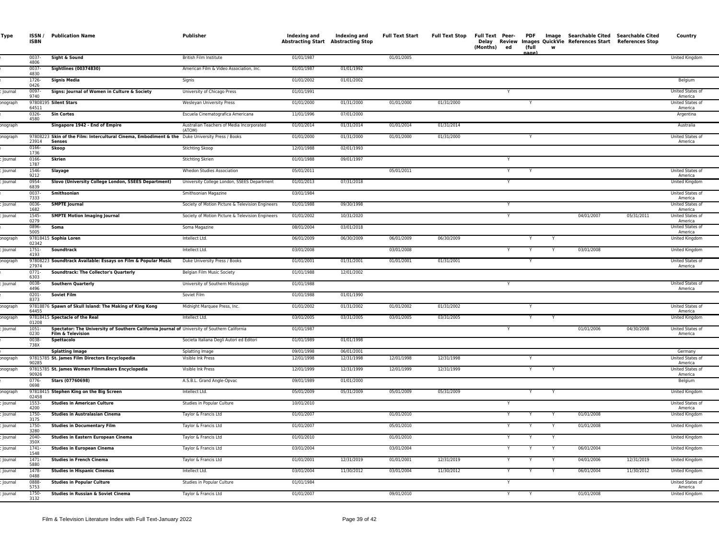| Type           | ISSN/<br><b>ISBN</b>     | <b>Publication Name</b>                                                                                            | Publisher                                           | Indexing and             | Indexing and<br>Abstracting Start Abstracting Stop | <b>Full Text Start</b> | <b>Full Text Stop</b> | Full Text Peer-<br>(Months)<br>ed | <b>PDF</b><br>(full<br>ane | <b>W</b> | Image Searchable Cited Searchable Cited<br>Delay Review Images QuickVie References Start References Stop |            | Country                     |
|----------------|--------------------------|--------------------------------------------------------------------------------------------------------------------|-----------------------------------------------------|--------------------------|----------------------------------------------------|------------------------|-----------------------|-----------------------------------|----------------------------|----------|----------------------------------------------------------------------------------------------------------|------------|-----------------------------|
|                | 0037-<br>4806            | Sight & Sound                                                                                                      | British Film Institute                              | 01/01/1987               |                                                    | 01/01/2005             |                       |                                   |                            |          |                                                                                                          |            | United Kingdom              |
|                | 0037-<br>4830            | <b>Sightlines (00374830)</b>                                                                                       | American Film & Video Association, Inc.             | 01/01/1987               | 01/01/1992                                         |                        |                       |                                   |                            |          |                                                                                                          |            |                             |
|                | 1726-<br>0426            | <b>Signis Media</b>                                                                                                | Signis                                              | 01/01/2002               | 01/01/2002                                         |                        |                       |                                   |                            |          |                                                                                                          |            | Belgium                     |
| lournal        | 0097-<br>9740            | Signs: Journal of Women in Culture & Society                                                                       | University of Chicago Press                         | 01/01/1991               |                                                    |                        |                       |                                   |                            |          |                                                                                                          |            | United States of<br>America |
| onograph       | 64511                    | 97808195 Silent Stars                                                                                              | Wesleyan University Press                           | 01/01/2000               | 01/31/2000                                         | 01/01/2000             | 01/31/2000            |                                   | Y                          |          |                                                                                                          |            | United States of<br>America |
|                | $0326 -$<br>4580         | <b>Sin Cortes</b>                                                                                                  | Escuela Cinematografica Americana                   | 11/01/1996               | 07/01/2000                                         |                        |                       |                                   |                            |          |                                                                                                          |            | Argentina                   |
| onograph       |                          | Singapore 1942 - End of Empire                                                                                     | Australian Teachers of Media Incorporated<br>(ATOM) | 01/01/2014               | 01/31/2014                                         | 01/01/2014             | 01/31/2014            |                                   |                            |          |                                                                                                          |            | Australia                   |
| onograph       | 23914                    | 97808223 Skin of the Film: Intercultural Cinema, Embodiment & the Duke University Press / Books<br>Senses          |                                                     | 01/01/2000               | 01/31/2000                                         | 01/01/2000             | 01/31/2000            |                                   |                            |          |                                                                                                          |            | United States of<br>America |
|                | 0166-<br>1736            | <b>Skoop</b>                                                                                                       | <b>Stichting Skoop</b>                              | 12/01/1988               | 02/01/1993                                         |                        |                       |                                   |                            |          |                                                                                                          |            |                             |
| lournal        | 0166-<br>1787            | <b>Skrien</b>                                                                                                      | Stichting Skrien                                    | 01/01/1988               | 09/01/1997                                         |                        |                       | Y                                 |                            |          |                                                                                                          |            |                             |
| Journal        | 1546-<br>9212            | Slayage                                                                                                            | Whedon Studies Association                          | 05/01/2011               |                                                    | 05/01/2011             |                       | Y                                 |                            |          |                                                                                                          |            | United States of<br>America |
| ournal         | 0954-<br>6839            | Slovo (University College London, SSEES Department)                                                                | University College London, SSEES Department         | 01/01/2013               | 07/31/2018                                         |                        |                       |                                   |                            |          |                                                                                                          |            | United Kingdom              |
|                | 0037-<br>7333            | <b>Smithsonian</b>                                                                                                 | Smithsonian Magazine                                | 03/01/1984               |                                                    |                        |                       |                                   |                            |          |                                                                                                          |            | United States of<br>America |
| ournal         | 0036<br>1682             | <b>SMPTE Journal</b>                                                                                               | Society of Motion Picture & Television Engineers    | 01/01/1988               | 09/30/1998                                         |                        |                       |                                   |                            |          |                                                                                                          |            | United States of<br>America |
| lournal        | 1545-<br>0279            | <b>SMPTE Motion Imaging Journal</b>                                                                                | Society of Motion Picture & Television Engineers    | 01/01/2002               | 10/31/2020                                         |                        |                       | Y                                 |                            |          | 04/01/2007                                                                                               | 05/31/2011 | United States of<br>America |
|                | 0896-<br>5005            | Soma                                                                                                               | Soma Magazine                                       | 08/01/2004               | 03/01/2018                                         |                        |                       |                                   |                            |          |                                                                                                          |            | United States of<br>America |
| onograph       | 02342                    | 97818415 Sophia Loren                                                                                              | Intellect Ltd.                                      | 06/01/2009               | 06/30/2009                                         | 06/01/2009             | 06/30/2009            |                                   |                            |          |                                                                                                          |            | United Kingdom              |
| Journal        | 1751-<br>4193            | Soundtrack                                                                                                         | Intellect Ltd.                                      | 03/01/2008               |                                                    | 03/01/2008             |                       |                                   | Y                          | Y        | 03/01/2008                                                                                               |            | United Kingdom              |
| onograph       | 27974                    | 97808223 Soundtrack Available: Essays on Film & Popular Music                                                      | Duke University Press / Books                       | 01/01/2001               | 01/31/2001                                         | 01/01/2001             | 01/31/2001            |                                   |                            |          |                                                                                                          |            | United States of<br>America |
|                | $0771 -$<br>6303         | <b>Soundtrack: The Collector's Quarterly</b>                                                                       | Belgian Film Music Society                          | 01/01/1988               | 12/01/2002                                         |                        |                       |                                   |                            |          |                                                                                                          |            |                             |
| lournal        | $0038 -$<br>4496         | <b>Southern Quarterly</b>                                                                                          | University of Southern Mississippi                  | 01/01/1988               |                                                    |                        |                       | Y                                 |                            |          |                                                                                                          |            | United States of<br>America |
|                | $0201 -$<br>8373         | <b>Soviet Film</b>                                                                                                 | Soviet Film                                         | 01/01/1988               | 01/01/1990                                         |                        |                       |                                   |                            |          |                                                                                                          |            |                             |
| onograph       | 64455                    | 97818876 Spawn of Skull Island: The Making of King Kong                                                            | Midnight Marquee Press, Inc.                        | 01/01/2002               | 01/31/2002                                         | 01/01/2002             | 01/31/2002            |                                   |                            |          |                                                                                                          |            | United States of<br>America |
| onograph       | 01208                    | 97818415 Spectacle of the Real                                                                                     | Intellect Ltd.                                      | 03/01/2005               | 03/31/2005                                         | 03/01/2005             | 03/31/2005            |                                   |                            |          |                                                                                                          |            | United Kingdom              |
| <b>Journal</b> | $1051 -$<br>0230         | Spectator: The University of Southern California Journal of University of Southern California<br>Film & Television |                                                     | 01/01/1987               |                                                    |                        |                       |                                   |                            |          | 01/01/2006                                                                                               | 04/30/2008 | United States of<br>America |
|                | 0038-<br>738X            | Spettacolo                                                                                                         | Societa Italiana Degli Autori ed Editori            | 01/01/1989               | 01/01/1998                                         |                        |                       |                                   |                            |          |                                                                                                          |            |                             |
| onograph       |                          | <b>Splatting Image</b><br>97815785 St. James Film Directors Encyclopedia                                           | Splatting Image<br>Visible Ink Press                | 09/01/1998<br>12/01/1998 | 06/01/2001<br>12/31/1998                           | 12/01/1998             | 12/31/1998            |                                   | Y                          |          |                                                                                                          |            | Germany<br>United States of |
| onograph       | 90285                    | 97815785 St. James Women Filmmakers Encyclopedia                                                                   | Visible Ink Press                                   | 12/01/1999               | 12/31/1999                                         | 12/01/1999             | 12/31/1999            |                                   | Y                          | Y        |                                                                                                          |            | America<br>United States of |
|                | 90926<br>0776-           | Stars (07760698)                                                                                                   | A.S.B.L. Grand Angle-Opvac                          | 09/01/1989               | 01/01/2000                                         |                        |                       |                                   |                            |          |                                                                                                          |            | America<br>Belgium          |
| nograph        | 0698                     | 97818415 Stephen King on the Big Screen                                                                            | Intellect Ltd.                                      | 05/01/2009               | 05/31/2009                                         | 05/01/2009             | 05/31/2009            |                                   | Y                          |          |                                                                                                          |            | <b>United Kingdom</b>       |
| Journal        | 02458<br>$1553-$<br>4200 | <b>Studies in American Culture</b>                                                                                 | Studies in Popular Culture                          | 10/01/2010               |                                                    |                        |                       | Y                                 |                            |          |                                                                                                          |            | United States of            |
| <b>Journal</b> | 1750<br>3175             | <b>Studies in Australasian Cinema</b>                                                                              | Taylor & Francis Ltd                                | 01/01/2007               |                                                    | 01/01/2010             |                       | Y                                 |                            |          | 01/01/2008                                                                                               |            | America<br>United Kingdom   |
| Journal        | 1750-<br>3280            | <b>Studies in Documentary Film</b>                                                                                 | Taylor & Francis Ltd                                | 01/01/2007               |                                                    | 05/01/2010             |                       |                                   |                            |          | 01/01/2008                                                                                               |            | United Kingdom              |
| Journal        | $2040 -$<br>350X         | <b>Studies in Eastern European Cinema</b>                                                                          | Taylor & Francis Ltd                                | 01/01/2010               |                                                    | 01/01/2010             |                       |                                   |                            |          |                                                                                                          |            | United Kingdom              |
| lournal        | 1741-<br>1548            | <b>Studies in European Cinema</b>                                                                                  | Taylor & Francis Ltd                                | 03/01/2004               |                                                    | 03/01/2004             |                       |                                   |                            |          | 06/01/2004                                                                                               |            | United Kingdom              |
| <b>Journal</b> | $1471 -$<br>5880         | <b>Studies in French Cinema</b>                                                                                    | Taylor & Francis Ltd                                | 01/01/2001               | 12/31/2019                                         | 01/01/2001             | 12/31/2019            |                                   |                            |          | 04/01/2006                                                                                               | 12/31/2019 | United Kingdom              |
| Journal        | 1478-<br>0488            | <b>Studies in Hispanic Cinemas</b>                                                                                 | Intellect Ltd.                                      | 03/01/2004               | 11/30/2012                                         | 03/01/2004             | 11/30/2012            |                                   |                            |          | 06/01/2004                                                                                               | 11/30/2012 | United Kingdom              |
| ournal         | 0888<br>5753             | <b>Studies in Popular Culture</b>                                                                                  | Studies in Popular Culture                          | 01/01/1984               |                                                    |                        |                       |                                   |                            |          |                                                                                                          |            | United States of<br>America |
| lournal        | 1750-<br>3132            | Studies in Russian & Soviet Cinema                                                                                 | Taylor & Francis Ltd                                | 01/01/2007               |                                                    | 09/01/2010             |                       |                                   |                            |          | 01/01/2008                                                                                               |            | United Kingdom              |
|                |                          |                                                                                                                    |                                                     |                          |                                                    |                        |                       |                                   |                            |          |                                                                                                          |            |                             |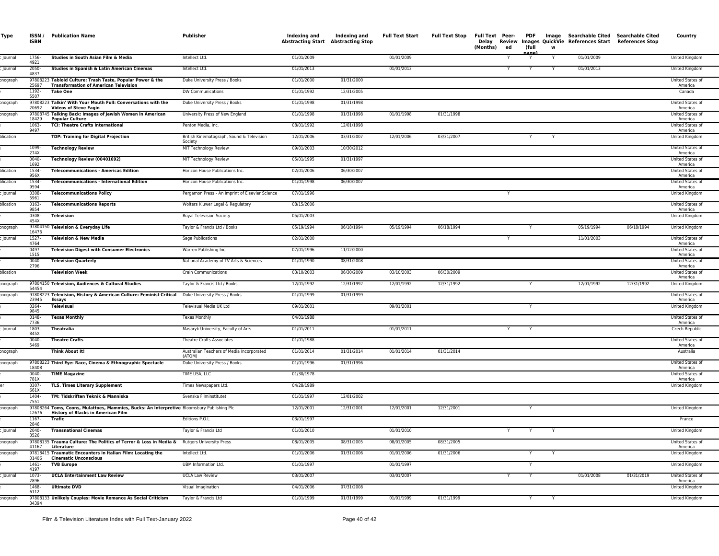| Type      | ISSN /<br><b>ISBN</b> | <b>Publication Name</b>                                                                                                                 | Publisher                                            | Indexing and<br><b>Abstracting Start Abstracting Stop</b> | Indexing and | <b>Full Text Start</b> | Full Text Stop | Delay<br>(Months) | ed | (full | W | Full Text Peer- PDF Image Searchable Cited Searchable Cited<br>Review Images QuickVie References Start References Stop |            | Country                     |
|-----------|-----------------------|-----------------------------------------------------------------------------------------------------------------------------------------|------------------------------------------------------|-----------------------------------------------------------|--------------|------------------------|----------------|-------------------|----|-------|---|------------------------------------------------------------------------------------------------------------------------|------------|-----------------------------|
| Journal   | 1756-<br>4921         | Studies in South Asian Film & Media                                                                                                     | Intellect Ltd.                                       | 01/01/2009                                                |              | 01/01/2009             |                |                   |    |       |   | 01/01/2009                                                                                                             |            | United Kingdom              |
| Journal   | 2050-<br>4837         | Studies in Spanish & Latin American Cinemas                                                                                             | Intellect Ltd.                                       | 01/01/2013                                                |              | 01/01/2013             |                |                   | Y  |       |   | 01/01/2013                                                                                                             |            | United Kingdom              |
| onograph  | 25697                 | 97808223 Tabloid Culture: Trash Taste, Popular Power & the<br><b>Transformation of American Television</b>                              | Duke University Press / Books                        | 01/01/2000                                                | 01/31/2000   |                        |                |                   |    |       |   |                                                                                                                        |            | United States of<br>America |
|           | 1192-<br>5507         | <b>Take One</b>                                                                                                                         | DW Communications                                    | 01/01/1992                                                | 12/31/2005   |                        |                |                   |    |       |   |                                                                                                                        |            | Canada                      |
| onograph  | 20692                 | 97808223 Talkin' With Your Mouth Full: Conversations with the<br><b>Videos of Steve Fagir</b>                                           | Duke University Press / Books                        | 01/01/1998                                                | 01/31/1998   |                        |                |                   |    |       |   |                                                                                                                        |            | United States of<br>America |
| onograph  | 18429                 | 97808745 Talking Back: Images of Jewish Women in American<br><b>Popular Culture</b>                                                     | University Press of New England                      | 01/01/1998                                                | 01/31/1998   | 01/01/1998             | 01/31/1998     |                   |    |       |   |                                                                                                                        |            | United States of<br>America |
|           | 1063-<br>9497         | <b>TCI: Theatre Crafts International</b>                                                                                                | Penton Media, Inc.                                   | 08/01/1992                                                | 12/01/1998   |                        |                |                   |    |       |   |                                                                                                                        |            | United States of<br>America |
| blication |                       | <b>TDP: Training for Digital Projection</b>                                                                                             | British Kinematograph, Sound & Television<br>Society | 12/01/2006                                                | 03/31/2007   | 12/01/2006             | 03/31/2007     |                   |    |       |   |                                                                                                                        |            | United Kingdon              |
|           | 1099-<br>274X         | <b>Technology Review</b>                                                                                                                | MIT Technology Review                                | 09/01/2003                                                | 10/30/2012   |                        |                |                   |    |       |   |                                                                                                                        |            | United States of<br>America |
|           | $0040 -$<br>1692      | Technology Review (00401692)                                                                                                            | MIT Technology Review                                | 05/01/1995                                                | 01/31/1997   |                        |                |                   |    |       |   |                                                                                                                        |            | United States of<br>America |
| plication | 1534-<br>956X         | <b>Telecommunications - Americas Edition</b>                                                                                            | Horizon House Publications Inc.                      | 02/01/2006                                                | 06/30/2007   |                        |                |                   |    |       |   |                                                                                                                        |            | United States of<br>America |
| olication | 1534-<br>9594         | <b>Telecommunications - International Edition</b>                                                                                       | Horizon House Publications Inc.                      | 01/01/1998                                                | 06/30/2007   |                        |                |                   |    |       |   |                                                                                                                        |            | United States of<br>America |
| Journal   | 0308<br>5961          | <b>Telecommunications Policy</b>                                                                                                        | Pergamon Press - An Imprint of Elsevier Science      | 07/01/1996                                                |              |                        |                |                   |    |       |   |                                                                                                                        |            | United Kingdom              |
| olication | 0163-<br>9854         | <b>Telecommunications Reports</b>                                                                                                       | Wolters Kluwer Legal & Regulatory                    | 08/15/2006                                                |              |                        |                |                   |    |       |   |                                                                                                                        |            | United States of<br>America |
|           | 0308-<br>454X         | Television                                                                                                                              | Royal Television Society                             | 05/01/2003                                                |              |                        |                |                   |    |       |   |                                                                                                                        |            | United Kingdom              |
| onograph  | 16476                 | 97804150 Television & Everyday Life                                                                                                     | Taylor & Francis Ltd / Books                         | 05/19/1994                                                | 06/18/1994   | 05/19/1994             | 06/18/1994     |                   |    |       |   | 05/19/1994                                                                                                             | 06/18/1994 | United Kingdom              |
| Journal   | 1527-<br>4764         | Television & New Media                                                                                                                  | <b>Sage Publications</b>                             | 02/01/2000                                                |              |                        |                |                   | Y  |       |   | 11/01/2003                                                                                                             |            | United States of<br>America |
|           | 0497-<br>1515         | <b>Television Digest with Consumer Electronics</b>                                                                                      | Warren Publishing Inc.                               | 07/01/1996                                                | 11/12/2000   |                        |                |                   |    |       |   |                                                                                                                        |            | United States of<br>America |
|           | 0040-<br>2796         | <b>Television Quarterly</b>                                                                                                             | National Academy of TV Arts & Sciences               | 01/01/1990                                                | 08/31/2008   |                        |                |                   |    |       |   |                                                                                                                        |            | United States of<br>America |
| plication |                       | <b>Television Week</b>                                                                                                                  | <b>Crain Communications</b>                          | 03/10/2003                                                | 06/30/2009   | 03/10/2003             | 06/30/2009     |                   |    |       |   |                                                                                                                        |            | United States of<br>America |
| onograph  | 54454                 | 97804150 Television, Audiences & Cultural Studies                                                                                       | Taylor & Francis Ltd / Books                         | 12/01/1992                                                | 12/31/1992   | 12/01/1992             | 12/31/1992     |                   |    | Y     |   | 12/01/1992                                                                                                             | 12/31/1992 | United Kingdom              |
| onograph  | 23945                 | 97808223 Television, History & American Culture: Feminist Critical Duke University Press / Books<br>Essays                              |                                                      | 01/01/1999                                                | 01/31/1999   |                        |                |                   |    |       |   |                                                                                                                        |            | United States of<br>America |
|           | 0264-<br>9845         | <b>Televisual</b>                                                                                                                       | Televisual Media UK Ltd                              | 09/01/2001                                                |              | 09/01/2001             |                |                   |    |       |   |                                                                                                                        |            | United Kingdom              |
|           | 0148-<br>7736         | <b>Texas Monthly</b>                                                                                                                    | <b>Texas Monthly</b>                                 | 04/01/1988                                                |              |                        |                |                   |    |       |   |                                                                                                                        |            | United States of<br>America |
| Journal   | 1803-<br>845X         | Theatralia                                                                                                                              | Masaryk University, Faculty of Arts                  | 01/01/2011                                                |              | 01/01/2011             |                |                   | Y  | Y     |   |                                                                                                                        |            | Czech Republic              |
|           | 0040-<br>5469         | <b>Theatre Crafts</b>                                                                                                                   | <b>Theatre Crafts Associates</b>                     | 01/01/1988                                                |              |                        |                |                   |    |       |   |                                                                                                                        |            | United States of<br>America |
| onograph  |                       | Think About It!                                                                                                                         | Australian Teachers of Media Incorporated<br>(ATOM)  | 01/01/2014                                                | 01/31/2014   | 01/01/2014             | 01/31/2014     |                   |    |       |   |                                                                                                                        |            | Australia                   |
| onograph  | 18408                 | 97808223 Third Eye: Race, Cinema & Ethnographic Spectacle                                                                               | Duke University Press / Books                        | 01/01/1996                                                | 01/31/1996   |                        |                |                   |    |       |   |                                                                                                                        |            | United States of<br>America |
|           | 0040-<br>781X         | <b>TIME Magazine</b>                                                                                                                    | TIME USA, LLC                                        | 01/30/1978                                                |              |                        |                |                   |    |       |   |                                                                                                                        |            | United States of<br>America |
|           | 0307-<br>661X         | <b>TLS. Times Literary Supplement</b>                                                                                                   | Times Newspapers Ltd.                                | 04/28/1989                                                |              |                        |                |                   |    |       |   |                                                                                                                        |            | United Kingdom              |
|           | 1404-<br>7551         | TM: Tidskriften Teknik & Manniska                                                                                                       | Svenska Filminstitutet                               | 01/01/1997                                                | 12/01/2002   |                        |                |                   |    |       |   |                                                                                                                        |            |                             |
| onograph  | 12676                 | 97808264 Toms, Coons, Mulattoes, Mammies, Bucks: An Interpretive Bloomsbury Publishing Plc<br><b>History of Blacks in American Film</b> |                                                      | 12/01/2001                                                | 12/31/2001   | 12/01/2001             | 12/31/2001     |                   |    |       |   |                                                                                                                        |            | United Kingdom              |
|           | 1167-<br>2846         | Trafic                                                                                                                                  | Editions P.O.L                                       | 03/01/1997                                                |              |                        |                |                   |    |       |   |                                                                                                                        |            | France                      |
| lournal   | $2040 -$<br>3526      | <b>Transnational Cinemas</b>                                                                                                            | Taylor & Francis Ltd                                 | 01/01/2010                                                |              | 01/01/2010             |                |                   | Y  | Y     | Y |                                                                                                                        |            | United Kingdom              |
| onograph  | 41167                 | 97808135 Trauma Culture: The Politics of Terror & Loss in Media & Rutgers University Press<br>Literature                                |                                                      | 08/01/2005                                                | 08/31/2005   | 08/01/2005             | 08/31/2005     |                   |    |       |   |                                                                                                                        |            | United States of<br>America |
| onograph  | 01406                 | 97818415 Traumatic Encounters in Italian Film: Locating the<br><b>Cinematic Unconscious</b>                                             | Intellect Ltd.                                       | 01/01/2006                                                | 01/31/2006   | 01/01/2006             | 01/31/2006     |                   |    |       | Y |                                                                                                                        |            | United Kingdom              |
|           | $1461 -$<br>4197      | <b>TVB Europe</b>                                                                                                                       | UBM Information Ltd.                                 | 01/01/1997                                                |              | 01/01/1997             |                |                   |    |       |   |                                                                                                                        |            | United Kingdom              |
| Journal   | 1073-<br>2896         | <b>UCLA Entertainment Law Review</b>                                                                                                    | <b>UCLA Law Review</b>                               | 03/01/2007                                                |              | 03/01/2007             |                |                   |    | Y     |   | 01/01/2008                                                                                                             | 01/31/2019 | United States of<br>America |
|           | 1468-<br>6112         | <b>Ultimate DVD</b>                                                                                                                     | Visual Imagination                                   | 04/01/2006                                                | 07/31/2008   |                        |                |                   |    |       |   |                                                                                                                        |            | United Kingdom              |
| onograph  | 34394                 | 97808133 Unlikely Couples: Movie Romance As Social Criticism                                                                            | Taylor & Francis Ltd                                 | 01/01/1999                                                | 01/31/1999   | 01/01/1999             | 01/31/1999     |                   |    | Y     | Y |                                                                                                                        |            | United Kingdom              |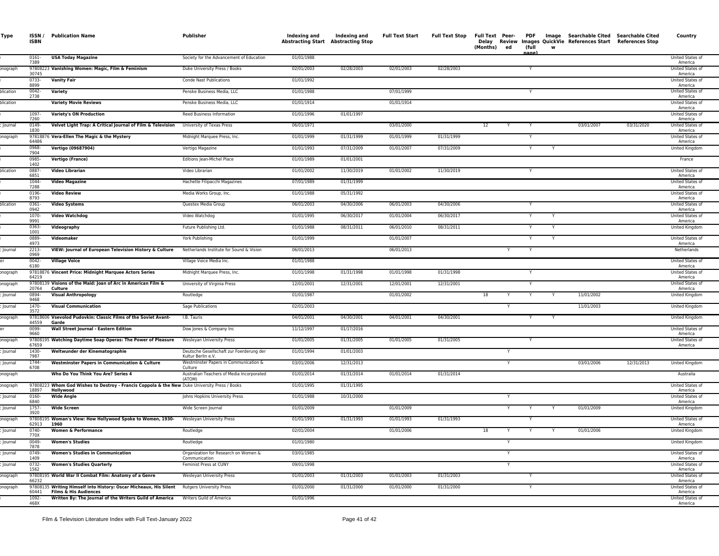| Type                | ISSN /<br><b>ISBN</b>  | <b>Publication Name</b>                                                                                    | Publisher                                                      | Indexing and<br>Abstracting Start Abstracting Stop | Indexing and | <b>Full Text Start</b> | <b>Full Text Stop</b> | <b>Full Text Peer-</b><br>Delay<br>(Months)<br>ed | PDF<br>(full<br>nane' | w | Image Searchable Cited Searchable Cited<br>Review Images QuickVie References Start References Stop |            | Country                            |
|---------------------|------------------------|------------------------------------------------------------------------------------------------------------|----------------------------------------------------------------|----------------------------------------------------|--------------|------------------------|-----------------------|---------------------------------------------------|-----------------------|---|----------------------------------------------------------------------------------------------------|------------|------------------------------------|
|                     | 0161-<br>7389          | <b>USA Today Magazine</b>                                                                                  | Society for the Advancement of Education                       | 01/01/1988                                         |              |                        |                       |                                                   |                       |   |                                                                                                    |            | United States of<br>America        |
| onograph            | 30745                  | 97808223 Vanishing Women: Magic, Film & Feminism                                                           | Duke University Press / Books                                  | 02/01/2003                                         | 02/28/2003   | 02/01/2003             | 02/28/2003            |                                                   |                       |   |                                                                                                    |            | United States of<br>America        |
|                     | 0733-<br>8899          | <b>Vanity Fair</b>                                                                                         | Conde Nast Publications                                        | 01/01/1992                                         |              |                        |                       |                                                   |                       |   |                                                                                                    |            | United States of<br>America        |
| olication           | 0042-<br>2738          | Variety                                                                                                    | Penske Business Media, LLC                                     | 01/01/1988                                         |              | 07/01/1999             |                       |                                                   |                       |   |                                                                                                    |            | United States of<br>America        |
| blication           |                        | <b>Variety Movie Reviews</b>                                                                               | Penske Business Media, LLC                                     | 01/01/1914                                         |              | 01/01/1914             |                       |                                                   |                       |   |                                                                                                    |            | United States of<br>America        |
|                     | 1097-<br>7260          | <b>Variety's ON Production</b>                                                                             | Reed Business Information                                      | 01/01/1996                                         | 01/01/1997   |                        |                       |                                                   |                       |   |                                                                                                    |            | United States of<br>America        |
| Journal             | 0149-<br>1830          | Velvet Light Trap: A Critical Journal of Film & Television                                                 | University of Texas Press                                      | 06/01/1971                                         |              | 03/01/2000             |                       | 12<br>Y                                           |                       |   | 03/01/2007                                                                                         | 03/31/2020 | United States of<br>America        |
| onograph            | 64486                  | 97818876 Vera-Ellen The Magic & the Mystery                                                                | Midnight Marquee Press, Inc.                                   | 01/01/1999                                         | 01/31/1999   | 01/01/1999             | 01/31/1999            |                                                   |                       |   |                                                                                                    |            | United States of<br>America        |
|                     | 0968-<br>7904          | Vertigo (09687904)                                                                                         | Vertigo Magazine                                               | 01/01/1993                                         | 07/31/2009   | 01/01/2007             | 07/31/2009            |                                                   |                       |   |                                                                                                    |            | United Kingdom                     |
|                     | 0985-<br>1402          | Vertigo (France)                                                                                           | Editions Jean-Michel Place                                     | 01/01/1989                                         | 01/01/2001   |                        |                       |                                                   |                       |   |                                                                                                    |            | France                             |
| olication           | 0887<br>6851           | <b>Video Librarian</b>                                                                                     | Video Librarian                                                | 01/01/2002                                         | 11/30/2019   | 01/01/2002             | 11/30/2019            |                                                   |                       |   |                                                                                                    |            | United States of<br>America        |
|                     | 1044-<br>7288          | <b>Video Magazine</b>                                                                                      | Hachette Filipacchi Magazines                                  | 07/01/1989                                         | 01/31/1999   |                        |                       |                                                   |                       |   |                                                                                                    |            | United States of<br>America        |
|                     | 0196-<br>8793          | <b>Video Review</b>                                                                                        | Media Works Group, Inc.                                        | 01/01/1988                                         | 05/31/1992   |                        |                       |                                                   |                       |   |                                                                                                    |            | United States of<br>America        |
| blication           | 0361<br>0942           | <b>Video Systems</b>                                                                                       | Questex Media Group                                            | 06/01/2003                                         | 04/30/2006   | 06/01/2003             | 04/30/2006            |                                                   |                       |   |                                                                                                    |            | United States of<br>America        |
|                     | 1070-<br>9991          | <b>Video Watchdog</b>                                                                                      | Video Watchdog                                                 | 01/01/1995                                         | 06/30/2017   | 01/01/2004             | 06/30/2017            |                                                   |                       |   |                                                                                                    |            | United States of<br>America        |
|                     | 0363-<br>1001          | Videography                                                                                                | Future Publishing Ltd.                                         | 01/01/1988                                         | 08/31/2011   | 06/01/2010             | 08/31/2011            |                                                   |                       |   |                                                                                                    |            | United Kingdom                     |
|                     | 0889-<br>4973          | Videomaker                                                                                                 | York Publishing                                                | 01/01/1999                                         |              | 01/01/2007             |                       |                                                   | Y                     | Y |                                                                                                    |            | United States of<br>America        |
| lournal             | 2213-<br>0969          | VIEW: Journal of European Television History & Culture                                                     | Netherlands Institute for Sound & Visior                       | 06/01/2013                                         |              | 06/01/2013             |                       | Y                                                 | Y                     |   |                                                                                                    |            | Netherlands                        |
|                     | 0042-<br>6180          | <b>Village Voice</b>                                                                                       | Village Voice Media Inc.                                       | 01/01/1988                                         |              |                        |                       |                                                   |                       |   |                                                                                                    |            | United States of<br>America        |
| onograph            | 64219                  | 97818876 Vincent Price: Midnight Marquee Actors Series                                                     | Midnight Marquee Press, Inc.                                   | 01/01/1998                                         | 01/31/1998   | 01/01/1998             | 01/31/1998            |                                                   |                       |   |                                                                                                    |            | United States of<br>America        |
| onograph            | 20764                  | 97808139 Visions of the Maid: Joan of Arc in American Film &<br>Culture                                    | University of Virginia Press                                   | 12/01/2001                                         | 12/31/2001   | 12/01/2001             | 12/31/2001            |                                                   |                       |   |                                                                                                    |            | United States of<br>America        |
| Journal             | 0894-<br>9468          | <b>Visual Anthropology</b>                                                                                 | Routledge                                                      | 01/01/1987                                         |              | 01/01/2002             |                       | 18                                                |                       |   | 11/01/2002                                                                                         |            | United Kingdom                     |
| Journal             | 1470-<br>3572          | <b>Visual Communication</b>                                                                                | Sage Publications                                              | 02/01/2003                                         |              |                        |                       |                                                   |                       |   | 11/01/2003                                                                                         |            | United Kingdom                     |
| onograph            | 44559                  | 97818606 Vsevolod Pudovkin: Classic Films of the Soviet Avant-<br>Garde                                    | I.B. Tauris                                                    | 04/01/2001                                         | 04/30/2001   | 04/01/2001             | 04/30/2001            |                                                   |                       |   |                                                                                                    |            | United Kingdom                     |
|                     | 0099-<br>9660          | Wall Street Journal - Eastern Edition                                                                      | Dow Jones & Company Inc                                        | 11/12/1997                                         | 01/17/2016   |                        |                       |                                                   |                       |   |                                                                                                    |            | United States of<br>America        |
| onograph            | 67659                  | 97808195 Watching Daytime Soap Operas: The Power of Pleasure                                               | Wesleyan University Press                                      | 01/01/2005                                         | 01/31/2005   | 01/01/2005             | 01/31/2005            |                                                   |                       |   |                                                                                                    |            | United States of<br>America        |
| Journal             | 1430-<br>7987          | Weltwunder der Kinematographie                                                                             | Deutsche Gesellschaft zur Foerderung der<br>Kultur Berlin e.V. | 01/01/1994                                         | 01/01/2003   |                        |                       |                                                   |                       |   |                                                                                                    |            |                                    |
| Journal             | 1744-<br>6708          | <b>Westminster Papers in Communication &amp; Culture</b>                                                   | Westminster Papers in Communication &<br>Culture               | 03/01/2006                                         | 12/31/2013   |                        |                       |                                                   |                       |   | 03/01/2006                                                                                         | 12/31/2013 | United Kingdom                     |
| onograph            |                        | Who Do You Think You Are? Series 4                                                                         | Australian Teachers of Media Incorporated<br>(ATOM)            | 01/01/2014                                         | 01/31/2014   | 01/01/2014             | 01/31/2014            |                                                   |                       |   |                                                                                                    |            | Australia                          |
| onograph            | 18897                  | 97808223 Whom God Wishes to Destroy - Francis Coppola & the New Duke University Press / Books<br>Hollywood |                                                                | 01/01/1995                                         | 01/31/1995   |                        |                       |                                                   |                       |   |                                                                                                    |            | United States of<br>America        |
| Journal             | 0160-<br>6840<br>1757- | <b>Wide Angle</b>                                                                                          | Johns Hopkins University Press                                 | 01/01/1988                                         | 10/31/2000   | 01/01/2009             |                       | Y<br>Y                                            |                       |   | 01/01/2009                                                                                         |            | United States of<br>America        |
| Journal             | 3920                   | <b>Wide Screen</b><br>97808195 Woman's View: How Hollywood Spoke to Women, 1930-                           | Wide Screen Journal<br>Wesleyan University Press               | 01/01/2009<br>01/01/1993                           | 01/31/1993   | 01/01/1993             | 01/31/1993            |                                                   |                       |   |                                                                                                    |            | United Kingdom<br>United States of |
| onograph<br>Journal | 62913<br>$0740 -$      | 1960<br><b>Women &amp; Performance</b>                                                                     | Routledge                                                      | 02/01/2004                                         |              | 01/01/2006             |                       | 18                                                |                       |   | 01/01/2006                                                                                         |            | America<br>United Kingdom          |
| Journal             | 770X<br>0049-          | <b>Women's Studies</b>                                                                                     | Routledge                                                      | 01/01/1980                                         |              |                        |                       |                                                   |                       |   |                                                                                                    |            | United Kingdom                     |
| <b>Journal</b>      | 7878<br>0749-          | <b>Women's Studies in Communication</b>                                                                    | Organization for Research on Women &                           | 03/01/1985                                         |              |                        |                       |                                                   |                       |   |                                                                                                    |            | <b>United States of</b>            |
| Journal             | 1409<br>0732-          | <b>Women's Studies Quarterly</b>                                                                           | Communication<br>Feminist Press at CUNY                        | 09/01/1998                                         |              |                        |                       | Y                                                 |                       |   |                                                                                                    |            | America<br>United States of        |
| onograph            | 1562                   | 97808195 World War II Combat Film: Anatomy of a Genre                                                      | <b>Wesleyan University Press</b>                               | 01/01/2003                                         | 01/31/2003   | 01/01/2003             | 01/31/2003            |                                                   |                       |   |                                                                                                    |            | America<br>United States of        |
| onograph            | 66232                  | 97808135 Writing Himself into History: Oscar Micheaux, His Silent Rutgers University Press                 |                                                                | 01/01/2000                                         | 01/31/2000   | 01/01/2000             | 01/31/2000            |                                                   |                       |   |                                                                                                    |            | America<br>United States of        |
|                     | 60441<br>1092-         | <b>Films &amp; His Audiences</b><br>Written By: The Journal of the Writers Guild of America                | Writers Guild of America                                       | 01/01/1996                                         |              |                        |                       |                                                   |                       |   |                                                                                                    |            | America<br>United States of        |
|                     | 468X                   |                                                                                                            |                                                                |                                                    |              |                        |                       |                                                   |                       |   |                                                                                                    |            | America                            |
|                     |                        |                                                                                                            |                                                                |                                                    |              |                        |                       |                                                   |                       |   |                                                                                                    |            |                                    |